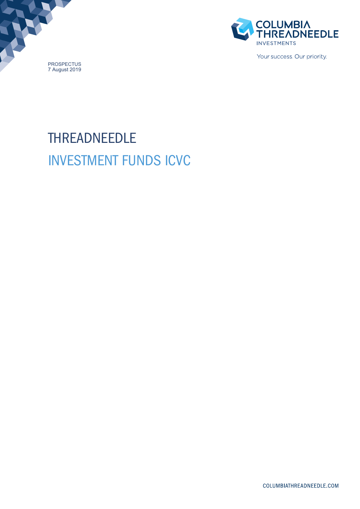



Your success. Our priority.

# THREADNEEDLE INVESTMENT FUNDS ICVC

COLUMBIATHREADNEEDLE.COM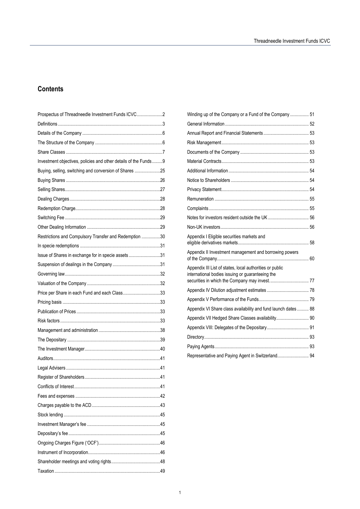# **Contents**

| Prospectus of Threadneedle Investment Funds ICVC2               |  |
|-----------------------------------------------------------------|--|
|                                                                 |  |
|                                                                 |  |
|                                                                 |  |
|                                                                 |  |
| Investment objectives, policies and other details of the Funds9 |  |
| Buying, selling, switching and conversion of Shares 25          |  |
|                                                                 |  |
|                                                                 |  |
|                                                                 |  |
|                                                                 |  |
|                                                                 |  |
|                                                                 |  |
| Restrictions and Compulsory Transfer and Redemption 30          |  |
|                                                                 |  |
| Issue of Shares in exchange for in specie assets 31             |  |
|                                                                 |  |
|                                                                 |  |
|                                                                 |  |
| Price per Share in each Fund and each Class33                   |  |
|                                                                 |  |
|                                                                 |  |
|                                                                 |  |
|                                                                 |  |
|                                                                 |  |
|                                                                 |  |
|                                                                 |  |
|                                                                 |  |
|                                                                 |  |
|                                                                 |  |
|                                                                 |  |
|                                                                 |  |
|                                                                 |  |
|                                                                 |  |
|                                                                 |  |
|                                                                 |  |
|                                                                 |  |
|                                                                 |  |
|                                                                 |  |

| Winding up of the Company or a Fund of the Company  51                                                       |  |
|--------------------------------------------------------------------------------------------------------------|--|
|                                                                                                              |  |
|                                                                                                              |  |
|                                                                                                              |  |
|                                                                                                              |  |
|                                                                                                              |  |
|                                                                                                              |  |
|                                                                                                              |  |
|                                                                                                              |  |
|                                                                                                              |  |
|                                                                                                              |  |
|                                                                                                              |  |
|                                                                                                              |  |
| Appendix I Eligible securities markets and                                                                   |  |
| Appendix II Investment management and borrowing powers                                                       |  |
| Appendix III List of states, local authorities or public<br>international bodies issuing or guaranteeing the |  |
|                                                                                                              |  |
|                                                                                                              |  |
| Appendix VI Share class availability and fund launch dates  88                                               |  |
| Appendix VII Hedged Share Classes availability 90                                                            |  |
|                                                                                                              |  |
|                                                                                                              |  |
|                                                                                                              |  |
| Representative and Paying Agent in Switzerland 94                                                            |  |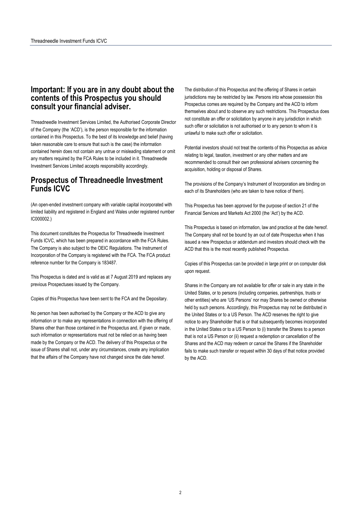# **Important: If you are in any doubt about the contents of this Prospectus you should consult your financial adviser.**

Threadneedle Investment Services Limited, the Authorised Corporate Director of the Company (the 'ACD'), is the person responsible for the information contained in this Prospectus. To the best of its knowledge and belief (having taken reasonable care to ensure that such is the case) the information contained herein does not contain any untrue or misleading statement or omit any matters required by the FCA Rules to be included in it. Threadneedle Investment Services Limited accepts responsibility accordingly.

# **Prospectus of Threadneedle Investment Funds ICVC**

(An open-ended investment company with variable capital incorporated with limited liability and registered in England and Wales under registered number IC000002.)

This document constitutes the Prospectus for Threadneedle Investment Funds ICVC, which has been prepared in accordance with the FCA Rules. The Company is also subject to the OEIC Regulations. The Instrument of Incorporation of the Company is registered with the FCA. The FCA product reference number for the Company is 183487.

This Prospectus is dated and is valid as at 7 August 2019 and replaces any previous Prospectuses issued by the Company.

Copies of this Prospectus have been sent to the FCA and the Depositary.

No person has been authorised by the Company or the ACD to give any information or to make any representations in connection with the offering of Shares other than those contained in the Prospectus and, if given or made, such information or representations must not be relied on as having been made by the Company or the ACD. The delivery of this Prospectus or the issue of Shares shall not, under any circumstances, create any implication that the affairs of the Company have not changed since the date hereof.

The distribution of this Prospectus and the offering of Shares in certain jurisdictions may be restricted by law. Persons into whose possession this Prospectus comes are required by the Company and the ACD to inform themselves about and to observe any such restrictions. This Prospectus does not constitute an offer or solicitation by anyone in any jurisdiction in which such offer or solicitation is not authorised or to any person to whom it is unlawful to make such offer or solicitation.

Potential investors should not treat the contents of this Prospectus as advice relating to legal, taxation, investment or any other matters and are recommended to consult their own professional advisers concerning the acquisition, holding or disposal of Shares.

The provisions of the Company's Instrument of Incorporation are binding on each of its Shareholders (who are taken to have notice of them).

This Prospectus has been approved for the purpose of section 21 of the Financial Services and Markets Act 2000 (the 'Act') by the ACD.

This Prospectus is based on information, law and practice at the date hereof. The Company shall not be bound by an out of date Prospectus when it has issued a new Prospectus or addendum and investors should check with the ACD that this is the most recently published Prospectus.

Copies of this Prospectus can be provided in large print or on computer disk upon request.

Shares in the Company are not available for offer or sale in any state in the United States, or to persons (including companies, partnerships, trusts or other entities) who are 'US Persons' nor may Shares be owned or otherwise held by such persons. Accordingly, this Prospectus may not be distributed in the United States or to a US Person. The ACD reserves the right to give notice to any Shareholder that is or that subsequently becomes incorporated in the United States or to a US Person to (i) transfer the Shares to a person that is not a US Person or (ii) request a redemption or cancellation of the Shares and the ACD may redeem or cancel the Shares if the Shareholder fails to make such transfer or request within 30 days of that notice provided by the ACD.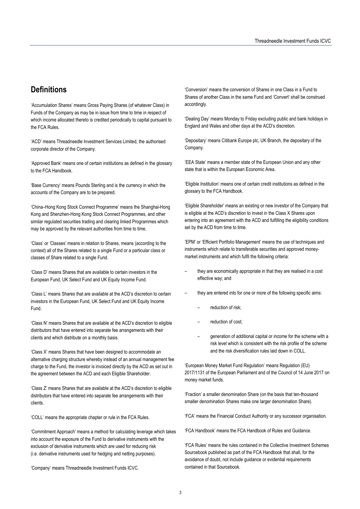# **Definitions**

'Accumulation Shares' means Gross Paying Shares (of whatever Class) in Funds of the Company as may be in issue from time to time in respect of which income allocated thereto is credited periodically to capital pursuant to the FCA Rules.

'ACD' means Threadneedle Investment Services Limited, the authorised corporate director of the Company.

'Approved Bank' means one of certain institutions as defined in the glossary to the FCA Handbook.

'Base Currency' means Pounds Sterling and is the currency in which the accounts of the Company are to be prepared.

'China–Hong Kong Stock Connect Programme' means the Shanghai-Hong Kong and Shenzhen-Hong Kong Stock Connect Programmes, and other similar regulated securities trading and clearing linked Programmes which may be approved by the relevant authorities from time to time.

'Class' or 'Classes' means in relation to Shares, means (according to the context) all of the Shares related to a single Fund or a particular class or classes of Share related to a single Fund.

'Class D' means Shares that are available to certain investors in the European Fund, UK Select Fund and UK Equity Income Fund.

'Class L' means Shares that are available at the ACD's discretion to certain investors in the European Fund, UK Select Fund and UK Equity Income Fund.

'Class N' means Shares that are available at the ACD's discretion to eligible distributors that have entered into separate fee arrangements with their clients and which distribute on a monthly basis.

'Class X' means Shares that have been designed to accommodate an alternative charging structure whereby instead of an annual management fee charge to the Fund, the investor is invoiced directly by the ACD as set out in the agreement between the ACD and each Eligible Shareholder.

'Class Z' means Shares that are available at the ACD's discretion to eligible distributors that have entered into separate fee arrangements with their clients.

'COLL' means the appropriate chapter or rule in the FCA Rules.

'Commitment Approach' means a method for calculating leverage which takes into account the exposure of the Fund to derivative instruments with the exclusion of derivative instruments which are used for reducing risk (i.e. derivative instruments used for hedging and netting purposes).

'Company' means Threadneedle Investment Funds ICVC.

'Conversion' means the conversion of Shares in one Class in a Fund to Shares of another Class in the same Fund and 'Convert' shall be construed accordingly.

'Dealing Day' means Monday to Friday excluding public and bank holidays in England and Wales and other days at the ACD's discretion.

'Depositary' means Citibank Europe plc, UK Branch, the depositary of the Company.

'EEA State' means a member state of the European Union and any other state that is within the European Economic Area.

'Eligible Institution' means one of certain credit institutions as defined in the glossary to the FCA Handbook.

'Eligible Shareholder' means an existing or new investor of the Company that is eligible at the ACD's discretion to invest in the Class X Shares upon entering into an agreement with the ACD and fulfilling the eligibility conditions set by the ACD from time to time.

'EPM' or 'Efficient Portfolio Management' means the use of techniques and instruments which relate to transferable securities and approved moneymarket instruments and which fulfil the following criteria:

- they are economically appropriate in that they are realised in a cost effective way; and
- they are entered into for one or more of the following specific aims:
	- reduction of risk;
	- reduction of cost:
	- generation of additional capital or income for the scheme with a risk level which is consistent with the risk profile of the scheme and the risk diversification rules laid down in COLL.

'European Money Market Fund Regulation' means Regulation (EU) 2017/1131 of the European Parliament and of the Council of 14 June 2017 on money market funds.

'Fraction' a smaller denomination Share (on the basis that ten-thousand smaller denomination Shares make one larger denomination Share).

'FCA' means the Financial Conduct Authority or any successor organisation.

'FCA Handbook' means the FCA Handbook of Rules and Guidance.

'FCA Rules' means the rules contained in the Collective Investment Schemes Sourcebook published as part of the FCA Handbook that shall, for the avoidance of doubt, not include guidance or evidential requirements contained in that Sourcebook.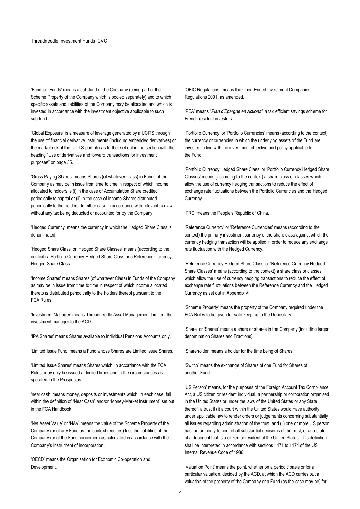'Fund' or 'Funds' means a sub-fund of the Company (being part of the Scheme Property of the Company which is pooled separately) and to which specific assets and liabilities of the Company may be allocated and which is invested in accordance with the investment objective applicable to such sub-fund.

'Global Exposure' is a measure of leverage generated by a UCITS through the use of financial derivative instruments (including embedded derivatives) or the market risk of the UCITS portfolio as further set out in the section with the heading "Use of derivatives and forward transactions for investment purposes" on page 35.

'Gross Paying Shares' means Shares (of whatever Class) in Funds of the Company as may be in issue from time to time in respect of which income allocated to holders is (i) in the case of Accumulation Share credited periodically to capital or (ii) in the case of Income Shares distributed periodically to the holders. In either case in accordance with relevant tax law without any tax being deducted or accounted for by the Company.

'Hedged Currency' means the currency in which the Hedged Share Class is denominated.

'Hedged Share Class' or 'Hedged Share Classes' means (according to the context) a Portfolio Currency Hedged Share Class or a Reference Currency Hedged Share Class.

'Income Shares' means Shares (of whatever Class) in Funds of the Company as may be in issue from time to time in respect of which income allocated thereto is distributed periodically to the holders thereof pursuant to the FCA Rules.

'Investment Manager' means Threadneedle Asset Management Limited, the investment manager to the ACD.

'IPA Shares' means Shares available to Individual Pensions Accounts only.

'Limited Issue Fund' means a Fund whose Shares are Limited Issue Shares.

'Limited Issue Shares' means Shares which, in accordance with the FCA Rules, may only be issued at limited times and in the circumstances as specified in the Prospectus.

'near cash' means money, deposits or investments which, in each case, fall within the definition of "Near Cash" and/or "Money-Market Instrument" set out in the FCA Handbook

'Net Asset Value' or 'NAV' means the value of the Scheme Property of the Company (or of any Fund as the context requires) less the liabilities of the Company (or of the Fund concerned) as calculated in accordance with the Company's Instrument of Incorporation.

'OECD' means the Organisation for Economic Co-operation and Development.

'OEIC Regulations' means the Open-Ended Investment Companies Regulations 2001, as amended.

'PEA' means "*Plan d'Epargne en Actions"*, a tax efficient savings scheme for French resident investors.

'Portfolio Currency' or 'Portfolio Currencies' means (according to the context) the currency or currencies in which the underlying assets of the Fund are invested in line with the investment objective and policy applicable to the Fund.

'Portfolio Currency Hedged Share Class' or 'Portfolio Currency Hedged Share Classes' means (according to the context) a share class or classes which allow the use of currency hedging transactions to reduce the effect of exchange rate fluctuations between the Portfolio Currencies and the Hedged Currency.

'PRC' means the People's Republic of China.

'Reference Currency' or 'Reference Currencies' means (according to the context) the primary investment currency of the share class against which the currency hedging transaction will be applied in order to reduce any exchange rate fluctuation with the Hedged Currency.

'Reference Currency Hedged Share Class' or 'Reference Currency Hedged Share Classes' means (according to the context) a share class or classes which allow the use of currency hedging transactions to reduce the effect of exchange rate fluctuations between the Reference Currency and the Hedged Currency as set out in Appendix VII.

'Scheme Property' means the property of the Company required under the FCA Rules to be given for safe-keeping to the Depositary.

'Share' or 'Shares' means a share or shares in the Company (including larger denomination Shares and Fractions).

'Shareholder' means a holder for the time being of Shares.

'Switch' means the exchange of Shares of one Fund for Shares of another Fund.

'US Person' means, for the purposes of the Foreign Account Tax Compliance Act, a US citizen or resident individual, a partnership or corporation organised in the United States or under the laws of the United States or any State thereof, a trust if (i) a court within the United States would have authority under applicable law to render orders or judgements concerning substantially all issues regarding administration of the trust, and (ii) one or more US person has the authority to control all substantial decisions of the trust, or an estate of a decedent that is a citizen or resident of the United States. This definition shall be interpreted in accordance with sections 1471 to 1474 of the US Internal Revenue Code of 1986.

'Valuation Point' means the point, whether on a periodic basis or for a particular valuation, decided by the ACD, at which the ACD carries out a valuation of the property of the Company or a Fund (as the case may be) for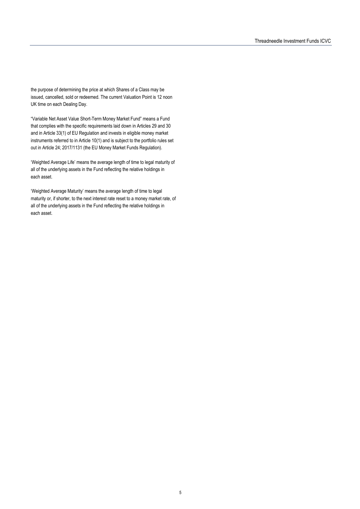the purpose of determining the price at which Shares of a Class may be issued, cancelled, sold or redeemed. The current Valuation Point is 12 noon UK time on each Dealing Day.

"Variable Net Asset Value Short-Term Money Market Fund" means a Fund that complies with the specific requirements laid down in Articles 29 and 30 and in Article 33(1) of EU Regulation and invests in eligible money market instruments referred to in Article 10(1) and is subject to the portfolio rules set out in Article 24; 2017/1131 (the EU Money Market Funds Regulation).

'Weighted Average Life' means the average length of time to legal maturity of all of the underlying assets in the Fund reflecting the relative holdings in each asset.

'Weighted Average Maturity' means the average length of time to legal maturity or, if shorter, to the next interest rate reset to a money market rate, of all of the underlying assets in the Fund reflecting the relative holdings in each asset.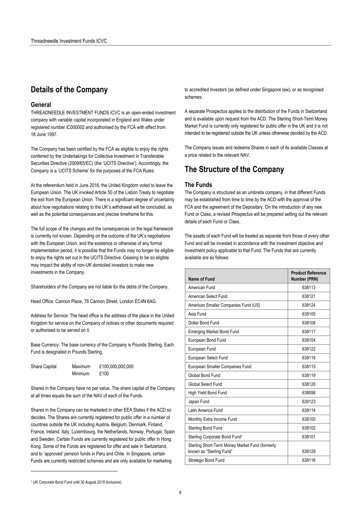# **Details of the Company**

#### **General**

THREADNEEDLE INVESTMENT FUNDS ICVC is an open-ended investment company with variable capital incorporated in England and Wales under registered number IC000002 and authorised by the FCA with effect from 18 June 1997.

The Company has been certified by the FCA as eligible to enjoy the rights conferred by the Undertakings for Collective Investment in Transferable Securities Directive (2009/65/EC) (the 'UCITS Directive'). Accordingly, the Company is a 'UCITS Scheme' for the purposes of the FCA Rules.

At the referendum held in June 2016, the United Kingdom voted to leave the European Union. The UK invoked Article 50 of the Lisbon Treaty to negotiate the exit from the European Union. There is a significant degree of uncertainty about how negotiations relating to the UK's withdrawal will be concluded, as well as the potential consequences and precise timeframe for this.

The full scope of the changes and the consequences on the legal framework is currently not known. Depending on the outcome of the UK's negotiations with the European Union, and the existence or otherwise of any formal implementation period, it is possible that the Funds may no longer be eligible to enjoy the rights set out in the UCITS Directive. Ceasing to be so eligible may impact the ability of non-UK domiciled investors to make new investments in the Company.

Shareholders of the Company are not liable for the debts of the Company.

Head Office: Cannon Place, 78 Cannon Street, London EC4N 6AG.

Address for Service: The head office is the address of the place in the United Kingdom for service on the Company of notices or other documents required or authorised to be served on it.

Base Currency: The base currency of the Company is Pounds Sterling. Each Fund is designated in Pounds Sterling.

| Share Capital: | Maximum  | £100,000,000,000 |
|----------------|----------|------------------|
|                | Minimum: | £100             |

Shares in the Company have no par value. The share capital of the Company at all times equals the sum of the NAV of each of the Funds.

Shares in the Company can be marketed in other EEA States if the ACD so decides. The Shares are currently registered for public offer in a number of countries outside the UK including Austria, Belgium, Denmark, Finland, France, Ireland, Italy, Luxembourg, the Netherlands, Norway, Portugal, Spain and Sweden. Certain Funds are currently registered for public offer in Hong Kong. Some of the Funds are registered for offer and sale in Switzerland, and to 'approved' pension funds in Peru and Chile. In Singapore, certain Funds are currently restricted schemes and are only available for marketing

to accredited investors (as defined under Singapore law), or as recognised schemes.

A separate Prospectus applies to the distribution of the Funds in Switzerland and is available upon request from the ACD. The Sterling Short-Term Money Market Fund is currently only registered for public offer in the UK and it is not intended to be registered outside the UK unless otherwise decided by the ACD.

The Company issues and redeems Shares in each of its available Classes at a price related to the relevant NAV.

# **The Structure of the Company**

#### **The Funds**

The Company is structured as an umbrella company, in that different Funds may be established from time to time by the ACD with the approval of the FCA and the agreement of the Depositary. On the introduction of any new Fund or Class, a revised Prospectus will be prepared setting out the relevant details of each Fund or Class.

The assets of each Fund will be treated as separate from those of every other Fund and will be invested in accordance with the investment objective and investment policy applicable to that Fund. The Funds that are currently available are as follows:

| Name of Fund                                                                | <b>Product Reference</b><br>Number (PRN) |
|-----------------------------------------------------------------------------|------------------------------------------|
| American Fund                                                               | 638113                                   |
| American Select Fund                                                        | 638121                                   |
| American Smaller Companies Fund (US)                                        | 638124                                   |
| Asia Fund                                                                   | 638105                                   |
| Dollar Bond Fund                                                            | 638108                                   |
| <b>Emerging Market Bond Fund</b>                                            | 638117                                   |
| European Bond Fund                                                          | 638104                                   |
| European Fund                                                               | 638122                                   |
| European Select Fund                                                        | 638118                                   |
| European Smaller Companies Fund                                             | 638115                                   |
| Global Bond Fund                                                            | 638119                                   |
| Global Select Fund                                                          | 638120                                   |
| High Yield Bond Fund                                                        | 638098                                   |
| Japan Fund                                                                  | 638123                                   |
| Latin America Fund                                                          | 638114                                   |
| Monthly Extra Income Fund                                                   | 638100                                   |
| Sterling Bond Fund                                                          | 638102                                   |
| Sterling Corporate Bond Fund <sup>1</sup>                                   | 638101                                   |
| Sterling Short-Term Money Market Fund (formerly<br>known as "Sterling Fund" | 638129                                   |
| Strategic Bond Fund                                                         | 638116                                   |

 $\overline{\phantom{a}}$ 

<sup>1</sup> UK Corporate Bond Fund until 30 August 2019 (inclusive)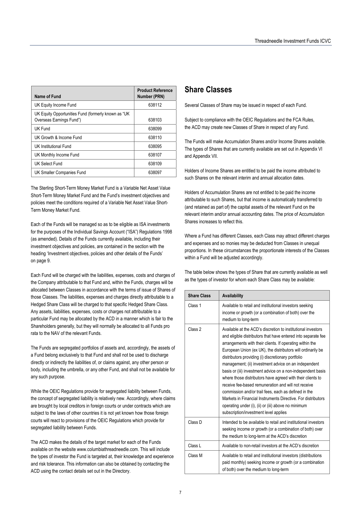| Name of Fund                                                                    | <b>Product Reference</b><br>Number (PRN) |
|---------------------------------------------------------------------------------|------------------------------------------|
| UK Equity Income Fund                                                           | 638112                                   |
| UK Equity Opportunities Fund (formerly known as "UK<br>Overseas Earnings Fund") | 638103                                   |
| UK Fund                                                                         | 638099                                   |
| UK Growth & Income Fund                                                         | 638110                                   |
| UK Institutional Fund                                                           | 638095                                   |
| UK Monthly Income Fund                                                          | 638107                                   |
| UK Select Fund                                                                  | 638109                                   |
| UK Smaller Companies Fund                                                       | 638097                                   |

The Sterling Short-Term Money Market Fund is a Variable Net Asset Value Short-Term Money Market Fund and the Fund's investment objectives and policies meet the conditions required of a Variable Net Asset Value Short-Term Money Market Fund.

Each of the Funds will be managed so as to be eligible as ISA investments for the purposes of the Individual Savings Account ("ISA") Regulations 1998 (as amended). Details of the Funds currently available, including their investment objectives and policies, are contained in the section with the heading 'Investment objectives, policies and other details of the Funds' on page 9.

Each Fund will be charged with the liabilities, expenses, costs and charges of the Company attributable to that Fund and, within the Funds, charges will be allocated between Classes in accordance with the terms of issue of Shares of those Classes. The liabilities, expenses and charges directly attributable to a Hedged Share Class will be charged to that specific Hedged Share Class. Any assets, liabilities, expenses, costs or charges not attributable to a particular Fund may be allocated by the ACD in a manner which is fair to the Shareholders generally, but they will normally be allocated to all Funds pro rata to the NAV of the relevant Funds.

The Funds are segregated portfolios of assets and, accordingly, the assets of a Fund belong exclusively to that Fund and shall not be used to discharge directly or indirectly the liabilities of, or claims against, any other person or body, including the umbrella, or any other Fund, and shall not be available for any such purpose.

While the OEIC Regulations provide for segregated liability between Funds, the concept of segregated liability is relatively new. Accordingly, where claims are brought by local creditors in foreign courts or under contracts which are subject to the laws of other countries it is not yet known how those foreign courts will react to provisions of the OEIC Regulations which provide for segregated liability between Funds.

The ACD makes the details of the target market for each of the Funds available on the website www.columbiathreadneedle.com. This will include the types of investor the Fund is targeted at, their knowledge and experience and risk tolerance. This information can also be obtained by contacting the ACD using the contact details set out in the Directory.

# **Share Classes**

Several Classes of Share may be issued in respect of each Fund.

Subject to compliance with the OEIC Regulations and the FCA Rules, the ACD may create new Classes of Share in respect of any Fund.

The Funds will make Accumulation Shares and/or Income Shares available. The types of Shares that are currently available are set out in Appendix VI and Appendix VII.

Holders of Income Shares are entitled to be paid the income attributed to such Shares on the relevant interim and annual allocation dates.

Holders of Accumulation Shares are not entitled to be paid the income attributable to such Shares, but that income is automatically transferred to (and retained as part of) the capital assets of the relevant Fund on the relevant interim and/or annual accounting dates. The price of Accumulation Shares increases to reflect this.

Where a Fund has different Classes, each Class may attract different charges and expenses and so monies may be deducted from Classes in unequal proportions. In these circumstances the proportionate interests of the Classes within a Fund will be adjusted accordingly.

The table below shows the types of Share that are currently available as well as the types of investor for whom each Share Class may be available:

| <b>Share Class</b> | Availability                                                                                                                                                                                                                                                                                                                                                                                                                                                                                                                                                                                                                                                                                                                                                                       |
|--------------------|------------------------------------------------------------------------------------------------------------------------------------------------------------------------------------------------------------------------------------------------------------------------------------------------------------------------------------------------------------------------------------------------------------------------------------------------------------------------------------------------------------------------------------------------------------------------------------------------------------------------------------------------------------------------------------------------------------------------------------------------------------------------------------|
| Class 1            | Available to retail and institutional investors seeking<br>income or growth (or a combination of both) over the<br>medium to long-term                                                                                                                                                                                                                                                                                                                                                                                                                                                                                                                                                                                                                                             |
| Class 2            | Available at the ACD's discretion to institutional investors<br>and eligible distributors that have entered into separate fee<br>arrangements with their clients. If operating within the<br>European Union (ex UK), the distributors will ordinarily be<br>distributors providing (i) discretionary portfolio<br>management; (ii) investment advice on an independent<br>basis or (iii) investment advice on a non-independent basis<br>where those distributors have agreed with their clients to<br>receive fee-based remuneration and will not receive<br>commission and/or trail fees, each as defined in the<br>Markets in Financial Instruments Directive. For distributors<br>operating under (i), (ii) or (iii) above no minimum<br>subscription/investment level applies |
| Class D            | Intended to be available to retail and institutional investors<br>seeking income or growth (or a combination of both) over<br>the medium to long-term at the ACD's discretion                                                                                                                                                                                                                                                                                                                                                                                                                                                                                                                                                                                                      |
| Class L            | Available to non-retail investors at the ACD's discretion                                                                                                                                                                                                                                                                                                                                                                                                                                                                                                                                                                                                                                                                                                                          |
| Class M            | Available to retail and institutional investors (distributions<br>paid monthly) seeking income or growth (or a combination<br>of both) over the medium to long-term                                                                                                                                                                                                                                                                                                                                                                                                                                                                                                                                                                                                                |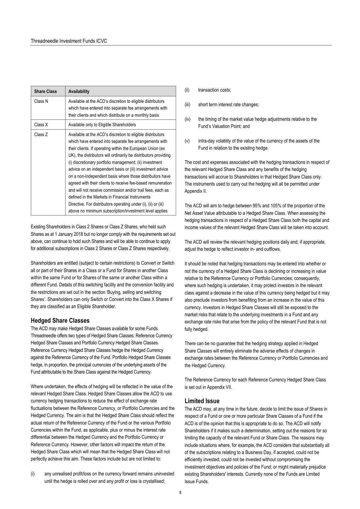| <b>Share Class</b> | Availability                                                                                                                                                                                                                                                                                                                                                                                                                                                                                                                                                                                                                                                                                                                                         |
|--------------------|------------------------------------------------------------------------------------------------------------------------------------------------------------------------------------------------------------------------------------------------------------------------------------------------------------------------------------------------------------------------------------------------------------------------------------------------------------------------------------------------------------------------------------------------------------------------------------------------------------------------------------------------------------------------------------------------------------------------------------------------------|
| Class N            | Available at the ACD's discretion to eligible distributors<br>which have entered into separate fee arrangements with<br>their clients and which distribute on a monthly basis                                                                                                                                                                                                                                                                                                                                                                                                                                                                                                                                                                        |
| Class X            | Available only to Eligible Shareholders                                                                                                                                                                                                                                                                                                                                                                                                                                                                                                                                                                                                                                                                                                              |
| Class Z            | Available at the ACD's discretion to eligible distributors<br>which have entered into separate fee arrangements with<br>their clients. If operating within the European Union (ex<br>UK), the distributors will ordinarily be distributors providing<br>(i) discretionary portfolio management; (ii) investment<br>advice on an independent basis or (iii) investment advice<br>on a non-independent basis where those distributors have<br>agreed with their clients to receive fee-based remuneration<br>and will not receive commission and/or trail fees, each as<br>defined in the Markets in Financial Instruments<br>Directive. For distributors operating under (i), (ii) or (iii)<br>above no minimum subscription/investment level applies |

Existing Shareholders in Class 2 Shares or Class Z Shares, who held such Shares as at 1 January 2018 but no longer comply with the requirements set out above, can continue to hold such Shares and will be able to continue to apply for additional subscriptions in Class 2 Shares or Class Z Shares respectively.

Shareholders are entitled (subject to certain restrictions) to Convert or Switch all or part of their Shares in a Class or a Fund for Shares in another Class within the same Fund or for Shares of the same or another Class within a different Fund. Details of this switching facility and the conversion facility and the restrictions are set out in the section 'Buying, selling and switching Shares'. Shareholders can only Switch or Convert into the Class X Shares if they are classified as an Eligible Shareholder.

### **Hedged Share Classes**

The ACD may make Hedged Share Classes available for some Funds. Threadneedle offers two types of Hedged Share Classes: Reference Currency Hedged Share Classes and Portfolio Currency Hedged Share Classes. Reference Currency Hedged Share Classes hedge the Hedged Currency against the Reference Currency of the Fund. Portfolio Hedged Share Classes hedge, in proportion, the principal currencies of the underlying assets of the Fund attributable to the Share Class against the Hedged Currency.

Where undertaken, the effects of hedging will be reflected in the value of the relevant Hedged Share Class. Hedged Share Classes allow the ACD to use currency hedging transactions to reduce the effect of exchange rate fluctuations between the Reference Currency, or Portfolio Currencies and the Hedged Currency. The aim is that the Hedged Share Class should reflect the actual return of the Reference Currency of the Fund or the various Portfolio Currencies within the Fund, as applicable, plus or minus the interest rate differential between the Hedged Currency and the Portfolio Currency or Reference Currency. However, other factors will impact the return of the Hedged Share Class which will mean that the Hedged Share Class will not perfectly achieve this aim. These factors include but are not limited to:

(i) any unrealised profit/loss on the currency forward remains uninvested until the hedge is rolled over and any profit or loss is crystallised;

- (ii) transaction costs;
- (iii) short term interest rate changes;
- (iv) the timing of the market value hedge adjustments relative to the Fund's Valuation Point; and
- (v) intra-day volatility of the value of the currency of the assets of the Fund in relation to the existing hedge.

The cost and expenses associated with the hedging transactions in respect of the relevant Hedged Share Class and any benefits of the hedging transactions will accrue to Shareholders in that Hedged Share Class only. The instruments used to carry out the hedging will all be permitted under Appendix II.

The ACD will aim to hedge between 95% and 105% of the proportion of the Net Asset Value attributable to a Hedged Share Class. When assessing the hedging transactions in respect of a Hedged Share Class both the capital and income values of the relevant Hedged Share Class will be taken into account.

The ACD will review the relevant hedging positions daily and, if appropriate, adjust the hedge to reflect investor in- and outflows.

It should be noted that hedging transactions may be entered into whether or not the currency of a Hedged Share Class is declining or increasing in value relative to the Reference Currency or Portfolio Currencies; consequently, where such hedging is undertaken, it may protect investors in the relevant class against a decrease in the value of this currency being hedged but it may also preclude investors from benefiting from an increase in the value of this currency. Investors in Hedged Share Classes will still be exposed to the market risks that relate to the underlying investments in a Fund and any exchange rate risks that arise from the policy of the relevant Fund that is not fully hedged.

There can be no guarantee that the hedging strategy applied in Hedged Share Classes will entirely eliminate the adverse effects of changes in exchange rates between the Reference Currency or Portfolio Currencies and the Hedged Currency.

The Reference Currency for each Reference Currency Hedged Share Class is set out in Appendix VII.

### **Limited Issue**

The ACD may, at any time in the future, decide to limit the issue of Shares in respect of a Fund or one or more particular Share Classes of a Fund if the ACD is of the opinion that this is appropriate to do so. The ACD will notify Shareholders if it makes such a determination, setting out the reasons for so limiting the capacity of the relevant Fund or Share Class. The reasons may include situations where, for example, the ACD considers that substantially all of the subscriptions relating to a Business Day, if accepted, could not be efficiently invested; could not be invested without compromising the investment objectives and policies of the Fund; or might materially prejudice existing Shareholders' interests. Currently none of the Funds are Limited Issue Funds.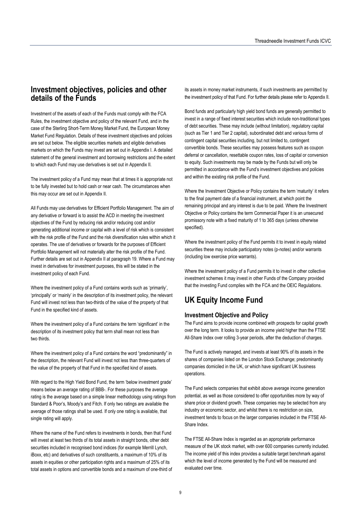# **Investment objectives, policies and other details of the Funds**

Investment of the assets of each of the Funds must comply with the FCA Rules, the investment objective and policy of the relevant Fund, and in the case of the Sterling Short-Term Money Market Fund, the European Money Market Fund Regulation. Details of these investment objectives and policies are set out below. The eligible securities markets and eligible derivatives markets on which the Funds may invest are set out in Appendix I. A detailed statement of the general investment and borrowing restrictions and the extent to which each Fund may use derivatives is set out in Appendix II.

The investment policy of a Fund may mean that at times it is appropriate not to be fully invested but to hold cash or near cash. The circumstances when this may occur are set out in Appendix II.

All Funds may use derivatives for Efficient Portfolio Management. The aim of any derivative or forward is to assist the ACD in meeting the investment objectives of the Fund by reducing risk and/or reducing cost and/or generating additional income or capital with a level of risk which is consistent with the risk profile of the Fund and the risk diversification rules within which it operates. The use of derivatives or forwards for the purposes of Efficient Portfolio Management will not materially alter the risk profile of the Fund. Further details are set out in Appendix II at paragraph 19. Where a Fund may invest in derivatives for investment purposes, this will be stated in the investment policy of each Fund.

Where the investment policy of a Fund contains words such as 'primarily', 'principally' or 'mainly' in the description of its investment policy, the relevant Fund will invest not less than two-thirds of the value of the property of that Fund in the specified kind of assets.

Where the investment policy of a Fund contains the term 'significant' in the description of its investment policy that term shall mean not less than two thirds.

Where the investment policy of a Fund contains the word "predominantly" in the description, the relevant Fund will invest not less than three-quarters of the value of the property of that Fund in the specified kind of assets.

With regard to the High Yield Bond Fund, the term 'below investment grade' means below an average rating of BBB-. For these purposes the average rating is the average based on a simple linear methodology using ratings from Standard & Poor's, Moody's and Fitch. If only two ratings are available the average of those ratings shall be used. If only one rating is available, that single rating will apply.

Where the name of the Fund refers to investments in bonds, then that Fund will invest at least two thirds of its total assets in straight bonds, other debt securities included in recognised bond indices (for example Merrill Lynch, iBoxx, etc) and derivatives of such constituents, a maximum of 10% of its assets in equities or other participation rights and a maximum of 25% of its total assets in options and convertible bonds and a maximum of one-third of its assets in money market instruments, if such investments are permitted by the investment policy of that Fund. For further details please refer to Appendix II.

Bond funds and particularly high yield bond funds are generally permitted to invest in a range of fixed interest securities which include non-traditional types of debt securities. These may include (without limitation), regulatory capital (such as Tier 1 and Tier 2 capital), subordinated debt and various forms of contingent capital securities including, but not limited to, contingent convertible bonds. These securities may possess features such as coupon deferral or cancellation, resettable coupon rates, loss of capital or conversion to equity. Such investments may be made by the Funds but will only be permitted in accordance with the Fund's investment objectives and policies and within the existing risk profile of the Fund.

Where the Investment Objective or Policy contains the term 'maturity' it refers to the final payment date of a financial instrument, at which point the remaining principal and any interest is due to be paid. Where the Investment Objective or Policy contains the term Commercial Paper it is an unsecured promissory note with a fixed maturity of 1 to 365 days (unless otherwise specified).

Where the investment policy of the Fund permits it to invest in equity related securities these may include participatory notes (p-notes) and/or warrants (including low exercise price warrants).

Where the investment policy of a Fund permits it to invest in other collective investment schemes it may invest in other Funds of the Company provided that the investing Fund complies with the FCA and the OEIC Regulations.

# **UK Equity Income Fund**

### **Investment Objective and Policy**

The Fund aims to provide income combined with prospects for capital growth over the long term. It looks to provide an income yield higher than the FTSE All-Share Index over rolling 3-year periods, after the deduction of charges.

The Fund is actively managed, and invests at least 90% of its assets in the shares of companies listed on the London Stock Exchange; predominantly companies domiciled in the UK, or which have significant UK business operations.

The Fund selects companies that exhibit above average income generation potential, as well as those considered to offer opportunities more by way of share price or dividend growth. These companies may be selected from any industry or economic sector, and whilst there is no restriction on size, investment tends to focus on the larger companies included in the FTSE All-Share Index.

The FTSE All-Share Index is regarded as an appropriate performance measure of the UK stock market, with over 600 companies currently included. The income yield of this index provides a suitable target benchmark against which the level of income generated by the Fund will be measured and evaluated over time.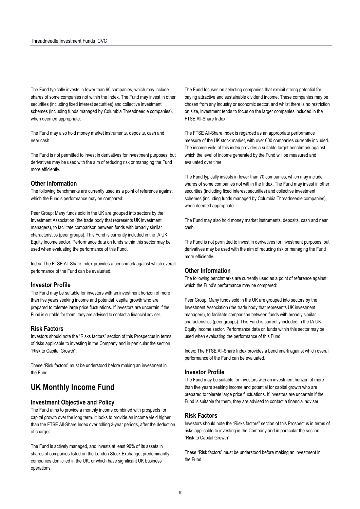The Fund typically invests in fewer than 60 companies, which may include shares of some companies not within the Index. The Fund may invest in other securities (including fixed interest securities) and collective investment schemes (including funds managed by Columbia Threadneedle companies), when deemed appropriate.

The Fund may also hold money market instruments, deposits, cash and near cash.

The Fund is not permitted to invest in derivatives for investment purposes, but derivatives may be used with the aim of reducing risk or managing the Fund more efficiently.

#### **Other information**

The following benchmarks are currently used as a point of reference against which the Fund's performance may be compared:

Peer Group: Many funds sold in the UK are grouped into sectors by the Investment Association (the trade body that represents UK investment managers), to facilitate comparison between funds with broadly similar characteristics (peer groups). This Fund is currently included in the IA UK Equity Income sector. Performance data on funds within this sector may be used when evaluating the performance of this Fund.

Index: The FTSE All-Share Index provides a benchmark against which overall performance of the Fund can be evaluated.

#### **Investor Profile**

The Fund may be suitable for investors with an investment horizon of more than five years seeking income and potential capital growth who are prepared to tolerate large price fluctuations. If investors are uncertain if the Fund is suitable for them, they are advised to contact a financial adviser.

#### **Risk Factors**

Investors should note the "Risks factors" section of this Prospectus in terms of risks applicable to investing in the Company and in particular the section "Risk to Capital Growth".

These "Risk factors" must be understood before making an investment in the Fund.

# **UK Monthly Income Fund**

### **Investment Objective and Policy**

The Fund aims to provide a monthly income combined with prospects for capital growth over the long term. It looks to provide an income yield higher than the FTSE All-Share Index over rolling 3-year periods, after the deduction of charges.

The Fund is actively managed, and invests at least 90% of its assets in shares of companies listed on the London Stock Exchange; predominantly companies domiciled in the UK, or which have significant UK business operations.

The Fund focuses on selecting companies that exhibit strong potential for paying attractive and sustainable dividend income. These companies may be chosen from any industry or economic sector, and whilst there is no restriction on size, investment tends to focus on the larger companies included in the FTSE All-Share Index.

The FTSE All-Share Index is regarded as an appropriate performance measure of the UK stock market, with over 600 companies currently included. The income yield of this index provides a suitable target benchmark against which the level of income generated by the Fund will be measured and evaluated over time.

The Fund typically invests in fewer than 70 companies, which may include shares of some companies not within the Index. The Fund may invest in other securities (including fixed interest securities) and collective investment schemes (including funds managed by Columbia Threadneedle companies), when deemed appropriate.

The Fund may also hold money market instruments, deposits, cash and near cash.

The Fund is not permitted to invest in derivatives for investment purposes, but derivatives may be used with the aim of reducing risk or managing the Fund more efficiently.

### **Other Information**

The following benchmarks are currently used as a point of reference against which the Fund's performance may be compared:

Peer Group: Many funds sold in the UK are grouped into sectors by the Investment Association (the trade body that represents UK investment managers), to facilitate comparison between funds with broadly similar characteristics (peer groups). This Fund is currently included in the IA UK Equity Income sector. Performance data on funds within this sector may be used when evaluating the performance of this Fund.

Index: The FTSE All-Share Index provides a benchmark against which overall performance of the Fund can be evaluated.

#### **Investor Profile**

The Fund may be suitable for investors with an investment horizon of more than five years seeking income and potential for capital growth who are prepared to tolerate large price fluctuations. If investors are uncertain if the Fund is suitable for them, they are advised to contact a financial adviser.

#### **Risk Factors**

Investors should note the "Risks factors" section of this Prospectus in terms of risks applicable to investing in the Company and in particular the section "Risk to Capital Growth".

These "Risk factors" must be understood before making an investment in the Fund.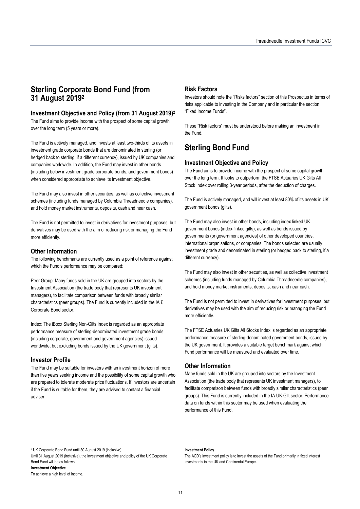# **Sterling Corporate Bond Fund (from 31 August 20192**

### **Investment Objective and Policy (from 31 August 2019)2**

The Fund aims to provide income with the prospect of some capital growth over the long term (5 years or more).

The Fund is actively managed, and invests at least two-thirds of its assets in investment grade corporate bonds that are denominated in sterling (or hedged back to sterling, if a different currency), issued by UK companies and companies worldwide. In addition, the Fund may invest in other bonds (including below investment grade corporate bonds, and government bonds) when considered appropriate to achieve its investment objective.

The Fund may also invest in other securities, as well as collective investment schemes (including funds managed by Columbia Threadneedle companies), and hold money market instruments, deposits, cash and near cash.

The Fund is not permitted to invest in derivatives for investment purposes, but derivatives may be used with the aim of reducing risk or managing the Fund more efficiently.

### **Other Information**

The following benchmarks are currently used as a point of reference against which the Fund's performance may be compared:

Peer Group: Many funds sold in the UK are grouped into sectors by the Investment Association (the trade body that represents UK investment managers), to facilitate comparison between funds with broadly similar characteristics (peer groups). The Fund is currently included in the IA £ Corporate Bond sector.

Index: The iBoxx Sterling Non-Gilts Index is regarded as an appropriate performance measure of sterling-denominated investment grade bonds (including corporate, government and government agencies) issued worldwide, but excluding bonds issued by the UK government (gilts).

### **Investor Profile**

The Fund may be suitable for investors with an investment horizon of more than five years seeking income and the possibility of some capital growth who are prepared to tolerate moderate price fluctuations. If investors are uncertain if the Fund is suitable for them, they are advised to contact a financial adviser.

#### **Risk Factors**

Investors should note the "Risks factors" section of this Prospectus in terms of risks applicable to investing in the Company and in particular the section "Fixed Income Funds".

These "Risk factors" must be understood before making an investment in the Fund.

# **Sterling Bond Fund**

# **Investment Objective and Policy**

The Fund aims to provide income with the prospect of some capital growth over the long term. It looks to outperform the FTSE Actuaries UK Gilts All Stock Index over rolling 3-year periods, after the deduction of charges.

The Fund is actively managed, and will invest at least 80% of its assets in UK government bonds (gilts).

The Fund may also invest in other bonds, including index linked UK government bonds (index-linked gilts), as well as bonds issued by governments (or government agencies) of other developed countries, international organisations, or companies. The bonds selected are usually investment grade and denominated in sterling (or hedged back to sterling, if a different currency).

The Fund may also invest in other securities, as well as collective investment schemes (including funds managed by Columbia Threadneedle companies), and hold money market instruments, deposits, cash and near cash.

The Fund is not permitted to invest in derivatives for investment purposes, but derivatives may be used with the aim of reducing risk or managing the Fund more efficiently.

The FTSE Actuaries UK Gilts All Stocks Index is regarded as an appropriate performance measure of sterling-denominated government bonds, issued by the UK government. It provides a suitable target benchmark against which Fund performance will be measured and evaluated over time.

### **Other Information**

Many funds sold in the UK are grouped into sectors by the Investment Association (the trade body that represents UK investment managers), to facilitate comparison between funds with broadly similar characteristics (peer groups). This Fund is currently included in the IA UK Gilt sector. Performance data on funds within this sector may be used when evaluating the performance of this Fund.

2 UK Corporate Bond Fund until 30 August 2019 (inclusive).

Until 31 August 2019 (inclusive), the investment objective and policy of the UK Corporate Bond Fund will be as follows:

 $\overline{\phantom{a}}$ 

**Investment Policy** 

**Investment Objective** 

To achieve a high level of income.

The ACD's investment policy is to invest the assets of the Fund primarily in fixed interest investments in the UK and Continental Europe.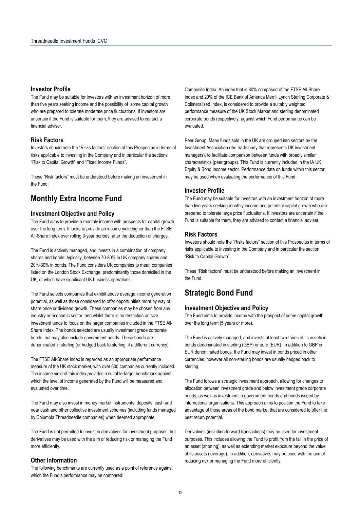### **Investor Profile**

The Fund may be suitable for investors with an investment horizon of more than five years seeking income and the possibility of some capital growth who are prepared to tolerate moderate price fluctuations. If investors are uncertain if the Fund is suitable for them, they are advised to contact a financial adviser.

### **Risk Factors**

Investors should note the "Risks factors" section of this Prospectus in terms of risks applicable to investing in the Company and in particular the sections "Risk to Capital Growth" and "Fixed Income Funds".

These "Risk factors" must be understood before making an investment in the Fund.

# **Monthly Extra Income Fund**

### **Investment Objective and Policy**

The Fund aims to provide a monthly income with prospects for capital growth over the long term. It looks to provide an income yield higher than the FTSE All-Share Index over rolling 3-year periods, after the deduction of charges.

The Fund is actively managed, and invests in a combination of company shares and bonds; typically, between 70-80% in UK company shares and 20%-30% in bonds. The Fund considers UK companies to mean companies listed on the London Stock Exchange; predominantly those domiciled in the UK, or which have significant UK business operations.

The Fund selects companies that exhibit above average income generation potential, as well as those considered to offer opportunities more by way of share price or dividend growth. These companies may be chosen from any industry or economic sector, and whilst there is no restriction on size, investment tends to focus on the larger companies included in the FTSE All-Share Index. The bonds selected are usually investment grade corporate bonds, but may also include government bonds. These bonds are denominated in sterling (or hedged back to sterling, if a different currency).

The FTSE All-Share Index is regarded as an appropriate performance measure of the UK stock market, with over 600 companies currently included. The income yield of this index provides a suitable target benchmark against which the level of income generated by the Fund will be measured and evaluated over time.

The Fund may also invest in money market instruments, deposits, cash and near cash and other collective investment schemes (including funds managed by Columbia Threadneedle companies) when deemed appropriate.

The Fund is not permitted to invest in derivatives for investment purposes, but derivatives may be used with the aim of reducing risk or managing the Fund more efficiently.

### **Other Information**

The following benchmarks are currently used as a point of reference against which the Fund's performance may be compared:

Composite Index: An index that is 80% comprised of the FTSE All-Share Index and 20% of the ICE Bank of America Merrill Lynch Sterling Corporate & Collateralised Index, is considered to provide a suitably weighted performance measure of the UK Stock Market and sterling denominated corporate bonds respectively, against which Fund performance can be evaluated.

Peer Group: Many funds sold in the UK are grouped into sectors by the Investment Association (the trade body that represents UK investment managers), to facilitate comparison between funds with broadly similar characteristics (peer groups). This Fund is currently included in the IA UK Equity & Bond Income sector. Performance data on funds within this sector may be used when evaluating the performance of this Fund.

#### **Investor Profile**

The Fund may be suitable for investors with an investment horizon of more than five years seeking monthly income and potential capital growth who are prepared to tolerate large price fluctuations. If investors are uncertain if the Fund is suitable for them, they are advised to contact a financial adviser.

### **Risk Factors**

Investors should note the "Risks factors" section of this Prospectus in terms of risks applicable to investing in the Company and in particular the section "Risk to Capital Growth".

These "Risk factors" must be understood before making an investment in the Fund.

# **Strategic Bond Fund**

#### **Investment Objective and Policy**

The Fund aims to provide income with the prospect of some capital growth over the long term (5 years or more).

The Fund is actively managed, and invests at least two-thirds of its assets in bonds denominated in sterling (GBP) or euro (EUR). In addition to GBP or EUR denominated bonds, the Fund may invest in bonds priced in other currencies, however all non-sterling bonds are usually hedged back to sterling.

The Fund follows a strategic investment approach, allowing for changes to allocation between investment grade and below investment grade corporate bonds, as well as investment in government bonds and bonds issued by international organisations. This approach aims to position the Fund to take advantage of those areas of the bond market that are considered to offer the best return potential.

Derivatives (including forward transactions) may be used for investment purposes. This includes allowing the Fund to profit from the fall in the price of an asset (shorting), as well as extending market exposure beyond the value of its assets (leverage). In addition, derivatives may be used with the aim of reducing risk or managing the Fund more efficiently.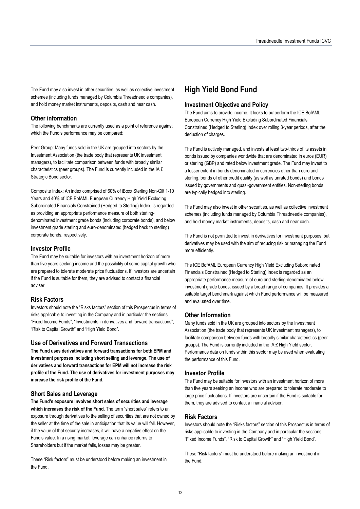The Fund may also invest in other securities, as well as collective investment schemes (including funds managed by Columbia Threadneedle companies), and hold money market instruments, deposits, cash and near cash.

### **Other information**

The following benchmarks are currently used as a point of reference against which the Fund's performance may be compared:

Peer Group: Many funds sold in the UK are grouped into sectors by the Investment Association (the trade body that represents UK investment managers), to facilitate comparison between funds with broadly similar characteristics (peer groups). The Fund is currently included in the IA £ Strategic Bond sector.

Composite Index: An index comprised of 60% of iBoxx Sterling Non-Gilt 1-10 Years and 40% of ICE BofAML European Currency High Yield Excluding Subordinated Financials Constrained (Hedged to Sterling) Index, is regarded as providing an appropriate performance measure of both sterlingdenominated investment grade bonds (including corporate bonds), and below investment grade sterling and euro-denominated (hedged back to sterling) corporate bonds, respectively.

### **Investor Profile**

The Fund may be suitable for investors with an investment horizon of more than five years seeking income and the possibility of some capital growth who are prepared to tolerate moderate price fluctuations. If investors are uncertain if the Fund is suitable for them, they are advised to contact a financial adviser.

#### **Risk Factors**

Investors should note the "Risks factors" section of this Prospectus in terms of risks applicable to investing in the Company and in particular the sections "Fixed Income Funds", "Investments in derivatives and forward transactions", "Risk to Capital Growth" and "High Yield Bond".

#### **Use of Derivatives and Forward Transactions**

**The Fund uses derivatives and forward transactions for both EPM and investment purposes including short selling and leverage. The use of derivatives and forward transactions for EPM will not increase the risk profile of the Fund. The use of derivatives for investment purposes may increase the risk profile of the Fund.** 

### **Short Sales and Leverage**

**The Fund's exposure involves short sales of securities and leverage which increases the risk of the Fund.** The term "short sales" refers to an exposure through derivatives to the selling of securities that are not owned by the seller at the time of the sale in anticipation that its value will fall. However, if the value of that security increases, it will have a negative effect on the Fund's value. In a rising market, leverage can enhance returns to Shareholders but if the market falls, losses may be greater.

These "Risk factors" must be understood before making an investment in the Fund.

# **High Yield Bond Fund**

#### **Investment Objective and Policy**

The Fund aims to provide income. It looks to outperform the ICE BofAML European Currency High Yield Excluding Subordinated Financials Constrained (Hedged to Sterling) Index over rolling 3-year periods, after the deduction of charges.

The Fund is actively managed, and invests at least two-thirds of its assets in bonds issued by companies worldwide that are denominated in euros (EUR) or sterling (GBP) and rated below investment grade. The Fund may invest to a lesser extent in bonds denominated in currencies other than euro and sterling, bonds of other credit quality (as well as unrated bonds) and bonds issued by governments and quasi-government entities. Non-sterling bonds are typically hedged into sterling.

The Fund may also invest in other securities, as well as collective investment schemes (including funds managed by Columbia Threadneedle companies), and hold money market instruments, deposits, cash and near cash.

The Fund is not permitted to invest in derivatives for investment purposes, but derivatives may be used with the aim of reducing risk or managing the Fund more efficiently.

The ICE BofAML European Currency High Yield Excluding Subordinated Financials Constrained (Hedged to Sterling) Index is regarded as an appropriate performance measure of euro and sterling-denominated below investment grade bonds, issued by a broad range of companies. It provides a suitable target benchmark against which Fund performance will be measured and evaluated over time.

#### **Other Information**

Many funds sold in the UK are grouped into sectors by the Investment Association (the trade body that represents UK investment managers), to facilitate comparison between funds with broadly similar characteristics (peer groups). The Fund is currently included in the IA £ High Yield sector. Performance data on funds within this sector may be used when evaluating the performance of this Fund.

### **Investor Profile**

The Fund may be suitable for investors with an investment horizon of more than five years seeking an income who are prepared to tolerate moderate to large price fluctuations. If investors are uncertain if the Fund is suitable for them, they are advised to contact a financial adviser.

### **Risk Factors**

Investors should note the "Risks factors" section of this Prospectus in terms of risks applicable to investing in the Company and in particular the sections "Fixed Income Funds", "Risk to Capital Growth" and "High Yield Bond".

These "Risk factors" must be understood before making an investment in the Fund.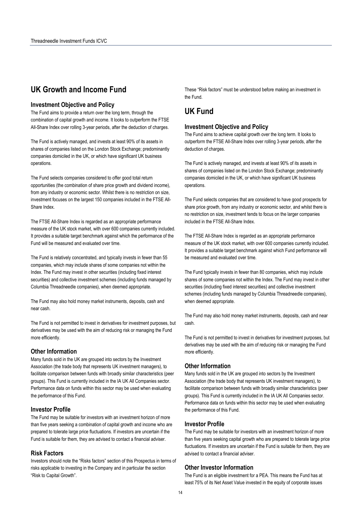# **UK Growth and Income Fund**

#### **Investment Objective and Policy**

The Fund aims to provide a return over the long term, through the combination of capital growth and income. It looks to outperform the FTSE All-Share Index over rolling 3-year periods, after the deduction of charges.

The Fund is actively managed, and invests at least 90% of its assets in shares of companies listed on the London Stock Exchange; predominantly companies domiciled in the UK, or which have significant UK business operations.

The Fund selects companies considered to offer good total return opportunities (the combination of share price growth and dividend income), from any industry or economic sector. Whilst there is no restriction on size, investment focuses on the largest 150 companies included in the FTSE All-Share Index.

The FTSE All-Share Index is regarded as an appropriate performance measure of the UK stock market, with over 600 companies currently included. It provides a suitable target benchmark against which the performance of the Fund will be measured and evaluated over time.

The Fund is relatively concentrated, and typically invests in fewer than 55 companies, which may include shares of some companies not within the Index. The Fund may invest in other securities (including fixed interest securities) and collective investment schemes (including funds managed by Columbia Threadneedle companies), when deemed appropriate.

The Fund may also hold money market instruments, deposits, cash and near cash.

The Fund is not permitted to invest in derivatives for investment purposes, but derivatives may be used with the aim of reducing risk or managing the Fund more efficiently.

#### **Other Information**

Many funds sold in the UK are grouped into sectors by the Investment Association (the trade body that represents UK investment managers), to facilitate comparison between funds with broadly similar characteristics (peer groups). This Fund is currently included in the IA UK All Companies sector. Performance data on funds within this sector may be used when evaluating the performance of this Fund.

## **Investor Profile**

The Fund may be suitable for investors with an investment horizon of more than five years seeking a combination of capital growth and income who are prepared to tolerate large price fluctuations. If investors are uncertain if the Fund is suitable for them, they are advised to contact a financial adviser.

## **Risk Factors**

Investors should note the "Risks factors" section of this Prospectus in terms of risks applicable to investing in the Company and in particular the section "Risk to Capital Growth".

These "Risk factors" must be understood before making an investment in the Fund.

# **UK Fund**

#### **Investment Objective and Policy**

The Fund aims to achieve capital growth over the long term. It looks to outperform the FTSE All-Share Index over rolling 3-year periods, after the deduction of charges.

The Fund is actively managed, and invests at least 90% of its assets in shares of companies listed on the London Stock Exchange; predominantly companies domiciled in the UK, or which have significant UK business operations.

The Fund selects companies that are considered to have good prospects for share price growth, from any industry or economic sector, and whilst there is no restriction on size, investment tends to focus on the larger companies included in the FTSE All-Share Index.

The FTSE All-Share Index is regarded as an appropriate performance measure of the UK stock market, with over 600 companies currently included. It provides a suitable target benchmark against which Fund performance will be measured and evaluated over time.

The Fund typically invests in fewer than 80 companies, which may include shares of some companies not within the Index. The Fund may invest in other securities (including fixed interest securities) and collective investment schemes (including funds managed by Columbia Threadneedle companies), when deemed appropriate.

The Fund may also hold money market instruments, deposits, cash and near cash.

The Fund is not permitted to invest in derivatives for investment purposes, but derivatives may be used with the aim of reducing risk or managing the Fund more efficiently.

### **Other Information**

Many funds sold in the UK are grouped into sectors by the Investment Association (the trade body that represents UK investment managers), to facilitate comparison between funds with broadly similar characteristics (peer groups). This Fund is currently included in the IA UK All Companies sector. Performance data on funds within this sector may be used when evaluating the performance of this Fund.

#### **Investor Profile**

The Fund may be suitable for investors with an investment horizon of more than five years seeking capital growth who are prepared to tolerate large price fluctuations. If investors are uncertain if the Fund is suitable for them, they are advised to contact a financial adviser.

### **Other Investor Information**

The Fund is an eligible investment for a PEA. This means the Fund has at least 75% of its Net Asset Value invested in the equity of corporate issues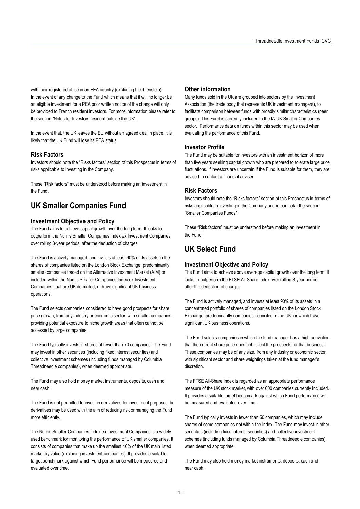with their registered office in an EEA country (excluding Liechtenstein). In the event of any change to the Fund which means that it will no longer be an eligible investment for a PEA prior written notice of the change will only be provided to French resident investors. For more information please refer to the section "Notes for Investors resident outside the UK".

In the event that, the UK leaves the EU without an agreed deal in place, it is likely that the UK Fund will lose its PEA status.

## **Risk Factors**

Investors should note the "Risks factors" section of this Prospectus in terms of risks applicable to investing in the Company.

These "Risk factors" must be understood before making an investment in the Fund.

# **UK Smaller Companies Fund**

### **Investment Objective and Policy**

The Fund aims to achieve capital growth over the long term. It looks to outperform the Numis Smaller Companies Index ex Investment Companies over rolling 3-year periods, after the deduction of charges.

The Fund is actively managed, and invests at least 90% of its assets in the shares of companies listed on the London Stock Exchange; predominantly smaller companies traded on the Alternative Investment Market (AIM) or included within the Numis Smaller Companies Index ex Investment Companies, that are UK domiciled, or have significant UK business operations.

The Fund selects companies considered to have good prospects for share price growth, from any industry or economic sector, with smaller companies providing potential exposure to niche growth areas that often cannot be accessed by large companies.

The Fund typically invests in shares of fewer than 70 companies. The Fund may invest in other securities (including fixed interest securities) and collective investment schemes (including funds managed by Columbia Threadneedle companies), when deemed appropriate.

The Fund may also hold money market instruments, deposits, cash and near cash.

The Fund is not permitted to invest in derivatives for investment purposes, but derivatives may be used with the aim of reducing risk or managing the Fund more efficiently.

The Numis Smaller Companies Index ex Investment Companies is a widely used benchmark for monitoring the performance of UK smaller companies. It consists of companies that make up the smallest 10% of the UK main listed market by value (excluding investment companies). It provides a suitable target benchmark against which Fund performance will be measured and evaluated over time.

### **Other information**

Many funds sold in the UK are grouped into sectors by the Investment Association (the trade body that represents UK investment managers), to facilitate comparison between funds with broadly similar characteristics (peer groups). This Fund is currently included in the IA UK Smaller Companies sector. Performance data on funds within this sector may be used when evaluating the performance of this Fund.

### **Investor Profile**

The Fund may be suitable for investors with an investment horizon of more than five years seeking capital growth who are prepared to tolerate large price fluctuations. If investors are uncertain if the Fund is suitable for them, they are advised to contact a financial adviser.

### **Risk Factors**

Investors should note the "Risks factors" section of this Prospectus in terms of risks applicable to investing in the Company and in particular the section "Smaller Companies Funds".

These "Risk factors" must be understood before making an investment in the Fund.

# **UK Select Fund**

### **Investment Objective and Policy**

The Fund aims to achieve above average capital growth over the long term. It looks to outperform the FTSE All-Share Index over rolling 3-year periods, after the deduction of charges.

The Fund is actively managed, and invests at least 90% of its assets in a concentrated portfolio of shares of companies listed on the London Stock Exchange; predominantly companies domiciled in the UK, or which have significant UK business operations.

The Fund selects companies in which the fund manager has a high conviction that the current share price does not reflect the prospects for that business. These companies may be of any size, from any industry or economic sector, with significant sector and share weightings taken at the fund manager's discretion.

The FTSE All-Share Index is regarded as an appropriate performance measure of the UK stock market, with over 600 companies currently included. It provides a suitable target benchmark against which Fund performance will be measured and evaluated over time.

The Fund typically invests in fewer than 50 companies, which may include shares of some companies not within the Index. The Fund may invest in other securities (including fixed interest securities) and collective investment schemes (including funds managed by Columbia Threadneedle companies), when deemed appropriate.

The Fund may also hold money market instruments, deposits, cash and near cash.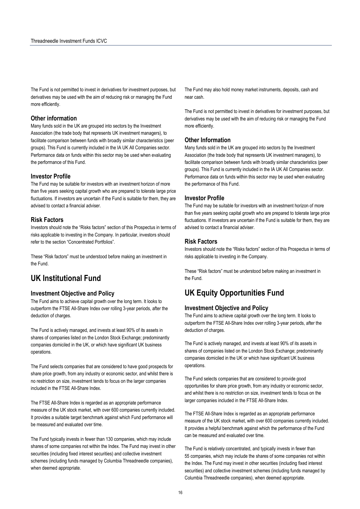The Fund is not permitted to invest in derivatives for investment purposes, but derivatives may be used with the aim of reducing risk or managing the Fund more efficiently.

#### **Other information**

Many funds sold in the UK are grouped into sectors by the Investment Association (the trade body that represents UK investment managers), to facilitate comparison between funds with broadly similar characteristics (peer groups). This Fund is currently included in the IA UK All Companies sector. Performance data on funds within this sector may be used when evaluating the performance of this Fund.

#### **Investor Profile**

The Fund may be suitable for investors with an investment horizon of more than five years seeking capital growth who are prepared to tolerate large price fluctuations. If investors are uncertain if the Fund is suitable for them, they are advised to contact a financial adviser.

#### **Risk Factors**

Investors should note the "Risks factors" section of this Prospectus in terms of risks applicable to investing in the Company. In particular, investors should refer to the section "Concentrated Portfolios".

These "Risk factors" must be understood before making an investment in the Fund.

# **UK Institutional Fund**

### **Investment Objective and Policy**

The Fund aims to achieve capital growth over the long term. It looks to outperform the FTSE All-Share Index over rolling 3-year periods, after the deduction of charges.

The Fund is actively managed, and invests at least 90% of its assets in shares of companies listed on the London Stock Exchange; predominantly companies domiciled in the UK, or which have significant UK business operations.

The Fund selects companies that are considered to have good prospects for share price growth, from any industry or economic sector, and whilst there is no restriction on size, investment tends to focus on the larger companies included in the FTSE All-Share Index.

The FTSE All-Share Index is regarded as an appropriate performance measure of the UK stock market, with over 600 companies currently included. It provides a suitable target benchmark against which Fund performance will be measured and evaluated over time.

The Fund typically invests in fewer than 130 companies, which may include shares of some companies not within the Index. The Fund may invest in other securities (including fixed interest securities) and collective investment schemes (including funds managed by Columbia Threadneedle companies), when deemed appropriate.

The Fund may also hold money market instruments, deposits, cash and near cash.

The Fund is not permitted to invest in derivatives for investment purposes, but derivatives may be used with the aim of reducing risk or managing the Fund more efficiently.

#### **Other Information**

Many funds sold in the UK are grouped into sectors by the Investment Association (the trade body that represents UK investment managers), to facilitate comparison between funds with broadly similar characteristics (peer groups). This Fund is currently included in the IA UK All Companies sector. Performance data on funds within this sector may be used when evaluating the performance of this Fund.

#### **Investor Profile**

The Fund may be suitable for investors with an investment horizon of more than five years seeking capital growth who are prepared to tolerate large price fluctuations. If investors are uncertain if the Fund is suitable for them, they are advised to contact a financial adviser.

### **Risk Factors**

Investors should note the "Risks factors" section of this Prospectus in terms of risks applicable to investing in the Company.

These "Risk factors" must be understood before making an investment in the Fund.

# **UK Equity Opportunities Fund**

#### **Investment Objective and Policy**

The Fund aims to achieve capital growth over the long term. It looks to outperform the FTSE All-Share Index over rolling 3-year periods, after the deduction of charges.

The Fund is actively managed, and invests at least 90% of its assets in shares of companies listed on the London Stock Exchange; predominantly companies domiciled in the UK or which have significant UK business operations.

The Fund selects companies that are considered to provide good opportunities for share price growth, from any industry or economic sector, and whilst there is no restriction on size, investment tends to focus on the larger companies included in the FTSE All-Share Index.

The FTSE All-Share Index is regarded as an appropriate performance measure of the UK stock market, with over 600 companies currently included. It provides a helpful benchmark against which the performance of the Fund can be measured and evaluated over time.

The Fund is relatively concentrated, and typically invests in fewer than 55 companies, which may include the shares of some companies not within the Index. The Fund may invest in other securities (including fixed interest securities) and collective investment schemes (including funds managed by Columbia Threadneedle companies), when deemed appropriate.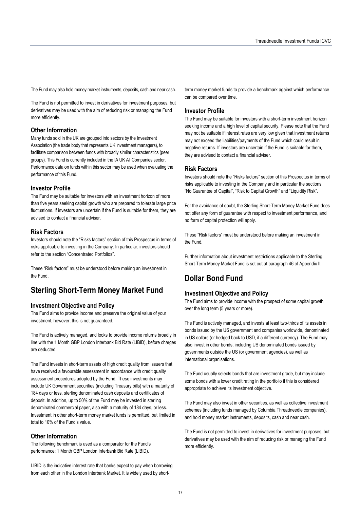The Fund may also hold money market instruments, deposits, cash and near cash.

The Fund is not permitted to invest in derivatives for investment purposes, but derivatives may be used with the aim of reducing risk or managing the Fund more efficiently.

#### **Other Information**

Many funds sold in the UK are grouped into sectors by the Investment Association (the trade body that represents UK investment managers), to facilitate comparison between funds with broadly similar characteristics (peer groups). This Fund is currently included in the IA UK All Companies sector. Performance data on funds within this sector may be used when evaluating the performance of this Fund.

#### **Investor Profile**

The Fund may be suitable for investors with an investment horizon of more than five years seeking capital growth who are prepared to tolerate large price fluctuations. If investors are uncertain if the Fund is suitable for them, they are advised to contact a financial adviser.

#### **Risk Factors**

Investors should note the "Risks factors" section of this Prospectus in terms of risks applicable to investing in the Company. In particular, investors should refer to the section "Concentrated Portfolios".

These "Risk factors" must be understood before making an investment in the Fund.

# **Sterling Short-Term Money Market Fund**

#### **Investment Objective and Policy**

The Fund aims to provide income and preserve the original value of your investment, however, this is not guaranteed.

The Fund is actively managed, and looks to provide income returns broadly in line with the 1 Month GBP London Interbank Bid Rate (LIBID), before charges are deducted.

The Fund invests in short-term assets of high credit quality from issuers that have received a favourable assessment in accordance with credit quality assessment procedures adopted by the Fund. These investments may include UK Government securities (including Treasury bills) with a maturity of 184 days or less, sterling denominated cash deposits and certificates of deposit. In addition, up to 50% of the Fund may be invested in sterling denominated commercial paper, also with a maturity of 184 days, or less. Investment in other short-term money market funds is permitted, but limited in total to 10% of the Fund's value.

#### **Other Information**

The following benchmark is used as a comparator for the Fund's performance: 1 Month GBP London Interbank Bid Rate (LIBID).

LIBID is the indicative interest rate that banks expect to pay when borrowing from each other in the London Interbank Market. It is widely used by shortterm money market funds to provide a benchmark against which performance can be compared over time.

#### **Investor Profile**

The Fund may be suitable for investors with a short-term investment horizon seeking income and a high level of capital security. Please note that the Fund may not be suitable if interest rates are very low given that investment returns may not exceed the liabilities/payments of the Fund which could result in negative returns. If investors are uncertain if the Fund is suitable for them, they are advised to contact a financial adviser.

#### **Risk Factors**

Investors should note the "Risks factors" section of this Prospectus in terms of risks applicable to investing in the Company and in particular the sections "No Guarantee of Capital", "Risk to Capital Growth" and "Liquidity Risk".

For the avoidance of doubt, the Sterling Short-Term Money Market Fund does not offer any form of guarantee with respect to investment performance, and no form of capital protection will apply.

These "Risk factors" must be understood before making an investment in the Fund.

Further information about investment restrictions applicable to the Sterling Short-Term Money Market Fund is set out at paragraph 46 of Appendix II.

# **Dollar Bond Fund**

## **Investment Objective and Policy**

The Fund aims to provide income with the prospect of some capital growth over the long term (5 years or more).

The Fund is actively managed, and invests at least two-thirds of its assets in bonds issued by the US government and companies worldwide, denominated in US dollars (or hedged back to USD, if a different currency). The Fund may also invest in other bonds, including US denominated bonds issued by governments outside the US (or government agencies), as well as international organisations.

The Fund usually selects bonds that are investment grade, but may include some bonds with a lower credit rating in the portfolio if this is considered appropriate to achieve its investment objective.

The Fund may also invest in other securities, as well as collective investment schemes (including funds managed by Columbia Threadneedle companies), and hold money market instruments, deposits, cash and near cash.

The Fund is not permitted to invest in derivatives for investment purposes, but derivatives may be used with the aim of reducing risk or managing the Fund more efficiently.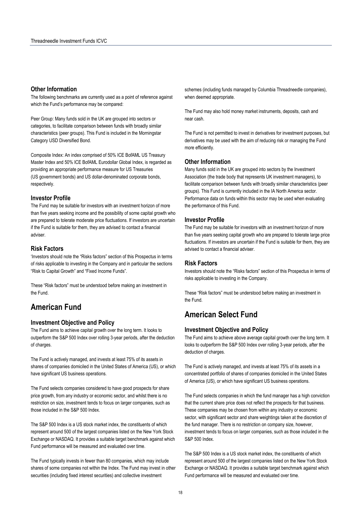## **Other Information**

The following benchmarks are currently used as a point of reference against which the Fund's performance may be compared:

Peer Group: Many funds sold in the UK are grouped into sectors or categories, to facilitate comparison between funds with broadly similar characteristics (peer groups). This Fund is included in the Morningstar Category USD Diversified Bond.

Composite Index: An index comprised of 50% ICE BofAML US Treasury Master Index and 50% ICE BofAML Eurodollar Global Index, is regarded as providing an appropriate performance measure for US Treasuries (US government bonds) and US dollar-denominated corporate bonds, respectively.

### **Investor Profile**

The Fund may be suitable for investors with an investment horizon of more than five years seeking income and the possibility of some capital growth who are prepared to tolerate moderate price fluctuations. If investors are uncertain if the Fund is suitable for them, they are advised to contact a financial adviser.

### **Risk Factors**

'Investors should note the "Risks factors" section of this Prospectus in terms of risks applicable to investing in the Company and in particular the sections "Risk to Capital Growth" and "Fixed Income Funds".

These "Risk factors" must be understood before making an investment in the Fund.

# **American Fund**

# **Investment Objective and Policy**

The Fund aims to achieve capital growth over the long term. It looks to outperform the S&P 500 Index over rolling 3-year periods, after the deduction of charges.

The Fund is actively managed, and invests at least 75% of its assets in shares of companies domiciled in the United States of America (US), or which have significant US business operations.

The Fund selects companies considered to have good prospects for share price growth, from any industry or economic sector, and whilst there is no restriction on size, investment tends to focus on larger companies, such as those included in the S&P 500 Index.

The S&P 500 Index is a US stock market index, the constituents of which represent around 500 of the largest companies listed on the New York Stock Exchange or NASDAQ. It provides a suitable target benchmark against which Fund performance will be measured and evaluated over time.

The Fund typically invests in fewer than 80 companies, which may include shares of some companies not within the Index. The Fund may invest in other securities (including fixed interest securities) and collective investment

schemes (including funds managed by Columbia Threadneedle companies), when deemed appropriate.

The Fund may also hold money market instruments, deposits, cash and near cash.

The Fund is not permitted to invest in derivatives for investment purposes, but derivatives may be used with the aim of reducing risk or managing the Fund more efficiently.

### **Other Information**

Many funds sold in the UK are grouped into sectors by the Investment Association (the trade body that represents UK investment managers), to facilitate comparison between funds with broadly similar characteristics (peer groups). This Fund is currently included in the IA North America sector. Performance data on funds within this sector may be used when evaluating the performance of this Fund.

#### **Investor Profile**

The Fund may be suitable for investors with an investment horizon of more than five years seeking capital growth who are prepared to tolerate large price fluctuations. If investors are uncertain if the Fund is suitable for them, they are advised to contact a financial adviser.

### **Risk Factors**

Investors should note the "Risks factors" section of this Prospectus in terms of risks applicable to investing in the Company.

These "Risk factors" must be understood before making an investment in the Fund.

# **American Select Fund**

#### **Investment Objective and Policy**

The Fund aims to achieve above average capital growth over the long term. It looks to outperform the S&P 500 Index over rolling 3-year periods, after the deduction of charges.

The Fund is actively managed, and invests at least 75% of its assets in a concentrated portfolio of shares of companies domiciled in the United States of America (US), or which have significant US business operations.

The Fund selects companies in which the fund manager has a high conviction that the current share price does not reflect the prospects for that business. These companies may be chosen from within any industry or economic sector, with significant sector and share weightings taken at the discretion of the fund manager. There is no restriction on company size, however, investment tends to focus on larger companies, such as those included in the S&P 500 Index.

The S&P 500 Index is a US stock market index, the constituents of which represent around 500 of the largest companies listed on the New York Stock Exchange or NASDAQ. It provides a suitable target benchmark against which Fund performance will be measured and evaluated over time.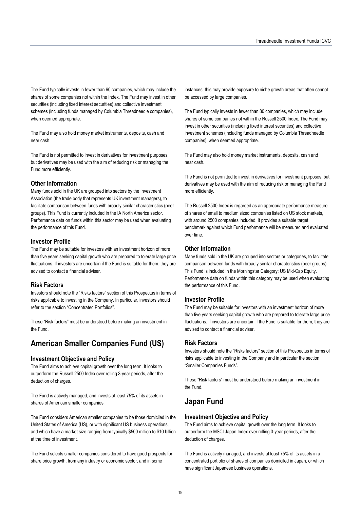The Fund typically invests in fewer than 60 companies, which may include the shares of some companies not within the Index. The Fund may invest in other securities (including fixed interest securities) and collective investment schemes (including funds managed by Columbia Threadneedle companies), when deemed appropriate.

The Fund may also hold money market instruments, deposits, cash and near cash.

The Fund is not permitted to invest in derivatives for investment purposes, but derivatives may be used with the aim of reducing risk or managing the Fund more efficiently.

### **Other Information**

Many funds sold in the UK are grouped into sectors by the Investment Association (the trade body that represents UK investment managers), to facilitate comparison between funds with broadly similar characteristics (peer groups). This Fund is currently included in the IA North America sector. Performance data on funds within this sector may be used when evaluating the performance of this Fund.

### **Investor Profile**

The Fund may be suitable for investors with an investment horizon of more than five years seeking capital growth who are prepared to tolerate large price fluctuations. If investors are uncertain if the Fund is suitable for them, they are advised to contact a financial adviser.

### **Risk Factors**

Investors should note the "Risks factors" section of this Prospectus in terms of risks applicable to investing in the Company. In particular, investors should refer to the section "Concentrated Portfolios".

These "Risk factors" must be understood before making an investment in the Fund.

# **American Smaller Companies Fund (US)**

### **Investment Objective and Policy**

The Fund aims to achieve capital growth over the long term. It looks to outperform the Russell 2500 Index over rolling 3-year periods, after the deduction of charges.

The Fund is actively managed, and invests at least 75% of its assets in shares of American smaller companies.

The Fund considers American smaller companies to be those domiciled in the United States of America (US), or with significant US business operations, and which have a market size ranging from typically \$500 million to \$10 billion at the time of investment.

The Fund selects smaller companies considered to have good prospects for share price growth, from any industry or economic sector, and in some

instances, this may provide exposure to niche growth areas that often cannot be accessed by large companies.

The Fund typically invests in fewer than 80 companies, which may include shares of some companies not within the Russell 2500 Index. The Fund may invest in other securities (including fixed interest securities) and collective investment schemes (including funds managed by Columbia Threadneedle companies), when deemed appropriate.

The Fund may also hold money market instruments, deposits, cash and near cash.

The Fund is not permitted to invest in derivatives for investment purposes, but derivatives may be used with the aim of reducing risk or managing the Fund more efficiently.

The Russell 2500 Index is regarded as an appropriate performance measure of shares of small to medium sized companies listed on US stock markets, with around 2500 companies included. It provides a suitable target benchmark against which Fund performance will be measured and evaluated over time.

### **Other Information**

Many funds sold in the UK are grouped into sectors or categories, to facilitate comparison between funds with broadly similar characteristics (peer groups). This Fund is included in the Morningstar Category: US Mid-Cap Equity. Performance data on funds within this category may be used when evaluating the performance of this Fund.

### **Investor Profile**

The Fund may be suitable for investors with an investment horizon of more than five years seeking capital growth who are prepared to tolerate large price fluctuations. If investors are uncertain if the Fund is suitable for them, they are advised to contact a financial adviser.

### **Risk Factors**

Investors should note the "Risks factors" section of this Prospectus in terms of risks applicable to investing in the Company and in particular the section "Smaller Companies Funds".

These "Risk factors" must be understood before making an investment in the Fund.

# **Japan Fund**

### **Investment Objective and Policy**

The Fund aims to achieve capital growth over the long term. It looks to outperform the MSCI Japan Index over rolling 3-year periods, after the deduction of charges.

The Fund is actively managed, and invests at least 75% of its assets in a concentrated portfolio of shares of companies domiciled in Japan, or which have significant Japanese business operations.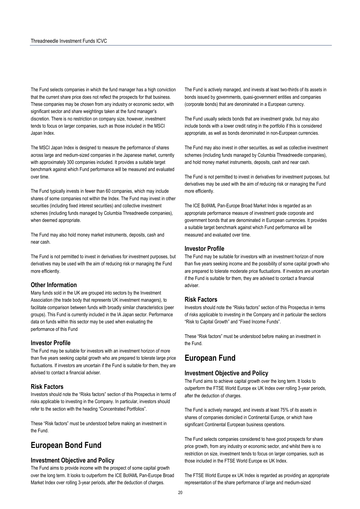The Fund selects companies in which the fund manager has a high conviction that the current share price does not reflect the prospects for that business. These companies may be chosen from any industry or economic sector, with significant sector and share weightings taken at the fund manager's discretion. There is no restriction on company size, however, investment tends to focus on larger companies, such as those included in the MSCI Japan Index.

The MSCI Japan Index is designed to measure the performance of shares across large and medium-sized companies in the Japanese market, currently with approximately 300 companies included. It provides a suitable target benchmark against which Fund performance will be measured and evaluated over time.

The Fund typically invests in fewer than 60 companies, which may include shares of some companies not within the Index. The Fund may invest in other securities (including fixed interest securities) and collective investment schemes (including funds managed by Columbia Threadneedle companies), when deemed appropriate.

The Fund may also hold money market instruments, deposits, cash and near cash.

The Fund is not permitted to invest in derivatives for investment purposes, but derivatives may be used with the aim of reducing risk or managing the Fund more efficiently.

### **Other Information**

Many funds sold in the UK are grouped into sectors by the Investment Association (the trade body that represents UK investment managers), to facilitate comparison between funds with broadly similar characteristics (peer groups). This Fund is currently included in the IA Japan sector. Performance data on funds within this sector may be used when evaluating the performance of this Fund

#### **Investor Profile**

The Fund may be suitable for investors with an investment horizon of more than five years seeking capital growth who are prepared to tolerate large price fluctuations. If investors are uncertain if the Fund is suitable for them, they are advised to contact a financial adviser.

### **Risk Factors**

Investors should note the "Risks factors" section of this Prospectus in terms of risks applicable to investing in the Company. In particular, investors should refer to the section with the heading "Concentrated Portfolios".

These "Risk factors" must be understood before making an investment in the Fund.

# **European Bond Fund**

#### **Investment Objective and Policy**

The Fund aims to provide income with the prospect of some capital growth over the long term. It looks to outperform the ICE BofAML Pan-Europe Broad Market Index over rolling 3-year periods, after the deduction of charges.

The Fund is actively managed, and invests at least two-thirds of its assets in bonds issued by governments, quasi-government entities and companies (corporate bonds) that are denominated in a European currency.

The Fund usually selects bonds that are investment grade, but may also include bonds with a lower credit rating in the portfolio if this is considered appropriate, as well as bonds denominated in non-European currencies.

The Fund may also invest in other securities, as well as collective investment schemes (including funds managed by Columbia Threadneedle companies), and hold money market instruments, deposits, cash and near cash.

The Fund is not permitted to invest in derivatives for investment purposes, but derivatives may be used with the aim of reducing risk or managing the Fund more efficiently.

The ICE BofAML Pan-Europe Broad Market Index is regarded as an appropriate performance measure of investment grade corporate and government bonds that are denominated in European currencies. It provides a suitable target benchmark against which Fund performance will be measured and evaluated over time.

#### **Investor Profile**

The Fund may be suitable for investors with an investment horizon of more than five years seeking income and the possibility of some capital growth who are prepared to tolerate moderate price fluctuations. If investors are uncertain if the Fund is suitable for them, they are advised to contact a financial adviser.

#### **Risk Factors**

Investors should note the "Risks factors" section of this Prospectus in terms of risks applicable to investing in the Company and in particular the sections "Risk to Capital Growth" and "Fixed Income Funds".

These "Risk factors" must be understood before making an investment in the Fund.

# **European Fund**

## **Investment Objective and Policy**

The Fund aims to achieve capital growth over the long term. It looks to outperform the FTSE World Europe ex UK Index over rolling 3-year periods, after the deduction of charges.

The Fund is actively managed, and invests at least 75% of its assets in shares of companies domiciled in Continental Europe, or which have significant Continental European business operations.

The Fund selects companies considered to have good prospects for share price growth, from any industry or economic sector, and whilst there is no restriction on size, investment tends to focus on larger companies, such as those included in the FTSE World Europe ex UK Index.

The FTSE World Europe ex UK Index is regarded as providing an appropriate representation of the share performance of large and medium-sized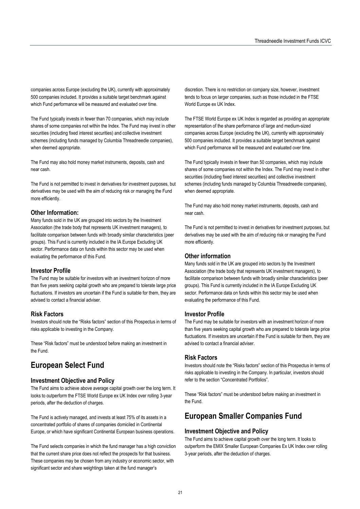companies across Europe (excluding the UK), currently with approximately 500 companies included. It provides a suitable target benchmark against which Fund performance will be measured and evaluated over time.

The Fund typically invests in fewer than 70 companies, which may include shares of some companies not within the Index. The Fund may invest in other securities (including fixed interest securities) and collective investment schemes (including funds managed by Columbia Threadneedle companies), when deemed appropriate.

The Fund may also hold money market instruments, deposits, cash and near cash.

The Fund is not permitted to invest in derivatives for investment purposes, but derivatives may be used with the aim of reducing risk or managing the Fund more efficiently.

#### **Other Information:**

Many funds sold in the UK are grouped into sectors by the Investment Association (the trade body that represents UK investment managers), to facilitate comparison between funds with broadly similar characteristics (peer groups). This Fund is currently included in the IA Europe Excluding UK sector. Performance data on funds within this sector may be used when evaluating the performance of this Fund.

#### **Investor Profile**

The Fund may be suitable for investors with an investment horizon of more than five years seeking capital growth who are prepared to tolerate large price fluctuations. If investors are uncertain if the Fund is suitable for them, they are advised to contact a financial adviser.

### **Risk Factors**

Investors should note the "Risks factors" section of this Prospectus in terms of risks applicable to investing in the Company.

These "Risk factors" must be understood before making an investment in the Fund.

# **European Select Fund**

#### **Investment Objective and Policy**

The Fund aims to achieve above average capital growth over the long term. It looks to outperform the FTSE World Europe ex UK Index over rolling 3-year periods, after the deduction of charges.

The Fund is actively managed, and invests at least 75% of its assets in a concentrated portfolio of shares of companies domiciled in Continental Europe, or which have significant Continental European business operations.

The Fund selects companies in which the fund manager has a high conviction that the current share price does not reflect the prospects for that business. These companies may be chosen from any industry or economic sector, with significant sector and share weightings taken at the fund manager's

discretion. There is no restriction on company size, however, investment tends to focus on larger companies, such as those included in the FTSE World Europe ex UK Index.

The FTSE World Europe ex UK Index is regarded as providing an appropriate representation of the share performance of large and medium-sized companies across Europe (excluding the UK), currently with approximately 500 companies included. It provides a suitable target benchmark against which Fund performance will be measured and evaluated over time.

The Fund typically invests in fewer than 50 companies, which may include shares of some companies not within the Index. The Fund may invest in other securities (including fixed interest securities) and collective investment schemes (including funds managed by Columbia Threadneedle companies), when deemed appropriate.

The Fund may also hold money market instruments, deposits, cash and near cash.

The Fund is not permitted to invest in derivatives for investment purposes, but derivatives may be used with the aim of reducing risk or managing the Fund more efficiently.

#### **Other information**

Many funds sold in the UK are grouped into sectors by the Investment Association (the trade body that represents UK investment managers), to facilitate comparison between funds with broadly similar characteristics (peer groups). This Fund is currently included in the IA Europe Excluding UK sector. Performance data on funds within this sector may be used when evaluating the performance of this Fund.

#### **Investor Profile**

The Fund may be suitable for investors with an investment horizon of more than five years seeking capital growth who are prepared to tolerate large price fluctuations. If investors are uncertain if the Fund is suitable for them, they are advised to contact a financial adviser.

#### **Risk Factors**

Investors should note the "Risks factors" section of this Prospectus in terms of risks applicable to investing in the Company. In particular, investors should refer to the section "Concentrated Portfolios".

These "Risk factors" must be understood before making an investment in the Fund.

# **European Smaller Companies Fund**

#### **Investment Objective and Policy**

The Fund aims to achieve capital growth over the long term. It looks to outperform the EMIX Smaller European Companies Ex UK Index over rolling 3-year periods, after the deduction of charges.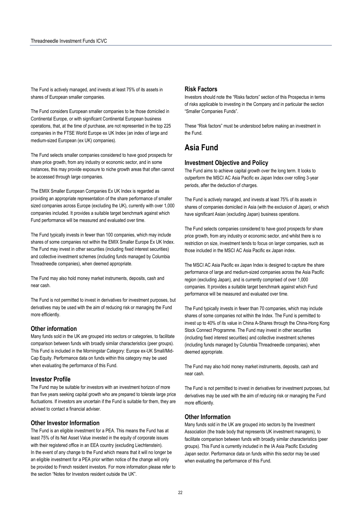The Fund is actively managed, and invests at least 75% of its assets in shares of European smaller companies.

The Fund considers European smaller companies to be those domiciled in Continental Europe, or with significant Continental European business operations, that, at the time of purchase, are not represented in the top 225 companies in the FTSE World Europe ex UK Index (an index of large and medium-sized European (ex UK) companies).

The Fund selects smaller companies considered to have good prospects for share price growth, from any industry or economic sector, and in some instances, this may provide exposure to niche growth areas that often cannot be accessed through large companies.

The EMIX Smaller European Companies Ex UK Index is regarded as providing an appropriate representation of the share performance of smaller sized companies across Europe (excluding the UK), currently with over 1,000 companies included. It provides a suitable target benchmark against which Fund performance will be measured and evaluated over time.

The Fund typically invests in fewer than 100 companies, which may include shares of some companies not within the EMIX Smaller Europe Ex UK Index. The Fund may invest in other securities (including fixed interest securities) and collective investment schemes (including funds managed by Columbia Threadneedle companies), when deemed appropriate.

The Fund may also hold money market instruments, deposits, cash and near cash.

The Fund is not permitted to invest in derivatives for investment purposes, but derivatives may be used with the aim of reducing risk or managing the Fund more efficiently.

#### **Other information**

Many funds sold in the UK are grouped into sectors or categories, to facilitate comparison between funds with broadly similar characteristics (peer groups). This Fund is included in the Morningstar Category: Europe ex-UK Small/Mid-Cap Equity. Performance data on funds within this category may be used when evaluating the performance of this Fund.

#### **Investor Profile**

The Fund may be suitable for investors with an investment horizon of more than five years seeking capital growth who are prepared to tolerate large price fluctuations. If investors are uncertain if the Fund is suitable for them, they are advised to contact a financial adviser.

#### **Other Investor Information**

The Fund is an eligible investment for a PEA. This means the Fund has at least 75% of its Net Asset Value invested in the equity of corporate issues with their registered office in an EEA country (excluding Liechtenstein). In the event of any change to the Fund which means that it will no longer be an eligible investment for a PEA prior written notice of the change will only be provided to French resident investors. For more information please refer to the section "Notes for Investors resident outside the UK".

#### **Risk Factors**

Investors should note the "Risks factors" section of this Prospectus in terms of risks applicable to investing in the Company and in particular the section "Smaller Companies Funds".

These "Risk factors" must be understood before making an investment in the Fund.

# **Asia Fund**

### **Investment Objective and Policy**

The Fund aims to achieve capital growth over the long term. It looks to outperform the MSCI AC Asia Pacific ex Japan Index over rolling 3-year periods, after the deduction of charges.

The Fund is actively managed, and invests at least 75% of its assets in shares of companies domiciled in Asia (with the exclusion of Japan), or which have significant Asian (excluding Japan) business operations.

The Fund selects companies considered to have good prospects for share price growth, from any industry or economic sector, and whilst there is no restriction on size, investment tends to focus on larger companies, such as those included in the MSCI AC Asia Pacific ex Japan index.

The MSCI AC Asia Pacific ex Japan Index is designed to capture the share performance of large and medium-sized companies across the Asia Pacific region (excluding Japan), and is currently comprised of over 1,000 companies. It provides a suitable target benchmark against which Fund performance will be measured and evaluated over time.

The Fund typically invests in fewer than 70 companies, which may include shares of some companies not within the Index. The Fund is permitted to invest up to 40% of its value in China A-Shares through the China-Hong Kong Stock Connect Programme. The Fund may invest in other securities (including fixed interest securities) and collective investment schemes (including funds managed by Columbia Threadneedle companies), when deemed appropriate.

The Fund may also hold money market instruments, deposits, cash and near cash.

The Fund is not permitted to invest in derivatives for investment purposes, but derivatives may be used with the aim of reducing risk or managing the Fund more efficiently.

#### **Other Information**

Many funds sold in the UK are grouped into sectors by the Investment Association (the trade body that represents UK investment managers), to facilitate comparison between funds with broadly similar characteristics (peer groups). This Fund is currently included in the IA Asia Pacific Excluding Japan sector. Performance data on funds within this sector may be used when evaluating the performance of this Fund.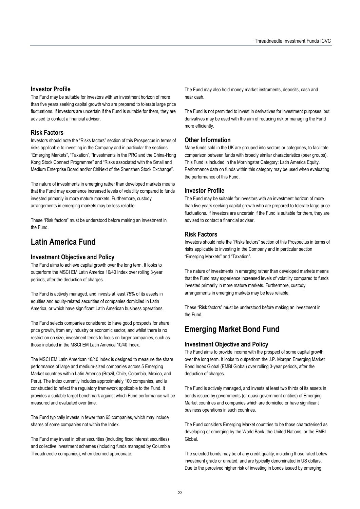### **Investor Profile**

The Fund may be suitable for investors with an investment horizon of more than five years seeking capital growth who are prepared to tolerate large price fluctuations. If investors are uncertain if the Fund is suitable for them, they are advised to contact a financial adviser.

## **Risk Factors**

Investors should note the "Risks factors" section of this Prospectus in terms of risks applicable to investing in the Company and in particular the sections "Emerging Markets", "Taxation", "Investments in the PRC and the China-Hong Kong Stock Connect Programme" and "Risks associated with the Small and Medium Enterprise Board and/or ChiNext of the Shenzhen Stock Exchange".

The nature of investments in emerging rather than developed markets means that the Fund may experience increased levels of volatility compared to funds invested primarily in more mature markets. Furthermore, custody arrangements in emerging markets may be less reliable.

These "Risk factors" must be understood before making an investment in the Fund.

# **Latin America Fund**

## **Investment Objective and Policy**

The Fund aims to achieve capital growth over the long term. It looks to outperform the MSCI EM Latin America 10/40 Index over rolling 3-year periods, after the deduction of charges.

The Fund is actively managed, and invests at least 75% of its assets in equities and equity-related securities of companies domiciled in Latin America, or which have significant Latin American business operations.

The Fund selects companies considered to have good prospects for share price growth, from any industry or economic sector, and whilst there is no restriction on size, investment tends to focus on larger companies, such as those included in the MSCI EM Latin America 10/40 Index.

The MSCI EM Latin American 10/40 Index is designed to measure the share performance of large and medium-sized companies across 5 Emerging Market countries within Latin America (Brazil, Chile, Colombia, Mexico, and Peru). The Index currently includes approximately 100 companies, and is constructed to reflect the regulatory framework applicable to the Fund. It provides a suitable target benchmark against which Fund performance will be measured and evaluated over time.

The Fund typically invests in fewer than 65 companies, which may include shares of some companies not within the Index.

The Fund may invest in other securities (including fixed interest securities) and collective investment schemes (including funds managed by Columbia Threadneedle companies), when deemed appropriate.

The Fund may also hold money market instruments, deposits, cash and near cash.

The Fund is not permitted to invest in derivatives for investment purposes, but derivatives may be used with the aim of reducing risk or managing the Fund more efficiently.

## **Other Information**

Many funds sold in the UK are grouped into sectors or categories, to facilitate comparison between funds with broadly similar characteristics (peer groups). This Fund is included in the Morningstar Category: Latin America Equity. Performance data on funds within this category may be used when evaluating the performance of this Fund.

### **Investor Profile**

The Fund may be suitable for investors with an investment horizon of more than five years seeking capital growth who are prepared to tolerate large price fluctuations. If investors are uncertain if the Fund is suitable for them, they are advised to contact a financial adviser.

### **Risk Factors**

Investors should note the "Risks factors" section of this Prospectus in terms of risks applicable to investing in the Company and in particular section "Emerging Markets" and "Taxation".

The nature of investments in emerging rather than developed markets means that the Fund may experience increased levels of volatility compared to funds invested primarily in more mature markets. Furthermore, custody arrangements in emerging markets may be less reliable.

These "Risk factors" must be understood before making an investment in the Fund.

# **Emerging Market Bond Fund**

## **Investment Objective and Policy**

The Fund aims to provide income with the prospect of some capital growth over the long term. It looks to outperform the J.P. Morgan Emerging Market Bond Index Global (EMBI Global) over rolling 3-year periods, after the deduction of charges.

The Fund is actively managed, and invests at least two thirds of its assets in bonds issued by governments (or quasi-government entities) of Emerging Market countries and companies which are domiciled or have significant business operations in such countries.

The Fund considers Emerging Market countries to be those characterised as developing or emerging by the World Bank, the United Nations, or the EMBI Global.

The selected bonds may be of any credit quality, including those rated below investment grade or unrated, and are typically denominated in US dollars. Due to the perceived higher risk of investing in bonds issued by emerging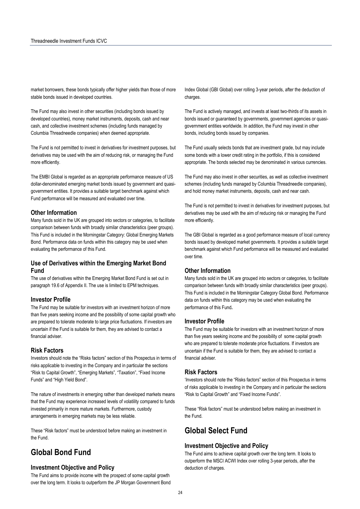market borrowers, these bonds typically offer higher yields than those of more stable bonds issued in developed countries.

The Fund may also invest in other securities (including bonds issued by developed countries), money market instruments, deposits, cash and near cash, and collective investment schemes (including funds managed by Columbia Threadneedle companies) when deemed appropriate.

The Fund is not permitted to invest in derivatives for investment purposes, but derivatives may be used with the aim of reducing risk, or managing the Fund more efficiently.

The EMBI Global is regarded as an appropriate performance measure of US dollar-denominated emerging market bonds issued by government and quasigovernment entities. It provides a suitable target benchmark against which Fund performance will be measured and evaluated over time.

#### **Other Information**

Many funds sold in the UK are grouped into sectors or categories, to facilitate comparison between funds with broadly similar characteristics (peer groups). This Fund is included in the Morningstar Category: Global Emerging Markets Bond. Performance data on funds within this category may be used when evaluating the performance of this Fund.

### **Use of Derivatives within the Emerging Market Bond Fund**

The use of derivatives within the Emerging Market Bond Fund is set out in paragraph 19.6 of Appendix II. The use is limited to EPM techniques.

#### **Investor Profile**

The Fund may be suitable for investors with an investment horizon of more than five years seeking income and the possibility of some capital growth who are prepared to tolerate moderate to large price fluctuations. If investors are uncertain if the Fund is suitable for them, they are advised to contact a financial adviser.

#### **Risk Factors**

Investors should note the "Risks factors" section of this Prospectus in terms of risks applicable to investing in the Company and in particular the sections "Risk to Capital Growth", "Emerging Markets", "Taxation", "Fixed Income Funds" and "High Yield Bond".

The nature of investments in emerging rather than developed markets means that the Fund may experience increased levels of volatility compared to funds invested primarily in more mature markets. Furthermore, custody arrangements in emerging markets may be less reliable.

These "Risk factors" must be understood before making an investment in the Fund.

# **Global Bond Fund**

#### **Investment Objective and Policy**

The Fund aims to provide income with the prospect of some capital growth over the long term. It looks to outperform the JP Morgan Government Bond Index Global (GBI Global) over rolling 3-year periods, after the deduction of charges.

The Fund is actively managed, and invests at least two-thirds of its assets in bonds issued or guaranteed by governments, government agencies or quasigovernment entities worldwide. In addition, the Fund may invest in other bonds, including bonds issued by companies.

The Fund usually selects bonds that are investment grade, but may include some bonds with a lower credit rating in the portfolio, if this is considered appropriate. The bonds selected may be denominated in various currencies.

The Fund may also invest in other securities, as well as collective investment schemes (including funds managed by Columbia Threadneedle companies), and hold money market instruments, deposits, cash and near cash.

The Fund is not permitted to invest in derivatives for investment purposes, but derivatives may be used with the aim of reducing risk or managing the Fund more efficiently.

The GBI Global is regarded as a good performance measure of local currency bonds issued by developed market governments. It provides a suitable target benchmark against which Fund performance will be measured and evaluated over time.

#### **Other Information**

Many funds sold in the UK are grouped into sectors or categories, to facilitate comparison between funds with broadly similar characteristics (peer groups). This Fund is included in the Morningstar Category Global Bond. Performance data on funds within this category may be used when evaluating the performance of this Fund**.**

### **Investor Profile**

The Fund may be suitable for investors with an investment horizon of more than five years seeking income and the possibility of some capital growth who are prepared to tolerate moderate price fluctuations. If investors are uncertain if the Fund is suitable for them, they are advised to contact a financial adviser.

#### **Risk Factors**

'Investors should note the "Risks factors" section of this Prospectus in terms of risks applicable to investing in the Company and in particular the sections "Risk to Capital Growth" and "Fixed Income Funds".

These "Risk factors" must be understood before making an investment in the Fund.

# **Global Select Fund**

### **Investment Objective and Policy**

The Fund aims to achieve capital growth over the long term. It looks to outperform the MSCI ACWI Index over rolling 3-year periods, after the deduction of charges.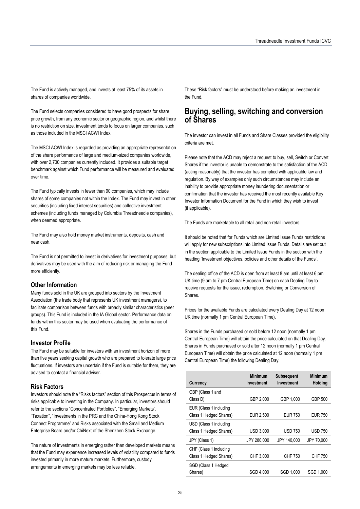The Fund is actively managed, and invests at least 75% of its assets in shares of companies worldwide.

The Fund selects companies considered to have good prospects for share price growth, from any economic sector or geographic region, and whilst there is no restriction on size, investment tends to focus on larger companies, such as those included in the MSCI ACWI Index.

The MSCI ACWI Index is regarded as providing an appropriate representation of the share performance of large and medium-sized companies worldwide, with over 2,700 companies currently included. It provides a suitable target benchmark against which Fund performance will be measured and evaluated over time.

The Fund typically invests in fewer than 90 companies, which may include shares of some companies not within the Index. The Fund may invest in other securities (including fixed interest securities) and collective investment schemes (including funds managed by Columbia Threadneedle companies), when deemed appropriate.

The Fund may also hold money market instruments, deposits, cash and near cash.

The Fund is not permitted to invest in derivatives for investment purposes, but derivatives may be used with the aim of reducing risk or managing the Fund more efficiently.

#### **Other Information**

Many funds sold in the UK are grouped into sectors by the Investment Association (the trade body that represents UK investment managers), to facilitate comparison between funds with broadly similar characteristics (peer groups). This Fund is included in the IA Global sector. Performance data on funds within this sector may be used when evaluating the performance of this Fund.

#### **Investor Profile**

The Fund may be suitable for investors with an investment horizon of more than five years seeking capital growth who are prepared to tolerate large price fluctuations. If investors are uncertain if the Fund is suitable for them, they are advised to contact a financial adviser.

### **Risk Factors**

Investors should note the "Risks factors" section of this Prospectus in terms of risks applicable to investing in the Company. In particular, investors should refer to the sections "Concentrated Portfolios", "Emerging Markets", "Taxation", "Investments in the PRC and the China-Hong Kong Stock Connect Programme" and Risks associated with the Small and Medium Enterprise Board and/or ChiNext of the Shenzhen Stock Exchange.

The nature of investments in emerging rather than developed markets means that the Fund may experience increased levels of volatility compared to funds invested primarily in more mature markets. Furthermore, custody arrangements in emerging markets may be less reliable.

These "Risk factors" must be understood before making an investment in the Fund.

# **Buying, selling, switching and conversion of Shares**

The investor can invest in all Funds and Share Classes provided the eligibility criteria are met.

Please note that the ACD may reject a request to buy, sell, Switch or Convert Shares if the investor is unable to demonstrate to the satisfaction of the ACD (acting reasonably) that the investor has complied with applicable law and regulation. By way of examples only such circumstances may include an inability to provide appropriate money laundering documentation or confirmation that the investor has received the most recently available Key Investor Information Document for the Fund in which they wish to invest (if applicable).

The Funds are marketable to all retail and non-retail investors.

It should be noted that for Funds which are Limited Issue Funds restrictions will apply for new subscriptions into Limited Issue Funds. Details are set out in the section applicable to the Limited Issue Funds in the section with the heading 'Investment objectives, policies and other details of the Funds'.

The dealing office of the ACD is open from at least 8 am until at least 6 pm UK time (9 am to 7 pm Central European Time) on each Dealing Day to receive requests for the issue, redemption, Switching or Conversion of Shares.

Prices for the available Funds are calculated every Dealing Day at 12 noon UK time (normally 1 pm Central European Time).

Shares in the Funds purchased or sold before 12 noon (normally 1 pm Central European Time) will obtain the price calculated on that Dealing Day. Shares in Funds purchased or sold after 12 noon (normally 1 pm Central European Time) will obtain the price calculated at 12 noon (normally 1 pm Central European Time) the following Dealing Day.

| Currency                                         | <b>Minimum</b><br>Investment | <b>Subsequent</b><br>Investment | <b>Minimum</b><br><b>Holding</b> |
|--------------------------------------------------|------------------------------|---------------------------------|----------------------------------|
| GBP (Class 1 and<br>Class D)                     | GBP 2,000                    | GBP 1,000                       | <b>GBP 500</b>                   |
| EUR (Class 1 including<br>Class 1 Hedged Shares) | EUR 2,500                    | <b>EUR 750</b>                  | <b>EUR 750</b>                   |
| USD (Class 1 including<br>Class 1 Hedged Shares) | <b>USD 3.000</b>             | <b>USD 750</b>                  | <b>USD 750</b>                   |
| JPY (Class 1)                                    | JPY 280,000                  | JPY 140,000                     | JPY 70,000                       |
| CHF (Class 1 including<br>Class 1 Hedged Shares) | CHF 3.000                    | CHF 750                         | CHF 750                          |
| SGD (Class 1 Hedged<br>Shares)                   | SGD 4.000                    | SGD 1.000                       | SGD 1,000                        |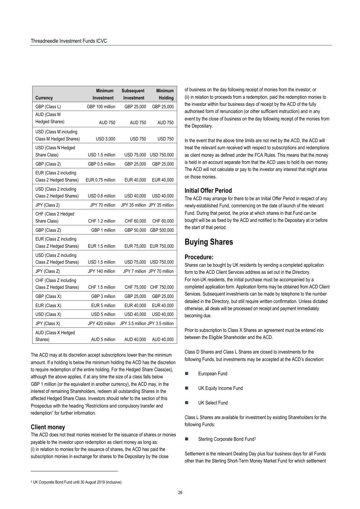| Currency                                         | <b>Minimum</b><br>Investment | <b>Subsequent</b><br>Investment | <b>Minimum</b><br>Holding     |
|--------------------------------------------------|------------------------------|---------------------------------|-------------------------------|
| GBP (Class L)                                    | GBP 100 million              | GBP 25,000                      | GBP 25,000                    |
| AUD (Class M<br>Hedged Shares)                   | <b>AUD 750</b>               | <b>AUD 750</b>                  | <b>AUD 750</b>                |
| USD (Class M including<br>Class M Hedged Shares) | <b>USD 3,000</b>             | <b>USD 750</b>                  | <b>USD 750</b>                |
| USD (Class N Hedged<br>Share Class)              | USD 1.5 million              | <b>USD 75,000</b>               | USD 750,000                   |
| GBP (Class 2)                                    | GBP 0.5 million              | GBP 25,000                      | GBP 25,000                    |
| EUR (Class 2 including<br>Class 2 Hedged Shares) | EUR 0.75 million             | EUR 40,000                      | EUR 40,000                    |
| USD (Class 2 including<br>Class 2 Hedged Shares) | USD 0.8 million              | USD 40,000                      | USD 40,000                    |
| JPY (Class 2)                                    | JPY 70 million               |                                 | JPY 35 million JPY 35 million |
| CHF (Class 2 Hedged<br>Share Class)              | CHF 1.2 million              | CHF 60,000                      | CHF 60,000                    |
| GBP (Class Z)                                    | GBP 1 million                | GBP 50,000                      | GBP 500,000                   |
| EUR (Class Z including<br>Class Z Hedged Shares) | EUR 1.5 million              | EUR 75,000                      | EUR 750,000                   |
| USD (Class Z including<br>Class Z Hedged Shares) | USD 1.5 million              | <b>USD 75,000</b>               | USD 750,000                   |
| JPY (Class Z)                                    | JPY 140 million              |                                 | JPY 7 million JPY 70 million  |
| CHF (Class Z including<br>Class Z Hedged Shares) | CHF 1.5 million              | CHF 75,000                      | CHF 750,000                   |
| GBP (Class X)                                    | GBP 3 million                | GBP 25,000                      | GBP 25,000                    |
| EUR (Class X)                                    | EUR 5 million                | EUR 40,000                      | EUR 40,000                    |
| USD (Class X)                                    | USD 5 million                | USD 40,000                      | USD 40,000                    |
| JPY (Class X)                                    | JPY 420 million              | JPY 3.5 million JPY 3.5 million |                               |
| AUD (Class X Hedged<br>Shares)                   | AUD 5 million                | AUD 40,000                      | AUD 40,000                    |

The ACD may at its discretion accept subscriptions lower than the minimum amount. If a holding is below the minimum holding the ACD has the discretion to require redemption of the entire holding. For the Hedged Share Class(es), although the above applies, if at any time the size of a class falls below GBP 1 million (or the equivalent in another currency), the ACD may, in the interest of remaining Shareholders, redeem all outstanding Shares in the affected Hedged Share Class. Investors should refer to the section of this Prospectus with the heading "Restrictions and compulsory transfer and redemption" for further information.

#### **Client money**

The ACD does not treat monies received for the issuance of shares or monies payable to the investor upon redemption as client money as long as: (i) in relation to monies for the issuance of shares, the ACD has paid the subscription monies in exchange for shares to the Depositary by the close

of business on the day following receipt of monies from the investor; or (ii) in relation to proceeds from a redemption, paid the redemption monies to the investor within four business days of receipt by the ACD of the fully authorised form of renunciation (or other sufficient instruction) and in any event by the close of business on the day following receipt of the monies from the Depositary.

In the event that the above time limits are not met by the ACD, the ACD will treat the relevant sum received with respect to subscriptions and redemptions as client money as defined under the FCA Rules. This means that the money is held in an account separate from that the ACD uses to hold its own money. The ACD will not calculate or pay to the investor any interest that might arise on those monies.

### **Initial Offer Period**

The ACD may arrange for there to be an Initial Offer Period in respect of any newly-established Fund, commencing on the date of launch of the relevant Fund. During that period, the price at which shares in that Fund can be bought will be as fixed by the ACD and notified to the Depositary at or before the start of that period.

# **Buying Shares**

### **Procedure:**

Shares can be bought by UK residents by sending a completed application form to the ACD Client Services address as set out in the Directory. For non-UK residents, the initial purchase must be accompanied by a completed application form. Application forms may be obtained from ACD Client Services. Subsequent investments can be made by telephone to the number detailed in the Directory, but still require written confirmation. Unless dictated otherwise, all deals will be processed on receipt and payment immediately becoming due.

Prior to subscription to Class X Shares an agreement must be entered into between the Eligible Shareholder and the ACD.

Class D Shares and Class L Shares are closed to investments for the following Funds, but investments may be accepted at the ACD's discretion:

- European Fund
- UK Equity Income Fund
- UK Select Fund

Class L Shares are available for investment by existing Shareholders for the following Funds:

■ Sterling Corporate Bond Fund<sup>3</sup>

Settlement is the relevant Dealing Day plus four business days for all Funds other than the Sterling Short-Term Money Market Fund for which settlement

<sup>3</sup> UK Corporate Bond Fund until 30 August 2019 (inclusive).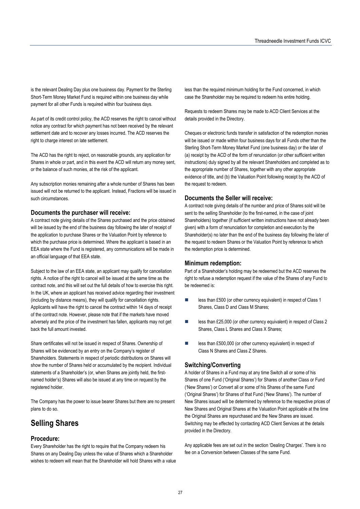is the relevant Dealing Day plus one business day. Payment for the Sterling Short-Term Money Market Fund is required within one business day while payment for all other Funds is required within four business days.

As part of its credit control policy, the ACD reserves the right to cancel without notice any contract for which payment has not been received by the relevant settlement date and to recover any losses incurred. The ACD reserves the right to charge interest on late settlement.

The ACD has the right to reject, on reasonable grounds, any application for Shares in whole or part, and in this event the ACD will return any money sent, or the balance of such monies, at the risk of the applicant.

Any subscription monies remaining after a whole number of Shares has been issued will not be returned to the applicant. Instead, Fractions will be issued in such circumstances.

#### **Documents the purchaser will receive:**

A contract note giving details of the Shares purchased and the price obtained will be issued by the end of the business day following the later of receipt of the application to purchase Shares or the Valuation Point by reference to which the purchase price is determined. Where the applicant is based in an EEA state where the Fund is registered, any communications will be made in an official language of that EEA state.

Subject to the law of an EEA state, an applicant may qualify for cancellation rights. A notice of the right to cancel will be issued at the same time as the contract note, and this will set out the full details of how to exercise this right. In the UK, where an applicant has received advice regarding their investment (including by distance means), they will qualify for cancellation rights. Applicants will have the right to cancel the contract within 14 days of receipt of the contract note. However, please note that if the markets have moved adversely and the price of the investment has fallen, applicants may not get back the full amount invested.

Share certificates will not be issued in respect of Shares. Ownership of Shares will be evidenced by an entry on the Company's register of Shareholders. Statements in respect of periodic distributions on Shares will show the number of Shares held or accumulated by the recipient. Individual statements of a Shareholder's (or, when Shares are jointly held, the firstnamed holder's) Shares will also be issued at any time on request by the registered holder.

The Company has the power to issue bearer Shares but there are no present plans to do so.

# **Selling Shares**

### **Procedure:**

Every Shareholder has the right to require that the Company redeem his Shares on any Dealing Day unless the value of Shares which a Shareholder wishes to redeem will mean that the Shareholder will hold Shares with a value less than the required minimum holding for the Fund concerned, in which case the Shareholder may be required to redeem his entire holding.

Requests to redeem Shares may be made to ACD Client Services at the details provided in the Directory.

Cheques or electronic funds transfer in satisfaction of the redemption monies will be issued or made within four business days for all Funds other than the Sterling Short-Term Money Market Fund (one business day) or the later of (a) receipt by the ACD of the form of renunciation (or other sufficient written instructions) duly signed by all the relevant Shareholders and completed as to the appropriate number of Shares, together with any other appropriate evidence of title, and (b) the Valuation Point following receipt by the ACD of the request to redeem.

### **Documents the Seller will receive:**

A contract note giving details of the number and price of Shares sold will be sent to the selling Shareholder (to the first-named, in the case of joint Shareholders) together (if sufficient written instructions have not already been given) with a form of renunciation for completion and execution by the Shareholder(s) no later than the end of the business day following the later of the request to redeem Shares or the Valuation Point by reference to which the redemption price is determined.

### **Minimum redemption:**

Part of a Shareholder's holding may be redeemed but the ACD reserves the right to refuse a redemption request if the value of the Shares of any Fund to be redeemed is:

- less than £500 (or other currency equivalent) in respect of Class 1 Shares, Class D and Class M Shares;
- less than £25,000 (or other currency equivalent) in respect of Class 2 Shares, Class L Shares and Class X Shares;
- **EXECUTE:** less than £500,000 (or other currency equivalent) in respect of Class N Shares and Class Z Shares.

## **Switching/Converting**

A holder of Shares in a Fund may at any time Switch all or some of his Shares of one Fund ('Original Shares') for Shares of another Class or Fund ('New Shares') or Convert all or some of his Shares of the same Fund ('Original Shares') for Shares of that Fund ('New Shares'). The number of New Shares issued will be determined by reference to the respective prices of New Shares and Original Shares at the Valuation Point applicable at the time the Original Shares are repurchased and the New Shares are issued. Switching may be effected by contacting ACD Client Services at the details provided in the Directory.

Any applicable fees are set out in the section 'Dealing Charges'. There is no fee on a Conversion between Classes of the same Fund.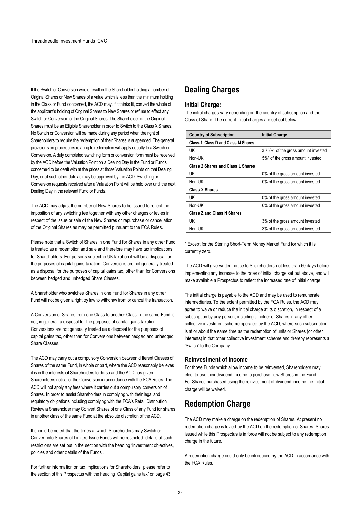If the Switch or Conversion would result in the Shareholder holding a number of Original Shares or New Shares of a value which is less than the minimum holding in the Class or Fund concerned, the ACD may, if it thinks fit, convert the whole of the applicant's holding of Original Shares to New Shares or refuse to effect any Switch or Conversion of the Original Shares. The Shareholder of the Original Shares must be an Eligible Shareholder in order to Switch to the Class X Shares. No Switch or Conversion will be made during any period when the right of Shareholders to require the redemption of their Shares is suspended. The general provisions on procedures relating to redemption will apply equally to a Switch or Conversion. A duly completed switching form or conversion form must be received by the ACD before the Valuation Point on a Dealing Day in the Fund or Funds concerned to be dealt with at the prices at those Valuation Points on that Dealing Day, or at such other date as may be approved by the ACD. Switching or Conversion requests received after a Valuation Point will be held over until the next Dealing Day in the relevant Fund or Funds.

The ACD may adjust the number of New Shares to be issued to reflect the imposition of any switching fee together with any other charges or levies in respect of the issue or sale of the New Shares or repurchase or cancellation of the Original Shares as may be permitted pursuant to the FCA Rules.

Please note that a Switch of Shares in one Fund for Shares in any other Fund is treated as a redemption and sale and therefore may have tax implications for Shareholders. For persons subject to UK taxation it will be a disposal for the purposes of capital gains taxation. Conversions are not generally treated as a disposal for the purposes of capital gains tax, other than for Conversions between hedged and unhedged Share Classes.

A Shareholder who switches Shares in one Fund for Shares in any other Fund will not be given a right by law to withdraw from or cancel the transaction.

A Conversion of Shares from one Class to another Class in the same Fund is not, in general, a disposal for the purposes of capital gains taxation. Conversions are not generally treated as a disposal for the purposes of capital gains tax, other than for Conversions between hedged and unhedged Share Classes.

The ACD may carry out a compulsory Conversion between different Classes of Shares of the same Fund, in whole or part, where the ACD reasonably believes it is in the interests of Shareholders to do so and the ACD has given Shareholders notice of the Conversion in accordance with the FCA Rules. The ACD will not apply any fees where it carries out a compulsory conversion of Shares. In order to assist Shareholders in complying with their legal and regulatory obligations including complying with the FCA's Retail Distribution Review a Shareholder may Convert Shares of one Class of any Fund for shares in another class of the same Fund at the absolute discretion of the ACD.

It should be noted that the times at which Shareholders may Switch or Convert into Shares of Limited Issue Funds will be restricted: details of such restrictions are set out in the section with the heading 'Investment objectives, policies and other details of the Funds'.

For further information on tax implications for Shareholders, please refer to the section of this Prospectus with the heading "Capital gains tax" on page 43.

# **Dealing Charges**

#### **Initial Charge:**

The initial charges vary depending on the country of subscription and the Class of Share. The current initial charges are set out below.

| <b>Country of Subscription</b>           | <b>Initial Charge</b>               |
|------------------------------------------|-------------------------------------|
| Class 1, Class D and Class M Shares      |                                     |
| UK                                       | 3.75%* of the gross amount invested |
| Non-UK                                   | 5%* of the gross amount invested    |
| <b>Class 2 Shares and Class L Shares</b> |                                     |
| UK                                       | 0% of the gross amount invested     |
| Non-UK                                   | 0% of the gross amount invested     |
| <b>Class X Shares</b>                    |                                     |
| UK                                       | 0% of the gross amount invested     |
| Non-UK                                   | 0% of the gross amount invested     |
| <b>Class Z and Class N Shares</b>        |                                     |
| UK                                       | 3% of the gross amount invested     |
| Non-UK                                   | 3% of the gross amount invested     |

\* Except for the Sterling Short-Term Money Market Fund for which it is currently zero.

The ACD will give written notice to Shareholders not less than 60 days before implementing any increase to the rates of initial charge set out above, and will make available a Prospectus to reflect the increased rate of initial charge.

The initial charge is payable to the ACD and may be used to remunerate intermediaries. To the extent permitted by the FCA Rules, the ACD may agree to waive or reduce the initial charge at its discretion, in respect of a subscription by any person, including a holder of Shares in any other collective investment scheme operated by the ACD, where such subscription is at or about the same time as the redemption of units or Shares (or other interests) in that other collective investment scheme and thereby represents a 'Switch' to the Company.

### **Reinvestment of Income**

For those Funds which allow income to be reinvested, Shareholders may elect to use their dividend income to purchase new Shares in the Fund. For Shares purchased using the reinvestment of dividend income the initial charge will be waived.

# **Redemption Charge**

The ACD may make a charge on the redemption of Shares. At present no redemption charge is levied by the ACD on the redemption of Shares. Shares issued while this Prospectus is in force will not be subject to any redemption charge in the future.

A redemption charge could only be introduced by the ACD in accordance with the FCA Rules.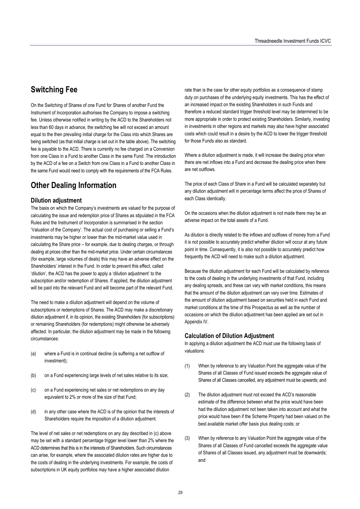# **Switching Fee**

On the Switching of Shares of one Fund for Shares of another Fund the Instrument of Incorporation authorises the Company to impose a switching fee. Unless otherwise notified in writing by the ACD to the Shareholders not less than 60 days in advance, the switching fee will not exceed an amount equal to the then prevailing initial charge for the Class into which Shares are being switched (as that initial charge is set out in the table above). The switching fee is payable to the ACD. There is currently no fee charged on a Conversion from one Class in a Fund to another Class in the same Fund. The introduction by the ACD of a fee on a Switch from one Class in a Fund to another Class in the same Fund would need to comply with the requirements of the FCA Rules.

# **Other Dealing Information**

### **Dilution adjustment**

The basis on which the Company's investments are valued for the purpose of calculating the issue and redemption price of Shares as stipulated in the FCA Rules and the Instrument of Incorporation is summarised in the section 'Valuation of the Company'. The actual cost of purchasing or selling a Fund's investments may be higher or lower than the mid-market value used in calculating the Share price – for example, due to dealing charges, or through dealing at prices other than the mid-market price. Under certain circumstances (for example, large volumes of deals) this may have an adverse effect on the Shareholders' interest in the Fund. In order to prevent this effect, called 'dilution', the ACD has the power to apply a 'dilution adjustment' to the subscription and/or redemption of Shares. If applied, the dilution adjustment will be paid into the relevant Fund and will become part of the relevant Fund.

The need to make a dilution adjustment will depend on the volume of subscriptions or redemptions of Shares. The ACD may make a discretionary dilution adjustment if, in its opinion, the existing Shareholders (for subscriptions) or remaining Shareholders (for redemptions) might otherwise be adversely affected. In particular, the dilution adjustment may be made in the following circumstances:

- (a) where a Fund is in continual decline (is suffering a net outflow of investment);
- (b) on a Fund experiencing large levels of net sales relative to its size;
- (c) on a Fund experiencing net sales or net redemptions on any day equivalent to 2% or more of the size of that Fund;
- (d) in any other case where the ACD is of the opinion that the interests of Shareholders require the imposition of a dilution adjustment.

The level of net sales or net redemptions on any day described in (c) above may be set with a standard percentage trigger level lower than 2% where the ACD determines that this is in the interests of Shareholders. Such circumstances can arise, for example, where the associated dilution rates are higher due to the costs of dealing in the underlying investments. For example, the costs of subscriptions in UK equity portfolios may have a higher associated dilution

rate than is the case for other equity portfolios as a consequence of stamp duty on purchases of the underlying equity investments. This has the effect of an increased impact on the existing Shareholders in such Funds and therefore a reduced standard trigger threshold level may be determined to be more appropriate in order to protect existing Shareholders. Similarly, investing in investments in other regions and markets may also have higher associated costs which could result in a desire by the ACD to lower the trigger threshold for those Funds also as standard.

Where a dilution adjustment is made, it will increase the dealing price when there are net inflows into a Fund and decrease the dealing price when there are net outflows.

The price of each Class of Share in a Fund will be calculated separately but any dilution adjustment will in percentage terms affect the price of Shares of each Class identically.

On the occasions when the dilution adjustment is not made there may be an adverse impact on the total assets of a Fund.

As dilution is directly related to the inflows and outflows of money from a Fund it is not possible to accurately predict whether dilution will occur at any future point in time. Consequently, it is also not possible to accurately predict how frequently the ACD will need to make such a dilution adjustment.

Because the dilution adjustment for each Fund will be calculated by reference to the costs of dealing in the underlying investments of that Fund, including any dealing spreads, and these can vary with market conditions, this means that the amount of the dilution adjustment can vary over time. Estimates of the amount of dilution adjustment based on securities held in each Fund and market conditions at the time of this Prospectus as well as the number of occasions on which the dilution adjustment has been applied are set out in Appendix IV.

### **Calculation of Dilution Adjustment**

In applying a dilution adjustment the ACD must use the following basis of valuations:

- (1) When by reference to any Valuation Point the aggregate value of the Shares of all Classes of Fund issued exceeds the aggregate value of Shares of all Classes cancelled, any adjustment must be upwards; and
- (2) The dilution adjustment must not exceed the ACD's reasonable estimate of the difference between what the price would have been had the dilution adjustment not been taken into account and what the price would have been if the Scheme Property had been valued on the best available market offer basis plus dealing costs; or
- (3) When by reference to any Valuation Point the aggregate value of the Shares of all Classes of Fund cancelled exceeds the aggregate value of Shares of all Classes issued, any adjustment must be downwards; and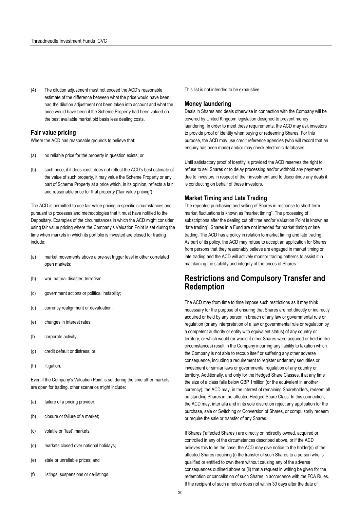(4) The dilution adjustment must not exceed the ACD's reasonable estimate of the difference between what the price would have been had the dilution adjustment not been taken into account and what the price would have been if the Scheme Property had been valued on the best available market bid basis less dealing costs.

### **Fair value pricing**

Where the ACD has reasonable grounds to believe that:

- (a) no reliable price for the property in question exists; or
- (b) such price, if it does exist, does not reflect the ACD's best estimate of the value of such property, it may value the Scheme Property or any part of Scheme Property at a price which, in its opinion, reflects a fair and reasonable price for that property ("fair value pricing").

The ACD is permitted to use fair value pricing in specific circumstances and pursuant to processes and methodologies that it must have notified to the Depositary. Examples of the circumstances in which the ACD might consider using fair value pricing where the Company's Valuation Point is set during the time when markets in which its portfolio is invested are closed for trading include:

- (a) market movements above a pre-set trigger level in other correlated open markets;
- (b) war, natural disaster, terrorism;
- (c) government actions or political instability;
- (d) currency realignment or devaluation;
- (e) changes in interest rates;
- (f) corporate activity;
- (g) credit default or distress; or
- (h) litigation.

Even if the Company's Valuation Point is set during the time other markets are open for trading, other scenarios might include:

- (a) failure of a pricing provider;
- (b) closure or failure of a market;
- (c) volatile or "fast" markets;
- (d) markets closed over national holidays;
- (e) stale or unreliable prices; and
- (f) listings, suspensions or de-listings.

This list is not intended to be exhaustive.

#### **Money laundering**

Deals in Shares and deals otherwise in connection with the Company will be covered by United Kingdom legislation designed to prevent money laundering. In order to meet these requirements, the ACD may ask investors to provide proof of identity when buying or redeeming Shares. For this purpose, the ACD may use credit reference agencies (who will record that an enquiry has been made) and/or may check electronic databases.

Until satisfactory proof of identity is provided the ACD reserves the right to refuse to sell Shares or to delay processing and/or withhold any payments due to investors in respect of their investment and to discontinue any deals it is conducting on behalf of these investors.

#### **Market Timing and Late Trading**

The repeated purchasing and selling of Shares in response to short-term market fluctuations is known as "market timing". The processing of subscriptions after the dealing cut off time and/or Valuation Point is known as "late trading". Shares in a Fund are not intended for market timing or late trading. The ACD has a policy in relation to market timing and late trading. As part of its policy, the ACD may refuse to accept an application for Shares from persons that they reasonably believe are engaged in market timing or late trading and the ACD will actively monitor trading patterns to assist it in maintaining the stability and integrity of the prices of Shares.

# **Restrictions and Compulsory Transfer and Redemption**

The ACD may from time to time impose such restrictions as it may think necessary for the purpose of ensuring that Shares are not directly or indirectly acquired or held by any person in breach of any law or governmental rule or regulation (or any interpretation of a law or governmental rule or regulation by a competent authority or entity with equivalent status) of any country or territory, or which would (or would if other Shares were acquired or held in like circumstances) result in the Company incurring any liability to taxation which the Company is not able to recoup itself or suffering any other adverse consequence, including a requirement to register under any securities or investment or similar laws or governmental regulation of any country or territory. Additionally, and only for the Hedged Share Classes, if at any time the size of a class falls below GBP 1million (or the equivalent in another currency), the ACD may, in the interest of remaining Shareholders, redeem all outstanding Shares in the affected Hedged Share Class. In this connection, the ACD may, inter alia and in its sole discretion reject any application for the purchase, sale or Switching or Conversion of Shares, or compulsorily redeem or require the sale or transfer of any Shares.

If Shares ('affected Shares') are directly or indirectly owned, acquired or controlled in any of the circumstances described above, or if the ACD believes this to be the case, the ACD may give notice to the holder(s) of the affected Shares requiring (i) the transfer of such Shares to a person who is qualified or entitled to own them without causing any of the adverse consequences outlined above or (ii) that a request in writing be given for the redemption or cancellation of such Shares in accordance with the FCA Rules. If the recipient of such a notice does not within 30 days after the date of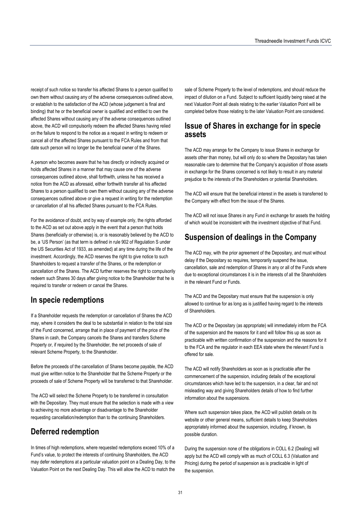receipt of such notice so transfer his affected Shares to a person qualified to own them without causing any of the adverse consequences outlined above, or establish to the satisfaction of the ACD (whose judgement is final and binding) that he or the beneficial owner is qualified and entitled to own the affected Shares without causing any of the adverse consequences outlined above, the ACD will compulsorily redeem the affected Shares having relied on the failure to respond to the notice as a request in writing to redeem or cancel all of the affected Shares pursuant to the FCA Rules and from that date such person will no longer be the beneficial owner of the Shares.

A person who becomes aware that he has directly or indirectly acquired or holds affected Shares in a manner that may cause one of the adverse consequences outlined above, shall forthwith, unless he has received a notice from the ACD as aforesaid, either forthwith transfer all his affected Shares to a person qualified to own them without causing any of the adverse consequences outlined above or give a request in writing for the redemption or cancellation of all his affected Shares pursuant to the FCA Rules.

For the avoidance of doubt, and by way of example only, the rights afforded to the ACD as set out above apply in the event that a person that holds Shares (beneficially or otherwise) is, or is reasonably believed by the ACD to be, a 'US Person' (as that term is defined in rule 902 of Regulation S under the US Securities Act of 1933, as amended) at any time during the life of the investment. Accordingly, the ACD reserves the right to give notice to such Shareholders to request a transfer of the Shares, or the redemption or cancellation of the Shares. The ACD further reserves the right to compulsorily redeem such Shares 30 days after giving notice to the Shareholder that he is required to transfer or redeem or cancel the Shares.

# **In specie redemptions**

If a Shareholder requests the redemption or cancellation of Shares the ACD may, where it considers the deal to be substantial in relation to the total size of the Fund concerned, arrange that in place of payment of the price of the Shares in cash, the Company cancels the Shares and transfers Scheme Property or, if required by the Shareholder, the net proceeds of sale of relevant Scheme Property, to the Shareholder.

Before the proceeds of the cancellation of Shares become payable, the ACD must give written notice to the Shareholder that the Scheme Property or the proceeds of sale of Scheme Property will be transferred to that Shareholder.

The ACD will select the Scheme Property to be transferred in consultation with the Depositary. They must ensure that the selection is made with a view to achieving no more advantage or disadvantage to the Shareholder requesting cancellation/redemption than to the continuing Shareholders.

# **Deferred redemption**

In times of high redemptions, where requested redemptions exceed 10% of a Fund's value, to protect the interests of continuing Shareholders, the ACD may defer redemptions at a particular valuation point on a Dealing Day, to the Valuation Point on the next Dealing Day. This will allow the ACD to match the

sale of Scheme Property to the level of redemptions, and should reduce the impact of dilution on a Fund. Subject to sufficient liquidity being raised at the next Valuation Point all deals relating to the earlier Valuation Point will be completed before those relating to the later Valuation Point are considered.

# **Issue of Shares in exchange for in specie assets**

The ACD may arrange for the Company to issue Shares in exchange for assets other than money, but will only do so where the Depositary has taken reasonable care to determine that the Company's acquisition of those assets in exchange for the Shares concerned is not likely to result in any material prejudice to the interests of the Shareholders or potential Shareholders.

The ACD will ensure that the beneficial interest in the assets is transferred to the Company with effect from the issue of the Shares.

The ACD will not issue Shares in any Fund in exchange for assets the holding of which would be inconsistent with the investment objective of that Fund.

# **Suspension of dealings in the Company**

The ACD may, with the prior agreement of the Depositary, and must without delay if the Depositary so requires, temporarily suspend the issue, cancellation, sale and redemption of Shares in any or all of the Funds where due to exceptional circumstances it is in the interests of all the Shareholders in the relevant Fund or Funds.

The ACD and the Depositary must ensure that the suspension is only allowed to continue for as long as is justified having regard to the interests of Shareholders.

The ACD or the Depositary (as appropriate) will immediately inform the FCA of the suspension and the reasons for it and will follow this up as soon as practicable with written confirmation of the suspension and the reasons for it to the FCA and the regulator in each EEA state where the relevant Fund is offered for sale.

The ACD will notify Shareholders as soon as is practicable after the commencement of the suspension, including details of the exceptional circumstances which have led to the suspension, in a clear, fair and not misleading way and giving Shareholders details of how to find further information about the suspensions.

Where such suspension takes place, the ACD will publish details on its website or other general means, sufficient details to keep Shareholders appropriately informed about the suspension, including, if known, its possible duration.

During the suspension none of the obligations in COLL 6.2 (Dealing) will apply but the ACD will comply with as much of COLL 6.3 (Valuation and Pricing) during the period of suspension as is practicable in light of the suspension.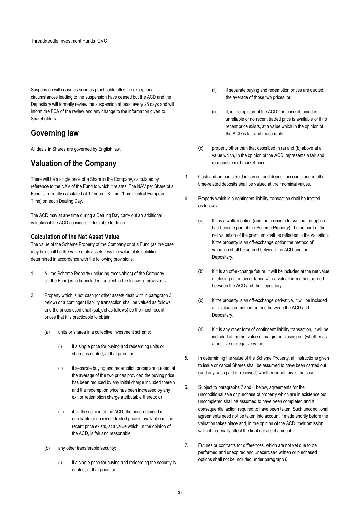Suspension will cease as soon as practicable after the exceptional circumstances leading to the suspension have ceased but the ACD and the Depositary will formally review the suspension at least every 28 days and will inform the FCA of the review and any change to the information given to Shareholders.

# **Governing law**

All deals in Shares are governed by English law.

# **Valuation of the Company**

There will be a single price of a Share in the Company, calculated by reference to the NAV of the Fund to which it relates. The NAV per Share of a Fund is currently calculated at 12 noon UK time (1 pm Central European Time) on each Dealing Day.

The ACD may at any time during a Dealing Day carry out an additional valuation if the ACD considers it desirable to do so.

### **Calculation of the Net Asset Value**

The value of the Scheme Property of the Company or of a Fund (as the case may be) shall be the value of its assets less the value of its liabilities determined in accordance with the following provisions:

- 1. All the Scheme Property (including receivables) of the Company (or the Fund) is to be included, subject to the following provisions.
- 2. Property which is not cash (or other assets dealt with in paragraph 3 below) or a contingent liability transaction shall be valued as follows and the prices used shall (subject as follows) be the most recent prices that it is practicable to obtain:
	- (a) units or shares in a collective investment scheme:
		- (i) if a single price for buying and redeeming units or shares is quoted, at that price; or
		- (ii) if separate buying and redemption prices are quoted, at the average of the two prices provided the buying price has been reduced by any initial charge included therein and the redemption price has been increased by any exit or redemption charge attributable thereto; or
		- (iii) if, in the opinion of the ACD, the price obtained is unreliable or no recent traded price is available or if no recent price exists, at a value which, in the opinion of the ACD, is fair and reasonable;
	- (b) any other transferable security:
		- (i) if a single price for buying and redeeming the security is quoted, at that price; or
- (ii) if separate buying and redemption prices are quoted, the average of those two prices; or
- (iii) if, in the opinion of the ACD, the price obtained is unreliable or no recent traded price is available or if no recent price exists, at a value which in the opinion of the ACD is fair and reasonable;
- (c) property other than that described in (a) and (b) above at a value which, in the opinion of the ACD, represents a fair and reasonable mid-market price.
- 3. Cash and amounts held in current and deposit accounts and in other time-related deposits shall be valued at their nominal values.
- 4. Property which is a contingent liability transaction shall be treated as follows:
	- (a) If it is a written option (and the premium for writing the option has become part of the Scheme Property), the amount of the net valuation of the premium shall be reflected in the valuation. If the property is an off-exchange option the method of valuation shall be agreed between the ACD and the Depositary.
	- (b) If it is an off-exchange future, it will be included at the net value of closing out in accordance with a valuation method agreed between the ACD and the Depositary.
	- (c) If the property is an off-exchange derivative, it will be included at a valuation method agreed between the ACD and Depositary.
	- (d) If it is any other form of contingent liability transaction, it will be included at the net value of margin on closing out (whether as a positive or negative value).
- 5. In determining the value of the Scheme Property, all instructions given to issue or cancel Shares shall be assumed to have been carried out (and any cash paid or received) whether or not this is the case.
- 6. Subject to paragraphs 7 and 8 below, agreements for the unconditional sale or purchase of property which are in existence but uncompleted shall be assumed to have been completed and all consequential action required to have been taken. Such unconditional agreements need not be taken into account if made shortly before the valuation takes place and, in the opinion of the ACD, their omission will not materially affect the final net asset amount.
- 7. Futures or contracts for differences, which are not yet due to be performed and unexpired and unexercised written or purchased options shall not be included under paragraph 6.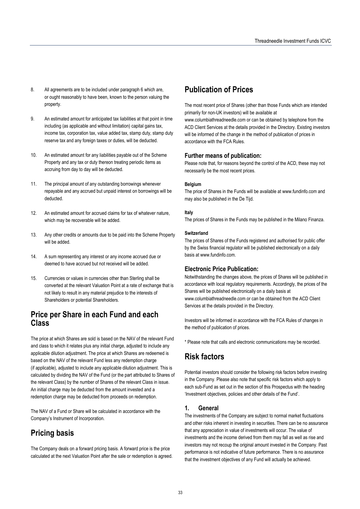- 8. All agreements are to be included under paragraph 6 which are, or ought reasonably to have been, known to the person valuing the property.
- 9. An estimated amount for anticipated tax liabilities at that point in time including (as applicable and without limitation) capital gains tax, income tax, corporation tax, value added tax, stamp duty, stamp duty reserve tax and any foreign taxes or duties, will be deducted.
- 10. An estimated amount for any liabilities payable out of the Scheme Property and any tax or duty thereon treating periodic items as accruing from day to day will be deducted.
- 11. The principal amount of any outstanding borrowings whenever repayable and any accrued but unpaid interest on borrowings will be deducted.
- 12. An estimated amount for accrued claims for tax of whatever nature, which may be recoverable will be added.
- 13. Any other credits or amounts due to be paid into the Scheme Property will be added.
- 14. A sum representing any interest or any income accrued due or deemed to have accrued but not received will be added.
- 15. Currencies or values in currencies other than Sterling shall be converted at the relevant Valuation Point at a rate of exchange that is not likely to result in any material prejudice to the interests of Shareholders or potential Shareholders.

# **Price per Share in each Fund and each Class**

The price at which Shares are sold is based on the NAV of the relevant Fund and class to which it relates plus any initial charge, adjusted to include any applicable dilution adjustment. The price at which Shares are redeemed is based on the NAV of the relevant Fund less any redemption charge (if applicable), adjusted to include any applicable dilution adjustment. This is calculated by dividing the NAV of the Fund (or the part attributed to Shares of the relevant Class) by the number of Shares of the relevant Class in issue. An initial charge may be deducted from the amount invested and a redemption charge may be deducted from proceeds on redemption.

The NAV of a Fund or Share will be calculated in accordance with the Company's Instrument of Incorporation.

# **Pricing basis**

The Company deals on a forward pricing basis. A forward price is the price calculated at the next Valuation Point after the sale or redemption is agreed.

# **Publication of Prices**

The most recent price of Shares (other than those Funds which are intended primarily for non-UK investors) will be available at

www.columbiathreadneedle.com or can be obtained by telephone from the ACD Client Services at the details provided in the Directory. Existing investors will be informed of the change in the method of publication of prices in accordance with the FCA Rules.

## **Further means of publication:**

Please note that, for reasons beyond the control of the ACD, these may not necessarily be the most recent prices.

#### **Belgium**

The price of Shares in the Funds will be available at www.fundinfo.com and may also be published in the De Tijd.

#### **Italy**

The prices of Shares in the Funds may be published in the Milano Finanza.

#### **Switzerland**

The prices of Shares of the Funds registered and authorised for public offer by the Swiss financial regulator will be published electronically on a daily basis at www.fundinfo.com.

# **Electronic Price Publication:**

Notwithstanding the changes above, the prices of Shares will be published in accordance with local regulatory requirements. Accordingly, the prices of the Shares will be published electronically on a daily basis at www.columbiathreadneedle.com or can be obtained from the ACD Client Services at the details provided in the Directory.

Investors will be informed in accordance with the FCA Rules of changes in the method of publication of prices.

\* Please note that calls and electronic communications may be recorded.

# **Risk factors**

Potential investors should consider the following risk factors before investing in the Company. Please also note that specific risk factors which apply to each sub-Fund as set out in the section of this Prospectus with the heading 'Investment objectives, policies and other details of the Fund'.

## **1. General**

The investments of the Company are subject to normal market fluctuations and other risks inherent in investing in securities. There can be no assurance that any appreciation in value of investments will occur. The value of investments and the income derived from them may fall as well as rise and investors may not recoup the original amount invested in the Company. Past performance is not indicative of future performance. There is no assurance that the investment objectives of any Fund will actually be achieved.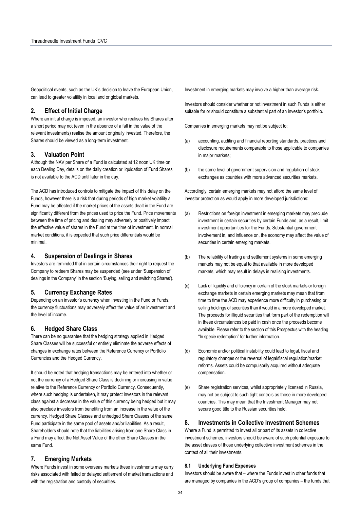Geopolitical events, such as the UK's decision to leave the European Union, can lead to greater volatility in local and or global markets.

### **2. Effect of Initial Charge**

Where an initial charge is imposed, an investor who realises his Shares after a short period may not (even in the absence of a fall in the value of the relevant investments) realise the amount originally invested. Therefore, the Shares should be viewed as a long-term investment.

#### **3. Valuation Point**

Although the NAV per Share of a Fund is calculated at 12 noon UK time on each Dealing Day, details on the daily creation or liquidation of Fund Shares is not available to the ACD until later in the day.

The ACD has introduced controls to mitigate the impact of this delay on the Funds, however there is a risk that during periods of high market volatility a Fund may be affected if the market prices of the assets dealt in the Fund are significantly different from the prices used to price the Fund. Price movements between the time of pricing and dealing may adversely or positively impact the effective value of shares in the Fund at the time of investment. In normal market conditions, it is expected that such price differentials would be minimal.

### **4. Suspension of Dealings in Shares**

Investors are reminded that in certain circumstances their right to request the Company to redeem Shares may be suspended (see under 'Suspension of dealings in the Company' in the section 'Buying, selling and switching Shares').

#### **5. Currency Exchange Rates**

Depending on an investor's currency when investing in the Fund or Funds, the currency fluctuations may adversely affect the value of an investment and the level of income.

#### **6. Hedged Share Class**

There can be no guarantee that the hedging strategy applied in Hedged Share Classes will be successful or entirely eliminate the adverse effects of changes in exchange rates between the Reference Currency or Portfolio Currencies and the Hedged Currency.

It should be noted that hedging transactions may be entered into whether or not the currency of a Hedged Share Class is declining or increasing in value relative to the Reference Currency or Portfolio Currency. Consequently, where such hedging is undertaken, it may protect investors in the relevant class against a decrease in the value of this currency being hedged but it may also preclude investors from benefiting from an increase in the value of the currency. Hedged Share Classes and unhedged Share Classes of the same Fund participate in the same pool of assets and/or liabilities. As a result, Shareholders should note that the liabilities arising from one Share Class in a Fund may affect the Net Asset Value of the other Share Classes in the same Fund.

#### **7. Emerging Markets**

Where Funds invest in some overseas markets these investments may carry risks associated with failed or delayed settlement of market transactions and with the registration and custody of securities.

Investment in emerging markets may involve a higher than average risk.

Investors should consider whether or not investment in such Funds is either suitable for or should constitute a substantial part of an investor's portfolio.

Companies in emerging markets may not be subject to:

- (a) accounting, auditing and financial reporting standards, practices and disclosure requirements comparable to those applicable to companies in major markets;
- (b) the same level of government supervision and regulation of stock exchanges as countries with more advanced securities markets.

Accordingly, certain emerging markets may not afford the same level of investor protection as would apply in more developed jurisdictions:

- (a) Restrictions on foreign investment in emerging markets may preclude investment in certain securities by certain Funds and, as a result, limit investment opportunities for the Funds. Substantial government involvement in, and influence on, the economy may affect the value of securities in certain emerging markets.
- (b) The reliability of trading and settlement systems in some emerging markets may not be equal to that available in more developed markets, which may result in delays in realising investments.
- (c) Lack of liquidity and efficiency in certain of the stock markets or foreign exchange markets in certain emerging markets may mean that from time to time the ACD may experience more difficulty in purchasing or selling holdings of securities than it would in a more developed market. The proceeds for illiquid securities that form part of the redemption will in these circumstances be paid in cash once the proceeds become available. Please refer to the section of this Prospectus with the heading "In specie redemption" for further information.
- (d) Economic and/or political instability could lead to legal, fiscal and regulatory changes or the reversal of legal/fiscal regulation/market reforms. Assets could be compulsorily acquired without adequate compensation.
- (e) Share registration services, whilst appropriately licensed in Russia, may not be subject to such tight controls as those in more developed countries. This may mean that the Investment Manager may not secure good title to the Russian securities held.

#### **8. Investments in Collective Investment Schemes**

Where a Fund is permitted to invest all or part of its assets in collective investment schemes, investors should be aware of such potential exposure to the asset classes of those underlying collective investment schemes in the context of all their investments.

#### **8.1 Underlying Fund Expenses**

Investors should be aware that – where the Funds invest in other funds that are managed by companies in the ACD's group of companies – the funds that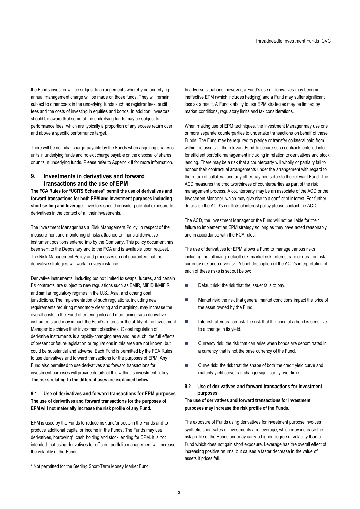the Funds invest in will be subject to arrangements whereby no underlying annual management charge will be made on those funds. They will remain subject to other costs in the underlying funds such as registrar fees, audit fees and the costs of investing in equities and bonds. In addition, investors should be aware that some of the underlying funds may be subject to performance fees, which are typically a proportion of any excess return over and above a specific performance target.

There will be no initial charge payable by the Funds when acquiring shares or units in underlying funds and no exit charge payable on the disposal of shares or units in underlying funds. Please refer to Appendix II for more information.

#### **9. Investments in derivatives and forward transactions and the use of EPM**

**The FCA Rules for "UCITS Schemes" permit the use of derivatives and forward transactions for both EPM and investment purposes including short selling and leverage.** Investors should consider potential exposure to derivatives in the context of all their investments.

The Investment Manager has a 'Risk Management Policy' in respect of the measurement and monitoring of risks attached to financial derivative instrument positions entered into by the Company. This policy document has been sent to the Depositary and to the FCA and is available upon request. The Risk Management Policy and processes do not guarantee that the derivative strategies will work in every instance.

Derivative instruments, including but not limited to swaps, futures, and certain FX contracts, are subject to new regulations such as EMIR, MiFID II/MiFIR and similar regulatory regimes in the U.S., Asia, and other global jurisdictions. The implementation of such regulations, including new requirements requiring mandatory clearing and margining, may increase the overall costs to the Fund of entering into and maintaining such derivative instruments and may impact the Fund's returns or the ability of the Investment Manager to achieve their investment objectives. Global regulation of derivative instruments is a rapidly-changing area and, as such, the full effects of present or future legislation or regulations in this area are not known, but could be substantial and adverse. Each Fund is permitted by the FCA Rules to use derivatives and forward transactions for the purposes of EPM. Any Fund also permitted to use derivatives and forward transactions for investment purposes will provide details of this within its investment policy. **The risks relating to the different uses are explained below.** 

### **9.1 Use of derivatives and forward transactions for EPM purposes The use of derivatives and forward transactions for the purposes of EPM will not materially increase the risk profile of any Fund.**

EPM is used by the Funds to reduce risk and/or costs in the Funds and to produce additional capital or income in the Funds. The Funds may use derivatives, borrowing\*, cash holding and stock lending for EPM. It is not intended that using derivatives for efficient portfolio management will increase the volatility of the Funds.

\* Not permitted for the Sterling Short-Term Money Market Fund

In adverse situations, however, a Fund's use of derivatives may become ineffective EPM (which includes hedging) and a Fund may suffer significant loss as a result. A Fund's ability to use EPM strategies may be limited by market conditions, regulatory limits and tax considerations.

When making use of EPM techniques, the Investment Manager may use one or more separate counterparties to undertake transactions on behalf of these Funds. The Fund may be required to pledge or transfer collateral paid from within the assets of the relevant Fund to secure such contracts entered into for efficient portfolio management including in relation to derivatives and stock lending. There may be a risk that a counterparty will wholly or partially fail to honour their contractual arrangements under the arrangement with regard to the return of collateral and any other payments due to the relevant Fund. The ACD measures the creditworthiness of counterparties as part of the risk management process. A counterparty may be an associate of the ACD or the Investment Manager, which may give rise to a conflict of interest. For further details on the ACD's conflicts of interest policy please contact the ACD.

The ACD, the Investment Manager or the Fund will not be liable for their failure to implement an EPM strategy so long as they have acted reasonably and in accordance with the FCA rules.

The use of derivatives for EPM allows a Fund to manage various risks including the following: default risk, market risk, interest rate or duration risk, currency risk and curve risk. A brief description of the ACD's interpretation of each of these risks is set out below:

- Default risk: the risk that the issuer fails to pay.
- **Market risk: the risk that general market conditions impact the price of** the asset owned by the Fund.
- $\blacksquare$  Interest rate/duration risk: the risk that the price of a bond is sensitive to a change in its yield.
- Currency risk: the risk that can arise when bonds are denominated in a currency that is not the base currency of the Fund.
- Curve risk: the risk that the shape of both the credit yield curve and maturity yield curve can change significantly over time.

#### **9.2 Use of derivatives and forward transactions for investment purposes**

### **The use of derivatives and forward transactions for investment purposes may increase the risk profile of the Funds.**

The exposure of Funds using derivatives for investment purpose involves synthetic short sales of investments and leverage, which may increase the risk profile of the Funds and may carry a higher degree of volatility than a Fund which does not gain short exposure. Leverage has the overall effect of increasing positive returns, but causes a faster decrease in the value of assets if prices fall.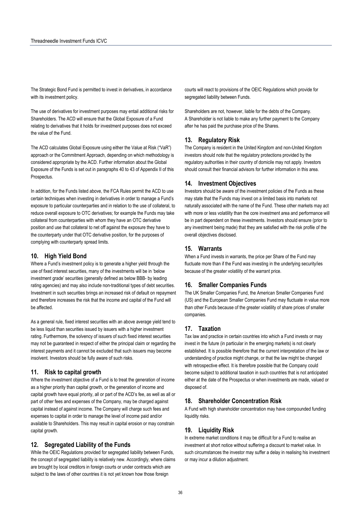The Strategic Bond Fund is permitted to invest in derivatives, in accordance with its investment policy.

The use of derivatives for investment purposes may entail additional risks for Shareholders. The ACD will ensure that the Global Exposure of a Fund relating to derivatives that it holds for investment purposes does not exceed the value of the Fund.

The ACD calculates Global Exposure using either the Value at Risk ("VaR") approach or the Commitment Approach, depending on which methodology is considered appropriate by the ACD. Further information about the Global Exposure of the Funds is set out in paragraphs 40 to 43 of Appendix II of this Prospectus.

In addition, for the Funds listed above, the FCA Rules permit the ACD to use certain techniques when investing in derivatives in order to manage a Fund's exposure to particular counterparties and in relation to the use of collateral, to reduce overall exposure to OTC derivatives; for example the Funds may take collateral from counterparties with whom they have an OTC derivative position and use that collateral to net off against the exposure they have to the counterparty under that OTC derivative position, for the purposes of complying with counterparty spread limits.

## **10. High Yield Bond**

Where a Fund's investment policy is to generate a higher yield through the use of fixed interest securities, many of the investments will be in 'below investment grade' securities (generally defined as below BBB- by leading rating agencies) and may also include non-traditional types of debt securities. Investment in such securities brings an increased risk of default on repayment and therefore increases the risk that the income and capital of the Fund will be affected.

As a general rule, fixed interest securities with an above average yield tend to be less liquid than securities issued by issuers with a higher investment rating. Furthermore, the solvency of issuers of such fixed interest securities may not be guaranteed in respect of either the principal claim or regarding the interest payments and it cannot be excluded that such issuers may become insolvent. Investors should be fully aware of such risks.

## **11. Risk to capital growth**

Where the investment objective of a Fund is to treat the generation of income as a higher priority than capital growth, or the generation of income and capital growth have equal priority, all or part of the ACD's fee, as well as all or part of other fees and expenses of the Company, may be charged against capital instead of against income. The Company will charge such fees and expenses to capital in order to manage the level of income paid and/or available to Shareholders. This may result in capital erosion or may constrain capital growth.

#### **12. Segregated Liability of the Funds**

While the OEIC Regulations provided for segregated liability between Funds, the concept of segregated liability is relatively new. Accordingly, where claims are brought by local creditors in foreign courts or under contracts which are subject to the laws of other countries it is not yet known how those foreign

courts will react to provisions of the OEIC Regulations which provide for segregated liability between Funds.

Shareholders are not, however, liable for the debts of the Company. A Shareholder is not liable to make any further payment to the Company after he has paid the purchase price of the Shares.

### **13. Regulatory Risk**

The Company is resident in the United Kingdom and non-United Kingdom investors should note that the regulatory protections provided by the regulatory authorities in their country of domicile may not apply. Investors should consult their financial advisors for further information in this area.

## **14. Investment Objectives**

Investors should be aware of the investment policies of the Funds as these may state that the Funds may invest on a limited basis into markets not naturally associated with the name of the Fund. These other markets may act with more or less volatility than the core investment area and performance will be in part dependent on these investments. Investors should ensure (prior to any investment being made) that they are satisfied with the risk profile of the overall objectives disclosed.

## **15. Warrants**

When a Fund invests in warrants, the price per Share of the Fund may fluctuate more than if the Fund was investing in the underlying security/ies because of the greater volatility of the warrant price.

## **16. Smaller Companies Funds**

The UK Smaller Companies Fund, the American Smaller Companies Fund (US) and the European Smaller Companies Fund may fluctuate in value more than other Funds because of the greater volatility of share prices of smaller companies.

#### **17. Taxation**

Tax law and practice in certain countries into which a Fund invests or may invest in the future (in particular in the emerging markets) is not clearly established. It is possible therefore that the current interpretation of the law or understanding of practice might change, or that the law might be changed with retrospective effect. It is therefore possible that the Company could become subject to additional taxation in such countries that is not anticipated either at the date of the Prospectus or when investments are made, valued or disposed of.

## **18. Shareholder Concentration Risk**

A Fund with high shareholder concentration may have compounded funding liquidity risks.

#### **19. Liquidity Risk**

In extreme market conditions it may be difficult for a Fund to realise an investment at short notice without suffering a discount to market value. In such circumstances the investor may suffer a delay in realising his investment or may incur a dilution adjustment.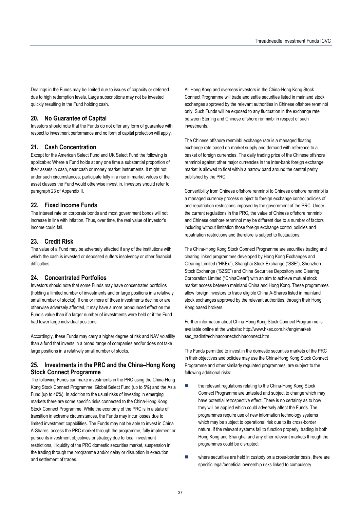Dealings in the Funds may be limited due to issues of capacity or deferred due to high redemption levels. Large subscriptions may not be invested quickly resulting in the Fund holding cash.

## **20. No Guarantee of Capital**

Investors should note that the Funds do not offer any form of guarantee with respect to investment performance and no form of capital protection will apply.

## **21. Cash Concentration**

Except for the American Select Fund and UK Select Fund the following is applicable: Where a Fund holds at any one time a substantial proportion of their assets in cash, near cash or money market instruments, it might not, under such circumstances, participate fully in a rise in market values of the asset classes the Fund would otherwise invest in. Investors should refer to paragraph 23 of Appendix II.

## **22. Fixed Income Funds**

The interest rate on corporate bonds and most government bonds will not increase in line with inflation. Thus, over time, the real value of investor's income could fall.

## **23. Credit Risk**

The value of a Fund may be adversely affected if any of the institutions with which the cash is invested or deposited suffers insolvency or other financial difficulties.

## **24. Concentrated Portfolios**

Investors should note that some Funds may have concentrated portfolios (holding a limited number of investments and or large positions in a relatively small number of stocks). If one or more of those investments decline or are otherwise adversely affected, it may have a more pronounced effect on the Fund's value than if a larger number of investments were held or if the Fund had fewer large individual positions.

Accordingly, these Funds may carry a higher degree of risk and NAV volatility than a fund that invests in a broad range of companies and/or does not take large positions in a relatively small number of stocks.

## **25. Investments in the PRC and the China–Hong Kong Stock Connect Programme**

The following Funds can make investments in the PRC using the China-Hong Kong Stock Connect Programme: Global Select Fund (up to 5%) and the Asia Fund (up to 40%). In addition to the usual risks of investing in emerging markets there are some specific risks connected to the China-Hong Kong Stock Connect Programme. While the economy of the PRC is in a state of transition in extreme circumstances, the Funds may incur losses due to limited investment capabilities. The Funds may not be able to invest in China A-Shares, access the PRC market through the programme, fully implement or pursue its investment objectives or strategy due to local investment restrictions, illiquidity of the PRC domestic securities market, suspension in the trading through the programme and/or delay or disruption in execution and settlement of trades.

All Hong Kong and overseas investors in the China-Hong Kong Stock Connect Programme will trade and settle securities listed in mainland stock exchanges approved by the relevant authorities in Chinese offshore renminbi only. Such Funds will be exposed to any fluctuation in the exchange rate between Sterling and Chinese offshore renminbi in respect of such investments.

The Chinese offshore renminbi exchange rate is a managed floating exchange rate based on market supply and demand with reference to a basket of foreign currencies. The daily trading price of the Chinese offshore renminbi against other major currencies in the inter-bank foreign exchange market is allowed to float within a narrow band around the central parity published by the PRC.

Convertibility from Chinese offshore renminbi to Chinese onshore renminbi is a managed currency process subject to foreign exchange control policies of and repatriation restrictions imposed by the government of the PRC. Under the current regulations in the PRC, the value of Chinese offshore renminbi and Chinese onshore renminbi may be different due to a number of factors including without limitation those foreign exchange control policies and repatriation restrictions and therefore is subject to fluctuations.

The China-Hong Kong Stock Connect Programme are securities trading and clearing linked programmes developed by Hong Kong Exchanges and Clearing Limited ("HKEx"), Shanghai Stock Exchange ("SSE"), Shenzhen Stock Exchange ("SZSE") and China Securities Depository and Clearing Corporation Limited ("ChinaClear") with an aim to achieve mutual stock market access between mainland China and Hong Kong. These programmes allow foreign investors to trade eligible China A-Shares listed in mainland stock exchanges approved by the relevant authorities, through their Hong Kong based brokers.

Further information about China-Hong Kong Stock Connect Programme is available online at the website: http://www.hkex.com.hk/eng/market/ sec\_tradinfra/chinaconnect/chinaconnect.htm

The Funds permitted to invest in the domestic securities markets of the PRC in their objectives and policies may use the China-Hong Kong Stock Connect Programme and other similarly regulated programmes, are subject to the following additional risks:

- the relevant regulations relating to the China-Hong Kong Stock Connect Programme are untested and subject to change which may have potential retrospective effect. There is no certainty as to how they will be applied which could adversely affect the Funds. The programmes require use of new information technology systems which may be subject to operational risk due to its cross-border nature. If the relevant systems fail to function properly, trading in both Hong Kong and Shanghai and any other relevant markets through the programmes could be disrupted;
- **Now there securities are held in custody on a cross-border basis, there are** specific legal/beneficial ownership risks linked to compulsory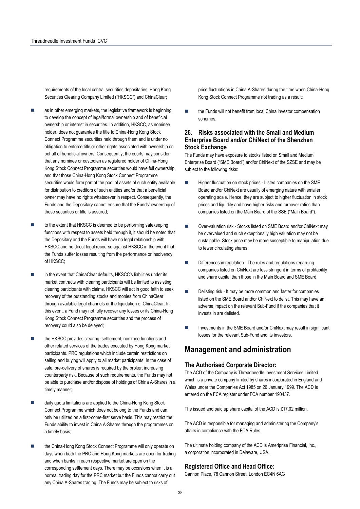requirements of the local central securities depositaries, Hong Kong Securities Clearing Company Limited ("HKSCC") and ChinaClear;

- as in other emerging markets, the legislative framework is beginning to develop the concept of legal/formal ownership and of beneficial ownership or interest in securities. In addition, HKSCC, as nominee holder, does not guarantee the title to China-Hong Kong Stock Connect Programme securities held through them and is under no obligation to enforce title or other rights associated with ownership on behalf of beneficial owners. Consequently, the courts may consider that any nominee or custodian as registered holder of China-Hong Kong Stock Connect Programme securities would have full ownership, and that those China-Hong Kong Stock Connect Programme securities would form part of the pool of assets of such entity available for distribution to creditors of such entities and/or that a beneficial owner may have no rights whatsoever in respect. Consequently, the Funds and the Depositary cannot ensure that the Funds' ownership of these securities or title is assured;
- to the extent that HKSCC is deemed to be performing safekeeping functions with respect to assets held through it, it should be noted that the Depositary and the Funds will have no legal relationship with HKSCC and no direct legal recourse against HKSCC in the event that the Funds suffer losses resulting from the performance or insolvency of HKSCC;
- in the event that ChinaClear defaults, HKSCC's liabilities under its market contracts with clearing participants will be limited to assisting clearing participants with claims. HKSCC will act in good faith to seek recovery of the outstanding stocks and monies from ChinaClear through available legal channels or the liquidation of ChinaClear. In this event, a Fund may not fully recover any losses or its China-Hong Kong Stock Connect Programme securities and the process of recovery could also be delayed;
- the HKSCC provides clearing, settlement, nominee functions and other related services of the trades executed by Hong Kong market participants. PRC regulations which include certain restrictions on selling and buying will apply to all market participants. In the case of sale, pre-delivery of shares is required by the broker, increasing counterparty risk. Because of such requirements, the Funds may not be able to purchase and/or dispose of holdings of China A-Shares in a timely manner;
- daily quota limitations are applied to the China-Hong Kong Stock Connect Programme which does not belong to the Funds and can only be utilized on a first-come-first serve basis. This may restrict the Funds ability to invest in China A-Shares through the programmes on a timely basis;
- the China-Hong Kong Stock Connect Programme will only operate on days when both the PRC and Hong Kong markets are open for trading and when banks in each respective market are open on the corresponding settlement days. There may be occasions when it is a normal trading day for the PRC market but the Funds cannot carry out any China A-Shares trading. The Funds may be subject to risks of

price fluctuations in China A-Shares during the time when China-Hong Kong Stock Connect Programme not trading as a result;

■ the Funds will not benefit from local China investor compensation schemes.

## **26. Risks associated with the Small and Medium Enterprise Board and/or ChiNext of the Shenzhen Stock Exchange**

The Funds may have exposure to stocks listed on Small and Medium Enterprise Board ("SME Board") and/or ChiNext of the SZSE and may be subject to the following risks:

- Higher fluctuation on stock prices Listed companies on the SME Board and/or ChiNext are usually of emerging nature with smaller operating scale. Hence, they are subject to higher fluctuation in stock prices and liquidity and have higher risks and turnover ratios than companies listed on the Main Board of the SSE ("Main Board").
- Over-valuation risk Stocks listed on SME Board and/or ChiNext may be overvalued and such exceptionally high valuation may not be sustainable. Stock price may be more susceptible to manipulation due to fewer circulating shares.
- Differences in regulation The rules and regulations regarding companies listed on ChiNext are less stringent in terms of profitability and share capital than those in the Main Board and SME Board.
- Delisting risk It may be more common and faster for companies listed on the SME Board and/or ChiNext to delist. This may have an adverse impact on the relevant Sub-Fund if the companies that it invests in are delisted.
- $\blacksquare$  Investments in the SME Board and/or ChiNext may result in significant losses for the relevant Sub-Fund and its investors.

## **Management and administration**

## **The Authorised Corporate Director:**

The ACD of the Company is Threadneedle Investment Services Limited which is a private company limited by shares incorporated in England and Wales under the Companies Act 1985 on 26 January 1999. The ACD is entered on the FCA register under FCA number 190437.

The issued and paid up share capital of the ACD is £17.02 million.

The ACD is responsible for managing and administering the Company's affairs in compliance with the FCA Rules.

The ultimate holding company of the ACD is Ameriprise Financial, Inc., a corporation incorporated in Delaware, USA.

#### **Registered Office and Head Office:**

Cannon Place, 78 Cannon Street, London EC4N 6AG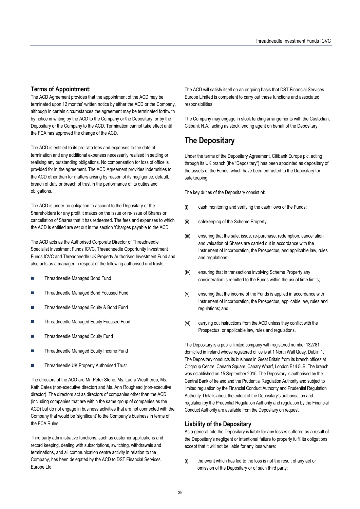## **Terms of Appointment:**

The ACD Agreement provides that the appointment of the ACD may be terminated upon 12 months' written notice by either the ACD or the Company, although in certain circumstances the agreement may be terminated forthwith by notice in writing by the ACD to the Company or the Depositary, or by the Depositary or the Company to the ACD. Termination cannot take effect until the FCA has approved the change of the ACD.

The ACD is entitled to its pro rata fees and expenses to the date of termination and any additional expenses necessarily realised in settling or realising any outstanding obligations. No compensation for loss of office is provided for in the agreement. The ACD Agreement provides indemnities to the ACD other than for matters arising by reason of its negligence, default, breach of duty or breach of trust in the performance of its duties and obligations.

The ACD is under no obligation to account to the Depositary or the Shareholders for any profit it makes on the issue or re-issue of Shares or cancellation of Shares that it has redeemed. The fees and expenses to which the ACD is entitled are set out in the section 'Charges payable to the ACD'.

The ACD acts as the Authorised Corporate Director of Threadneedle Specialist Investment Funds ICVC, Threadneedle Opportunity Investment Funds ICVC and Threadneedle UK Property Authorised Investment Fund and also acts as a manager in respect of the following authorised unit trusts:

- Threadneedle Managed Bond Fund
- Threadneedle Managed Bond Focused Fund
- Threadneedle Managed Equity & Bond Fund
- Threadneedle Managed Equity Focused Fund
- Threadneedle Managed Equity Fund
- Threadneedle Managed Equity Income Fund
- Threadneedle UK Property Authorised Trust

The directors of the ACD are Mr. Peter Stone, Ms. Laura Weatherup, Ms. Kath Cates (non-executive director) and Ms. Ann Roughead (non-executive director). The directors act as directors of companies other than the ACD (including companies that are within the same group of companies as the ACD) but do not engage in business activities that are not connected with the Company that would be 'significant' to the Company's business in terms of the FCA Rules.

Third party administrative functions, such as customer applications and record keeping, dealing with subscriptions, switching, withdrawals and terminations, and all communication centre activity in relation to the Company, has been delegated by the ACD to DST Financial Services Europe Ltd.

The ACD will satisfy itself on an ongoing basis that DST Financial Services Europe Limited is competent to carry out these functions and associated responsibilities.

The Company may engage in stock lending arrangements with the Custodian, Citibank N.A., acting as stock lending agent on behalf of the Depositary.

# **The Depositary**

Under the terms of the Depositary Agreement, Citibank Europe plc, acting through its UK branch (the "Depositary") has been appointed as depositary of the assets of the Funds, which have been entrusted to the Depositary for safekeeping.

The key duties of the Depositary consist of:

- (i) cash monitoring and verifying the cash flows of the Funds;
- (ii) safekeeping of the Scheme Property;
- (iii) ensuring that the sale, issue, re-purchase, redemption, cancellation and valuation of Shares are carried out in accordance with the Instrument of Incorporation, the Prospectus, and applicable law, rules and regulations;
- (iv) ensuring that in transactions involving Scheme Property any consideration is remitted to the Funds within the usual time limits;
- (v) ensuring that the income of the Funds is applied in accordance with Instrument of Incorporation, the Prospectus, applicable law, rules and regulations; and
- (vi) carrying out instructions from the ACD unless they conflict with the Prospectus, or applicable law, rules and regulations.

The Depositary is a public limited company with registered number 132781 domiciled in Ireland whose registered office is at 1 North Wall Quay, Dublin 1. The Depositary conducts its business in Great Britain from its branch offices at Citigroup Centre, Canada Square, Canary Wharf, London E14 5LB. The branch was established on 15 September 2015. The Depositary is authorised by the Central Bank of Ireland and the Prudential Regulation Authority and subject to limited regulation by the Financial Conduct Authority and Prudential Regulation Authority. Details about the extent of the Depositary's authorisation and regulation by the Prudential Regulation Authority and regulation by the Financial Conduct Authority are available from the Depositary on request.

## **Liability of the Depositary**

As a general rule the Depositary is liable for any losses suffered as a result of the Depositary's negligent or intentional failure to properly fulfil its obligations except that it will not be liable for any loss where:

(i) the event which has led to the loss is not the result of any act or omission of the Depositary or of such third party;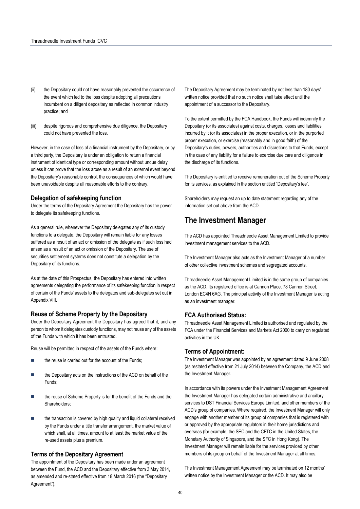- (ii) the Depositary could not have reasonably prevented the occurrence of the event which led to the loss despite adopting all precautions incumbent on a diligent depositary as reflected in common industry practice; and
- (iii) despite rigorous and comprehensive due diligence, the Depositary could not have prevented the loss.

However, in the case of loss of a financial instrument by the Depositary, or by a third party, the Depositary is under an obligation to return a financial instrument of identical type or corresponding amount without undue delay unless it can prove that the loss arose as a result of an external event beyond the Depositary's reasonable control, the consequences of which would have been unavoidable despite all reasonable efforts to the contrary.

### **Delegation of safekeeping function**

Under the terms of the Depositary Agreement the Depositary has the power to delegate its safekeeping functions.

As a general rule, whenever the Depositary delegates any of its custody functions to a delegate, the Depositary will remain liable for any losses suffered as a result of an act or omission of the delegate as if such loss had arisen as a result of an act or omission of the Depositary. The use of securities settlement systems does not constitute a delegation by the Depositary of its functions.

As at the date of this Prospectus, the Depositary has entered into written agreements delegating the performance of its safekeeping function in respect of certain of the Funds' assets to the delegates and sub-delegates set out in Appendix VIII.

## **Reuse of Scheme Property by the Depositary**

Under the Depositary Agreement the Depositary has agreed that it, and any person to whom it delegates custody functions, may not reuse any of the assets of the Funds with which it has been entrusted.

Reuse will be permitted in respect of the assets of the Funds where:

- the reuse is carried out for the account of the Funds;
- the Depositary acts on the instructions of the ACD on behalf of the Funds;
- the reuse of Scheme Property is for the benefit of the Funds and the Shareholders;
- the transaction is covered by high quality and liquid collateral received by the Funds under a title transfer arrangement, the market value of which shall, at all times, amount to at least the market value of the re-used assets plus a premium.

### **Terms of the Depositary Agreement**

The appointment of the Depositary has been made under an agreement between the Fund, the ACD and the Depositary effective from 3 May 2014, as amended and re-stated effective from 18 March 2016 (the "Depositary Agreement").

The Depositary Agreement may be terminated by not less than 180 days' written notice provided that no such notice shall take effect until the appointment of a successor to the Depositary.

To the extent permitted by the FCA Handbook, the Funds will indemnify the Depositary (or its associates) against costs, charges, losses and liabilities incurred by it (or its associates) in the proper execution, or in the purported proper execution, or exercise (reasonably and in good faith) of the Depositary's duties, powers, authorities and discretions to that Funds, except in the case of any liability for a failure to exercise due care and diligence in the discharge of its functions.

The Depositary is entitled to receive remuneration out of the Scheme Property for its services, as explained in the section entitled "Depositary's fee".

Shareholders may request an up to date statement regarding any of the information set out above from the ACD.

## **The Investment Manager**

The ACD has appointed Threadneedle Asset Management Limited to provide investment management services to the ACD.

The Investment Manager also acts as the Investment Manager of a number of other collective investment schemes and segregated accounts.

Threadneedle Asset Management Limited is in the same group of companies as the ACD. Its registered office is at Cannon Place, 78 Cannon Street, London EC4N 6AG. The principal activity of the Investment Manager is acting as an investment manager.

#### **FCA Authorised Status:**

Threadneedle Asset Management Limited is authorised and regulated by the FCA under the Financial Services and Markets Act 2000 to carry on regulated activities in the UK.

## **Terms of Appointment:**

The Investment Manager was appointed by an agreement dated 9 June 2008 (as restated effective from 21 July 2014) between the Company, the ACD and the Investment Manager.

In accordance with its powers under the Investment Management Agreement the Investment Manager has delegated certain administrative and ancillary services to DST Financial Services Europe Limited, and other members of the ACD's group of companies. Where required, the Investment Manager will only engage with another member of its group of companies that is registered with or approved by the appropriate regulators in their home jurisdictions and overseas (for example, the SEC and the CFTC in the United States, the Monetary Authority of Singapore, and the SFC in Hong Kong). The Investment Manager will remain liable for the services provided by other members of its group on behalf of the Investment Manager at all times.

The Investment Management Agreement may be terminated on 12 months' written notice by the Investment Manager or the ACD. It may also be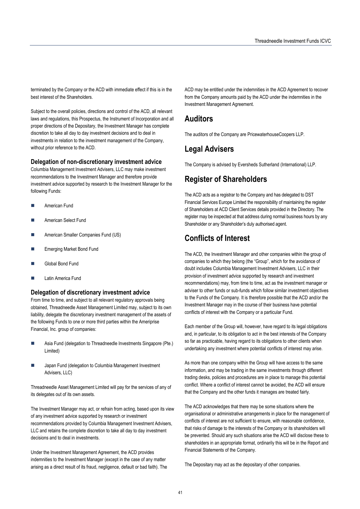terminated by the Company or the ACD with immediate effect if this is in the best interest of the Shareholders.

Subject to the overall policies, directions and control of the ACD, all relevant laws and regulations, this Prospectus, the Instrument of Incorporation and all proper directions of the Depositary, the Investment Manager has complete discretion to take all day to day investment decisions and to deal in investments in relation to the investment management of the Company, without prior reference to the ACD.

## **Delegation of non-discretionary investment advice**

Columbia Management Investment Advisers, LLC may make investment recommendations to the Investment Manager and therefore provide investment advice supported by research to the Investment Manager for the following Funds:

- American Fund
- American Select Fund
- American Smaller Companies Fund (US)
- Emerging Market Bond Fund
- Global Bond Fund
- Latin America Fund

#### **Delegation of discretionary investment advice**

From time to time, and subject to all relevant regulatory approvals being obtained, Threadneedle Asset Management Limited may, subject to its own liability, delegate the discretionary investment management of the assets of the following Funds to one or more third parties within the Ameriprise Financial, Inc. group of companies:

- Asia Fund (delegation to Threadneedle Investments Singapore (Pte.) Limited)
- Japan Fund (delegation to Columbia Management Investment Advisers, LLC)

Threadneedle Asset Management Limited will pay for the services of any of its delegates out of its own assets.

The Investment Manager may act, or refrain from acting, based upon its view of any investment advice supported by research or investment recommendations provided by Columbia Management Investment Advisers, LLC and retains the complete discretion to take all day to day investment decisions and to deal in investments.

Under the Investment Management Agreement, the ACD provides indemnities to the Investment Manager (except in the case of any matter arising as a direct result of its fraud, negligence, default or bad faith). The ACD may be entitled under the indemnities in the ACD Agreement to recover from the Company amounts paid by the ACD under the indemnities in the Investment Management Agreement.

## **Auditors**

The auditors of the Company are PricewaterhouseCoopers LLP.

## **Legal Advisers**

The Company is advised by Eversheds Sutherland (International) LLP.

## **Register of Shareholders**

The ACD acts as a registrar to the Company and has delegated to DST Financial Services Europe Limited the responsibility of maintaining the register of Shareholders at ACD Client Services details provided in the Directory. The register may be inspected at that address during normal business hours by any Shareholder or any Shareholder's duly authorised agent.

# **Conflicts of Interest**

The ACD, the Investment Manager and other companies within the group of companies to which they belong (the "Group", which for the avoidance of doubt includes Columbia Management Investment Advisers, LLC in their provision of investment advice supported by research and investment recommendations) may, from time to time, act as the investment manager or adviser to other funds or sub-funds which follow similar investment objectives to the Funds of the Company. It is therefore possible that the ACD and/or the Investment Manager may in the course of their business have potential conflicts of interest with the Company or a particular Fund.

Each member of the Group will, however, have regard to its legal obligations and, in particular, to its obligation to act in the best interests of the Company so far as practicable, having regard to its obligations to other clients when undertaking any investment where potential conflicts of interest may arise.

As more than one company within the Group will have access to the same information, and may be trading in the same investments through different trading desks, policies and procedures are in place to manage this potential conflict. Where a conflict of interest cannot be avoided, the ACD will ensure that the Company and the other funds it manages are treated fairly.

The ACD acknowledges that there may be some situations where the organisational or administrative arrangements in place for the management of conflicts of interest are not sufficient to ensure, with reasonable confidence, that risks of damage to the interests of the Company or its shareholders will be prevented. Should any such situations arise the ACD will disclose these to shareholders in an appropriate format, ordinarily this will be in the Report and Financial Statements of the Company.

The Depositary may act as the depositary of other companies.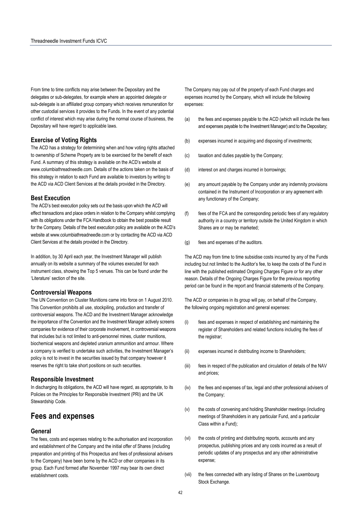From time to time conflicts may arise between the Depositary and the delegates or sub-delegates, for example where an appointed delegate or sub-delegate is an affiliated group company which receives remuneration for other custodial services it provides to the Funds. In the event of any potential conflict of interest which may arise during the normal course of business, the Depositary will have regard to applicable laws.

## **Exercise of Voting Rights**

The ACD has a strategy for determining when and how voting rights attached to ownership of Scheme Property are to be exercised for the benefit of each Fund. A summary of this strategy is available on the ACD's website at www.columbiathreadneedle.com. Details of the actions taken on the basis of this strategy in relation to each Fund are available to investors by writing to the ACD via ACD Client Services at the details provided in the Directory.

#### **Best Execution**

The ACD's best execution policy sets out the basis upon which the ACD will effect transactions and place orders in relation to the Company whilst complying with its obligations under the FCA Handbook to obtain the best possible result for the Company. Details of the best execution policy are available on the ACD's website at www.columbiathreadneedle.com or by contacting the ACD via ACD Client Services at the details provided in the Directory.

In addition, by 30 April each year, the Investment Manager will publish annually on its website a summary of the volumes executed for each instrument class, showing the Top 5 venues. This can be found under the 'Literature' section of the site.

## **Controversial Weapons**

The UN Convention on Cluster Munitions came into force on 1 August 2010. This Convention prohibits all use, stockpiling, production and transfer of controversial weapons. The ACD and the Investment Manager acknowledge the importance of the Convention and the Investment Manager actively screens companies for evidence of their corporate involvement, in controversial weapons that includes but is not limited to anti-personnel mines, cluster munitions, biochemical weapons and depleted uranium ammunition and armour. Where a company is verified to undertake such activities, the Investment Manager's policy is not to invest in the securities issued by that company however it reserves the right to take short positions on such securities.

#### **Responsible Investment**

In discharging its obligations, the ACD will have regard, as appropriate, to its Policies on the Principles for Responsible Investment (PRI) and the UK Stewardship Code.

## **Fees and expenses**

#### **General**

The fees, costs and expenses relating to the authorisation and incorporation and establishment of the Company and the initial offer of Shares (including preparation and printing of this Prospectus and fees of professional advisers to the Company) have been borne by the ACD or other companies in its group. Each Fund formed after November 1997 may bear its own direct establishment costs.

The Company may pay out of the property of each Fund charges and expenses incurred by the Company, which will include the following expenses:

- (a) the fees and expenses payable to the ACD (which will include the fees and expenses payable to the Investment Manager) and to the Depositary;
- (b) expenses incurred in acquiring and disposing of investments;
- (c) taxation and duties payable by the Company;
- (d) interest on and charges incurred in borrowings;
- (e) any amount payable by the Company under any indemnity provisions contained in the Instrument of Incorporation or any agreement with any functionary of the Company;
- (f) fees of the FCA and the corresponding periodic fees of any regulatory authority in a country or territory outside the United Kingdom in which Shares are or may be marketed;
- (g) fees and expenses of the auditors.

The ACD may from time to time subsidise costs incurred by any of the Funds including but not limited to the Auditor's fee, to keep the costs of the Fund in line with the published estimated Ongoing Charges Figure or for any other reason. Details of the Ongoing Charges Figure for the previous reporting period can be found in the report and financial statements of the Company.

The ACD or companies in its group will pay, on behalf of the Company, the following ongoing registration and general expenses:

- (i) fees and expenses in respect of establishing and maintaining the register of Shareholders and related functions including the fees of the registrar;
- (ii) expenses incurred in distributing income to Shareholders;
- (iii) fees in respect of the publication and circulation of details of the NAV and prices;
- (iv) the fees and expenses of tax, legal and other professional advisers of the Company;
- (v) the costs of convening and holding Shareholder meetings (including meetings of Shareholders in any particular Fund, and a particular Class within a Fund);
- (vi) the costs of printing and distributing reports, accounts and any prospectus, publishing prices and any costs incurred as a result of periodic updates of any prospectus and any other administrative expense;
- (vii) the fees connected with any listing of Shares on the Luxembourg Stock Exchange.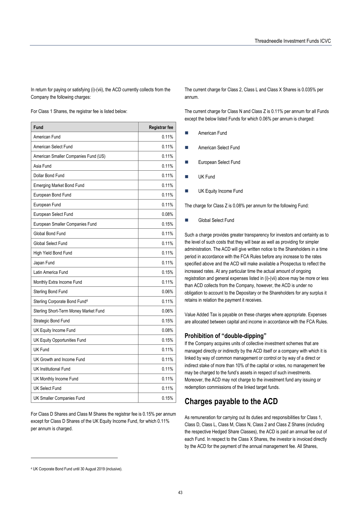In return for paying or satisfying (i)-(vii), the ACD currently collects from the Company the following charges:

For Class 1 Shares, the registrar fee is listed below:

| Fund                                      | <b>Registrar fee</b> |
|-------------------------------------------|----------------------|
| American Fund                             | 0.11%                |
| American Select Fund                      | 0.11%                |
| American Smaller Companies Fund (US)      | 0.11%                |
| Asia Fund                                 | 0.11%                |
| Dollar Bond Fund                          | 0.11%                |
| <b>Emerging Market Bond Fund</b>          | 0.11%                |
| European Bond Fund                        | 0.11%                |
| European Fund                             | 0.11%                |
| European Select Fund                      | 0.08%                |
| European Smaller Companies Fund           | 0.15%                |
| Global Bond Fund                          | 0.11%                |
| Global Select Fund                        | 0.11%                |
| High Yield Bond Fund                      | 0.11%                |
| Japan Fund                                | 0.11%                |
| Latin America Fund                        | 0.15%                |
| Monthly Extra Income Fund                 | 0.11%                |
| <b>Sterling Bond Fund</b>                 | 0.06%                |
| Sterling Corporate Bond Fund <sup>4</sup> | 0.11%                |
| Sterling Short-Term Money Market Fund     | 0.06%                |
| Strategic Bond Fund                       | 0.15%                |
| UK Equity Income Fund                     | 0.08%                |
| UK Equity Opportunities Fund              | 0.15%                |
| UK Fund                                   | 0.11%                |
| UK Growth and Income Fund                 | 0.11%                |
| <b>UK Institutional Fund</b>              | 0.11%                |
| UK Monthly Income Fund                    | 0.11%                |
| <b>UK Select Fund</b>                     | 0.11%                |
| <b>UK Smaller Companies Fund</b>          | 0.15%                |

For Class D Shares and Class M Shares the registrar fee is 0.15% per annum except for Class D Shares of the UK Equity Income Fund, for which 0.11% per annum is charged.

The current charge for Class 2, Class L and Class X Shares is 0.035% per annum.

The current charge for Class N and Class Z is 0.11% per annum for all Funds except the below listed Funds for which 0.06% per annum is charged:

- American Fund
- American Select Fund
- European Select Fund
- UK Fund
- UK Equity Income Fund

The charge for Class Z is 0.08% per annum for the following Fund:

Global Select Fund

Such a charge provides greater transparency for investors and certainty as to the level of such costs that they will bear as well as providing for simpler administration. The ACD will give written notice to the Shareholders in a time period in accordance with the FCA Rules before any increase to the rates specified above and the ACD will make available a Prospectus to reflect the increased rates. At any particular time the actual amount of ongoing registration and general expenses listed in (i)-(vii) above may be more or less than ACD collects from the Company, however, the ACD is under no obligation to account to the Depositary or the Shareholders for any surplus it retains in relation the payment it receives.

Value Added Tax is payable on these charges where appropriate. Expenses are allocated between capital and income in accordance with the FCA Rules.

#### **Prohibition of "double-dipping"**

If the Company acquires units of collective investment schemes that are managed directly or indirectly by the ACD itself or a company with which it is linked by way of common management or control or by way of a direct or indirect stake of more than 10% of the capital or votes, no management fee may be charged to the fund's assets in respect of such investments. Moreover, the ACD may not charge to the investment fund any issuing or redemption commissions of the linked target funds.

# **Charges payable to the ACD**

As remuneration for carrying out its duties and responsibilities for Class 1, Class D, Class L, Class M, Class N, Class 2 and Class Z Shares (including the respective Hedged Share Classes), the ACD is paid an annual fee out of each Fund. In respect to the Class X Shares, the investor is invoiced directly by the ACD for the payment of the annual management fee. All Shares,

 $\overline{\phantom{a}}$ 

<sup>4</sup> UK Corporate Bond Fund until 30 August 2019 (inclusive).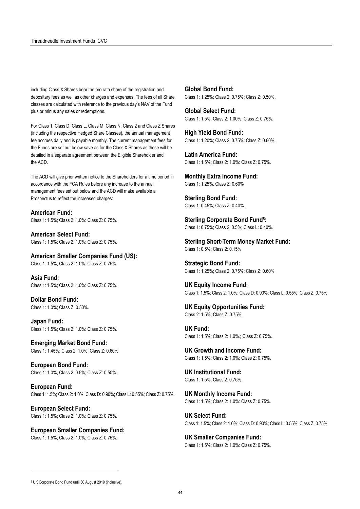including Class X Shares bear the pro rata share of the registration and depositary fees as well as other charges and expenses. The fees of all Share classes are calculated with reference to the previous day's NAV of the Fund plus or minus any sales or redemptions.

For Class 1, Class D, Class L, Class M, Class N, Class 2 and Class Z Shares (including the respective Hedged Share Classes), the annual management fee accrues daily and is payable monthly. The current management fees for the Funds are set out below save as for the Class X Shares as these will be detailed in a separate agreement between the Eligible Shareholder and the ACD.

The ACD will give prior written notice to the Shareholders for a time period in accordance with the FCA Rules before any increase to the annual management fees set out below and the ACD will make available a Prospectus to reflect the increased charges:

**American Fund:**  Class 1: 1.5%; Class 2: 1.0%: Class Z: 0.75%.

**American Select Fund:**  Class 1: 1.5%; Class 2: 1.0%: Class Z: 0.75%.

**American Smaller Companies Fund (US):**  Class 1: 1.5%; Class 2: 1.0%: Class Z: 0.75%.

**Asia Fund:**  Class 1: 1.5%; Class 2: 1.0%: Class Z: 0.75%.

**Dollar Bond Fund:**  Class 1: 1.0%; Class Z: 0.50%.

**Japan Fund:**  Class 1: 1.5%; Class 2: 1.0%: Class Z: 0.75%.

**Emerging Market Bond Fund:**  Class 1: 1.45%; Class 2: 1.0%; Class Z: 0.60%.

**European Bond Fund:**  Class 1: 1.0%, Class 2: 0.5%; Class Z: 0.50%.

**European Fund:**  Class 1: 1.5%; Class 2: 1.0%: Class D: 0.90%; Class L: 0.55%; Class Z: 0.75%.

**European Select Fund:**  Class 1: 1.5%; Class 2: 1.0%: Class Z: 0.75%.

**European Smaller Companies Fund:**  Class 1: 1.5%; Class 2: 1.0%; Class Z: 0.75%.

**Global Bond Fund:**  Class 1: 1.25%; Class 2: 0.75%: Class Z: 0.50%.

**Global Select Fund:**  Class 1: 1.5%. Class 2: 1.00%: Class Z: 0.75%.

**High Yield Bond Fund:**  Class 1: 1.20%; Class 2: 0.75%: Class Z: 0.60%.

**Latin America Fund:**  Class 1: 1.5%; Class 2: 1.0%: Class Z: 0.75%.

**Monthly Extra Income Fund:**  Class 1: 1.25%. Class Z: 0.60%

**Sterling Bond Fund:**  Class 1: 0.45%; Class Z: 0.40%.

**Sterling Corporate Bond Fund5:**  Class 1: 0.75%; Class 2: 0.5%; Class L: 0.40%.

**Sterling Short-Term Money Market Fund:**  Class 1: 0.5%; Class 2: 0.15%

**Strategic Bond Fund:**  Class 1: 1.25%; Class 2: 0.75%; Class Z: 0.60%

**UK Equity Income Fund:**  Class 1: 1.5%; Class 2: 1.0%; Class D: 0.90%; Class L: 0.55%; Class Z: 0.75%.

**UK Equity Opportunities Fund:**  Class 2: 1.5%; Class Z: 0.75%.

**UK Fund:**  Class 1: 1.5%; Class 2: 1.0%.; Class Z: 0.75%.

**UK Growth and Income Fund:**  Class 1: 1.5%; Class 2: 1.0%; Class Z: 0.75%.

**UK Institutional Fund:**  Class 1: 1.5%; Class 2: 0.75%.

**UK Monthly Income Fund:**  Class 1: 1.5%; Class 2: 1.0%: Class Z: 0.75%.

**UK Select Fund:**  Class 1: 1.5%; Class 2: 1.0%: Class D: 0.90%; Class L: 0.55%; Class Z: 0.75%.

**UK Smaller Companies Fund:**  Class 1: 1.5%; Class 2: 1.0%: Class Z: 0.75%.

 $\overline{\phantom{a}}$ 

<sup>5</sup> UK Corporate Bond Fund until 30 August 2019 (inclusive).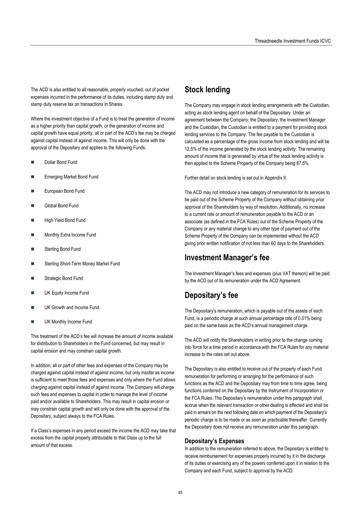The ACD is also entitled to all reasonable, properly vouched, out of pocket expenses incurred in the performance of its duties, including stamp duty and stamp duty reserve tax on transactions in Shares.

Where the investment objective of a Fund is to treat the generation of income as a higher priority than capital growth, or the generation of income and capital growth have equal priority, all or part of the ACD's fee may be charged against capital instead of against income. This will only be done with the approval of the Depositary and applies to the following Funds:

- Dollar Bond Fund
- Emerging Market Bond Fund
- European Bond Fund
- Global Bond Fund
- High Yield Bond Fund
- Monthly Extra Income Fund
- Sterling Bond Fund
- Sterling Short-Term Money Market Fund
- Strategic Bond Fund
- UK Equity Income Fund
- UK Growth and Income Fund
- UK Monthly Income Fund

This treatment of the ACD's fee will increase the amount of income available for distribution to Shareholders in the Fund concerned, but may result in capital erosion and may constrain capital growth.

In addition, all or part of other fees and expenses of the Company may be charged against capital instead of against income, but only insofar as income is sufficient to meet those fees and expenses and only where the Fund allows charging against capital instead of against income. The Company will charge such fees and expenses to capital in order to manage the level of income paid and/or available to Shareholders. This may result in capital erosion or may constrain capital growth and will only be done with the approval of the Depositary, subject always to the FCA Rules.

If a Class's expenses in any period exceed the income the ACD may take that excess from the capital property attributable to that Class up to the full amount of that excess.

# **Stock lending**

The Company may engage in stock lending arrangements with the Custodian, acting as stock lending agent on behalf of the Depositary. Under an agreement between the Company, the Depositary, the Investment Manager and the Custodian, the Custodian is entitled to a payment for providing stock lending services to the Company. The fee payable to the Custodian is calculated as a percentage of the gross income from stock lending and will be 12.5% of the income generated by the stock lending activity. The remaining amount of income that is generated by virtue of the stock lending activity is then applied to the Scheme Property of the Company being 87.5%.

Further detail on stock lending is set out in Appendix II.

The ACD may not introduce a new category of remuneration for its services to be paid out of the Scheme Property of the Company without obtaining prior approval of the Shareholders by way of resolution. Additionally, no increase to a current rate or amount of remuneration payable to the ACD or an associate (as defined in the FCA Rules) out of the Scheme Property of the Company or any material change to any other type of payment out of the Scheme Property of the Company can be implemented without the ACD giving prior written notification of not less than 60 days to the Shareholders.

## **Investment Manager's fee**

The Investment Manager's fees and expenses (plus VAT thereon) will be paid by the ACD out of its remuneration under the ACD Agreement.

# **Depositary's fee**

The Depositary's remuneration, which is payable out of the assets of each Fund, is a periodic charge at such annual percentage rate of 0.01% being paid on the same basis as the ACD's annual management charge.

The ACD will notify the Shareholders in writing prior to the change coming into force for a time period in accordance with the FCA Rules for any material increase to the rates set out above.

The Depositary is also entitled to receive out of the property of each Fund remuneration for performing or arranging for the performance of such functions as the ACD and the Depositary may from time to time agree, being functions conferred on the Depositary by the Instrument of Incorporation or the FCA Rules. The Depositary's remuneration under this paragraph shall accrue when the relevant transaction or other dealing is effected and shall be paid in arrears on the next following date on which payment of the Depositary's periodic charge is to be made or as soon as practicable thereafter. Currently the Depositary does not receive any remuneration under this paragraph.

#### **Depositary's Expenses**

In addition to the remuneration referred to above, the Depositary is entitled to receive reimbursement for expenses properly incurred by it in the discharge of its duties or exercising any of the powers conferred upon it in relation to the Company and each Fund, subject to approval by the ACD.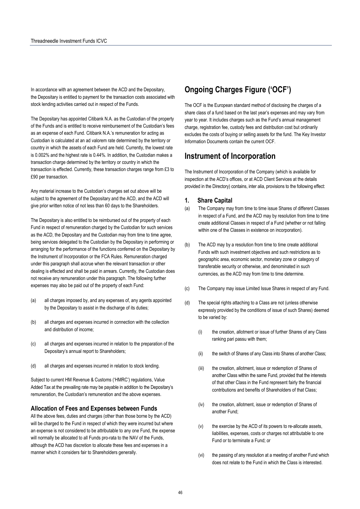In accordance with an agreement between the ACD and the Depositary, the Depositary is entitled to payment for the transaction costs associated with stock lending activities carried out in respect of the Funds.

The Depositary has appointed Citibank N.A. as the Custodian of the property of the Funds and is entitled to receive reimbursement of the Custodian's fees as an expense of each Fund. Citibank N.A.'s remuneration for acting as Custodian is calculated at an ad valorem rate determined by the territory or country in which the assets of each Fund are held. Currently, the lowest rate is 0.002% and the highest rate is 0.44%. In addition, the Custodian makes a transaction charge determined by the territory or country in which the transaction is effected. Currently, these transaction charges range from £3 to £90 per transaction.

Any material increase to the Custodian's charges set out above will be subject to the agreement of the Depositary and the ACD, and the ACD will give prior written notice of not less than 60 days to the Shareholders.

The Depositary is also entitled to be reimbursed out of the property of each Fund in respect of remuneration charged by the Custodian for such services as the ACD, the Depositary and the Custodian may from time to time agree, being services delegated to the Custodian by the Depositary in performing or arranging for the performance of the functions conferred on the Depositary by the Instrument of Incorporation or the FCA Rules. Remuneration charged under this paragraph shall accrue when the relevant transaction or other dealing is effected and shall be paid in arrears. Currently, the Custodian does not receive any remuneration under this paragraph. The following further expenses may also be paid out of the property of each Fund:

- (a) all charges imposed by, and any expenses of, any agents appointed by the Depositary to assist in the discharge of its duties;
- (b) all charges and expenses incurred in connection with the collection and distribution of income;
- (c) all charges and expenses incurred in relation to the preparation of the Depositary's annual report to Shareholders;
- (d) all charges and expenses incurred in relation to stock lending.

Subject to current HM Revenue & Customs ('HMRC') regulations, Value Added Tax at the prevailing rate may be payable in addition to the Depositary's remuneration, the Custodian's remuneration and the above expenses.

#### **Allocation of Fees and Expenses between Funds**

All the above fees, duties and charges (other than those borne by the ACD) will be charged to the Fund in respect of which they were incurred but where an expense is not considered to be attributable to any one Fund, the expense will normally be allocated to all Funds pro-rata to the NAV of the Funds, although the ACD has discretion to allocate these fees and expenses in a manner which it considers fair to Shareholders generally.

# **Ongoing Charges Figure ('OCF')**

The OCF is the European standard method of disclosing the charges of a share class of a fund based on the last year's expenses and may vary from year to year. It includes charges such as the Fund's annual management charge, registration fee, custody fees and distribution cost but ordinarily excludes the costs of buying or selling assets for the fund. The Key Investor Information Documents contain the current OCF.

## **Instrument of Incorporation**

The Instrument of Incorporation of the Company (which is available for inspection at the ACD's offices, or at ACD Client Services at the details provided in the Directory) contains, inter alia, provisions to the following effect:

#### **1. Share Capital**

- (a) The Company may from time to time issue Shares of different Classes in respect of a Fund, and the ACD may by resolution from time to time create additional Classes in respect of a Fund (whether or not falling within one of the Classes in existence on incorporation).
- (b) The ACD may by a resolution from time to time create additional Funds with such investment objectives and such restrictions as to geographic area, economic sector, monetary zone or category of transferable security or otherwise, and denominated in such currencies, as the ACD may from time to time determine.
- (c) The Company may issue Limited Issue Shares in respect of any Fund.
- (d) The special rights attaching to a Class are not (unless otherwise expressly provided by the conditions of issue of such Shares) deemed to be varied by:
	- (i) the creation, allotment or issue of further Shares of any Class ranking pari passu with them;
	- (ii) the switch of Shares of any Class into Shares of another Class;
	- (iii) the creation, allotment, issue or redemption of Shares of another Class within the same Fund, provided that the interests of that other Class in the Fund represent fairly the financial contributions and benefits of Shareholders of that Class;
	- (iv) the creation, allotment, issue or redemption of Shares of another Fund;
	- $(v)$  the exercise by the ACD of its powers to re-allocate assets, liabilities, expenses, costs or charges not attributable to one Fund or to terminate a Fund; or
	- (vi) the passing of any resolution at a meeting of another Fund which does not relate to the Fund in which the Class is interested.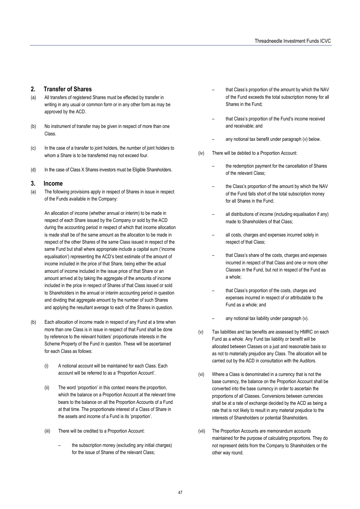## **2. Transfer of Shares**

- (a) All transfers of registered Shares must be effected by transfer in writing in any usual or common form or in any other form as may be approved by the ACD.
- (b) No instrument of transfer may be given in respect of more than one Class.
- (c) In the case of a transfer to joint holders, the number of joint holders to whom a Share is to be transferred may not exceed four.
- (d) In the case of Class X Shares investors must be Eligible Shareholders.

### **3. Income**

(a) The following provisions apply in respect of Shares in issue in respect of the Funds available in the Company:

An allocation of income (whether annual or interim) to be made in respect of each Share issued by the Company or sold by the ACD during the accounting period in respect of which that income allocation is made shall be of the same amount as the allocation to be made in respect of the other Shares of the same Class issued in respect of the same Fund but shall where appropriate include a capital sum ('income equalisation') representing the ACD's best estimate of the amount of income included in the price of that Share, being either the actual amount of income included in the issue price of that Share or an amount arrived at by taking the aggregate of the amounts of income included in the price in respect of Shares of that Class issued or sold to Shareholders in the annual or interim accounting period in question and dividing that aggregate amount by the number of such Shares and applying the resultant average to each of the Shares in question.

- (b) Each allocation of income made in respect of any Fund at a time when more than one Class is in issue in respect of that Fund shall be done by reference to the relevant holders' proportionate interests in the Scheme Property of the Fund in question. These will be ascertained for each Class as follows:
	- (i) A notional account will be maintained for each Class. Each account will be referred to as a 'Proportion Account'.
	- (ii) The word 'proportion' in this context means the proportion, which the balance on a Proportion Account at the relevant time bears to the balance on all the Proportion Accounts of a Fund at that time. The proportionate interest of a Class of Share in the assets and income of a Fund is its 'proportion'.
	- (iii) There will be credited to a Proportion Account:
		- the subscription money (excluding any initial charges) for the issue of Shares of the relevant Class;
- that Class's proportion of the amount by which the NAV of the Fund exceeds the total subscription money for all Shares in the Fund:
- that Class's proportion of the Fund's income received and receivable; and
- any notional tax benefit under paragraph (v) below.
- (iv) There will be debited to a Proportion Account:
	- the redemption payment for the cancellation of Shares of the relevant Class;
	- the Class's proportion of the amount by which the NAV of the Fund falls short of the total subscription money for all Shares in the Fund;
	- all distributions of income (including equalisation if any) made to Shareholders of that Class;
	- all costs, charges and expenses incurred solely in respect of that Class;
	- that Class's share of the costs, charges and expenses incurred in respect of that Class and one or more other Classes in the Fund, but not in respect of the Fund as a whole;
	- that Class's proportion of the costs, charges and expenses incurred in respect of or attributable to the Fund as a whole; and
	- any notional tax liability under paragraph (v).
- (v) Tax liabilities and tax benefits are assessed by HMRC on each Fund as a whole. Any Fund tax liability or benefit will be allocated between Classes on a just and reasonable basis so as not to materially prejudice any Class. The allocation will be carried out by the ACD in consultation with the Auditors.
- (vi) Where a Class is denominated in a currency that is not the base currency, the balance on the Proportion Account shall be converted into the base currency in order to ascertain the proportions of all Classes. Conversions between currencies shall be at a rate of exchange decided by the ACD as being a rate that is not likely to result in any material prejudice to the interests of Shareholders or potential Shareholders.
- (vii) The Proportion Accounts are memorandum accounts maintained for the purpose of calculating proportions. They do not represent debts from the Company to Shareholders or the other way round.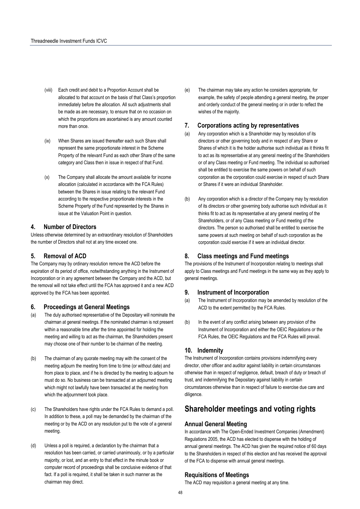- (viii) Each credit and debit to a Proportion Account shall be allocated to that account on the basis of that Class's proportion immediately before the allocation. All such adjustments shall be made as are necessary, to ensure that on no occasion on which the proportions are ascertained is any amount counted more than once.
- (ix) When Shares are issued thereafter each such Share shall represent the same proportionate interest in the Scheme Property of the relevant Fund as each other Share of the same category and Class then in issue in respect of that Fund.
- (x) The Company shall allocate the amount available for income allocation (calculated in accordance with the FCA Rules) between the Shares in issue relating to the relevant Fund according to the respective proportionate interests in the Scheme Property of the Fund represented by the Shares in issue at the Valuation Point in question.

#### **4. Number of Directors**

Unless otherwise determined by an extraordinary resolution of Shareholders the number of Directors shall not at any time exceed one.

## **5. Removal of ACD**

The Company may by ordinary resolution remove the ACD before the expiration of its period of office, notwithstanding anything in the Instrument of Incorporation or in any agreement between the Company and the ACD, but the removal will not take effect until the FCA has approved it and a new ACD approved by the FCA has been appointed.

#### **6. Proceedings at General Meetings**

- (a) The duly authorised representative of the Depositary will nominate the chairman at general meetings. If the nominated chairman is not present within a reasonable time after the time appointed for holding the meeting and willing to act as the chairman, the Shareholders present may choose one of their number to be chairman of the meeting.
- (b) The chairman of any quorate meeting may with the consent of the meeting adjourn the meeting from time to time (or without date) and from place to place, and if he is directed by the meeting to adjourn he must do so. No business can be transacted at an adjourned meeting which might not lawfully have been transacted at the meeting from which the adjournment took place.
- (c) The Shareholders have rights under the FCA Rules to demand a poll. In addition to these, a poll may be demanded by the chairman of the meeting or by the ACD on any resolution put to the vote of a general meeting.
- (d) Unless a poll is required, a declaration by the chairman that a resolution has been carried, or carried unanimously, or by a particular majority, or lost, and an entry to that effect in the minute book or computer record of proceedings shall be conclusive evidence of that fact. If a poll is required, it shall be taken in such manner as the chairman may direct.

(e) The chairman may take any action he considers appropriate, for example, the safety of people attending a general meeting, the proper and orderly conduct of the general meeting or in order to reflect the wishes of the majority.

## **7. Corporations acting by representatives**

- (a) Any corporation which is a Shareholder may by resolution of its directors or other governing body and in respect of any Share or Shares of which it is the holder authorise such individual as it thinks fit to act as its representative at any general meeting of the Shareholders or of any Class meeting or Fund meeting. The individual so authorised shall be entitled to exercise the same powers on behalf of such corporation as the corporation could exercise in respect of such Share or Shares if it were an individual Shareholder.
- (b) Any corporation which is a director of the Company may by resolution of its directors or other governing body authorise such individual as it thinks fit to act as its representative at any general meeting of the Shareholders, or of any Class meeting or Fund meeting of the directors. The person so authorised shall be entitled to exercise the same powers at such meeting on behalf of such corporation as the corporation could exercise if it were an individual director.

## **8. Class meetings and Fund meetings**

The provisions of the Instrument of Incorporation relating to meetings shall apply to Class meetings and Fund meetings in the same way as they apply to general meetings.

#### **9. Instrument of Incorporation**

- (a) The Instrument of Incorporation may be amended by resolution of the ACD to the extent permitted by the FCA Rules.
- (b) In the event of any conflict arising between any provision of the Instrument of Incorporation and either the OEIC Regulations or the FCA Rules, the OEIC Regulations and the FCA Rules will prevail.

#### **10. Indemnity**

The Instrument of Incorporation contains provisions indemnifying every director, other officer and auditor against liability in certain circumstances otherwise than in respect of negligence, default, breach of duty or breach of trust, and indemnifying the Depositary against liability in certain circumstances otherwise than in respect of failure to exercise due care and diligence.

## **Shareholder meetings and voting rights**

## **Annual General Meeting**

In accordance with The Open-Ended Investment Companies (Amendment) Regulations 2005, the ACD has elected to dispense with the holding of annual general meetings. The ACD has given the required notice of 60 days to the Shareholders in respect of this election and has received the approval of the FCA to dispense with annual general meetings.

#### **Requisitions of Meetings**

The ACD may requisition a general meeting at any time.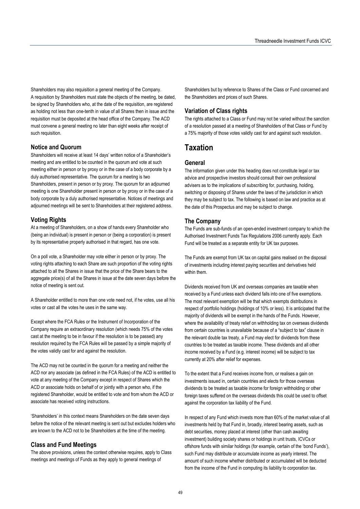Shareholders may also requisition a general meeting of the Company. A requisition by Shareholders must state the objects of the meeting, be dated, be signed by Shareholders who, at the date of the requisition, are registered as holding not less than one-tenth in value of all Shares then in issue and the requisition must be deposited at the head office of the Company. The ACD must convene a general meeting no later than eight weeks after receipt of such requisition.

## **Notice and Quorum**

Shareholders will receive at least 14 days' written notice of a Shareholder's meeting and are entitled to be counted in the quorum and vote at such meeting either in person or by proxy or in the case of a body corporate by a duly authorised representative. The quorum for a meeting is two Shareholders, present in person or by proxy. The quorum for an adjourned meeting is one Shareholder present in person or by proxy or in the case of a body corporate by a duly authorised representative. Notices of meetings and adjourned meetings will be sent to Shareholders at their registered address.

### **Voting Rights**

At a meeting of Shareholders, on a show of hands every Shareholder who (being an individual) is present in person or (being a corporation) is present by its representative properly authorised in that regard, has one vote.

On a poll vote, a Shareholder may vote either in person or by proxy. The voting rights attaching to each Share are such proportion of the voting rights attached to all the Shares in issue that the price of the Share bears to the aggregate price(s) of all the Shares in issue at the date seven days before the notice of meeting is sent out.

A Shareholder entitled to more than one vote need not, if he votes, use all his votes or cast all the votes he uses in the same way.

Except where the FCA Rules or the Instrument of Incorporation of the Company require an extraordinary resolution (which needs 75% of the votes cast at the meeting to be in favour if the resolution is to be passed) any resolution required by the FCA Rules will be passed by a simple majority of the votes validly cast for and against the resolution.

The ACD may not be counted in the quorum for a meeting and neither the ACD nor any associate (as defined in the FCA Rules) of the ACD is entitled to vote at any meeting of the Company except in respect of Shares which the ACD or associate holds on behalf of or jointly with a person who, if the registered Shareholder, would be entitled to vote and from whom the ACD or associate has received voting instructions.

'Shareholders' in this context means Shareholders on the date seven days before the notice of the relevant meeting is sent out but excludes holders who are known to the ACD not to be Shareholders at the time of the meeting.

### **Class and Fund Meetings**

The above provisions, unless the context otherwise requires, apply to Class meetings and meetings of Funds as they apply to general meetings of

Shareholders but by reference to Shares of the Class or Fund concerned and the Shareholders and prices of such Shares.

## **Variation of Class rights**

The rights attached to a Class or Fund may not be varied without the sanction of a resolution passed at a meeting of Shareholders of that Class or Fund by a 75% majority of those votes validly cast for and against such resolution.

## **Taxation**

## **General**

The information given under this heading does not constitute legal or tax advice and prospective investors should consult their own professional advisers as to the implications of subscribing for, purchasing, holding, switching or disposing of Shares under the laws of the jurisdiction in which they may be subject to tax. The following is based on law and practice as at the date of this Prospectus and may be subject to change.

### **The Company**

The Funds are sub-funds of an open-ended investment company to which the Authorised Investment Funds Tax Regulations 2006 currently apply. Each Fund will be treated as a separate entity for UK tax purposes.

The Funds are exempt from UK tax on capital gains realised on the disposal of investments including interest paying securities and derivatives held within them.

Dividends received from UK and overseas companies are taxable when received by a Fund unless each dividend falls into one of five exemptions. The most relevant exemption will be that which exempts distributions in respect of portfolio holdings (holdings of 10% or less). It is anticipated that the majority of dividends will be exempt in the hands of the Funds. However, where the availability of treaty relief on withholding tax on overseas dividends from certain countries is unavailable because of a "subject to tax" clause in the relevant double tax treaty, a Fund may elect for dividends from these countries to be treated as taxable income. These dividends and all other income received by a Fund (e.g. interest income) will be subject to tax currently at 20% after relief for expenses.

To the extent that a Fund receives income from, or realises a gain on investments issued in, certain countries and elects for those overseas dividends to be treated as taxable income for foreign withholding or other foreign taxes suffered on the overseas dividends this could be used to offset against the corporation tax liability of the Fund.

In respect of any Fund which invests more than 60% of the market value of all investments held by that Fund in, broadly, interest bearing assets, such as debt securities, money placed at interest (other than cash awaiting investment) building society shares or holdings in unit trusts, ICVCs or offshore funds with similar holdings (for example, certain of the 'bond Funds'), such Fund may distribute or accumulate income as yearly interest. The amount of such income whether distributed or accumulated will be deducted from the income of the Fund in computing its liability to corporation tax.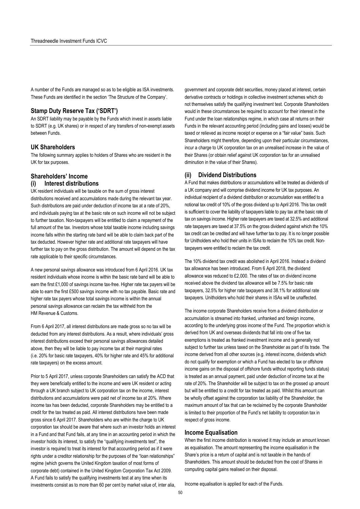A number of the Funds are managed so as to be eligible as ISA investments. These Funds are identified in the section 'The Structure of the Company'.

## **Stamp Duty Reserve Tax ('SDRT')**

An SDRT liability may be payable by the Funds which invest in assets liable to SDRT (e.g. UK shares) or in respect of any transfers of non-exempt assets between Funds.

### **UK Shareholders**

The following summary applies to holders of Shares who are resident in the UK for tax purposes.

# **Shareholders' Income**

## **(i) Interest distributions**

UK resident individuals will be taxable on the sum of gross interest distributions received and accumulations made during the relevant tax year. Such distributions are paid under deduction of income tax at a rate of 20%, and individuals paying tax at the basic rate on such income will not be subject to further taxation. Non-taxpayers will be entitled to claim a repayment of the full amount of the tax. Investors whose total taxable income including savings income falls within the starting rate band will be able to claim back part of the tax deducted. However higher rate and additional rate taxpayers will have further tax to pay on the gross distribution. The amount will depend on the tax rate applicable to their specific circumstances.

A new personal savings allowance was introduced from 6 April 2016. UK tax resident individuals whose income is within the basic rate band will be able to earn the first £1,000 of savings income tax-free. Higher rate tax payers will be able to earn the first £500 savings income with no tax payable. Basic rate and higher rate tax payers whose total savings income is within the annual personal savings allowance can reclaim the tax withheld from the HM Revenue & Customs.

From 6 April 2017, all interest distributions are made gross so no tax will be deducted from any interest distributions. As a result, where individuals' gross interest distributions exceed their personal savings allowances detailed above, then they will be liable to pay income tax at their marginal rates (i.e. 20% for basic rate taxpayers, 40% for higher rate and 45% for additional rate taxpayers) on the excess amount.

Prior to 5 April 2017, unless corporate Shareholders can satisfy the ACD that they were beneficially entitled to the income and were UK resident or acting through a UK branch subject to UK corporation tax on the income, interest distributions and accumulations were paid net of income tax at 20%. Where income tax has been deducted, corporate Shareholders may be entitled to a credit for the tax treated as paid. All interest distributions have been made gross since 6 April 2017. Shareholders who are within the charge to UK corporation tax should be aware that where such an investor holds an interest in a Fund and that Fund fails, at any time in an accounting period in which the investor holds its interest, to satisfy the "qualifying investments test", the investor is required to treat its interest for that accounting period as if it were rights under a creditor relationship for the purposes of the "loan relationships" regime (which governs the United Kingdom taxation of most forms of corporate debt) contained in the United Kingdom Corporation Tax Act 2009. A Fund fails to satisfy the qualifying investments test at any time when its investments consist as to more than 60 per cent by market value of, inter alia,

government and corporate debt securities, money placed at interest, certain derivative contracts or holdings in collective investment schemes which do not themselves satisfy the qualifying investment test. Corporate Shareholders would in these circumstances be required to account for their interest in the Fund under the loan relationships regime, in which case all returns on their Funds in the relevant accounting period (including gains and losses) would be taxed or relieved as income receipt or expense on a "fair value" basis. Such Shareholders might therefore, depending upon their particular circumstances, incur a charge to UK corporation tax on an unrealised increase in the value of their Shares (or obtain relief against UK corporation tax for an unrealised diminution in the value of their Shares).

## **(ii) Dividend Distributions**

A Fund that makes distributions or accumulations will be treated as dividends of a UK company and will comprise dividend income for UK tax purposes. An individual recipient of a dividend distribution or accumulation was entitled to a notional tax credit of 10% of the gross dividend up to April 2016. This tax credit is sufficient to cover the liability of taxpayers liable to pay tax at the basic rate of tax on savings income. Higher rate taxpayers are taxed at 32.5% and additional rate taxpayers are taxed at 37.5% on the gross dividend against which the 10% tax credit can be credited and will have further tax to pay. It is no longer possible for Unitholders who hold their units in ISAs to reclaim the 10% tax credit. Nontaxpayers were entitled to reclaim the tax credit.

The 10% dividend tax credit was abolished in April 2016. Instead a dividend tax allowance has been introduced. From 6 April 2018, the dividend allowance was reduced to £2,000. The rates of tax on dividend income received above the dividend tax allowance will be 7.5% for basic rate taxpayers, 32.5% for higher rate taxpayers and 38.1% for additional rate taxpayers. Unitholders who hold their shares in ISAs will be unaffected.

The income corporate Shareholders receive from a dividend distribution or accumulation is streamed into franked, unfranked and foreign income, according to the underlying gross income of the Fund. The proportion which is derived from UK and overseas dividends that fall into one of five tax exemptions is treated as franked investment income and is generally not subject to further tax unless taxed on the Shareholder as part of its trade. The income derived from all other sources (e.g. interest income, dividends which do not qualify for exemption or which a Fund has elected to tax or offshore income gains on the disposal of offshore funds without reporting funds status) is treated as an annual payment, paid under deduction of income tax at the rate of 20%. The Shareholder will be subject to tax on the grossed up amount but will be entitled to a credit for tax treated as paid. Whilst this amount can be wholly offset against the corporation tax liability of the Shareholder, the maximum amount of tax that can be reclaimed by the corporate Shareholder is limited to their proportion of the Fund's net liability to corporation tax in respect of gross income.

### **Income Equalisation**

When the first income distribution is received it may include an amount known as equalisation. The amount representing the income equalisation in the Share's price is a return of capital and is not taxable in the hands of Shareholders. This amount should be deducted from the cost of Shares in computing capital gains realised on their disposal.

Income equalisation is applied for each of the Funds.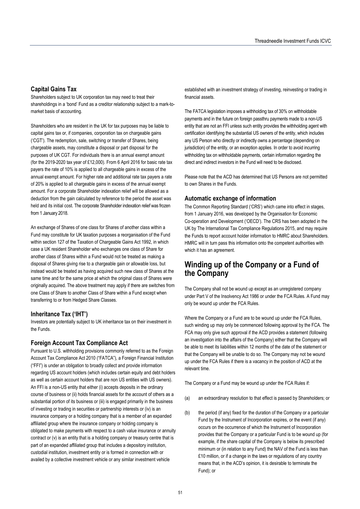## **Capital Gains Tax**

Shareholders subject to UK corporation tax may need to treat their shareholdings in a 'bond' Fund as a creditor relationship subject to a mark-tomarket basis of accounting.

Shareholders who are resident in the UK for tax purposes may be liable to capital gains tax or, if companies, corporation tax on chargeable gains ('CGT'). The redemption, sale, switching or transfer of Shares, being chargeable assets, may constitute a disposal or part disposal for the purposes of UK CGT. For individuals there is an annual exempt amount (for the 2019-2020 tax year of £12,000). From 6 April 2016 for basic rate tax payers the rate of 10% is applied to all chargeable gains in excess of the annual exempt amount. For higher rate and additional rate tax payers a rate of 20% is applied to all chargeable gains in excess of the annual exempt amount. For a corporate Shareholder indexation relief will be allowed as a deduction from the gain calculated by reference to the period the asset was held and its initial cost. The corporate Shareholder indexation relief was frozen from 1 January 2018.

An exchange of Shares of one class for Shares of another class within a Fund may constitute for UK taxation purposes a reorganisation of the Fund within section 127 of the Taxation of Chargeable Gains Act 1992, in which case a UK resident Shareholder who exchanges one class of Share for another class of Shares within a Fund would not be treated as making a disposal of Shares giving rise to a chargeable gain or allowable loss, but instead would be treated as having acquired such new class of Shares at the same time and for the same price at which the original class of Shares were originally acquired. The above treatment may apply if there are switches from one Class of Share to another Class of Share within a Fund except when transferring to or from Hedged Share Classes.

## **Inheritance Tax ('IHT')**

Investors are potentially subject to UK inheritance tax on their investment in the Funds.

## **Foreign Account Tax Compliance Act**

Pursuant to U.S. withholding provisions commonly referred to as the Foreign Account Tax Compliance Act 2010 ("FATCA"), a Foreign Financial Institution ("FFI") is under an obligation to broadly collect and provide information regarding US account holders (which includes certain equity and debt holders as well as certain account holders that are non US entities with US owners). An FFI is a non-US entity that either (i) accepts deposits in the ordinary course of business or (ii) holds financial assets for the account of others as a substantial portion of its business or (iii) is engaged primarily in the business of investing or trading in securities or partnership interests or (iv) is an insurance company or a holding company that is a member of an expanded affiliated group where the insurance company or holding company is obligated to make payments with respect to a cash value insurance or annuity contract or (v) is an entity that is a holding company or treasury centre that is part of an expanded affiliated group that includes a depository institution, custodial institution, investment entity or is formed in connection with or availed by a collective investment vehicle or any similar investment vehicle

established with an investment strategy of investing, reinvesting or trading in financial assets.

The FATCA legislation imposes a withholding tax of 30% on withholdable payments and in the future on foreign passthru payments made to a non-US entity that are not an FFI unless such entity provides the withholding agent with certification identifying the substantial US owners of the entity, which includes any US Person who directly or indirectly owns a percentage (depending on jurisdiction) of the entity, or an exception applies. In order to avoid incurring withholding tax on withholdable payments, certain information regarding the direct and indirect investors in the Fund will need to be disclosed.

Please note that the ACD has determined that US Persons are not permitted to own Shares in the Funds.

## **Automatic exchange of information**

The Common Reporting Standard ('CRS') which came into effect in stages, from 1 January 2016, was developed by the Organisation for Economic Co-operation and Development ('OECD'). The CRS has been adopted in the UK by The International Tax Compliance Regulations 2015, and may require the Funds to report account holder information to HMRC about Shareholders. HMRC will in turn pass this information onto the competent authorities with which it has an agreement.

## **Winding up of the Company or a Fund of the Company**

The Company shall not be wound up except as an unregistered company under Part V of the Insolvency Act 1986 or under the FCA Rules. A Fund may only be wound up under the FCA Rules.

Where the Company or a Fund are to be wound up under the FCA Rules, such winding up may only be commenced following approval by the FCA. The FCA may only give such approval if the ACD provides a statement (following an investigation into the affairs of the Company) either that the Company will be able to meet its liabilities within 12 months of the date of the statement or that the Company will be unable to do so. The Company may not be wound up under the FCA Rules if there is a vacancy in the position of ACD at the relevant time.

The Company or a Fund may be wound up under the FCA Rules if:

- (a) an extraordinary resolution to that effect is passed by Shareholders; or
- (b) the period (if any) fixed for the duration of the Company or a particular Fund by the Instrument of Incorporation expires, or the event (if any) occurs on the occurrence of which the Instrument of Incorporation provides that the Company or a particular Fund is to be wound up (for example, if the share capital of the Company is below its prescribed minimum or (in relation to any Fund) the NAV of the Fund is less than £10 million, or if a change in the laws or regulations of any country means that, in the ACD's opinion, it is desirable to terminate the Fund); or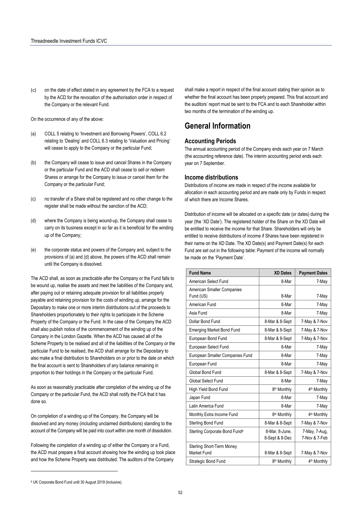(c) on the date of effect stated in any agreement by the FCA to a request by the ACD for the revocation of the authorisation order in respect of the Company or the relevant Fund.

On the occurrence of any of the above:

- (a) COLL 5 relating to 'Investment and Borrowing Powers', COLL 6.2 relating to 'Dealing' and COLL 6.3 relating to 'Valuation and Pricing' will cease to apply to the Company or the particular Fund;
- (b) the Company will cease to issue and cancel Shares in the Company or the particular Fund and the ACD shall cease to sell or redeem Shares or arrange for the Company to issue or cancel them for the Company or the particular Fund;
- (c) no transfer of a Share shall be registered and no other change to the register shall be made without the sanction of the ACD;
- (d) where the Company is being wound-up, the Company shall cease to carry on its business except in so far as it is beneficial for the winding up of the Company;
- (e) the corporate status and powers of the Company and, subject to the provisions of (a) and (d) above, the powers of the ACD shall remain until the Company is dissolved.

The ACD shall, as soon as practicable after the Company or the Fund falls to be wound up, realise the assets and meet the liabilities of the Company and, after paying out or retaining adequate provision for all liabilities properly payable and retaining provision for the costs of winding up, arrange for the Depositary to make one or more interim distributions out of the proceeds to Shareholders proportionately to their rights to participate in the Scheme Property of the Company or the Fund. In the case of the Company the ACD shall also publish notice of the commencement of the winding up of the Company in the London Gazette. When the ACD has caused all of the Scheme Property to be realised and all of the liabilities of the Company or the particular Fund to be realised, the ACD shall arrange for the Depositary to also make a final distribution to Shareholders on or prior to the date on which the final account is sent to Shareholders of any balance remaining in proportion to their holdings in the Company or the particular Fund.

As soon as reasonably practicable after completion of the winding up of the Company or the particular Fund, the ACD shall notify the FCA that it has done so.

On completion of a winding up of the Company, the Company will be dissolved and any money (including unclaimed distributions) standing to the account of the Company will be paid into court within one month of dissolution.

Following the completion of a winding up of either the Company or a Fund, the ACD must prepare a final account showing how the winding up took place and how the Scheme Property was distributed. The auditors of the Company

shall make a report in respect of the final account stating their opinion as to whether the final account has been properly prepared. This final account and the auditors' report must be sent to the FCA and to each Shareholder within two months of the termination of the winding up.

# **General Information**

## **Accounting Periods**

The annual accounting period of the Company ends each year on 7 March (the accounting reference date). The interim accounting period ends each year on 7 September.

## **Income distributions**

Distributions of income are made in respect of the income available for allocation in each accounting period and are made only by Funds in respect of which there are Income Shares.

Distribution of income will be allocated on a specific date (or dates) during the year (the 'XD Date'). The registered holder of the Share on the XD Date will be entitled to receive the income for that Share. Shareholders will only be entitled to receive distributions of income if Shares have been registered in their name on the XD Date. The XD Date(s) and Payment Date(s) for each Fund are set out in the following table: Payment of the income will normally be made on the 'Payment Date'.

| <b>Fund Name</b>                          | <b>XD Dates</b>                  | <b>Payment Dates</b>           |
|-------------------------------------------|----------------------------------|--------------------------------|
| American Select Fund                      | 8-Mar                            | 7-May                          |
| American Smaller Companies<br>Fund (US)   | 8-Mar                            | 7-May                          |
| American Fund                             | 8-Mar                            | 7-May                          |
| Asia Fund                                 | 8-Mar                            | 7-May                          |
| Dollar Bond Fund                          | 8-Mar & 8-Sept                   | 7-May & 7-Nov                  |
| <b>Emerging Market Bond Fund</b>          | 8-Mar & 8-Sept                   | 7-May & 7-Nov                  |
| European Bond Fund                        | 8-Mar & 8-Sept                   | 7-May & 7-Nov                  |
| European Select Fund                      | 8-Mar                            | 7-May                          |
| European Smaller Companies Fund           | 8-Mar                            | 7-May                          |
| European Fund                             | 8-Mar                            | 7-May                          |
| Global Bond Fund                          | 8-Mar & 8-Sept                   | 7-May & 7-Nov                  |
| Global Select Fund                        | 8-Mar                            | 7-May                          |
| High Yield Bond Fund                      | 8 <sup>th</sup> Monthly          | 4 <sup>th</sup> Monthly        |
| Japan Fund                                | 8-Mar                            | 7-May                          |
| Latin America Fund                        | 8-Mar                            | 7-May                          |
| Monthly Extra Income Fund                 | 8 <sup>th</sup> Monthly          | 4 <sup>th</sup> Monthly        |
| Sterling Bond Fund                        | 8-Mar & 8-Sept                   | 7-May & 7-Nov                  |
| Sterling Corporate Bond Fund <sup>6</sup> | 8-Mar, 8-June,<br>8-Sept & 8-Dec | 7-May, 7-Aug,<br>7-Nov & 7-Feb |
| Sterling Short-Term Money<br>Market Fund  | 8-Mar & 8-Sept                   | 7-May & 7-Nov                  |
| Strategic Bond Fund                       | 8 <sup>th</sup> Monthly          | 4 <sup>th</sup> Monthly        |

 $\overline{\phantom{a}}$ 

<sup>6</sup> UK Corporate Bond Fund until 30 August 2019 (inclusive).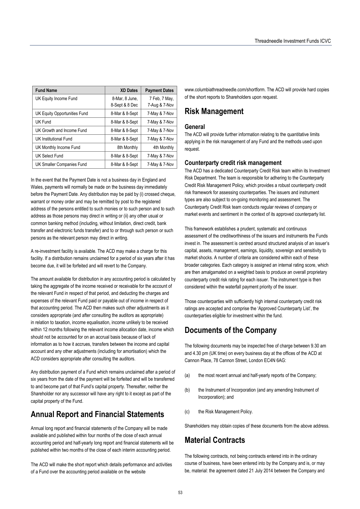| <b>Fund Name</b>             | <b>XD Dates</b>                  | <b>Payment Dates</b>           |
|------------------------------|----------------------------------|--------------------------------|
| UK Equity Income Fund        | 8-Mar, 8 June,<br>8-Sept & 8 Dec | 7 Feb, 7 May,<br>7-Aug & 7-Nov |
| UK Equity Opportunities Fund | 8-Mar & 8-Sept                   | 7-May & 7-Nov                  |
| UK Fund                      | 8-Mar & 8-Sept                   | 7-May & 7-Nov                  |
| UK Growth and Income Fund    | 8-Mar & 8-Sept                   | 7-May & 7-Nov                  |
| UK Institutional Fund        | 8-Mar & 8-Sept                   | 7-May & 7-Nov                  |
| UK Monthly Income Fund       | 8th Monthly                      | 4th Monthly                    |
| UK Select Fund               | 8-Mar & 8-Sept                   | 7-May & 7-Nov                  |
| UK Smaller Companies Fund    | 8-Mar & 8-Sept                   | 7-May & 7-Nov                  |

In the event that the Payment Date is not a business day in England and Wales, payments will normally be made on the business day immediately before the Payment Date. Any distribution may be paid by (i) crossed cheque, warrant or money order and may be remitted by post to the registered address of the persons entitled to such monies or to such person and to such address as those persons may direct in writing or (ii) any other usual or common banking method (including, without limitation, direct credit, bank transfer and electronic funds transfer) and to or through such person or such persons as the relevant person may direct in writing.

A re-investment facility is available. The ACD may make a charge for this facility. If a distribution remains unclaimed for a period of six years after it has become due, it will be forfeited and will revert to the Company.

The amount available for distribution in any accounting period is calculated by taking the aggregate of the income received or receivable for the account of the relevant Fund in respect of that period, and deducting the charges and expenses of the relevant Fund paid or payable out of income in respect of that accounting period. The ACD then makes such other adjustments as it considers appropriate (and after consulting the auditors as appropriate) in relation to taxation, income equalisation, income unlikely to be received within 12 months following the relevant income allocation date, income which should not be accounted for on an accrual basis because of lack of information as to how it accrues, transfers between the income and capital account and any other adjustments (including for amortisation) which the ACD considers appropriate after consulting the auditors.

Any distribution payment of a Fund which remains unclaimed after a period of six years from the date of the payment will be forfeited and will be transferred to and become part of that Fund's capital property. Thereafter, neither the Shareholder nor any successor will have any right to it except as part of the capital property of the Fund.

# **Annual Report and Financial Statements**

Annual long report and financial statements of the Company will be made available and published within four months of the close of each annual accounting period and half-yearly long report and financial statements will be published within two months of the close of each interim accounting period.

The ACD will make the short report which details performance and activities of a Fund over the accounting period available on the website

www.columbiathreadneedle.com/shortform. The ACD will provide hard copies of the short reports to Shareholders upon request.

# **Risk Management**

## **General**

The ACD will provide further information relating to the quantitative limits applying in the risk management of any Fund and the methods used upon request.

## **Counterparty credit risk management**

The ACD has a dedicated Counterparty Credit Risk team within its Investment Risk Department. The team is responsible for adhering to the Counterparty Credit Risk Management Policy, which provides a robust counterparty credit risk framework for assessing counterparties. The issuers and instrument types are also subject to on-going monitoring and assessment. The Counterparty Credit Risk team conducts regular reviews of company or market events and sentiment in the context of its approved counterparty list.

This framework establishes a prudent, systematic and continuous assessment of the creditworthiness of the issuers and instruments the Funds invest in. The assessment is centred around structured analysis of an issuer's capital, assets, management, earnings, liquidity, sovereign and sensitivity to market shocks. A number of criteria are considered within each of these broader categories. Each category is assigned an internal rating score, which are then amalgamated on a weighted basis to produce an overall proprietary counterparty credit risk rating for each issuer. The instrument type is then considered within the waterfall payment priority of the issuer.

Those counterparties with sufficiently high internal counterparty credit risk ratings are accepted and comprise the 'Approved Counterparty List', the counterparties eligible for investment within the fund.

# **Documents of the Company**

The following documents may be inspected free of charge between 9.30 am and 4.30 pm (UK time) on every business day at the offices of the ACD at Cannon Place, 78 Cannon Street, London EC4N 6AG:

- (a) the most recent annual and half-yearly reports of the Company;
- (b) the Instrument of Incorporation (and any amending Instrument of Incorporation); and
- (c) the Risk Management Policy.

Shareholders may obtain copies of these documents from the above address.

# **Material Contracts**

The following contracts, not being contracts entered into in the ordinary course of business, have been entered into by the Company and is, or may be, material: the agreement dated 21 July 2014 between the Company and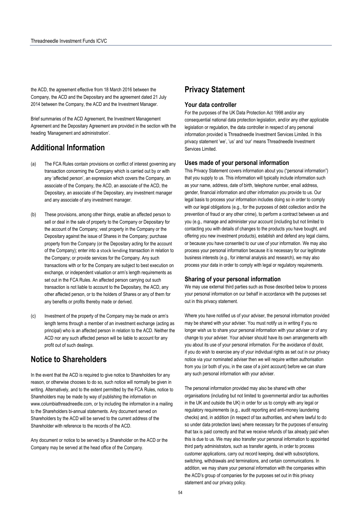the ACD, the agreement effective from 18 March 2016 between the Company, the ACD and the Depositary and the agreement dated 21 July 2014 between the Company, the ACD and the Investment Manager.

Brief summaries of the ACD Agreement, the Investment Management Agreement and the Depositary Agreement are provided in the section with the heading 'Management and administration'.

# **Additional Information**

- (a) The FCA Rules contain provisions on conflict of interest governing any transaction concerning the Company which is carried out by or with any 'affected person', an expression which covers the Company, an associate of the Company, the ACD, an associate of the ACD, the Depositary, an associate of the Depositary, any investment manager and any associate of any investment manager.
- (b) These provisions, among other things, enable an affected person to sell or deal in the sale of property to the Company or Depositary for the account of the Company; vest property in the Company or the Depositary against the issue of Shares in the Company; purchase property from the Company (or the Depositary acting for the account of the Company); enter into a stock lending transaction in relation to the Company; or provide services for the Company. Any such transactions with or for the Company are subject to best execution on exchange, or independent valuation or arm's length requirements as set out in the FCA Rules. An affected person carrying out such transaction is not liable to account to the Depositary, the ACD, any other affected person, or to the holders of Shares or any of them for any benefits or profits thereby made or derived.
- (c) Investment of the property of the Company may be made on arm's length terms through a member of an investment exchange (acting as principal) who is an affected person in relation to the ACD. Neither the ACD nor any such affected person will be liable to account for any profit out of such dealings.

# **Notice to Shareholders**

In the event that the ACD is required to give notice to Shareholders for any reason, or otherwise chooses to do so, such notice will normally be given in writing. Alternatively, and to the extent permitted by the FCA Rules, notice to Shareholders may be made by way of publishing the information on www.columbiathreadneedle.com, or by including the information in a mailing to the Shareholders bi-annual statements. Any document served on Shareholders by the ACD will be served to the current address of the Shareholder with reference to the records of the ACD.

Any document or notice to be served by a Shareholder on the ACD or the Company may be served at the head office of the Company.

# **Privacy Statement**

## **Your data controller**

For the purposes of the UK Data Protection Act 1998 and/or any consequential national data protection legislation, and/or any other applicable legislation or regulation, the data controller in respect of any personal information provided is Threadneedle Investment Services Limited. In this privacy statement 'we', 'us' and 'our' means Threadneedle Investment Services Limited.

## **Uses made of your personal information**

This Privacy Statement covers information about you ("personal information") that you supply to us. This information will typically include information such as your name, address, date of birth, telephone number, email address, gender, financial information and other information you provide to us. Our legal basis to process your information includes doing so in order to comply with our legal obligations (e.g., for the purposes of debt collection and/or the prevention of fraud or any other crime), to perform a contract between us and you (e.g., manage and administer your account (including but not limited to contacting you with details of changes to the products you have bought, and offering you new investment products), establish and defend any legal claims, or because you have consented to our use of your information. We may also process your personal information because it is necessary for our legitimate business interests (e.g., for internal analysis and research), we may also process your data in order to comply with legal or regulatory requirements.

## **Sharing of your personal information**

We may use external third parties such as those described below to process your personal information on our behalf in accordance with the purposes set out in this privacy statement.

Where you have notified us of your adviser, the personal information provided may be shared with your adviser. You must notify us in writing if you no longer wish us to share your personal information with your adviser or of any change to your adviser. Your adviser should have its own arrangements with you about its use of your personal information. For the avoidance of doubt, if you do wish to exercise any of your individual rights as set out in our privacy notice via your nominated adviser then we will require written authorisation from you (or both of you, in the case of a joint account) before we can share any such personal information with your adviser.

The personal information provided may also be shared with other organisations (including but not limited to governmental and/or tax authorities in the UK and outside the UK) in order for us to comply with any legal or regulatory requirements (e.g., audit reporting and anti-money laundering checks) and, in addition (in respect of tax authorities, and where lawful to do so under data protection laws) where necessary for the purposes of ensuring that tax is paid correctly and that we receive refunds of tax already paid when this is due to us. We may also transfer your personal information to appointed third party administrators, such as transfer agents, in order to process customer applications, carry out record keeping, deal with subscriptions, switching, withdrawals and terminations, and certain communications. In addition, we may share your personal information with the companies within the ACD's group of companies for the purposes set out in this privacy statement and our privacy policy.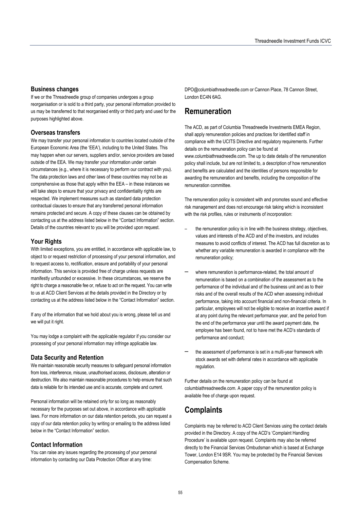## **Business changes**

If we or the Threadneedle group of companies undergoes a group reorganisation or is sold to a third party, your personal information provided to us may be transferred to that reorganised entity or third party and used for the purposes highlighted above.

## **Overseas transfers**

We may transfer your personal information to countries located outside of the European Economic Area (the 'EEA'), including to the United States. This may happen when our servers, suppliers and/or, service providers are based outside of the EEA. We may transfer your information under certain circumstances (e.g., where it is necessary to perform our contract with you). The data protection laws and other laws of these countries may not be as comprehensive as those that apply within the EEA – in these instances we will take steps to ensure that your privacy and confidentiality rights are respected. We implement measures such as standard data protection contractual clauses to ensure that any transferred personal information remains protected and secure. A copy of these clauses can be obtained by contacting us at the address listed below in the "Contact Information" section. Details of the countries relevant to you will be provided upon request.

## **Your Rights**

With limited exceptions, you are entitled, in accordance with applicable law, to object to or request restriction of processing of your personal information, and to request access to, rectification, erasure and portability of your personal information. This service is provided free of charge unless requests are manifestly unfounded or excessive. In these circumstances, we reserve the right to charge a reasonable fee or, refuse to act on the request. You can write to us at ACD Client Services at the details provided in the Directory or by contacting us at the address listed below in the "Contact Information" section.

If any of the information that we hold about you is wrong, please tell us and we will put it right.

You may lodge a complaint with the applicable regulator if you consider our processing of your personal information may infringe applicable law.

## **Data Security and Retention**

We maintain reasonable security measures to safeguard personal information from loss, interference, misuse, unauthorised access, disclosure, alteration or destruction. We also maintain reasonable procedures to help ensure that such data is reliable for its intended use and is accurate, complete and current.

Personal information will be retained only for so long as reasonably necessary for the purposes set out above, in accordance with applicable laws. For more information on our data retention periods, you can request a copy of our data retention policy by writing or emailing to the address listed below in the "Contact Information" section.

#### **Contact Information**

You can raise any issues regarding the processing of your personal information by contacting our Data Protection Officer at any time:

DPO@columbiathreadneedle.com or Cannon Place, 78 Cannon Street, London EC4N 6AG.

## **Remuneration**

The ACD, as part of Columbia Threadneedle Investments EMEA Region, shall apply remuneration policies and practices for identified staff in compliance with the UCITS Directive and regulatory requirements. Further details on the remuneration policy can be found at www.columbiathreadneedle.com. The up to date details of the remuneration policy shall include, but are not limited to, a description of how remuneration and benefits are calculated and the identities of persons responsible for awarding the remuneration and benefits, including the composition of the remuneration committee.

The remuneration policy is consistent with and promotes sound and effective risk management and does not encourage risk taking which is inconsistent with the risk profiles, rules or instruments of incorporation:

- the remuneration policy is in line with the business strategy, objectives, values and interests of the ACD and of the investors, and includes measures to avoid conflicts of interest. The ACD has full discretion as to whether any variable remuneration is awarded in compliance with the remuneration policy;
- where remuneration is performance-related, the total amount of remuneration is based on a combination of the assessment as to the performance of the individual and of the business unit and as to their risks and of the overall results of the ACD when assessing individual performance, taking into account financial and non-financial criteria. In particular, employees will not be eligible to receive an incentive award if at any point during the relevant performance year, and the period from the end of the performance year until the award payment date, the employee has been found, not to have met the ACD's standards of performance and conduct;
- the assessment of performance is set in a multi-year framework with stock awards set with deferral rates in accordance with applicable regulation.

Further details on the remuneration policy can be found at columbiathreadneedle.com. A paper copy of the remuneration policy is available free of charge upon request.

## **Complaints**

Complaints may be referred to ACD Client Services using the contact details provided in the Directory. A copy of the ACD's 'Complaint Handling Procedure' is available upon request. Complaints may also be referred directly to the Financial Services Ombudsman which is based at Exchange Tower, London E14 9SR. You may be protected by the Financial Services Compensation Scheme.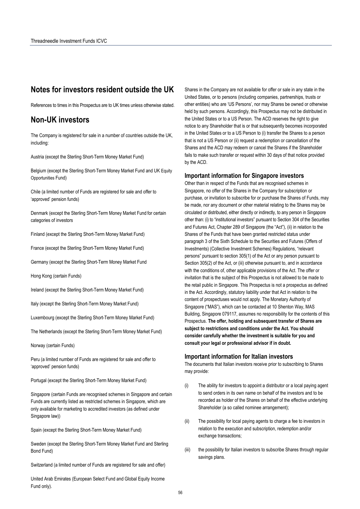## **Notes for investors resident outside the UK**

References to times in this Prospectus are to UK times unless otherwise stated.

## **Non-UK investors**

The Company is registered for sale in a number of countries outside the UK, including:

Austria (except the Sterling Short-Term Money Market Fund)

Belgium (except the Sterling Short-Term Money Market Fund and UK Equity Opportunities Fund)

Chile (a limited number of Funds are registered for sale and offer to 'approved' pension funds)

Denmark (except the Sterling Short-Term Money Market Fund for certain categories of investors

Finland (except the Sterling Short-Term Money Market Fund)

France (except the Sterling Short-Term Money Market Fund)

Germany (except the Sterling Short-Term Money Market Fund

Hong Kong (certain Funds)

Ireland (except the Sterling Short-Term Money Market Fund)

Italy (except the Sterling Short-Term Money Market Fund)

Luxembourg (except the Sterling Short-Term Money Market Fund)

The Netherlands (except the Sterling Short-Term Money Market Fund)

Norway (certain Funds)

Peru (a limited number of Funds are registered for sale and offer to 'approved' pension funds)

Portugal (except the Sterling Short-Term Money Market Fund)

Singapore (certain Funds are recognised schemes in Singapore and certain Funds are currently listed as restricted schemes in Singapore, which are only available for marketing to accredited investors (as defined under Singapore law))

Spain (except the Sterling Short-Term Money Market Fund)

Sweden (except the Sterling Short-Term Money Market Fund and Sterling Bond Fund)

Switzerland (a limited number of Funds are registered for sale and offer)

United Arab Emirates (European Select Fund and Global Equity Income Fund only).

Shares in the Company are not available for offer or sale in any state in the United States, or to persons (including companies, partnerships, trusts or other entities) who are 'US Persons', nor may Shares be owned or otherwise held by such persons. Accordingly, this Prospectus may not be distributed in the United States or to a US Person. The ACD reserves the right to give notice to any Shareholder that is or that subsequently becomes incorporated in the United States or to a US Person to (i) transfer the Shares to a person that is not a US Person or (ii) request a redemption or cancellation of the Shares and the ACD may redeem or cancel the Shares if the Shareholder fails to make such transfer or request within 30 days of that notice provided by the ACD.

#### **Important information for Singapore investors**

Other than in respect of the Funds that are recognised schemes in Singapore, no offer of the Shares in the Company for subscription or purchase, or invitation to subscribe for or purchase the Shares of Funds, may be made, nor any document or other material relating to the Shares may be circulated or distributed, either directly or indirectly, to any person in Singapore other than: (i) to "institutional investors" pursuant to Section 304 of the Securities and Futures Act, Chapter 289 of Singapore (the "Act"), (ii) in relation to the Shares of the Funds that have been granted restricted status under paragraph 3 of the Sixth Schedule to the Securities and Futures (Offers of Investments) (Collective Investment Schemes) Regulations, "relevant persons" pursuant to section 305(1) of the Act or any person pursuant to Section 305(2) of the Act, or (iii) otherwise pursuant to, and in accordance with the conditions of, other applicable provisions of the Act. The offer or invitation that is the subject of this Prospectus is not allowed to be made to the retail public in Singapore. This Prospectus is not a prospectus as defined in the Act. Accordingly, statutory liability under that Act in relation to the content of prospectuses would not apply. The Monetary Authority of Singapore ("MAS"), which can be contacted at 10 Shenton Way, MAS Building, Singapore 079117, assumes no responsibility for the contents of this Prospectus. **The offer, holding and subsequent transfer of Shares are subject to restrictions and conditions under the Act. You should consider carefully whether the investment is suitable for you and consult your legal or professional advisor if in doubt.** 

#### **Important information for Italian investors**

The documents that Italian investors receive prior to subscribing to Shares may provide:

- (i) The ability for investors to appoint a distributor or a local paying agent to send orders in its own name on behalf of the investors and to be recorded as holder of the Shares on behalf of the effective underlying Shareholder (a so called nominee arrangement);
- (ii) The possibility for local paying agents to charge a fee to investors in relation to the execution and subscription, redemption and/or exchange transactions;
- (iii) the possibility for Italian investors to subscribe Shares through regular savings plans.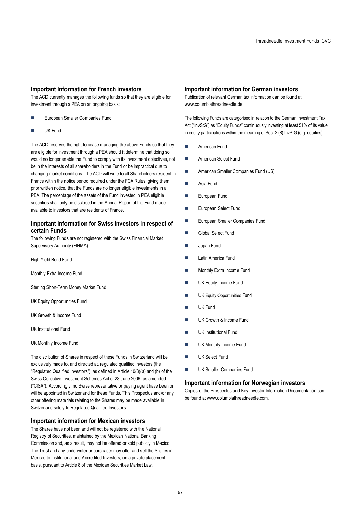## **Important Information for French investors**

The ACD currently manages the following funds so that they are eligible for investment through a PEA on an ongoing basis:

- European Smaller Companies Fund
- UK Fund

The ACD reserves the right to cease managing the above Funds so that they are eligible for investment through a PEA should it determine that doing so would no longer enable the Fund to comply with its investment objectives, not be in the interests of all shareholders in the Fund or be impractical due to changing market conditions. The ACD will write to all Shareholders resident in France within the notice period required under the FCA Rules, giving them prior written notice, that the Funds are no longer eligible investments in a PEA. The percentage of the assets of the Fund invested in PEA eligible securities shall only be disclosed in the Annual Report of the Fund made available to investors that are residents of France.

## **Important information for Swiss investors in respect of certain Funds**

The following Funds are not registered with the Swiss Financial Market Supervisory Authority (FINMA):

High Yield Bond Fund

Monthly Extra Income Fund

Sterling Short-Term Money Market Fund

UK Equity Opportunities Fund

- UK Growth & Income Fund
- UK Institutional Fund
- UK Monthly Income Fund

The distribution of Shares in respect of these Funds in Switzerland will be exclusively made to, and directed at, regulated qualified investors (the "Regulated Qualified Investors"), as defined in Article 10(3)(a) and (b) of the Swiss Collective Investment Schemes Act of 23 June 2006, as amended ("CISA"). Accordingly, no Swiss representative or paying agent have been or will be appointed in Switzerland for these Funds. This Prospectus and/or any other offering materials relating to the Shares may be made available in Switzerland solely to Regulated Qualified Investors.

## **Important information for Mexican investors**

The Shares have not been and will not be registered with the National Registry of Securities, maintained by the Mexican National Banking Commission and, as a result, may not be offered or sold publicly in Mexico. The Trust and any underwriter or purchaser may offer and sell the Shares in Mexico, to Institutional and Accredited Investors, on a private placement basis, pursuant to Article 8 of the Mexican Securities Market Law.

#### **Important information for German investors**

Publication of relevant German tax information can be found at www.columbiathreadneedle.de.

The following Funds are categorised in relation to the German Investment Tax Act ("InvStG") as "Equity Funds" continuously investing at least 51% of its value in equity participations within the meaning of Sec. 2 (8) InvStG (e.g. equities):

- American Fund
- **American Select Fund**
- **American Smaller Companies Fund (US)**
- **Asia Fund**
- **European Fund**
- **European Select Fund**
- European Smaller Companies Fund
- **Global Select Fund**
- Japan Fund
- Latin America Fund
- Monthly Extra Income Fund
- UK Equity Income Fund
- UK Equity Opportunities Fund
- UK Fund
- UK Growth & Income Fund
- UK Institutional Fund
- UK Monthly Income Fund
- UK Select Fund
- **UK Smaller Companies Fund**

### **Important information for Norwegian investors**

Copies of the Prospectus and Key Investor Information Documentation can be found at www.columbiathreadneedle.com.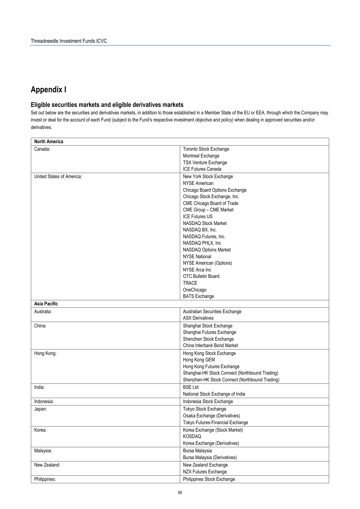# **Appendix I**

## **Eligible securities markets and eligible derivatives markets**

Set out below are the securities and derivatives markets, in addition to those established in a Member State of the EU or EEA, through which the Company may invest or deal for the account of each Fund (subject to the Fund's respective investment objective and policy) when dealing in approved securities and/or derivatives.

| <b>North America</b>      |                                                        |  |
|---------------------------|--------------------------------------------------------|--|
| Canada:                   | Toronto Stock Exchange                                 |  |
|                           | Montreal Exchange                                      |  |
|                           | <b>TSX Venture Exchange</b>                            |  |
|                           | <b>ICE Futures Canada</b>                              |  |
| United States of America: | New York Stock Exchange                                |  |
|                           | <b>NYSE American</b>                                   |  |
|                           | Chicago Board Options Exchange                         |  |
|                           | Chicago Stock Exchange, Inc.                           |  |
|                           | CME Chicago Board of Trade                             |  |
|                           | CME Group - CME Market                                 |  |
|                           | <b>ICE Futures US</b>                                  |  |
|                           | NASDAQ Stock Market                                    |  |
|                           | NASDAQ BX, Inc.                                        |  |
|                           | NASDAQ Futures, Inc.                                   |  |
|                           | NASDAQ PHLX, Inc                                       |  |
|                           | NASDAQ Options Market                                  |  |
|                           | <b>NYSE National</b>                                   |  |
|                           | NYSE American (Options)                                |  |
|                           | NYSE Arca Inc                                          |  |
|                           | <b>OTC Bulletin Board</b>                              |  |
|                           | <b>TRACE</b>                                           |  |
|                           | OneChicago                                             |  |
|                           | <b>BATS Exchange</b>                                   |  |
| <b>Asia Pacific</b>       |                                                        |  |
| Australia:                | Australian Securities Exchange                         |  |
|                           | <b>ASX Derivatives</b>                                 |  |
|                           |                                                        |  |
| China:                    | Shanghai Stock Exchange                                |  |
|                           | Shanghai Futures Exchange                              |  |
|                           | Shenzhen Stock Exchange<br>China Interbank Bond Market |  |
|                           |                                                        |  |
| Hong Kong:                | Hong Kong Stock Exchange                               |  |
|                           | Hong Kong GEM                                          |  |
|                           | Hong Kong Futures Exchange                             |  |
|                           | Shanghai-HK Stock Connect (Northbound Trading)         |  |
|                           | Shenzhen-HK Stock Connect (Northbound Trading)         |  |
| India:                    | <b>BSE Ltd</b>                                         |  |
|                           | National Stock Exchange of India                       |  |
| Indonesia:                | Indonesia Stock Exchange                               |  |
| Japan:                    | Tokyo Stock Exchange                                   |  |
|                           | Osaka Exchange (Derivatives)                           |  |
|                           | Tokyo Futures-Financial Exchange                       |  |
| Korea:                    | Korea Exchange (Stock Market)                          |  |
|                           | <b>KOSDAQ</b>                                          |  |
|                           | Korea Exchange (Derivatives)                           |  |
| Malaysia:                 | Bursa Malaysia                                         |  |
|                           | Bursa Malaysia (Derivatives)                           |  |
| New Zealand:              | New Zealand Exchange                                   |  |
|                           | <b>NZX Futures Exchange</b>                            |  |
|                           |                                                        |  |
| Philippines:              | Philippines Stock Exchange                             |  |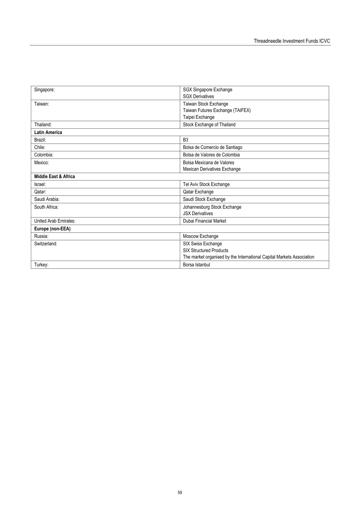| Singapore:                   | SGX Singapore Exchange                                                |  |
|------------------------------|-----------------------------------------------------------------------|--|
|                              | <b>SGX Derivatives</b>                                                |  |
| Taiwan:                      | Taiwan Stock Exchange                                                 |  |
|                              | Taiwan Futures Exchange (TAIFEX)                                      |  |
|                              | Taipei Exchange                                                       |  |
| Thailand:                    | Stock Exchange of Thailand                                            |  |
| <b>Latin America</b>         |                                                                       |  |
| Brazil:                      | B <sub>3</sub>                                                        |  |
| Chile:                       | Bolsa de Comercio de Santiago                                         |  |
| Colombia:                    | Bolsa de Valores de Colombia                                          |  |
| Mexico:                      | Bolsa Mexicana de Valores                                             |  |
|                              | Mexican Derivatives Exchange                                          |  |
| Middle East & Africa         |                                                                       |  |
| Israel:                      | Tel Aviv Stock Exchange                                               |  |
| Qatar:                       | Qatar Exchange                                                        |  |
| Saudi Arabia:                | Saudi Stock Exchange                                                  |  |
| South Africa:                | Johannesburg Stock Exchange                                           |  |
|                              | <b>JSX Derivatives</b>                                                |  |
| <b>United Arab Emirates:</b> | Dubai Financial Market                                                |  |
| Europe (non-EEA)             |                                                                       |  |
| Russia:                      | Moscow Exchange                                                       |  |
| Switzerland:                 | SIX Swiss Exchange                                                    |  |
|                              | <b>SIX Structured Products</b>                                        |  |
|                              | The market organised by the International Capital Markets Association |  |
| Turkey:                      | Borsa Istanbul                                                        |  |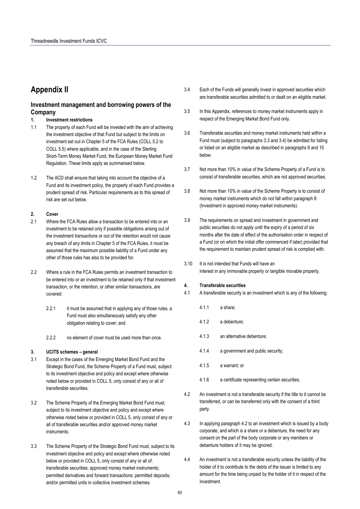# **Appendix II**

## **Investment management and borrowing powers of the Company**

#### **1. Investment restrictions**

- 1.1 The property of each Fund will be invested with the aim of achieving the investment objective of that Fund but subject to the limits on investment set out in Chapter 5 of the FCA Rules (COLL 5.2 to COLL 5.5) where applicable, and in the case of the Sterling Short-Term Money Market Fund, the European Money Market Fund Regulation. These limits apply as summarised below.
- 1.2 The ACD shall ensure that taking into account the objective of a Fund and its investment policy, the property of each Fund provides a prudent spread of risk. Particular requirements as to this spread of risk are set out below.

## **2. Cover**

- 2.1 Where the FCA Rules allow a transaction to be entered into or an investment to be retained only if possible obligations arising out of the investment transactions or out of the retention would not cause any breach of any limits in Chapter 5 of the FCA Rules, it must be assumed that the maximum possible liability of a Fund under any other of those rules has also to be provided for.
- 2.2 Where a rule in the FCA Rules permits an investment transaction to be entered into or an investment to be retained only if that investment transaction, or the retention, or other similar transactions, are covered:
	- 2.2.1 it must be assumed that in applying any of those rules, a Fund must also simultaneously satisfy any other obligation relating to cover; and
	- 2.2.2 no element of cover must be used more than once.

#### **3. UCITS schemes – general**

- 3.1 Except in the cases of the Emerging Market Bond Fund and the Strategic Bond Fund, the Scheme Property of a Fund must, subject to its investment objective and policy and except where otherwise noted below or provided in COLL 5, only consist of any or all of transferable securities.
- 3.2 The Scheme Property of the Emerging Market Bond Fund must, subject to its investment objective and policy and except where otherwise noted below or provided in COLL 5, only consist of any or all of transferable securities and/or approved money market instruments.
- 3.3 The Scheme Property of the Strategic Bond Fund must, subject to its investment objective and policy and except where otherwise noted below or provided in COLL 5, only consist of any or all of: transferable securities; approved money market instruments; permitted derivatives and forward transactions; permitted deposits; and/or permitted units in collective investment schemes.
- 3.4 Each of the Funds will generally invest in approved securities which are transferable securities admitted to or dealt on an eligible market.
- 3.5 In this Appendix, references to money market instruments apply in respect of the Emerging Market Bond Fund only.
- 3.6 Transferable securities and money market instruments held within a Fund must (subject to paragraphs 3.3 and 3.4) be admitted for listing or listed on an eligible market as described in paragraphs 9 and 10 below.
- 3.7 Not more than 10% in value of the Scheme Property of a Fund is to consist of transferable securities, which are not approved securities.
- 3.8 Not more than 10% in value of the Scheme Property is to consist of money market instruments which do not fall within paragraph 8 (Investment in approved money market instruments).
- 3.9 The requirements on spread and investment in government and public securities do not apply until the expiry of a period of six months after the date of effect of the authorisation order in respect of a Fund (or on which the initial offer commenced if later) provided that the requirement to maintain prudent spread of risk is complied with.
- 3.10 It is not intended that Funds will have an interest in any immovable property or tangible movable property.

#### **4. Transferable securities**

- 4.1 A transferable security is an investment which is any of the following:
	- 4.1.1 a share;
	- 4.1.2 a debenture;
	- 4.1.3 an alternative debenture;
	- 4.1.4 a government and public security;
	- 4.1.5 a warrant; or
	- 4.1.6 a certificate representing certain securities.
- 4.2 An investment is not a transferable security if the title to it cannot be transferred, or can be transferred only with the consent of a third party.
- 4.3 In applying paragraph 4.2 to an investment which is issued by a body corporate, and which is a share or a debenture, the need for any consent on the part of the body corporate or any members or debenture holders of it may be ignored.
- 4.4 An investment is not a transferable security unless the liability of the holder of it to contribute to the debts of the issuer is limited to any amount for the time being unpaid by the holder of it in respect of the investment.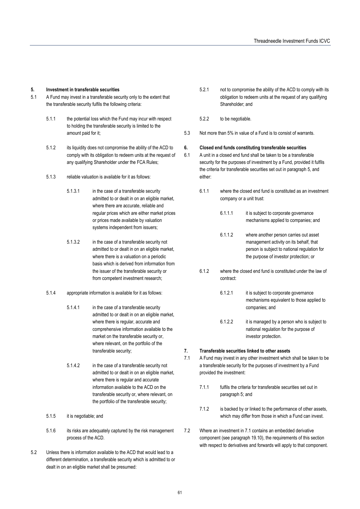#### **5. Investment in transferable securities**

- 5.1 A Fund may invest in a transferable security only to the extent that the transferable security fulfils the following criteria:
	- 5.1.1 the potential loss which the Fund may incur with respect to holding the transferable security is limited to the amount paid for it;
	- 5.1.2 its liquidity does not compromise the ability of the ACD to comply with its obligation to redeem units at the request of any qualifying Shareholder under the FCA Rules;
	- 5.1.3 reliable valuation is available for it as follows:
		- 5.1.3.1 in the case of a transferable security admitted to or dealt in on an eligible market, where there are accurate, reliable and regular prices which are either market prices or prices made available by valuation systems independent from issuers;
		- 5.1.3.2 in the case of a transferable security not admitted to or dealt in on an eligible market, where there is a valuation on a periodic basis which is derived from information from the issuer of the transferable security or from competent investment research;
	- 5.1.4 appropriate information is available for it as follows:
		- 5.1.4.1 in the case of a transferable security admitted to or dealt in on an eligible market, where there is regular, accurate and comprehensive information available to the market on the transferable security or, where relevant, on the portfolio of the transferable security;
		- 5.1.4.2 in the case of a transferable security not admitted to or dealt in on an eligible market, where there is regular and accurate information available to the ACD on the transferable security or, where relevant, on the portfolio of the transferable security;
	- 5.1.5 it is negotiable; and
	- 5.1.6 its risks are adequately captured by the risk management process of the ACD.
- 5.2 Unless there is information available to the ACD that would lead to a different determination, a transferable security which is admitted to or dealt in on an eligible market shall be presumed:
- 5.2.1 not to compromise the ability of the ACD to comply with its obligation to redeem units at the request of any qualifying Shareholder; and
- 5.2.2 to be negotiable.
- 5.3 Not more than 5% in value of a Fund is to consist of warrants.

#### **6. Closed end funds constituting transferable securities**

- 6.1 A unit in a closed end fund shall be taken to be a transferable security for the purposes of investment by a Fund, provided it fulfils the criteria for transferable securities set out in paragraph 5, and either:
	- 6.1.1 where the closed end fund is constituted as an investment company or a unit trust:
		- 6.1.1.1 it is subject to corporate governance mechanisms applied to companies; and
		- 6.1.1.2 where another person carries out asset management activity on its behalf, that person is subject to national regulation for the purpose of investor protection; or
	- 6.1.2 where the closed end fund is constituted under the law of contract:
		- 6.1.2.1 it is subject to corporate governance mechanisms equivalent to those applied to companies; and
		- 6.1.2.2 it is managed by a person who is subject to national regulation for the purpose of investor protection.
- **7. Transferable securities linked to other assets**
- 7.1 A Fund may invest in any other investment which shall be taken to be a transferable security for the purposes of investment by a Fund provided the investment:
	- 7.1.1 fulfils the criteria for transferable securities set out in paragraph 5; and
	- 7.1.2 is backed by or linked to the performance of other assets, which may differ from those in which a Fund can invest.
- 7.2 Where an investment in 7.1 contains an embedded derivative component (see paragraph 19.10), the requirements of this section with respect to derivatives and forwards will apply to that component.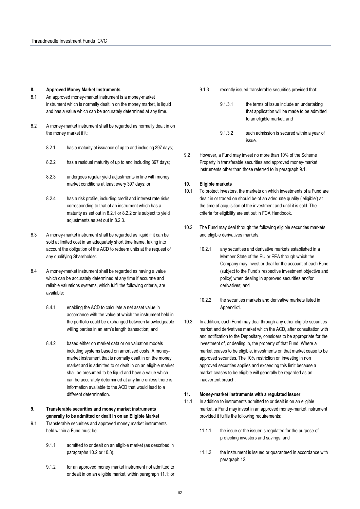#### **8. Approved Money Market Instruments**

- 8.1 An approved money-market instrument is a money-market instrument which is normally dealt in on the money market, is liquid and has a value which can be accurately determined at any time.
- 8.2 A money-market instrument shall be regarded as normally dealt in on the money market if it:
	- 8.2.1 has a maturity at issuance of up to and including 397 days;
	- 8.2.2 has a residual maturity of up to and including 397 days;
	- 8.2.3 undergoes regular yield adjustments in line with money market conditions at least every 397 days; or
	- 8.2.4 has a risk profile, including credit and interest rate risks, corresponding to that of an instrument which has a maturity as set out in 8.2.1 or 8.2.2 or is subject to yield adjustments as set out in 8.2.3.
- 8.3 A money-market instrument shall be regarded as liquid if it can be sold at limited cost in an adequately short time frame, taking into account the obligation of the ACD to redeem units at the request of any qualifying Shareholder.
- 8.4 A money-market instrument shall be regarded as having a value which can be accurately determined at any time if accurate and reliable valuations systems, which fulfil the following criteria, are available:
	- 8.4.1 enabling the ACD to calculate a net asset value in accordance with the value at which the instrument held in the portfolio could be exchanged between knowledgeable willing parties in an arm's length transaction; and
	- 8.4.2 based either on market data or on valuation models including systems based on amortised costs. A moneymarket instrument that is normally dealt in on the money market and is admitted to or dealt in on an eligible market shall be presumed to be liquid and have a value which can be accurately determined at any time unless there is information available to the ACD that would lead to a different determination.
- **9. Transferable securities and money market instruments generally to be admitted or dealt in on an Eligible Market**
- 9.1 Transferable securities and approved money market instruments held within a Fund must be:
	- 9.1.1 admitted to or dealt on an eligible market (as described in paragraphs 10.2 or 10.3).
	- 9.1.2 for an approved money market instrument not admitted to or dealt in on an eligible market, within paragraph 11.1; or
- 9.1.3 recently issued transferable securities provided that:
	- 9.1.3.1 the terms of issue include an undertaking that application will be made to be admitted to an eligible market; and
	- 9.1.3.2 such admission is secured within a year of issue.
- 9.2 However, a Fund may invest no more than 10% of the Scheme Property in transferable securities and approved money-market instruments other than those referred to in paragraph 9.1.

#### **10. Eligible markets**

- 10.1 To protect investors, the markets on which investments of a Fund are dealt in or traded on should be of an adequate quality ('eligible') at the time of acquisition of the investment and until it is sold. The criteria for eligibility are set out in FCA Handbook.
- 10.2 The Fund may deal through the following eligible securities markets and eligible derivatives markets:
	- 10.2.1 any securities and derivative markets established in a Member State of the EU or EEA through which the Company may invest or deal for the account of each Fund (subject to the Fund's respective investment objective and policy) when dealing in approved securities and/or derivatives; and
	- 10.2.2 the securities markets and derivative markets listed in Appendix1.
- 10.3 In addition, each Fund may deal through any other eligible securities market and derivatives market which the ACD, after consultation with and notification to the Depositary, considers to be appropriate for the investment of, or dealing in, the property of that Fund. Where a market ceases to be eligible, investments on that market cease to be approved securities. The 10% restriction on investing in non approved securities applies and exceeding this limit because a market ceases to be eligible will generally be regarded as an inadvertent breach.

#### **11. Money-market instruments with a regulated issuer**

- 11.1 In addition to instruments admitted to or dealt in on an eligible market, a Fund may invest in an approved money-market instrument provided it fulfils the following requirements:
	- 11.1.1 the issue or the issuer is regulated for the purpose of protecting investors and savings; and
	- 11.1.2 the instrument is issued or guaranteed in accordance with paragraph 12.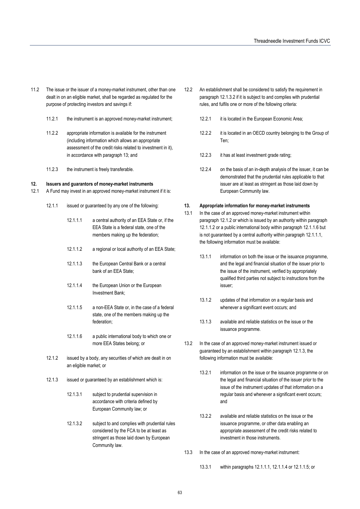- 11.2 The issue or the issuer of a money-market instrument, other than one dealt in on an eligible market, shall be regarded as regulated for the purpose of protecting investors and savings if:
	- 11.2.1 the instrument is an approved money-market instrument;
	- 11.2.2 appropriate information is available for the instrument (including information which allows an appropriate assessment of the credit risks related to investment in it), in accordance with paragraph 13; and
	- 11.2.3 the instrument is freely transferable.

#### **12. Issuers and guarantors of money-market instruments**

- 12.1 A Fund may invest in an approved money-market instrument if it is:
	- 12.1.1 issued or guaranteed by any one of the following:
		- 12.1.1.1 a central authority of an EEA State or, if the EEA State is a federal state, one of the members making up the federation;
		- 12.1.1.2 a regional or local authority of an EEA State;
		- 12.1.1.3 the European Central Bank or a central bank of an EEA State;
		- 12.1.1.4 the European Union or the European Investment Bank;
		- 12.1.1.5 a non-EEA State or, in the case of a federal state, one of the members making up the federation;
		- 12.1.1.6 a public international body to which one or more EEA States belong; or
	- 12.1.2 issued by a body, any securities of which are dealt in on an eligible market; or
	- 12.1.3 issued or guaranteed by an establishment which is:
		- 12.1.3.1 subject to prudential supervision in accordance with criteria defined by European Community law; or
		- 12.1.3.2 subject to and complies with prudential rules considered by the FCA to be at least as stringent as those laid down by European Community law.
- 12.2 An establishment shall be considered to satisfy the requirement in paragraph 12.1.3.2 if it is subject to and complies with prudential rules, and fulfils one or more of the following criteria:
	- 12.2.1 it is located in the European Economic Area;
	- 12.2.2 it is located in an OECD country belonging to the Group of Ten;
	- 12.2.3 it has at least investment grade rating;
	- 12.2.4 on the basis of an in-depth analysis of the issuer, it can be demonstrated that the prudential rules applicable to that issuer are at least as stringent as those laid down by European Community law.

#### **13. Appropriate information for money-market instruments**

- 13.1 In the case of an approved money-market instrument within paragraph 12.1.2 or which is issued by an authority within paragraph 12.1.1.2 or a public international body within paragraph 12.1.1.6 but is not guaranteed by a central authority within paragraph 12.1.1.1, the following information must be available:
	- 13.1.1 information on both the issue or the issuance programme. and the legal and financial situation of the issuer prior to the issue of the instrument, verified by appropriately qualified third parties not subject to instructions from the issuer;
	- 13.1.2 updates of that information on a regular basis and whenever a significant event occurs; and
	- 13.1.3 available and reliable statistics on the issue or the issuance programme.
- 13.2 In the case of an approved money-market instrument issued or guaranteed by an establishment within paragraph 12.1.3, the following information must be available:
	- 13.2.1 information on the issue or the issuance programme or on the legal and financial situation of the issuer prior to the issue of the instrument updates of that information on a regular basis and whenever a significant event occurs; and
	- 13.2.2 available and reliable statistics on the issue or the issuance programme, or other data enabling an appropriate assessment of the credit risks related to investment in those instruments.
- 13.3 In the case of an approved money-market instrument:
	- 13.3.1 within paragraphs 12.1.1.1, 12.1.1.4 or 12.1.1.5; or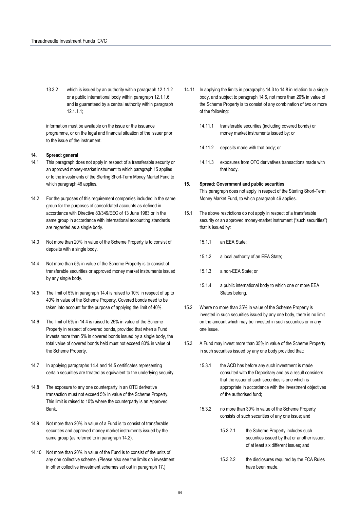13.3.2 which is issued by an authority within paragraph 12.1.1.2 or a public international body within paragraph 12.1.1.6 and is guaranteed by a central authority within paragraph 12.1.1.1;

information must be available on the issue or the issuance programme, or on the legal and financial situation of the issuer prior to the issue of the instrument.

### **14. Spread: general**

- 14.1 This paragraph does not apply in respect of a transferable security or an approved money-market instrument to which paragraph 15 applies or to the investments of the Sterling Short-Term Money Market Fund to which paragraph 46 applies.
- 14.2 For the purposes of this requirement companies included in the same group for the purposes of consolidated accounts as defined in accordance with Directive 83/349/EEC of 13 June 1983 or in the same group in accordance with international accounting standards are regarded as a single body.
- 14.3 Not more than 20% in value of the Scheme Property is to consist of deposits with a single body.
- 14.4 Not more than 5% in value of the Scheme Property is to consist of transferable securities or approved money market instruments issued by any single body.
- 14.5 The limit of 5% in paragraph 14.4 is raised to 10% in respect of up to 40% in value of the Scheme Property. Covered bonds need to be taken into account for the purpose of applying the limit of 40%.
- 14.6 The limit of 5% in 14.4 is raised to 25% in value of the Scheme Property in respect of covered bonds, provided that when a Fund invests more than 5% in covered bonds issued by a single body, the total value of covered bonds held must not exceed 80% in value of the Scheme Property.
- 14.7 In applying paragraphs 14.4 and 14.5 certificates representing certain securities are treated as equivalent to the underlying security.
- 14.8 The exposure to any one counterparty in an OTC derivative transaction must not exceed 5% in value of the Scheme Property. This limit is raised to 10% where the counterparty is an Approved Bank.
- 14.9 Not more than 20% in value of a Fund is to consist of transferable securities and approved money market instruments issued by the same group (as referred to in paragraph 14.2).
- 14.10 Not more than 20% in value of the Fund is to consist of the units of any one collective scheme. (Please also see the limits on investment in other collective investment schemes set out in paragraph 17.)
- 14.11 In applying the limits in paragraphs 14.3 to 14.8 in relation to a single body, and subject to paragraph 14.6, not more than 20% in value of the Scheme Property is to consist of any combination of two or more of the following:
	- 14.11.1 transferable securities (including covered bonds) or money market instruments issued by; or
	- 14.11.2 deposits made with that body; or
	- 14.11.3 exposures from OTC derivatives transactions made with that body.

#### **15. Spread: Government and public securities**

This paragraph does not apply in respect of the Sterling Short-Term Money Market Fund, to which paragraph 46 applies.

- 15.1 The above restrictions do not apply in respect of a transferable security or an approved money-market instrument ("such securities") that is issued by:
	- 15.1.1 an EEA State;
	- 15.1.2 a local authority of an EEA State;
	- 15.1.3 a non-EEA State; or
	- 15.1.4 a public international body to which one or more EEA States belong.
- 15.2 Where no more than 35% in value of the Scheme Property is invested in such securities issued by any one body, there is no limit on the amount which may be invested in such securities or in any one issue.
- 15.3 A Fund may invest more than 35% in value of the Scheme Property in such securities issued by any one body provided that:
	- 15.3.1 the ACD has before any such investment is made consulted with the Depositary and as a result considers that the issuer of such securities is one which is appropriate in accordance with the investment objectives of the authorised fund;
	- 15.3.2 no more than 30% in value of the Scheme Property consists of such securities of any one issue; and
		- 15.3.2.1 the Scheme Property includes such securities issued by that or another issuer, of at least six different issues; and
		- 15.3.2.2 the disclosures required by the FCA Rules have been made.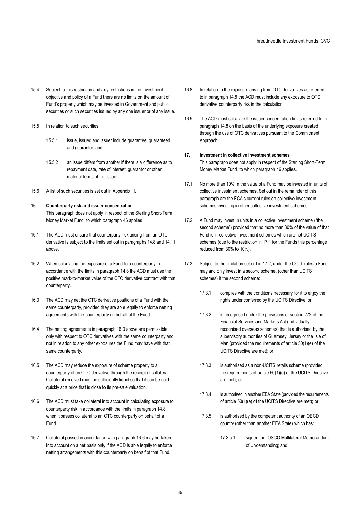- 15.4 Subject to this restriction and any restrictions in the investment objective and policy of a Fund there are no limits on the amount of Fund's property which may be invested in Government and public securities or such securities issued by any one issuer or of any issue.
- 15.5 In relation to such securities:
	- 15.5.1 issue, issued and issuer include guarantee, guaranteed and guarantor; and
	- 15.5.2 an issue differs from another if there is a difference as to repayment date, rate of interest, guarantor or other material terms of the issue.
- 15.6 A list of such securities is set out in Appendix III.
- **16. Counterparty risk and issuer concentration**  This paragraph does not apply in respect of the Sterling Short-Term Money Market Fund, to which paragraph 46 applies.
- 16.1 The ACD must ensure that counterparty risk arising from an OTC derivative is subject to the limits set out in paragraphs 14.8 and 14.11 above.
- 16.2 When calculating the exposure of a Fund to a counterparty in accordance with the limits in paragraph 14.8 the ACD must use the positive mark-to-market value of the OTC derivative contract with that counterparty.
- 16.3 The ACD may net the OTC derivative positions of a Fund with the same counterparty, provided they are able legally to enforce netting agreements with the counterparty on behalf of the Fund.
- 16.4 The netting agreements in paragraph 16.3 above are permissible only with respect to OTC derivatives with the same counterparty and not in relation to any other exposures the Fund may have with that same counterparty.
- 16.5 The ACD may reduce the exposure of scheme property to a counterparty of an OTC derivative through the receipt of collateral. Collateral received must be sufficiently liquid so that it can be sold quickly at a price that is close to its pre-sale valuation.
- 16.6 The ACD must take collateral into account in calculating exposure to counterparty risk in accordance with the limits in paragraph 14.8 when it passes collateral to an OTC counterparty on behalf of a Fund.
- 16.7 Collateral passed in accordance with paragraph 16.6 may be taken into account on a net basis only if the ACD is able legally to enforce netting arrangements with this counterparty on behalf of that Fund.
- 16.8 In relation to the exposure arising from OTC derivatives as referred to in paragraph 14.8 the ACD must include any exposure to OTC derivative counterparty risk in the calculation.
- 16.9 The ACD must calculate the issuer concentration limits referred to in paragraph 14.8 on the basis of the underlying exposure created through the use of OTC derivatives pursuant to the Commitment Approach.
- **17. Investment in collective investment schemes**  This paragraph does not apply in respect of the Sterling Short-Term Money Market Fund, to which paragraph 46 applies.
- 17.1 No more than 10% in the value of a Fund may be invested in units of collective investment schemes. Set out in the remainder of this paragraph are the FCA's current rules on collective investment schemes investing in other collective investment schemes.
- 17.2 A Fund may invest in units in a collective investment scheme ("the second scheme") provided that no more than 30% of the value of that Fund is in collective investment schemes which are not UCITS schemes (due to the restriction in 17.1 for the Funds this percentage reduced from 30% to 10%).
- 17.3 Subject to the limitation set out in 17.2, under the COLL rules a Fund may and only invest in a second scheme, (other than UCITS schemes) if the second scheme:
	- 17.3.1 complies with the conditions necessary for it to enjoy the rights under conferred by the UCITS Directive; or
	- 17.3.2 is recognised under the provisions of section 272 of the Financial Services and Markets Act (Individually recognised overseas schemes) that is authorised by the supervisory authorities of Guernsey, Jersey or the Isle of Man (provided the requirements of article 50(1)(e) of the UCITS Directive are met); or
	- 17.3.3 is authorised as a non-UCITS retails scheme (provided the requirements of article 50(1)(e) of the UCITS Directive are met); or
	- 17.3.4 is authorised in another EEA State (provided the requirements of article 50(1)(e) of the UCITS Directive are met); or
	- 17.3.5 is authorised by the competent authority of an OECD country (other than another EEA State) which has:
		- 17.3.5.1 signed the IOSCO Multilateral Memorandum of Understanding; and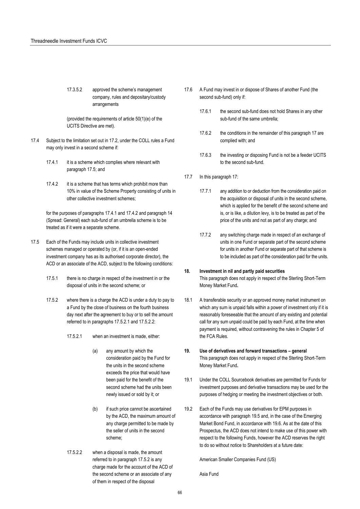17.3.5.2 approved the scheme's management company, rules and depositary/custody arrangements

(provided the requirements of article 50(1)(e) of the UCITS Directive are met).

- 17.4 Subject to the limitation set out in 17.2, under the COLL rules a Fund may only invest in a second scheme if:
	- 17.4.1 it is a scheme which complies where relevant with paragraph 17.5; and
	- 17.4.2 it is a scheme that has terms which prohibit more than 10% in value of the Scheme Property consisting of units in other collective investment schemes;

for the purposes of paragraphs 17.4.1 and 17.4.2 and paragraph 14 (Spread: General) each sub-fund of an umbrella scheme is to be treated as if it were a separate scheme.

- 17.5 Each of the Funds may include units in collective investment schemes managed or operated by (or, if it is an open-ended investment company has as its authorised corporate director), the ACD or an associate of the ACD, subject to the following conditions:
	- 17.5.1 there is no charge in respect of the investment in or the disposal of units in the second scheme; or
	- 17.5.2 where there is a charge the ACD is under a duty to pay to a Fund by the close of business on the fourth business day next after the agreement to buy or to sell the amount referred to in paragraphs 17.5.2.1 and 17.5.2.2:
		- 17.5.2.1 when an investment is made, either:
			- (a) any amount by which the consideration paid by the Fund for the units in the second scheme exceeds the price that would have been paid for the benefit of the second scheme had the units been newly issued or sold by it; or
			- (b) if such price cannot be ascertained by the ACD, the maximum amount of any charge permitted to be made by the seller of units in the second scheme;
		- 17.5.2.2 when a disposal is made, the amount referred to in paragraph 17.5.2 is any charge made for the account of the ACD of the second scheme or an associate of any of them in respect of the disposal
- 17.6 A Fund may invest in or dispose of Shares of another Fund (the second sub-fund) only if:
	- 17.6.1 the second sub-fund does not hold Shares in any other sub-fund of the same umbrella;
	- 17.6.2 the conditions in the remainder of this paragraph 17 are complied with; and
	- 17.6.3 the investing or disposing Fund is not be a feeder UCITS to the second sub-fund.
- 17.7 In this paragraph 17:
	- 17.7.1 any addition to or deduction from the consideration paid on the acquisition or disposal of units in the second scheme, which is applied for the benefit of the second scheme and is, or is like, a dilution levy, is to be treated as part of the price of the units and not as part of any charge; and
	- 17.7.2 any switching charge made in respect of an exchange of units in one Fund or separate part of the second scheme for units in another Fund or separate part of that scheme is to be included as part of the consideration paid for the units.

#### **18. Investment in nil and partly paid securities**

This paragraph does not apply in respect of the Sterling Short-Term Money Market Fund**.** 

- 18.1 A transferable security or an approved money market instrument on which any sum is unpaid falls within a power of investment only if it is reasonably foreseeable that the amount of any existing and potential call for any sum unpaid could be paid by each Fund, at the time when payment is required, without contravening the rules in Chapter 5 of the FCA Rules.
- **19. Use of derivatives and forward transactions general**  This paragraph does not apply in respect of the Sterling Short-Term Money Market Fund**.**
- 19.1 Under the COLL Sourcebook derivatives are permitted for Funds for investment purposes and derivative transactions may be used for the purposes of hedging or meeting the investment objectives or both.
- 19.2 Each of the Funds may use derivatives for EPM purposes in accordance with paragraph 19.5 and, in the case of the Emerging Market Bond Fund, in accordance with 19.6. As at the date of this Prospectus, the ACD does not intend to make use of this power with respect to the following Funds, however the ACD reserves the right to do so without notice to Shareholders at a future date:

American Smaller Companies Fund (US)

Asia Fund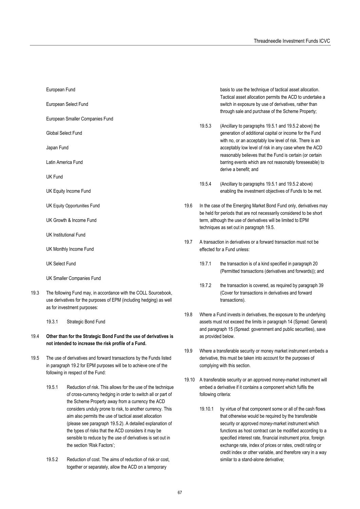European Select Fund

European Smaller Companies Fund

Global Select Fund

Japan Fund

Latin America Fund

UK Fund

UK Equity Income Fund

UK Equity Opportunities Fund

UK Growth & Income Fund

UK Institutional Fund

UK Monthly Income Fund

UK Select Fund

UK Smaller Companies Fund

19.3 The following Fund may, in accordance with the COLL Sourcebook, use derivatives for the purposes of EPM (including hedging) as well as for investment purposes:

19.3.1 Strategic Bond Fund

- 19.4 **Other than for the Strategic Bond Fund the use of derivatives is not intended to increase the risk profile of a Fund.**
- 19.5 The use of derivatives and forward transactions by the Funds listed in paragraph 19.2 for EPM purposes will be to achieve one of the following in respect of the Fund:
	- 19.5.1 Reduction of risk. This allows for the use of the technique of cross-currency hedging in order to switch all or part of the Scheme Property away from a currency the ACD considers unduly prone to risk, to another currency. This aim also permits the use of tactical asset allocation (please see paragraph 19.5.2). A detailed explanation of the types of risks that the ACD considers it may be sensible to reduce by the use of derivatives is set out in the section 'Risk Factors';
	- 19.5.2 Reduction of cost. The aims of reduction of risk or cost, together or separately, allow the ACD on a temporary

basis to use the technique of tactical asset allocation. Tactical asset allocation permits the ACD to undertake a switch in exposure by use of derivatives, rather than through sale and purchase of the Scheme Property;

- 19.5.3 (Ancillary to paragraphs 19.5.1 and 19.5.2 above) the generation of additional capital or income for the Fund with no, or an acceptably low level of risk. There is an acceptably low level of risk in any case where the ACD reasonably believes that the Fund is certain (or certain barring events which are not reasonably foreseeable) to derive a benefit; and
- 19.5.4 (Ancillary to paragraphs 19.5.1 and 19.5.2 above) enabling the investment objectives of Funds to be met.
- 19.6 In the case of the Emerging Market Bond Fund only, derivatives may be held for periods that are not necessarily considered to be short term, although the use of derivatives will be limited to EPM techniques as set out in paragraph 19.5.
- 19.7 A transaction in derivatives or a forward transaction must not be effected for a Fund unless:
	- 19.7.1 the transaction is of a kind specified in paragraph 20 (Permitted transactions (derivatives and forwards)); and
	- 19.7.2 the transaction is covered, as required by paragraph 39 (Cover for transactions in derivatives and forward transactions).
- 19.8 Where a Fund invests in derivatives, the exposure to the underlying assets must not exceed the limits in paragraph 14 (Spread: General) and paragraph 15 (Spread: government and public securities), save as provided below.
- 19.9 Where a transferable security or money market instrument embeds a derivative, this must be taken into account for the purposes of complying with this section.
- 19.10 A transferable security or an approved money-market instrument will embed a derivative if it contains a component which fulfils the following criteria:
	- 19.10.1 by virtue of that component some or all of the cash flows that otherwise would be required by the transferable security or approved money-market instrument which functions as host contract can be modified according to a specified interest rate, financial instrument price, foreign exchange rate, index of prices or rates, credit rating or credit index or other variable, and therefore vary in a way similar to a stand-alone derivative;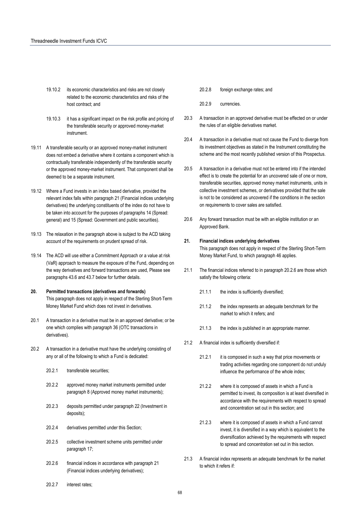- 19.10.2 its economic characteristics and risks are not closely related to the economic characteristics and risks of the host contract; and
- 19.10.3 it has a significant impact on the risk profile and pricing of the transferable security or approved money-market instrument.
- 19.11 A transferable security or an approved money-market instrument does not embed a derivative where it contains a component which is contractually transferable independently of the transferable security or the approved money-market instrument. That component shall be deemed to be a separate instrument.
- 19.12 Where a Fund invests in an index based derivative, provided the relevant index falls within paragraph 21 (Financial indices underlying derivatives) the underlying constituents of the index do not have to be taken into account for the purposes of paragraphs 14 (Spread: general) and 15 (Spread: Government and public securities).
- 19.13 The relaxation in the paragraph above is subject to the ACD taking account of the requirements on prudent spread of risk.
- 19.14 The ACD will use either a Commitment Approach or a value at risk (VaR) approach to measure the exposure of the Fund, depending on the way derivatives and forward transactions are used, Please see paragraphs 43.6 and 43.7 below for further details.
- **20. Permitted transactions (derivatives and forwards)**  This paragraph does not apply in respect of the Sterling Short-Term Money Market Fund which does not invest in derivatives.
- 20.1 A transaction in a derivative must be in an approved derivative; or be one which complies with paragraph 36 (OTC transactions in derivatives).
- 20.2 A transaction in a derivative must have the underlying consisting of any or all of the following to which a Fund is dedicated:
	- 20.2.1 transferable securities:
	- 20.2.2 approved money market instruments permitted under paragraph 8 (Approved money market instruments);
	- 20.2.3 deposits permitted under paragraph 22 (Investment in deposits);
	- 20.2.4 derivatives permitted under this Section;
	- 20.2.5 collective investment scheme units permitted under paragraph 17;
	- 20.2.6 financial indices in accordance with paragraph 21 (Financial indices underlying derivatives);
- 20.2.8 foreign exchange rates; and
- 20.2.9 currencies.
- 20.3 A transaction in an approved derivative must be effected on or under the rules of an eligible derivatives market.
- 20.4 A transaction in a derivative must not cause the Fund to diverge from its investment objectives as stated in the Instrument constituting the scheme and the most recently published version of this Prospectus.
- 20.5 A transaction in a derivative must not be entered into if the intended effect is to create the potential for an uncovered sale of one or more, transferable securities, approved money market instruments, units in collective investment schemes, or derivatives provided that the sale is not to be considered as uncovered if the conditions in the section on requirements to cover sales are satisfied.
- 20.6 Any forward transaction must be with an eligible institution or an Approved Bank.
- **21. Financial indices underlying derivatives**  This paragraph does not apply in respect of the Sterling Short-Term

Money Market Fund, to which paragraph 46 applies.

- 21.1 The financial indices referred to in paragraph 20.2.6 are those which satisfy the following criteria:
	- 21.1.1 the index is sufficiently diversified;
	- 21.1.2 the index represents an adequate benchmark for the market to which it refers; and
	- 21.1.3 the index is published in an appropriate manner.
- 21.2 A financial index is sufficiently diversified if:
	- 21.2.1 it is composed in such a way that price movements or trading activities regarding one component do not unduly influence the performance of the whole index;
	- 21.2.2 where it is composed of assets in which a Fund is permitted to invest, its composition is at least diversified in accordance with the requirements with respect to spread and concentration set out in this section; and
	- 21.2.3 where it is composed of assets in which a Fund cannot invest, it is diversified in a way which is equivalent to the diversification achieved by the requirements with respect to spread and concentration set out in this section.
- 21.3 A financial index represents an adequate benchmark for the market to which it refers if:

20.2.7 interest rates;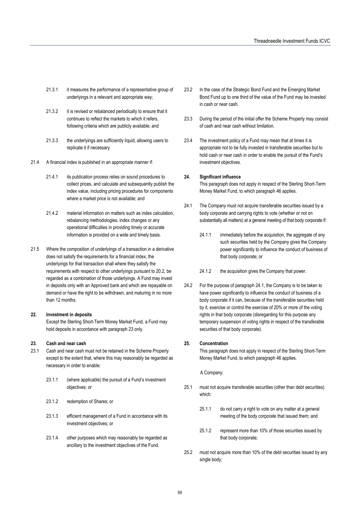- 21.3.1 it measures the performance of a representative group of underlyings in a relevant and appropriate way;
- 21.3.2 it is revised or rebalanced periodically to ensure that it continues to reflect the markets to which it refers, following criteria which are publicly available; and
- 21.3.3 the underlyings are sufficiently liquid, allowing users to replicate it if necessary.
- 21.4 A financial index is published in an appropriate manner if:
	- 21.4.1 its publication process relies on sound procedures to collect prices, and calculate and subsequently publish the index value, including pricing procedures for components where a market price is not available; and
	- 21.4.2 material information on matters such as index calculation, rebalancing methodologies, index changes or any operational difficulties in providing timely or accurate information is provided on a wide and timely basis.
- 21.5 Where the composition of underlyings of a transaction in a derivative does not satisfy the requirements for a financial index, the underlyings for that transaction shall where they satisfy the requirements with respect to other underlyings pursuant to 20.2, be regarded as a combination of those underlyings. A Fund may invest in deposits only with an Approved bank and which are repayable on demand or have the right to be withdrawn, and maturing in no more than 12 months.

#### **22. Investment in deposits**

Except the Sterling Short-Term Money Market Fund, a Fund may hold deposits in accordance with paragraph 23 only.

#### **23. Cash and near cash**

- 23.1 Cash and near cash must not be retained in the Scheme Property except to the extent that, where this may reasonably be regarded as necessary in order to enable:
	- 23.1.1 (where applicable) the pursuit of a Fund's investment objectives; or
	- 23.1.2 redemption of Shares; or
	- 23.1.3 efficient management of a Fund in accordance with its investment objectives; or
	- 23.1.4 other purposes which may reasonably be regarded as ancillary to the investment objectives of the Fund.
- 23.2 In the case of the Strategic Bond Fund and the Emerging Market Bond Fund up to one third of the value of the Fund may be invested in cash or near cash.
- 23.3 During the period of the initial offer the Scheme Property may consist of cash and near cash without limitation.
- 23.4 The investment policy of a Fund may mean that at times it is appropriate not to be fully invested in transferable securities but to hold cash or near cash in order to enable the pursuit of the Fund's investment objectives.

#### **24. Significant influence**

This paragraph does not apply in respect of the Sterling Short-Term Money Market Fund, to which paragraph 46 applies.

- 24.1 The Company must not acquire transferable securities issued by a body corporate and carrying rights to vote (whether or not on substantially all matters) at a general meeting of that body corporate if:
	- 24.1.1 immediately before the acquisition, the aggregate of any such securities held by the Company gives the Company power significantly to influence the conduct of business of that body corporate; or
	- 24.1.2 the acquisition gives the Company that power.
- 24.2 For the purpose of paragraph 24.1, the Company is to be taken to have power significantly to influence the conduct of business of a body corporate if it can, because of the transferable securities held by it, exercise or control the exercise of 20% or more of the voting rights in that body corporate (disregarding for this purpose any temporary suspension of voting rights in respect of the transferable securities of that body corporate).

### **25. Concentration**

This paragraph does not apply in respect of the Sterling Short-Term Money Market Fund, to which paragraph 46 applies.

A Company:

- 25.1 must not acquire transferable securities (other than debt securities) which:
	- 25.1.1 do not carry a right to vote on any matter at a general meeting of the body corporate that issued them; and
	- 25.1.2 represent more than 10% of those securities issued by that body corporate;
- 25.2 must not acquire more than 10% of the debt securities issued by any single body;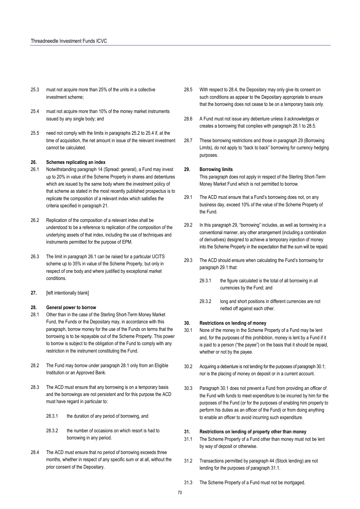- 25.3 must not acquire more than 25% of the units in a collective investment scheme;
- 25.4 must not acquire more than 10% of the money market instruments issued by any single body; and
- 25.5 need not comply with the limits in paragraphs 25.2 to 25.4 if, at the time of acquisition, the net amount in issue of the relevant investment cannot be calculated.

#### **26. Schemes replicating an index**

- 26.1 Notwithstanding paragraph 14 (Spread: general), a Fund may invest up to 20% in value of the Scheme Property in shares and debentures which are issued by the same body where the investment policy of that scheme as stated in the most recently published prospectus is to replicate the composition of a relevant index which satisfies the criteria specified in paragraph 21.
- 26.2 Replication of the composition of a relevant index shall be understood to be a reference to replication of the composition of the underlying assets of that index, including the use of techniques and instruments permitted for the purpose of EPM.
- 26.3 The limit in paragraph 26.1 can be raised for a particular UCITS scheme up to 35% in value of the Scheme Property, but only in respect of one body and where justified by exceptional market conditions.
- **27.** [left intentionally blank]

#### **28. General power to borrow**

- 28.1 Other than in the case of the Sterling Short-Term Money Market Fund, the Funds or the Depositary may, in accordance with this paragraph, borrow money for the use of the Funds on terms that the borrowing is to be repayable out of the Scheme Property. This power to borrow is subject to the obligation of the Fund to comply with any restriction in the instrument constituting the Fund.
- 28.2 The Fund may borrow under paragraph 28.1 only from an Eligible Institution or an Approved Bank.
- 28.3 The ACD must ensure that any borrowing is on a temporary basis and the borrowings are not persistent and for this purpose the ACD must have regard in particular to:
	- 28.3.1 the duration of any period of borrowing, and
	- 28.3.2 the number of occasions on which resort is had to borrowing in any period.
- 28.4 The ACD must ensure that no period of borrowing exceeds three months, whether in respect of any specific sum or at all, without the prior consent of the Depositary.
- 28.5 With respect to 28.4, the Depositary may only give its consent on such conditions as appear to the Depositary appropriate to ensure that the borrowing does not cease to be on a temporary basis only.
- 28.6 A Fund must not issue any debenture unless it acknowledges or creates a borrowing that complies with paragraph 28.1 to 28.5.
- 28.7 These borrowing restrictions and those in paragraph 29 (Borrowing Limits), do not apply to "back to back" borrowing for currency hedging purposes.

#### **29. Borrowing limits**

This paragraph does not apply in respect of the Sterling Short-Term Money Market Fund which is not permitted to borrow.

- 29.1 The ACD must ensure that a Fund's borrowing does not, on any business day, exceed 10% of the value of the Scheme Property of the Fund.
- 29.2 In this paragraph 29, "borrowing" includes, as well as borrowing in a conventional manner, any other arrangement (including a combination of derivatives) designed to achieve a temporary injection of money into the Scheme Property in the expectation that the sum will be repaid.
- 29.3 The ACD should ensure when calculating the Fund's borrowing for paragraph 29.1 that:
	- 29.3.1 the figure calculated is the total of all borrowing in all currencies by the Fund; and
	- 29.3.2 long and short positions in different currencies are not netted off against each other.

#### **30. Restrictions on lending of money**

- 30.1 None of the money in the Scheme Property of a Fund may be lent and, for the purposes of this prohibition, money is lent by a Fund if it is paid to a person ("the payee") on the basis that it should be repaid, whether or not by the payee.
- 30.2 Acquiring a debenture is not lending for the purposes of paragraph 30.1; nor is the placing of money on deposit or in a current account.
- 30.3 Paragraph 30.1 does not prevent a Fund from providing an officer of the Fund with funds to meet expenditure to be incurred by him for the purposes of the Fund (or for the purposes of enabling him properly to perform his duties as an officer of the Fund) or from doing anything to enable an officer to avoid incurring such expenditure.

#### **31. Restrictions on lending of property other than money**

- 31.1 The Scheme Property of a Fund other than money must not be lent by way of deposit or otherwise.
- 31.2 Transactions permitted by paragraph 44 (Stock lending) are not lending for the purposes of paragraph 31.1.
- 31.3 The Scheme Property of a Fund must not be mortgaged.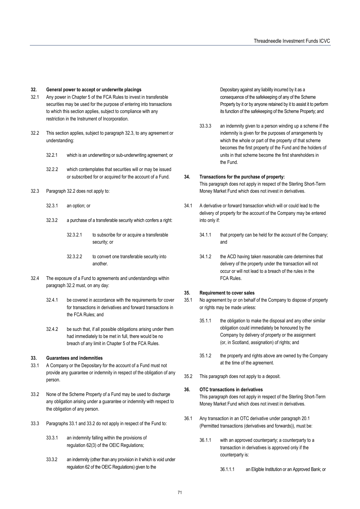#### **32. General power to accept or underwrite placings**

- 32.1 Any power in Chapter 5 of the FCA Rules to invest in transferable securities may be used for the purpose of entering into transactions to which this section applies, subject to compliance with any restriction in the Instrument of Incorporation.
- 32.2 This section applies, subject to paragraph 32.3, to any agreement or understanding:
	- 32.2.1 which is an underwriting or sub-underwriting agreement; or
	- 32.2.2 which contemplates that securities will or may be issued or subscribed for or acquired for the account of a Fund.
- 32.3 Paragraph 32.2 does not apply to:
	- 32.3.1 an option; or
	- 32.3.2 a purchase of a transferable security which confers a right:
		- 32.3.2.1 to subscribe for or acquire a transferable security; or
		- 32.3.2.2 to convert one transferable security into another.
- 32.4 The exposure of a Fund to agreements and understandings within paragraph 32.2 must, on any day:
	- 32.4.1 be covered in accordance with the requirements for cover for transactions in derivatives and forward transactions in the FCA Rules; and
	- 32.4.2 be such that, if all possible obligations arising under them had immediately to be met in full, there would be no breach of any limit in Chapter 5 of the FCA Rules.

#### **33. Guarantees and indemnities**

- 33.1 A Company or the Depositary for the account of a Fund must not provide any guarantee or indemnity in respect of the obligation of any person.
- 33.2 None of the Scheme Property of a Fund may be used to discharge any obligation arising under a guarantee or indemnity with respect to the obligation of any person.
- 33.3 Paragraphs 33.1 and 33.2 do not apply in respect of the Fund to:
	- 33.3.1 an indemnity falling within the provisions of regulation 62(3) of the OEIC Regulations;
	- 33.3.2 an indemnity (other than any provision in it which is void under regulation 62 of the OEIC Regulations) given to the

Depositary against any liability incurred by it as a consequence of the safekeeping of any of the Scheme Property by it or by anyone retained by it to assist it to perform its function of the safekeeping of the Scheme Property; and

33.3.3 an indemnity given to a person winding up a scheme if the indemnity is given for the purposes of arrangements by which the whole or part of the property of that scheme becomes the first property of the Fund and the holders of units in that scheme become the first shareholders in the Fund.

#### **34. Transactions for the purchase of property:**

This paragraph does not apply in respect of the Sterling Short-Term Money Market Fund which does not invest in derivatives.

- 34.1 A derivative or forward transaction which will or could lead to the delivery of property for the account of the Company may be entered into only if:
	- 34.1.1 that property can be held for the account of the Company; and
	- 34.1.2 the ACD having taken reasonable care determines that delivery of the property under the transaction will not occur or will not lead to a breach of the rules in the FCA Rules.

#### **35. Requirement to cover sales**

- 35.1 No agreement by or on behalf of the Company to dispose of property or rights may be made unless:
	- 35.1.1 the obligation to make the disposal and any other similar obligation could immediately be honoured by the Company by delivery of property or the assignment (or, in Scotland, assignation) of rights; and
	- 35.1.2 the property and rights above are owned by the Company at the time of the agreement.
- 35.2 This paragraph does not apply to a deposit.

#### **36. OTC transactions in derivatives**

This paragraph does not apply in respect of the Sterling Short-Term Money Market Fund which does not invest in derivatives.

- 36.1 Any transaction in an OTC derivative under paragraph 20.1 (Permitted transactions (derivatives and forwards)), must be:
	- 36.1.1 with an approved counterparty; a counterparty to a transaction in derivatives is approved only if the counterparty is:
		- 36.1.1.1 an Eligible Institution or an Approved Bank; or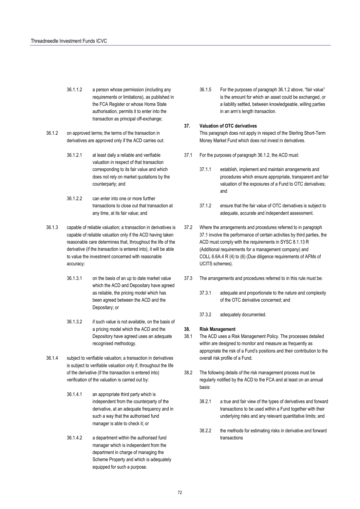- 36.1.1.2 a person whose permission (including any requirements or limitations), as published in the FCA Register or whose Home State authorisation, permits it to enter into the transaction as principal off-exchange;
- 36.1.2 on approved terms; the terms of the transaction in derivatives are approved only if the ACD carries out:
	- 36.1.2.1 at least daily a reliable and verifiable valuation in respect of that transaction corresponding to its fair value and which does not rely on market quotations by the counterparty; and
	- 36.1.2.2 can enter into one or more further transactions to close out that transaction at any time, at its fair value; and
- 36.1.3 capable of reliable valuation; a transaction in derivatives is capable of reliable valuation only if the ACD having taken reasonable care determines that, throughout the life of the derivative (if the transaction is entered into), it will be able to value the investment concerned with reasonable accuracy:
	- 36.1.3.1 on the basis of an up to date market value which the ACD and Depositary have agreed as reliable, the pricing model which has been agreed between the ACD and the Depositary; or
	- 36.1.3.2 if such value is not available, on the basis of a pricing model which the ACD and the Depository have agreed uses an adequate recognised methodogy.
- 36.1.4 subject to verifiable valuation; a transaction in derivatives is subject to verifiable valuation only if, throughout the life of the derivative (if the transaction is entered into) verification of the valuation is carried out by:
	- 36.1.4.1 an appropriate third party which is independent from the counterparty of the derivative, at an adequate frequency and in such a way that the authorised fund manager is able to check it; or
	- 36.1.4.2 a department within the authorised fund manager which is independent from the department in charge of managing the Scheme Property and which is adequately equipped for such a purpose.

36.1.5 For the purposes of paragraph 36.1.2 above, "fair value" is the amount for which an asset could be exchanged, or a liability settled, between knowledgeable, willing parties in an arm's length transaction.

#### **37. Valuation of OTC derivatives**

This paragraph does not apply in respect of the Sterling Short-Term Money Market Fund which does not invest in derivatives.

- 37.1 For the purposes of paragraph 36.1.2, the ACD must:
	- 37.1.1 establish, implement and maintain arrangements and procedures which ensure appropriate, transparent and fair valuation of the exposures of a Fund to OTC derivatives; and
	- 37.1.2 ensure that the fair value of OTC derivatives is subject to adequate, accurate and independent assessment.
- 37.2 Where the arrangements and procedures referred to in paragraph 37.1 involve the performance of certain activities by third parties, the ACD must comply with the requirements in SYSC 8.1.13 R (Additional requirements for a management company) and COLL 6.6A.4 R (4) to (6) (Due diligence requirements of AFMs of UCITS schemes).
- 37.3 The arrangements and procedures referred to in this rule must be:
	- 37.3.1 adequate and proportionate to the nature and complexity of the OTC derivative concerned; and
	- 37.3.2 adequately documented.

#### **38. Risk Management**

- 38.1 The ACD uses a Risk Management Policy. The processes detailed within are designed to monitor and measure as frequently as appropriate the risk of a Fund's positions and their contribution to the overall risk profile of a Fund.
- 38.2 The following details of the risk management process must be regularly notified by the ACD to the FCA and at least on an annual basis:
	- 38.2.1 a true and fair view of the types of derivatives and forward transactions to be used within a Fund together with their underlying risks and any relevant quantitative limits; and
	- 38.2.2 the methods for estimating risks in derivative and forward transactions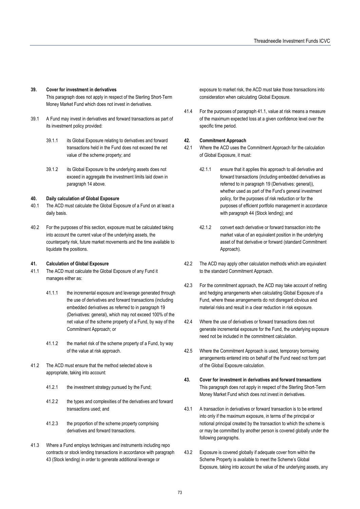#### **39. Cover for investment in derivatives**

This paragraph does not apply in respect of the Sterling Short-Term Money Market Fund which does not invest in derivatives.

- 39.1 A Fund may invest in derivatives and forward transactions as part of its investment policy provided:
	- 39.1.1 its Global Exposure relating to derivatives and forward transactions held in the Fund does not exceed the net value of the scheme property; and
	- 39.1.2 its Global Exposure to the underlying assets does not exceed in aggregate the investment limits laid down in paragraph 14 above.

#### **40. Daily calculation of Global Exposure**

- 40.1 The ACD must calculate the Global Exposure of a Fund on at least a daily basis.
- 40.2 For the purposes of this section, exposure must be calculated taking into account the current value of the underlying assets, the counterparty risk, future market movements and the time available to liquidate the positions.

#### **41. Calculation of Global Exposure**

- 41.1 The ACD must calculate the Global Exposure of any Fund it manages either as:
	- 41.1.1 the incremental exposure and leverage generated through the use of derivatives and forward transactions (including embedded derivatives as referred to in paragraph 19 (Derivatives: general), which may not exceed 100% of the net value of the scheme property of a Fund, by way of the Commitment Approach; or
	- 41.1.2 the market risk of the scheme property of a Fund, by way of the value at risk approach.
- 41.2 The ACD must ensure that the method selected above is appropriate, taking into account:
	- 41.2.1 the investment strategy pursued by the Fund;
	- 41.2.2 the types and complexities of the derivatives and forward transactions used; and
	- 41.2.3 the proportion of the scheme property comprising derivatives and forward transactions.
- 41.3 Where a Fund employs techniques and instruments including repo contracts or stock lending transactions in accordance with paragraph 43 (Stock lending) in order to generate additional leverage or

exposure to market risk, the ACD must take those transactions into consideration when calculating Global Exposure.

41.4 For the purposes of paragraph 41.1, value at risk means a measure of the maximum expected loss at a given confidence level over the specific time period.

#### **42. Commitment Approach**

- 42.1 Where the ACD uses the Commitment Approach for the calculation of Global Exposure, it must:
	- 42.1.1 ensure that it applies this approach to all derivative and forward transactions (including embedded derivatives as referred to in paragraph 19 (Derivatives: general)), whether used as part of the Fund's general investment policy, for the purposes of risk reduction or for the purposes of efficient portfolio management in accordance with paragraph 44 (Stock lending); and
	- 42.1.2 convert each derivative or forward transaction into the market value of an equivalent position in the underlying asset of that derivative or forward (standard Commitment Approach).
- 42.2 The ACD may apply other calculation methods which are equivalent to the standard Commitment Approach.
- 42.3 For the commitment approach, the ACD may take account of netting and hedging arrangements when calculating Global Exposure of a Fund, where these arrangements do not disregard obvious and material risks and result in a clear reduction in risk exposure.
- 42.4 Where the use of derivatives or forward transactions does not generate incremental exposure for the Fund, the underlying exposure need not be included in the commitment calculation.
- 42.5 Where the Commitment Approach is used, temporary borrowing arrangements entered into on behalf of the Fund need not form part of the Global Exposure calculation.
- **43. Cover for investment in derivatives and forward transactions**  This paragraph does not apply in respect of the Sterling Short-Term Money Market Fund which does not invest in derivatives.
- 43.1 A transaction in derivatives or forward transaction is to be entered into only if the maximum exposure, in terms of the principal or notional principal created by the transaction to which the scheme is or may be committed by another person is covered globally under the following paragraphs.
- 43.2 Exposure is covered globally if adequate cover from within the Scheme Property is available to meet the Scheme's Global Exposure, taking into account the value of the underlying assets, any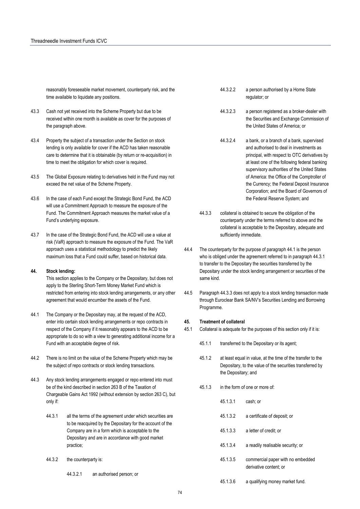reasonably foreseeable market movement, counterparty risk, and the time available to liquidate any positions.

- 43.3 Cash not yet received into the Scheme Property but due to be received within one month is available as cover for the purposes of the paragraph above.
- 43.4 Property the subject of a transaction under the Section on stock lending is only available for cover if the ACD has taken reasonable care to determine that it is obtainable (by return or re-acquisition) in time to meet the obligation for which cover is required.
- 43.5 The Global Exposure relating to derivatives held in the Fund may not exceed the net value of the Scheme Property.
- 43.6 In the case of each Fund except the Strategic Bond Fund, the ACD will use a Commitment Approach to measure the exposure of the Fund. The Commitment Approach measures the market value of a Fund's underlying exposure.
- 43.7 In the case of the Strategic Bond Fund, the ACD will use a value at risk (VaR) approach to measure the exposure of the Fund. The VaR approach uses a statistical methodology to predict the likely maximum loss that a Fund could suffer, based on historical data.

#### **44. Stock lending:**

This section applies to the Company or the Depositary, but does not apply to the Sterling Short-Term Money Market Fund which is restricted from entering into stock lending arrangements, or any other agreement that would encumber the assets of the Fund.

- 44.1 The Company or the Depositary may, at the request of the ACD, enter into certain stock lending arrangements or repo contracts in respect of the Company if it reasonably appears to the ACD to be appropriate to do so with a view to generating additional income for a Fund with an acceptable degree of risk.
- 44.2 There is no limit on the value of the Scheme Property which may be the subject of repo contracts or stock lending transactions.
- 44.3 Any stock lending arrangements engaged or repo entered into must be of the kind described in section 263 B of the Taxation of Chargeable Gains Act 1992 (without extension by section 263 C), but only if:
	- 44.3.1 all the terms of the agreement under which securities are to be reacquired by the Depositary for the account of the Company are in a form which is acceptable to the Depositary and are in accordance with good market practice;
	- 44.3.2 the counterparty is:
		- 44.3.2.1 an authorised person; or
- 44.3.2.2 a person authorised by a Home State regulator; or
- 44.3.2.3 a person registered as a broker-dealer with the Securities and Exchange Commission of the United States of America; or
- 44.3.2.4 a bank, or a branch of a bank, supervised and authorised to deal in investments as principal, with respect to OTC derivatives by at least one of the following federal banking supervisory authorities of the United States of America: the Office of the Comptroller of the Currency; the Federal Deposit Insurance Corporation; and the Board of Governors of the Federal Reserve System; and
- 44.3.3 collateral is obtained to secure the obligation of the counterparty under the terms referred to above and the collateral is acceptable to the Depositary, adequate and sufficiently immediate.
- 44.4 The counterparty for the purpose of paragraph 44.1 is the person who is obliged under the agreement referred to in paragraph 44.3.1 to transfer to the Depositary the securities transferred by the Depositary under the stock lending arrangement or securities of the same kind.
- 44.5 Paragraph 44.3.3 does not apply to a stock lending transaction made through Euroclear Bank SA/NV's Securities Lending and Borrowing Programme.

#### **45. Treatment of collateral**

- 45.1 Collateral is adequate for the purposes of this section only if it is:
	- 45.1.1 transferred to the Depositary or its agent;
	- 45.1.2 at least equal in value, at the time of the transfer to the Depositary, to the value of the securities transferred by the Depositary; and
	- 45.1.3 in the form of one or more of:

45.1.3.1 cash; or

- 45.1.3.2 a certificate of deposit; or
- 45.1.3.3 a letter of credit; or
- 45.1.3.4 a readily realisable security; or
- 45.1.3.5 commercial paper with no embedded derivative content; or
	- 45.1.3.6 a qualifying money market fund.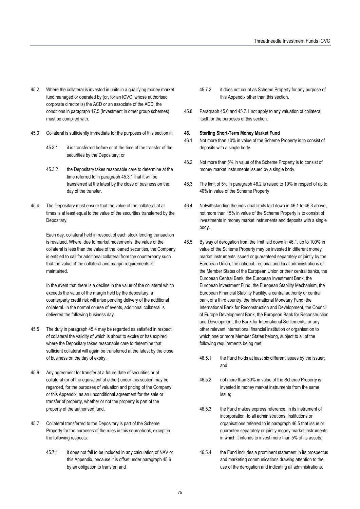- 45.2 Where the collateral is invested in units in a qualifying money market fund managed or operated by (or, for an ICVC, whose authorised corporate director is) the ACD or an associate of the ACD, the conditions in paragraph 17.5 (Investment in other group schemes) must be complied with.
- 45.3 Collateral is sufficiently immediate for the purposes of this section if:
	- 45.3.1 it is transferred before or at the time of the transfer of the securities by the Depositary; or
	- 45.3.2 the Depositary takes reasonable care to determine at the time referred to in paragraph 45.3.1 that it will be transferred at the latest by the close of business on the day of the transfer.
- 45.4 The Depositary must ensure that the value of the collateral at all times is at least equal to the value of the securities transferred by the Depositary.

Each day, collateral held in respect of each stock lending transaction is revalued. Where, due to market movements, the value of the collateral is less than the value of the loaned securities, the Company is entitled to call for additional collateral from the counterparty such that the value of the collateral and margin requirements is maintained.

In the event that there is a decline in the value of the collateral which exceeds the value of the margin held by the depositary, a counterparty credit risk will arise pending delivery of the additional collateral. In the normal course of events, additional collateral is delivered the following business day.

- 45.5 The duty in paragraph 45.4 may be regarded as satisfied in respect of collateral the validity of which is about to expire or has expired where the Depositary takes reasonable care to determine that sufficient collateral will again be transferred at the latest by the close of business on the day of expiry.
- 45.6 Any agreement for transfer at a future date of securities or of collateral (or of the equivalent of either) under this section may be regarded, for the purposes of valuation and pricing of the Company or this Appendix, as an unconditional agreement for the sale or transfer of property, whether or not the property is part of the property of the authorised fund.
- 45.7 Collateral transferred to the Depositary is part of the Scheme Property for the purposes of the rules in this sourcebook, except in the following respects:
	- 45.7.1 it does not fall to be included in any calculation of NAV or this Appendix, because it is offset under paragraph 45.6 by an obligation to transfer; and
- 45.7.2 it does not count as Scheme Property for any purpose of this Appendix other than this section.
- 45.8 Paragraph 45.6 and 45.7.1 not apply to any valuation of collateral itself for the purposes of this section.

#### **46. Sterling Short-Term Money Market Fund**

- 46.1 Not more than 10% in value of the Scheme Property is to consist of deposits with a single body.
- 46.2 Not more than 5% in value of the Scheme Property is to consist of money market instruments issued by a single body.
- 46.3 The limit of 5% in paragraph 46.2 is raised to 10% in respect of up to 40% in value of the Scheme Property
- 46.4 Notwithstanding the individual limits laid down in 46.1 to 46.3 above, not more than 15% in value of the Scheme Property is to consist of investments in money market instruments and deposits with a single body.
- 46.5 By way of derogation from the limit laid down in 46.1, up to 100% in value of the Scheme Property may be invested in different money market instruments issued or guaranteed separately or jointly by the European Union, the national, regional and local administrations of the Member States of the European Union or their central banks, the European Central Bank, the European Investment Bank, the European Investment Fund, the European Stability Mechanism, the European Financial Stability Facility, a central authority or central bank of a third country, the International Monetary Fund, the International Bank for Reconstruction and Development, the Council of Europe Development Bank, the European Bank for Reconstruction and Development, the Bank for International Settlements, or any other relevant international financial institution or organisation to which one or more Member States belong, subject to all of the following requirements being met:
	- 46.5.1 the Fund holds at least six different issues by the issuer; and
	- 46.5.2 not more than 30% in value of the Scheme Property is invested in money market instruments from the same issue;
	- 46.5.3 the Fund makes express reference, in its instrument of incorporation, to all administrations, institutions or organisations referred to in paragraph 46.5 that issue or guarantee separately or jointly money market instruments in which it intends to invest more than 5% of its assets;
	- 46.5.4 the Fund includes a prominent statement in its prospectus and marketing communications drawing attention to the use of the derogation and indicating all administrations,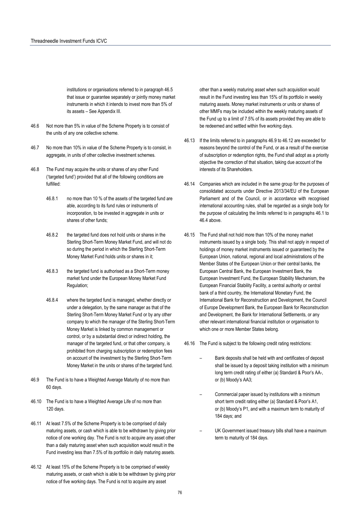institutions or organisations referred to in paragraph 46.5 that issue or guarantee separately or jointly money market instruments in which it intends to invest more than 5% of its assets – See Appendix III.

- 46.6 Not more than 5% in value of the Scheme Property is to consist of the units of any one collective scheme.
- 46.7 No more than 10% in value of the Scheme Property is to consist, in aggregate, in units of other collective investment schemes.
- 46.8 The Fund may acquire the units or shares of any other Fund ('targeted fund') provided that all of the following conditions are fulfilled:
	- 46.8.1 no more than 10 % of the assets of the targeted fund are able, according to its fund rules or instruments of incorporation, to be invested in aggregate in units or shares of other funds;
	- 46.8.2 the targeted fund does not hold units or shares in the Sterling Short-Term Money Market Fund, and will not do so during the period in which the Sterling Short-Term Money Market Fund holds units or shares in it;
	- 46.8.3 the targeted fund is authorised as a Short-Term money market fund under the European Money Market Fund Regulation;
	- 46.8.4 where the targeted fund is managed, whether directly or under a delegation, by the same manager as that of the Sterling Short-Term Money Market Fund or by any other company to which the manager of the Sterling Short-Term Money Market is linked by common management or control, or by a substantial direct or indirect holding, the manager of the targeted fund, or that other company, is prohibited from charging subscription or redemption fees on account of the investment by the Sterling Short-Term Money Market in the units or shares of the targeted fund.
- 46.9 The Fund is to have a Weighted Average Maturity of no more than 60 days.
- 46.10 The Fund is to have a Weighted Average Life of no more than 120 days.
- 46.11 At least 7.5% of the Scheme Property is to be comprised of daily maturing assets, or cash which is able to be withdrawn by giving prior notice of one working day. The Fund is not to acquire any asset other than a daily maturing asset when such acquisition would result in the Fund investing less than 7.5% of its portfolio in daily maturing assets.
- 46.12 At least 15% of the Scheme Property is to be comprised of weekly maturing assets, or cash which is able to be withdrawn by giving prior notice of five working days. The Fund is not to acquire any asset

other than a weekly maturing asset when such acquisition would result in the Fund investing less than 15% of its portfolio in weekly maturing assets. Money market instruments or units or shares of other MMFs may be included within the weekly maturing assets of the Fund up to a limit of 7.5% of its assets provided they are able to be redeemed and settled within five working days.

- 46.13 If the limits referred to in paragraphs 46.9 to 46.12 are exceeded for reasons beyond the control of the Fund, or as a result of the exercise of subscription or redemption rights, the Fund shall adopt as a priority objective the correction of that situation, taking due account of the interests of its Shareholders.
- 46.14 Companies which are included in the same group for the purposes of consolidated accounts under Directive 2013/34/EU of the European Parliament and of the Council, or in accordance with recognised international accounting rules, shall be regarded as a single body for the purpose of calculating the limits referred to in paragraphs 46.1 to 46.4 above.
- 46.15 The Fund shall not hold more than 10% of the money market instruments issued by a single body. This shall not apply in respect of holdings of money market instruments issued or guaranteed by the European Union, national, regional and local administrations of the Member States of the European Union or their central banks, the European Central Bank, the European Investment Bank, the European Investment Fund, the European Stability Mechanism, the European Financial Stability Facility, a central authority or central bank of a third country, the International Monetary Fund, the International Bank for Reconstruction and Development, the Council of Europe Development Bank, the European Bank for Reconstruction and Development, the Bank for International Settlements, or any other relevant international financial institution or organisation to which one or more Member States belong.

46.16 The Fund is subject to the following credit rating restrictions:

- Bank deposits shall be held with and certificates of deposit shall be issued by a deposit taking institution with a minimum long term credit rating of either (a) Standard & Poor's AA-, or (b) Moody's AA3;
- Commercial paper issued by institutions with a minimum short term credit rating either (a) Standard & Poor's A1, or (b) Moody's P1, and with a maximum term to maturity of 184 days; and
- UK Government issued treasury bills shall have a maximum term to maturity of 184 days.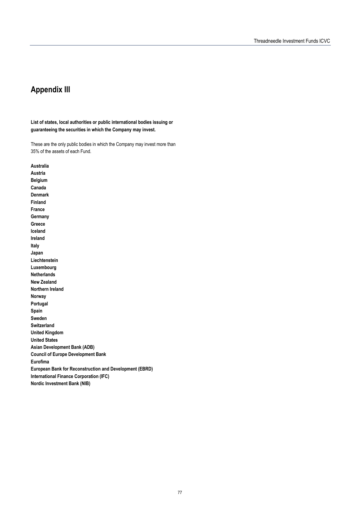# **Appendix III securities in which the Company may**

**List of states, local authorities or public international bodies issuing or guaranteeing the securities in which the Company may invest.** 

These are the only public bodies in which the Company may invest more than 35% of the assets of each Fund.

**Australia Austria Belgium Canada Denmark Finland France Germany Greece Iceland Ireland Italy Japan Liechtenstein Luxembourg Netherlands New Zealand Northern Ireland Norway Portugal Spain Sweden Switzerland United Kingdom United States Asian Development Bank (ADB) Council of Europe Development Bank Eurofima European Bank for Reconstruction and Development (EBRD) International Finance Corporation (IFC) Nordic Investment Bank (NIB)**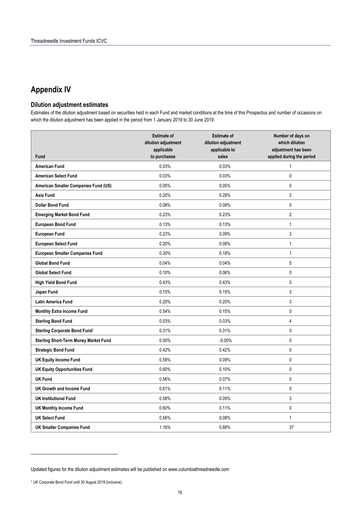# **Appendix IV**

#### **Dilution adjustment estimates**

Estimates of the dilution adjustment based on securities held in each Fund and market conditions at the time of this Prospectus and number of occasions on which the dilution adjustment has been applied in the period from 1 January 2019 to 30 June 2019:

| <b>Fund</b>                                  | <b>Estimate of</b><br>dilution adjustment<br>applicable<br>to purchases | <b>Estimate of</b><br>dilution adjustment<br>applicable to<br>sales | Number of days on<br>which dilution<br>adjustment has been<br>applied during the period |
|----------------------------------------------|-------------------------------------------------------------------------|---------------------------------------------------------------------|-----------------------------------------------------------------------------------------|
| <b>American Fund</b>                         | 0.03%                                                                   | 0.03%                                                               | $\mathbf{1}$                                                                            |
| <b>American Select Fund</b>                  | 0.03%                                                                   | 0.03%                                                               | $\mathbf 0$                                                                             |
| American Smaller Companies Fund (US)         | 0.05%                                                                   | 0.05%                                                               | $\mathbf 0$                                                                             |
| Asia Fund                                    | 0.20%                                                                   | 0.28%                                                               | $\sqrt{3}$                                                                              |
| <b>Dollar Bond Fund</b>                      | 0.08%                                                                   | 0.08%                                                               | $\mathbf 0$                                                                             |
| <b>Emerging Market Bond Fund</b>             | 0.23%                                                                   | 0.23%                                                               | $\overline{2}$                                                                          |
| <b>European Bond Fund</b>                    | 0.13%                                                                   | 0.13%                                                               | $\mathbf{1}$                                                                            |
| <b>European Fund</b>                         | 0.23%                                                                   | 0.09%                                                               | $\sqrt{3}$                                                                              |
| <b>European Select Fund</b>                  | 0.20%                                                                   | 0.08%                                                               | $\mathbf{1}$                                                                            |
| <b>European Smaller Companies Fund</b>       | 0.30%                                                                   | 0.18%                                                               | $\mathbf{1}$                                                                            |
| <b>Global Bond Fund</b>                      | 0.04%                                                                   | 0.04%                                                               | 5                                                                                       |
| <b>Global Select Fund</b>                    | 0.10%                                                                   | 0.06%                                                               | $\mathbf 0$                                                                             |
| <b>High Yield Bond Fund</b>                  | 0.43%                                                                   | 0.43%                                                               | $\mathbf 0$                                                                             |
| Japan Fund                                   | 0.15%                                                                   | 0.15%                                                               | 3                                                                                       |
| <b>Latin America Fund</b>                    | 0.20%                                                                   | 0.20%                                                               | 3                                                                                       |
| <b>Monthly Extra Income Fund</b>             | 0.54%                                                                   | 0.15%                                                               | $\mathbf 0$                                                                             |
| <b>Sterling Bond Fund</b>                    | 0.03%                                                                   | 0.03%                                                               | $\overline{4}$                                                                          |
| Sterling Corporate Bond Fund <sup>7</sup>    | 0.31%                                                                   | 0.31%                                                               | $\mathbf 0$                                                                             |
| <b>Sterling Short-Term Money Market Fund</b> | 0.00%                                                                   | $-0.00%$                                                            | $\pmb{0}$                                                                               |
| <b>Strategic Bond Fund</b>                   | 0.42%                                                                   | 0.42%                                                               | $\mathbf 0$                                                                             |
| <b>UK Equity Income Fund</b>                 | 0.59%                                                                   | 0.09%                                                               | $\mathbf 0$                                                                             |
| <b>UK Equity Opportunities Fund</b>          | 0.60%                                                                   | 0.10%                                                               | 0                                                                                       |
| <b>UK Fund</b>                               | 0.56%                                                                   | 0.07%                                                               | $\mathbf 0$                                                                             |
| <b>UK Growth and Income Fund</b>             | 0.61%                                                                   | 0.11%                                                               | $\pmb{0}$                                                                               |
| <b>UK Institutional Fund</b>                 | 0.58%                                                                   | 0.09%                                                               | 3                                                                                       |
| <b>UK Monthly Income Fund</b>                | 0.60%                                                                   | 0.11%                                                               | 0                                                                                       |
| <b>UK Select Fund</b>                        | 0.56%                                                                   | 0.08%                                                               | $\mathbf{1}$                                                                            |
| <b>UK Smaller Companies Fund</b>             | 1.16%                                                                   | 0.88%                                                               | 37                                                                                      |

 $\overline{a}$ 

Updated figures for the dilution adjustment estimates will be published on www.columbiathreadneedle.com

<sup>7</sup> UK Corporate Bond Fund until 30 August 2019 (inclusive).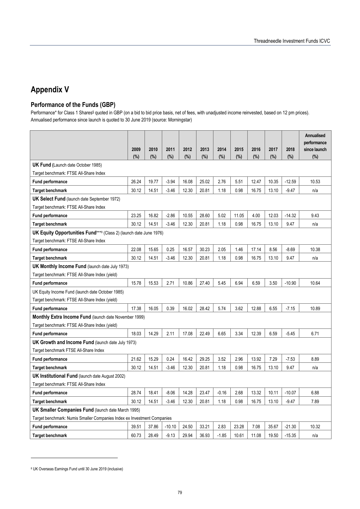# **Appendix V**

## **Performance of the Funds (GBP)**

Performance\* for Class 1 Shares§ quoted in GBP (on a bid to bid price basis, net of fees, with unadjusted income reinvested, based on 12 pm prices). Annualised performance since launch is quoted to 30 June 2019 (source: Morningstar)

|                                                                                                    |       |       |          |       |       |         |       |       |       |          | <b>Annualised</b><br>performance |
|----------------------------------------------------------------------------------------------------|-------|-------|----------|-------|-------|---------|-------|-------|-------|----------|----------------------------------|
|                                                                                                    | 2009  | 2010  | 2011     | 2012  | 2013  | 2014    | 2015  | 2016  | 2017  | 2018     | since launch                     |
| <b>UK Fund (Launch date October 1985)</b>                                                          | (%)   | (%)   | (%)      | (%)   | (%)   | (%)     | (%)   | (%)   | (%)   | (%)      | (%)                              |
| Target benchmark: FTSE All-Share Index                                                             |       |       |          |       |       |         |       |       |       |          |                                  |
| Fund performance                                                                                   | 26.24 | 19.77 | $-3.94$  | 16.08 | 25.02 | 2.76    | 5.51  | 12.47 | 10.35 | $-12.59$ | 10.53                            |
| <b>Target benchmark</b>                                                                            | 30.12 | 14.51 | $-3.46$  | 12.30 | 20.81 | 1.18    | 0.98  | 16.75 | 13.10 | $-9.47$  | n/a                              |
| <b>UK Select Fund</b> (launch date September 1972)                                                 |       |       |          |       |       |         |       |       |       |          |                                  |
| Target benchmark: FTSE All-Share Index                                                             |       |       |          |       |       |         |       |       |       |          |                                  |
| <b>Fund performance</b>                                                                            | 23.25 | 16.82 | $-2.86$  | 10.55 | 28.60 | 5.02    | 11.05 | 4.00  | 12.03 | $-14.32$ | 9.43                             |
| <b>Target benchmark</b>                                                                            | 30.12 | 14.51 | $-3.46$  | 12.30 | 20.81 | 1.18    | 0.98  | 16.75 | 13.10 | 9.47     | n/a                              |
| <b>UK Equity Opportunities Fund</b> ***8 (Class 2) (launch date June 1976)                         |       |       |          |       |       |         |       |       |       |          |                                  |
| Target benchmark: FTSE All-Share Index                                                             |       |       |          |       |       |         |       |       |       |          |                                  |
| <b>Fund performance</b>                                                                            | 22.08 | 15.65 | 0.25     | 16.57 | 30.23 | 2.05    | 1.46  | 17.14 | 8.56  | $-8.69$  | 10.38                            |
| <b>Target benchmark</b>                                                                            | 30.12 | 14.51 | $-3.46$  | 12.30 | 20.81 | 1.18    | 0.98  | 16.75 | 13.10 | 9.47     | n/a                              |
| <b>UK Monthly Income Fund (launch date July 1973)</b>                                              |       |       |          |       |       |         |       |       |       |          |                                  |
| Target benchmark: FTSE All-Share Index (yield)                                                     |       |       |          |       |       |         |       |       |       |          |                                  |
| <b>Fund performance</b>                                                                            | 15.78 | 15.53 | 2.71     | 10.86 | 27.40 | 5.45    | 6.94  | 6.59  | 3.50  | $-10.90$ | 10.64                            |
| UK Equity Income Fund (launch date October 1985)                                                   |       |       |          |       |       |         |       |       |       |          |                                  |
| Target benchmark: FTSE All-Share Index (yield)                                                     |       |       |          |       |       |         |       |       |       |          |                                  |
| <b>Fund performance</b>                                                                            | 17.38 | 16.05 | 0.39     | 16.02 | 28.42 | 5.74    | 3.62  | 12.88 | 6.55  | $-7.15$  | 10.89                            |
| <b>Monthly Extra Income Fund (launch date November 1999)</b>                                       |       |       |          |       |       |         |       |       |       |          |                                  |
| Target benchmark: FTSE All-Share Index (yield)                                                     |       |       |          |       |       |         |       |       |       |          |                                  |
| <b>Fund performance</b>                                                                            | 18.03 | 14.29 | 2.11     | 17.08 | 22.49 | 6.65    | 3.34  | 12.39 | 6.59  | $-5.45$  | 6.71                             |
| UK Growth and Income Fund (launch date July 1973)                                                  |       |       |          |       |       |         |       |       |       |          |                                  |
| Target benchmark FTSE All-Share Index                                                              |       |       |          |       |       |         |       |       |       |          |                                  |
| <b>Fund performance</b>                                                                            | 21.62 | 15.29 | 0.24     | 16.42 | 29.25 | 3.52    | 2.96  | 13.92 | 7.29  | $-7.53$  | 8.89                             |
| <b>Target benchmark</b>                                                                            | 30.12 | 14.51 | $-3.46$  | 12.30 | 20.81 | 1.18    | 0.98  | 16.75 | 13.10 | 9.47     | n/a                              |
| <b>UK Institutional Fund</b> (launch date August 2002)                                             |       |       |          |       |       |         |       |       |       |          |                                  |
| Target benchmark: FTSE All-Share Index                                                             |       |       |          |       |       |         |       |       |       |          |                                  |
| <b>Fund performance</b>                                                                            | 28.74 | 18.41 | $-8.06$  | 14.28 | 23.47 | $-0.16$ | 2.68  | 13.32 | 10.11 | $-10.07$ | 6.88                             |
| <b>Target benchmark</b>                                                                            | 30.12 | 14.51 | $-3.46$  | 12.30 | 20.81 | 1.18    | 0.98  | 16.75 | 13.10 | $-9.47$  | 7.89                             |
| UK Smaller Companies Fund (launch date March 1995)                                                 |       |       |          |       |       |         |       |       |       |          |                                  |
| Target benchmark: Numis Smaller Companies Index ex Investment Companies<br><b>Fund performance</b> | 39.51 | 37.86 | $-10.10$ | 24.50 | 33.21 | 2.83    | 23.28 | 7.08  | 35.67 | $-21.30$ | 10.32                            |
|                                                                                                    |       |       |          |       |       |         |       |       |       |          |                                  |
| <b>Target benchmark</b>                                                                            | 60.73 | 28.49 | $-9.13$  | 29.94 | 36.93 | $-1.85$ | 10.61 | 11.08 | 19.50 | $-15.35$ | n/a                              |

<sup>8</sup> UK Overseas Earnings Fund until 30 June 2019 (inclusive)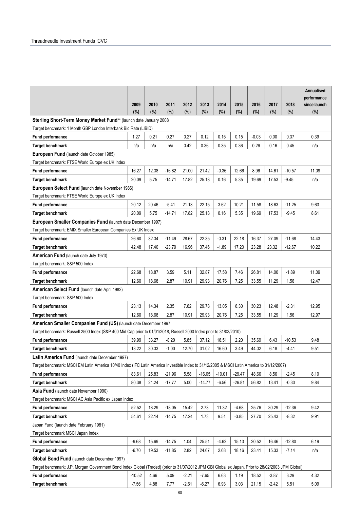|                                                                                                                                                   | 2009<br>(%) | 2010<br>(%) | 2011<br>(%) | 2012<br>(%) | 2013<br>(%) | 2014<br>(%) | 2015<br>(%) | 2016<br>(%) | 2017<br>(%) | 2018<br>(%) | Annualised<br>performance<br>since launch<br>(%) |
|---------------------------------------------------------------------------------------------------------------------------------------------------|-------------|-------------|-------------|-------------|-------------|-------------|-------------|-------------|-------------|-------------|--------------------------------------------------|
| Sterling Short-Term Money Market Fund** (launch date January 2008                                                                                 |             |             |             |             |             |             |             |             |             |             |                                                  |
| Target benchmark: 1 Month GBP London Interbank Bid Rate (LIBID)                                                                                   |             |             |             |             |             |             |             |             |             |             |                                                  |
| Fund performance                                                                                                                                  | 1.27        | 0.21        | 0.27        | 0.27        | 0.12        | 0.15        | 0.15        | $-0.03$     | 0.00        | 0.37        | 0.39                                             |
| <b>Target benchmark</b>                                                                                                                           | n/a         | n/a         | n/a         | 0.42        | 0.36        | 0.35        | 0.36        | 0.26        | 0.16        | 0.45        | n/a                                              |
| European Fund (launch date October 1985)                                                                                                          |             |             |             |             |             |             |             |             |             |             |                                                  |
| Target benchmark: FTSE World Europe ex UK Index                                                                                                   |             |             |             |             |             |             |             |             |             |             |                                                  |
| Fund performance                                                                                                                                  | 16.27       | 12.38       | $-16.82$    | 21.00       | 21.42       | $-0.36$     | 12.66       | 8.96        | 14.61       | $-10.57$    | 11.09                                            |
| <b>Target benchmark</b>                                                                                                                           | 20.09       | 5.75        | $-14.71$    | 17.82       | 25.18       | 0.16        | 5.35        | 19.69       | 17.53       | $-9.45$     | n/a                                              |
| European Select Fund (launch date November 1986)                                                                                                  |             |             |             |             |             |             |             |             |             |             |                                                  |
| Target benchmark: FTSE World Europe ex UK Index                                                                                                   |             |             |             |             |             |             |             |             |             |             |                                                  |
| <b>Fund performance</b>                                                                                                                           | 20.12       | 20.46       | $-5.41$     | 21.13       | 22.15       | 3.62        | 10.21       | 11.58       | 18.63       | $-11.25$    | 9.63                                             |
| <b>Target benchmark</b>                                                                                                                           | 20.09       | 5.75        | $-14.71$    | 17.82       | 25.18       | 0.16        | 5.35        | 19.69       | 17.53       | $-9.45$     | 8.61                                             |
| European Smaller Companies Fund (launch date December 1997)                                                                                       |             |             |             |             |             |             |             |             |             |             |                                                  |
| Target benchmark: EMIX Smaller European Companies Ex UK Index                                                                                     |             |             |             |             |             |             |             |             |             |             |                                                  |
| Fund performance                                                                                                                                  | 26.60       | 32.34       | $-11.49$    | 28.67       | 22.35       | $-0.31$     | 22.18       | 16.37       | 27.09       | $-11.68$    | 14.43                                            |
| <b>Target benchmark</b>                                                                                                                           | 42.48       | 17.40       | -23.79      | 16.96       | 37.46       | $-1.89$     | 17.20       | 23.28       | 23.32       | $-12.67$    | 10.22                                            |
| American Fund (launch date July 1973)                                                                                                             |             |             |             |             |             |             |             |             |             |             |                                                  |
| Target benchmark: S&P 500 Index                                                                                                                   |             |             |             |             |             |             |             |             |             |             |                                                  |
| Fund performance                                                                                                                                  | 22.68       | 18.87       | 3.59        | 5.11        | 32.87       | 17.58       | 7.46        | 26.81       | 14.00       | $-1.89$     | 11.09                                            |
| <b>Target benchmark</b>                                                                                                                           | 12.60       | 18.68       | 2.87        | 10.91       | 29.93       | 20.76       | 7.25        | 33.55       | 11.29       | 1.56        | 12.47                                            |
| American Select Fund (launch date April 1982)                                                                                                     |             |             |             |             |             |             |             |             |             |             |                                                  |
| Target benchmark: S&P 500 Index                                                                                                                   |             |             |             |             |             |             |             |             |             |             |                                                  |
| Fund performance                                                                                                                                  | 23.13       | 14.34       | 2.35        | 7.62        | 29.78       | 13.05       | 6.30        | 30.23       | 12.48       | $-2.31$     | 12.95                                            |
| <b>Target benchmark</b>                                                                                                                           | 12.60       | 18.68       | 2.87        | 10.91       | 29.93       | 20.76       | 7.25        | 33.55       | 11.29       | 1.56        | 12.97                                            |
| American Smaller Companies Fund (US) (launch date December 1997                                                                                   |             |             |             |             |             |             |             |             |             |             |                                                  |
| Target benchmark: Russell 2500 Index (S&P 400 Mid Cap prior to 01/01/2018, Russell 2000 Index prior to 31/03/2010)<br>Fund performance            | 39.99       | 33.27       | $-8.20$     | 5.85        | 37.12       | 18.51       | 2.20        | 35.69       | 6.43        | $-10.53$    | 9.48                                             |
|                                                                                                                                                   |             | 30.33       | $-1.00$     | 12.70       | 31.02       | 16.60       | 3.49        |             | 6.18        |             |                                                  |
| <b>Target benchmark</b><br>Latin America Fund (launch date December 1997)                                                                         | 13.22       |             |             |             |             |             |             | 44.02       |             | -4.41       | 9.51                                             |
| Target benchmark: MSCI EM Latin America 10/40 Index (IFC Latin America Investible Index to 31/12/2005 & MSCI Latin America to 31/12/2007)         |             |             |             |             |             |             |             |             |             |             |                                                  |
| <b>Fund performance</b>                                                                                                                           | 83.61       | 25.83       | $-21.96$    | 5.58        | $-16.05$    | $-10.01$    | $-29.47$    | 48.66       | 8.56        | $-2.45$     | 8.10                                             |
| <b>Target benchmark</b>                                                                                                                           | 80.38       | 21.24       | $-17.77$    | 5.00        | $-14.77$    | $-6.56$     | $-26.81$    | 56.82       | 13.41       | $-0.30$     | 9.84                                             |
| Asia Fund (launch date November 1990)                                                                                                             |             |             |             |             |             |             |             |             |             |             |                                                  |
| Target benchmark: MSCI AC Asia Pacific ex Japan Index                                                                                             |             |             |             |             |             |             |             |             |             |             |                                                  |
| Fund performance                                                                                                                                  | 52.52       | 18.29       | $-18.05$    | 15.42       | 2.73        | 11.32       | $-4.68$     | 25.76       | 30.29       | $-12.36$    | 9.42                                             |
| <b>Target benchmark</b>                                                                                                                           | 54.61       | 22.14       | $-14.75$    | 17.24       | 1.73        | 9.51        | $-3.85$     | 27.70       | 25.43       | $-8.32$     | 9.91                                             |
| Japan Fund (launch date February 1981)                                                                                                            |             |             |             |             |             |             |             |             |             |             |                                                  |
| Target benchmark MSCI Japan Index                                                                                                                 |             |             |             |             |             |             |             |             |             |             |                                                  |
| Fund performance                                                                                                                                  | $-9.68$     | 15.69       | $-14.75$    | 1.04        | 25.51       | $-4.62$     | 15.13       | 20.52       | 16.46       | $-12.80$    | 6.19                                             |
| <b>Target benchmark</b>                                                                                                                           | $-6.70$     | 19.53       | $-11.85$    | 2.82        | 24.67       | 2.68        | 18.16       | 23.41       | 15.33       | $-7.14$     | n/a                                              |
| Global Bond Fund (launch date December 1997)                                                                                                      |             |             |             |             |             |             |             |             |             |             |                                                  |
| Target benchmark: J.P. Morgan Government Bond Index Global (Traded) (prior to 31/07/2012 JPM GBI Global ex Japan. Prior to 28/02/2003 JPM Global) |             |             |             |             |             |             |             |             |             |             |                                                  |
| Fund performance                                                                                                                                  | $-10.52$    | 4.66        | 5.09        | $-2.21$     | $-7.65$     | 6.63        | 1.19        | 18.52       | $-3.87$     | 3.29        | 4.32                                             |
| <b>Target benchmark</b>                                                                                                                           | $-7.56$     | 4.88        | 7.77        | $-2.61$     | $-6.27$     | 6.93        | 3.03        | 21.15       | $-2.42$     | 5.51        | 5.09                                             |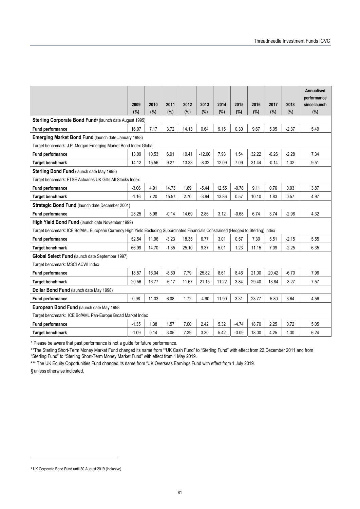|                                                                                                                                    |         |       |         |        |          |        |         |        |         |         | <b>Annualised</b>           |
|------------------------------------------------------------------------------------------------------------------------------------|---------|-------|---------|--------|----------|--------|---------|--------|---------|---------|-----------------------------|
|                                                                                                                                    | 2009    | 2010  | 2011    | 2012   | 2013     | 2014   | 2015    | 2016   | 2017    | 2018    | performance<br>since launch |
|                                                                                                                                    | (%)     | (%)   | $(\%)$  | $(\%)$ | (%)      | $(\%)$ | (%)     | $(\%)$ | $(\%)$  | (%)     | (%)                         |
| Sterling Corporate Bond Fund <sup>9</sup> (launch date August 1995)                                                                |         |       |         |        |          |        |         |        |         |         |                             |
| <b>Fund performance</b>                                                                                                            | 16.07   | 7.17  | 3.72    | 14.13  | 0.64     | 9.15   | 0.30    | 9.67   | 5.05    | $-2.37$ | 5.49                        |
| <b>Emerging Market Bond Fund (launch date January 1998)</b>                                                                        |         |       |         |        |          |        |         |        |         |         |                             |
| Target benchmark: J.P. Morgan Emerging Market Bond Index Global                                                                    |         |       |         |        |          |        |         |        |         |         |                             |
| Fund performance                                                                                                                   | 13.09   | 10.53 | 6.01    | 10.41  | $-12.00$ | 7.93   | 1.54    | 32.22  | $-0.26$ | $-2.28$ | 7.34                        |
| <b>Target benchmark</b>                                                                                                            | 14.12   | 15.56 | 9.27    | 13.33  | $-8.32$  | 12.09  | 7.09    | 31.44  | $-0.14$ | 1.32    | 9.51                        |
| Sterling Bond Fund (launch date May 1998)                                                                                          |         |       |         |        |          |        |         |        |         |         |                             |
| Target benchmark: FTSE Actuaries UK Gilts All Stocks Index                                                                         |         |       |         |        |          |        |         |        |         |         |                             |
| Fund performance                                                                                                                   | $-3.06$ | 4.91  | 14.73   | 1.69   | $-5.44$  | 12.55  | $-0.78$ | 9.11   | 0.76    | 0.03    | 3.87                        |
| <b>Target benchmark</b>                                                                                                            | $-1.16$ | 7.20  | 15.57   | 2.70   | $-3.94$  | 13.86  | 0.57    | 10.10  | 1.83    | 0.57    | 4.97                        |
| Strategic Bond Fund (launch date December 2001)                                                                                    |         |       |         |        |          |        |         |        |         |         |                             |
| Fund performance                                                                                                                   | 28.25   | 8.98  | $-0.14$ | 14.69  | 2.86     | 3.12   | $-0.68$ | 6.74   | 3.74    | $-2.96$ | 4.32                        |
| High Yield Bond Fund (launch date November 1999)                                                                                   |         |       |         |        |          |        |         |        |         |         |                             |
| Target benchmark: ICE BofAML European Currency High Yield Excluding Subordinated Financials Constrained (Hedged to Sterling) Index |         |       |         |        |          |        |         |        |         |         |                             |
| Fund performance                                                                                                                   | 52.54   | 11.96 | $-3.23$ | 18.35  | 6.77     | 3.01   | 0.57    | 7.30   | 5.51    | $-2.15$ | 5.55                        |
| <b>Target benchmark</b>                                                                                                            | 66.99   | 14.70 | $-1.35$ | 25.10  | 9.37     | 5.01   | 1.23    | 11.15  | 7.09    | $-2.25$ | 6.35                        |
| Global Select Fund (launch date September 1997)                                                                                    |         |       |         |        |          |        |         |        |         |         |                             |
| Target benchmark: MSCI ACWI Index                                                                                                  |         |       |         |        |          |        |         |        |         |         |                             |
| Fund performance                                                                                                                   | 18.57   | 16.04 | $-8.60$ | 7.79   | 25.82    | 8.61   | 8.46    | 21.00  | 20.42   | $-6.70$ | 7.96                        |
| <b>Target benchmark</b>                                                                                                            | 20.56   | 16.77 | $-6.17$ | 11.67  | 21.15    | 11.22  | 3.84    | 29.40  | 13.84   | $-3.27$ | 7.57                        |
| Dollar Bond Fund (launch date May 1998)                                                                                            |         |       |         |        |          |        |         |        |         |         |                             |
| <b>Fund performance</b>                                                                                                            | 0.98    | 11.03 | 6.08    | 1.72   | $-4.90$  | 11.90  | 3.31    | 23.77  | $-5.80$ | 3.64    | 4.56                        |
| European Bond Fund (launch date May 1998                                                                                           |         |       |         |        |          |        |         |        |         |         |                             |
| Target benchmark: ICE BofAML Pan-Europe Broad Market Index                                                                         |         |       |         |        |          |        |         |        |         |         |                             |
| Fund performance                                                                                                                   | $-1.35$ | 1.38  | 1.57    | 7.00   | 2.42     | 5.32   | $-4.74$ | 18.70  | 2.25    | 0.72    | 5.05                        |
| <b>Target benchmark</b>                                                                                                            | $-1.09$ | 0.14  | 3.05    | 7.39   | 3.30     | 5.42   | $-3.09$ | 18.00  | 4.25    | 1.30    | 6.24                        |

\* Please be aware that past performance is not a guide for future performance.

\*\*The Sterling Short-Term Money Market Fund changed its name from ""UK Cash Fund" to "Sterling Fund" with effect from 22 December 2011 and from "Sterling Fund" to "Sterling Short-Term Money Market Fund" with effect from 1 May 2019.

\*\*\* The UK Equity Opportunities Fund changed its name from "UK Overseas Earnings Fund with effect from 1 July 2019. § unless otherwise indicated.

<sup>9</sup> UK Corporate Bond Fund until 30 August 2019 (inclusive)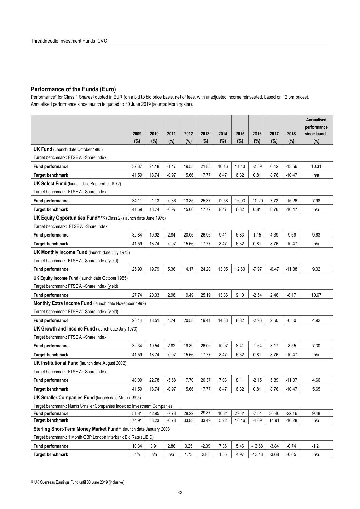#### **Performance of the Funds (Euro)**

Performance\* for Class 1 Shares§ quoted in EUR (on a bid to bid price basis, net of fees, with unadjusted income reinvested, based on 12 pm prices). Annualised performance since launch is quoted to 30 June 2019 (source: Morningstar).

|                                                                            | 2009  | 2010  | 2011    | 2012  | 2013(   | 2014  | 2015  | 2016     | 2017    | 2018     | Annualised<br>performance<br>since launch |
|----------------------------------------------------------------------------|-------|-------|---------|-------|---------|-------|-------|----------|---------|----------|-------------------------------------------|
|                                                                            | (%)   | (%)   | (%)     | (%)   | %)      | (%)   | (%)   | (%)      | (%)     | $(\%)$   | (%)                                       |
| <b>UK Fund (Launch date October 1985)</b>                                  |       |       |         |       |         |       |       |          |         |          |                                           |
| Target benchmark: FTSE All-Share Index                                     |       |       |         |       |         |       |       |          |         |          |                                           |
| <b>Fund performance</b>                                                    | 37.37 | 24.18 | $-1.47$ | 19.55 | 21.88   | 10.16 | 11.10 | $-2.89$  | 6.12    | $-13.56$ | 10.31                                     |
| <b>Target benchmark</b>                                                    | 41.59 | 18.74 | $-0.97$ | 15.66 | 17.77   | 8.47  | 6.32  | 0.81     | 8.76    | $-10.47$ | n/a                                       |
| <b>UK Select Fund</b> (launch date September 1972)                         |       |       |         |       |         |       |       |          |         |          |                                           |
| Target benchmark: FTSE All-Share Index                                     |       |       |         |       |         |       |       |          |         |          |                                           |
| <b>Fund performance</b>                                                    | 34.11 | 21.13 | $-0.36$ | 13.85 | 25.37   | 12.58 | 16.93 | $-10.20$ | 7.73    | $-15.26$ | 7.98                                      |
| <b>Target benchmark</b>                                                    | 41.59 | 18.74 | $-0.97$ | 15.66 | 17.77   | 8.47  | 6.32  | 0.81     | 8.76    | $-10.47$ | n/a                                       |
| <b>UK Equity Opportunities Fund***10 (Class 2) (launch date June 1976)</b> |       |       |         |       |         |       |       |          |         |          |                                           |
| Target benchmark: FTSE All-Share Index                                     |       |       |         |       |         |       |       |          |         |          |                                           |
| <b>Fund performance</b>                                                    | 32.84 | 19.92 | 2.84    | 20.06 | 26.96   | 9.41  | 6.83  | 1.15     | 4.39    | $-9.69$  | 9.63                                      |
| <b>Target benchmark</b>                                                    | 41.59 | 18.74 | $-0.97$ | 15.66 | 17.77   | 8.47  | 6.32  | 0.81     | 8.76    | $-10.47$ | n/a                                       |
| <b>UK Monthly Income Fund (launch date July 1973)</b>                      |       |       |         |       |         |       |       |          |         |          |                                           |
| Target benchmark: FTSE All-Share Index (yield)                             |       |       |         |       |         |       |       |          |         |          |                                           |
| Fund performance                                                           | 25.99 | 19.79 | 5.36    | 14.17 | 24.20   | 13.05 | 12.60 | $-7.97$  | $-0.47$ | $-11.88$ | 9.02                                      |
| UK Equity Income Fund (launch date October 1985)                           |       |       |         |       |         |       |       |          |         |          |                                           |
| Target benchmark: FTSE All-Share Index (yield)                             |       |       |         |       |         |       |       |          |         |          |                                           |
| <b>Fund performance</b>                                                    | 27.74 | 20.33 | 2.98    | 19.49 | 25.19   | 13.36 | 9.10  | $-2.54$  | 2.46    | $-8.17$  | 10.67                                     |
| Monthly Extra Income Fund (launch date November 1999)                      |       |       |         |       |         |       |       |          |         |          |                                           |
| Target benchmark: FTSE All-Share Index (yield)                             |       |       |         |       |         |       |       |          |         |          |                                           |
| <b>Fund performance</b>                                                    | 28.44 | 18.51 | 4.74    | 20.58 | 19.41   | 14.33 | 8.82  | $-2.96$  | 2.50    | $-6.50$  | 4.92                                      |
| UK Growth and Income Fund (launch date July 1973)                          |       |       |         |       |         |       |       |          |         |          |                                           |
| Target benchmark: FTSE All-Share Index                                     |       |       |         |       |         |       |       |          |         |          |                                           |
| <b>Fund performance</b>                                                    | 32.34 | 19.54 | 2.82    | 19.89 | 26.00   | 10.97 | 8.41  | $-1.64$  | 3.17    | -8.55    | 7.30                                      |
| <b>Target benchmark</b>                                                    | 41.59 | 18.74 | $-0.97$ | 15.66 | 17.77   | 8.47  | 6.32  | 0.81     | 8.76    | $-10.47$ | n/a                                       |
| <b>UK Institutional Fund (launch date August 2002)</b>                     |       |       |         |       |         |       |       |          |         |          |                                           |
| Target benchmark: FTSE All-Share Index                                     |       |       |         |       |         |       |       |          |         |          |                                           |
| <b>Fund performance</b>                                                    | 40.09 | 22.78 | $-5.68$ | 17.70 | 20.37   | 7.03  | 8.11  | $-2.15$  | 5.89    | $-11.07$ | 4.66                                      |
| <b>Target benchmark</b>                                                    | 41.59 | 18.74 | $-0.97$ | 15.66 | 17.77   | 8.47  | 6.32  | 0.81     | 8.76    | $-10.47$ | 5.65                                      |
| <b>UK Smaller Companies Fund (launch date March 1995)</b>                  |       |       |         |       |         |       |       |          |         |          |                                           |
| Target benchmark: Numis Smaller Companies Index ex Investment Companies    |       |       |         |       |         |       |       |          |         |          |                                           |
| <b>Fund performance</b>                                                    | 51.81 | 42.95 | $-7.78$ | 28.22 | 29.87   | 10.24 | 29.81 | $-7.54$  | 30.46   | $-22.16$ | 9.48                                      |
| <b>Target benchmark</b>                                                    | 74.91 | 33.23 | $-6.78$ | 33.83 | 33.49   | 5.22  | 16.46 | $-4.09$  | 14.91   | $-16.28$ | n/a                                       |
| Sterling Short-Term Money Market Fund** (launch date January 2008          |       |       |         |       |         |       |       |          |         |          |                                           |
| Target benchmark: 1 Month GBP London Interbank Bid Rate (LIBID)            |       |       |         |       |         |       |       |          |         |          |                                           |
| <b>Fund performance</b>                                                    | 10.34 | 3.91  | 2.86    | 3.25  | $-2.39$ | 7.36  | 5.46  | $-13.68$ | $-3.84$ | $-0.74$  | $-1.21$                                   |
| <b>Target benchmark</b>                                                    | n/a   | n/a   | n/a     | 1.73  | 2.83    | 1.55  | 4.97  | $-13.43$ | $-3.68$ | $-0.65$  | n/a                                       |

<sup>10</sup> UK Overseas Earnings Fund until 30 June 2019 (inclusive)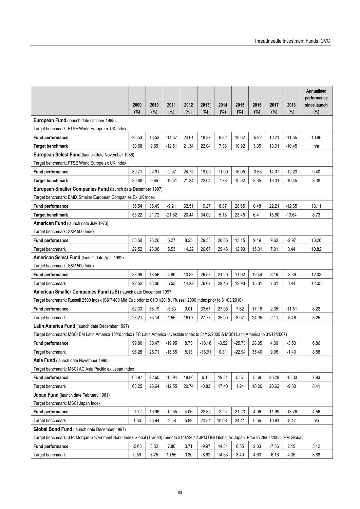|                                                                                                                                                   |         |       |          |       |          |         |          |         |         |          | <b>Annualised</b>           |
|---------------------------------------------------------------------------------------------------------------------------------------------------|---------|-------|----------|-------|----------|---------|----------|---------|---------|----------|-----------------------------|
|                                                                                                                                                   | 2009    | 2010  | 2011     | 2012  | 2013(    | 2014    | 2015     | 2016    | 2017    | 2018     | performance<br>since launch |
|                                                                                                                                                   | (%)     | (%)   | (%)      | (%)   | %        | (%)     | (%)      | (%)     | (%)     | (%)      | (%)                         |
| European Fund (launch date October 1985)                                                                                                          |         |       |          |       |          |         |          |         |         |          |                             |
| Target benchmark: FTSE World Europe ex UK Index                                                                                                   |         |       |          |       |          |         |          |         |         |          |                             |
| <b>Fund performance</b>                                                                                                                           | 26.53   | 16.53 | $-14.67$ | 24.61 | 18.37    | 6.82    | 18.62    | $-5.92$ | 10.21   | $-11.55$ | 10.86                       |
| <b>Target benchmark</b>                                                                                                                           | 30.68   | 9.65  | $-12.51$ | 21.34 | 22.04    | 7.38    | 10.92    | 3.35    | 13.01   | $-10.45$ | n/a                         |
| European Select Fund (launch date November 1986)                                                                                                  |         |       |          |       |          |         |          |         |         |          |                             |
| Target benchmark: FTSE World Europe ex UK Index                                                                                                   |         |       |          |       |          |         |          |         |         |          |                             |
| Fund performance                                                                                                                                  | 30.71   | 24.91 | $-2.97$  | 24.75 | 19.09    | 11.09   | 16.05    | $-3.66$ | 14.07   | $-12.23$ | 9.40                        |
| <b>Target benchmark</b>                                                                                                                           | 30.68   | 9.65  | $-12.51$ | 21.34 | 22.04    | 7.38    | 10.92    | 3.35    | 13.01   | $-10.45$ | 8.38                        |
| European Smaller Companies Fund (launch date December 1997)                                                                                       |         |       |          |       |          |         |          |         |         |          |                             |
| Target benchmark: EMIX Smaller European Companies Ex UK Index                                                                                     |         |       |          |       |          |         |          |         |         |          |                             |
| <b>Fund performance</b>                                                                                                                           | 36.54   | 36.49 | $-9.21$  | 32.51 | 19.27    | 6.87    | 28.65    | 0.48    | 22.21   | $-12.65$ | 13.11                       |
| <b>Target benchmark</b>                                                                                                                           | 55.22   | 21.72 | $-21.82$ | 20.44 | 34.00    | 5.18    | 23.45    | 6.41    | 18.60   | $-13.64$ | 8.73                        |
| American Fund (launch date July 1973)                                                                                                             |         |       |          |       |          |         |          |         |         |          |                             |
| Target benchmark: S&P 500 Index                                                                                                                   |         |       |          |       |          |         |          |         |         |          |                             |
| <b>Fund performance</b>                                                                                                                           | 33.50   | 23.26 | 6.27     | 8.25  | 29.53    | 26.06   | 13.15    | 9.49    | 9.62    | $-2.97$  | 10.26                       |
| Target benchmark                                                                                                                                  | 22.52   | 23.06 | 5.53     | 14.22 | 26.67    | 29.46   | 12.93    | 15.31   | 7.01    | 0.44     | 10.82                       |
| American Select Fund (launch date April 1982)                                                                                                     |         |       |          |       |          |         |          |         |         |          |                             |
| Target benchmark: S&P 500 Index                                                                                                                   |         |       |          |       |          |         |          |         |         |          |                             |
| <b>Fund performance</b>                                                                                                                           | 33.99   | 18.56 | 4.99     | 10.83 | 26.53    | 21.20   | 11.92    | 12.44   | 8.16    | $-3.39$  | 12.03                       |
| Target benchmark                                                                                                                                  | 22.52   | 23.06 | 5.53     | 14.22 | 26.67    | 29.46   | 12.93    | 15.31   | 7.01    | 0.44     | 12.05                       |
| American Smaller Companies Fund (US) (launch date December 1997                                                                                   |         |       |          |       |          |         |          |         |         |          |                             |
| Target benchmark: Russell 2500 Index (S&P 400 Mid Cap prior to 01/01/2018, Russell 2000 Index prior to 31/03/2010)                                |         |       |          |       |          |         |          |         |         |          |                             |
| Fund performance                                                                                                                                  | 52.33   | 38.19 | $-5.83$  | 9.01  | 33.67    | 27.05   | 7.62     | 17.16   | 2.35    | $-11.51$ | 8.22                        |
| Target benchmark                                                                                                                                  | 23.21   | 35.14 | 1.55     | 16.07 | 27.73    | 25.00   | 8.97     | 24.35   | 2.11    | $-5.46$  | 8.25                        |
| Latin America Fund (launch date December 1997)                                                                                                    |         |       |          |       |          |         |          |         |         |          |                             |
| Target benchmark: MSCI EM Latin America 10/40 Index (IFC Latin America Investible Index to 31/12/2005 & MSCI Latin America to 31/12/2007)         |         |       |          |       |          |         |          |         |         |          |                             |
| Fund performance                                                                                                                                  | 99.80   | 30.47 | $-19.95$ | 8.73  | $-18.16$ | $-3.52$ | $-25.73$ | 28.35   | 4.39    | $-3.53$  | 6.86                        |
| Target benchmark                                                                                                                                  | 96.28   | 25.71 | $-15.65$ | 8.13  | $-16.91$ | 0.81    | $-22.94$ | 35.40   | 9.05    | $-1.40$  | 8.58                        |
| Asia Fund (launch date November 1990)                                                                                                             |         |       |          |       |          |         |          |         |         |          |                             |
| Target benchmark: MSCI AC Asia Pacific ex Japan Index                                                                                             |         |       |          |       |          |         |          |         |         |          |                             |
| <b>Fund performance</b>                                                                                                                           | 65.97   | 22.65 | $-15.94$ | 18.86 | 0.15     | 19.34   | 0.37     | 8.58    | 25.29   | $-13.33$ | 7.93                        |
| Target benchmark                                                                                                                                  | 68.25   | 26.64 | $-12.55$ | 20.74 | $-0.83$  | 17.40   | 1.24     | 10.26   | 20.62   | $-9.33$  | 8.41                        |
| Japan Fund (launch date February 1981)                                                                                                            |         |       |          |       |          |         |          |         |         |          |                             |
| Target benchmark: MSCI Japan Index                                                                                                                |         |       |          |       |          |         |          |         |         |          |                             |
| Fund performance                                                                                                                                  | $-1.72$ | 19.96 | $-12.55$ | 4.06  | 22.35    | 2.25    | 21.23    | 4.06    | 11.99   | $-13.76$ | 4.56                        |
| Target benchmark                                                                                                                                  | 1.53    | 23.94 | $-9.58$  | 5.89  | 21.54    | 10.08   | 24.41    | 6.56    | 10.91   | $-8.17$  | n/a                         |
| Global Bond Fund (launch date December 1997)                                                                                                      |         |       |          |       |          |         |          |         |         |          |                             |
| Target benchmark: J.P. Morgan Government Bond Index Global (Traded) (prior to 31/07/2012 JPM GBI Global ex Japan. Prior to 28/02/2003 JPM Global) |         |       |          |       |          |         |          |         |         |          |                             |
| Fund performance                                                                                                                                  | $-2.63$ | 8.52  | 7.80     | 0.71  | $-9.97$  | 14.31   | 6.55     | 2.33    | $-7.56$ | 2.15     | 3.12                        |
| Target benchmark                                                                                                                                  | 0.59    | 8.75  | 10.55    | 0.30  | $-8.62$  | 14.63   | 8.49     | 4.60    | $-6.16$ | 4.35     | 3.88                        |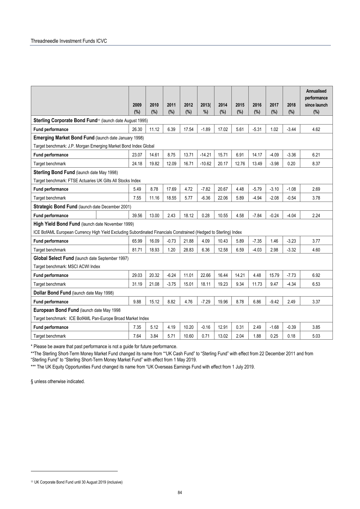|                                                                                                                  |       |       |         |       |          |       |       |         |         |         | Annualised<br>performance |
|------------------------------------------------------------------------------------------------------------------|-------|-------|---------|-------|----------|-------|-------|---------|---------|---------|---------------------------|
|                                                                                                                  | 2009  | 2010  | 2011    | 2012  | 2013(    | 2014  | 2015  | 2016    | 2017    | 2018    | since launch              |
|                                                                                                                  | (%)   | (%)   | (%)     | (%)   | %        | (%)   | (%)   | (%)     | (%)     | (%)     | $(\%)$                    |
| Sterling Corporate Bond Fund <sup>11</sup> (launch date August 1995)                                             |       |       |         |       |          |       |       |         |         |         |                           |
| <b>Fund performance</b>                                                                                          | 26.30 | 11.12 | 6.39    | 17.54 | $-1.89$  | 17.02 | 5.61  | $-5.31$ | 1.02    | $-3.44$ | 4.62                      |
| Emerging Market Bond Fund (launch date January 1998)                                                             |       |       |         |       |          |       |       |         |         |         |                           |
| Target benchmark: J.P. Morgan Emerging Market Bond Index Global                                                  |       |       |         |       |          |       |       |         |         |         |                           |
| Fund performance                                                                                                 | 23.07 | 14.61 | 8.75    | 13.71 | $-14.21$ | 15.71 | 6.91  | 14.17   | $-4.09$ | $-3.36$ | 6.21                      |
| Target benchmark                                                                                                 | 24.18 | 19.82 | 12.09   | 16.71 | $-10.62$ | 20.17 | 12.76 | 13.49   | $-3.98$ | 0.20    | 8.37                      |
| Sterling Bond Fund (launch date May 1998)                                                                        |       |       |         |       |          |       |       |         |         |         |                           |
| Target benchmark: FTSE Actuaries UK Gilts All Stocks Index                                                       |       |       |         |       |          |       |       |         |         |         |                           |
| <b>Fund performance</b>                                                                                          | 5.49  | 8.78  | 17.69   | 4.72  | $-7.82$  | 20.67 | 4.48  | $-5.79$ | $-3.10$ | $-1.08$ | 2.69                      |
| Target benchmark                                                                                                 | 7.55  | 11.16 | 18.55   | 5.77  | $-6.36$  | 22.06 | 5.89  | $-4.94$ | $-2.08$ | $-0.54$ | 3.78                      |
| Strategic Bond Fund (launch date December 2001)                                                                  |       |       |         |       |          |       |       |         |         |         |                           |
| <b>Fund performance</b>                                                                                          | 39.56 | 13.00 | 2.43    | 18.12 | 0.28     | 10.55 | 4.58  | $-7.84$ | $-0.24$ | $-4.04$ | 2.24                      |
| High Yield Bond Fund (launch date November 1999)                                                                 |       |       |         |       |          |       |       |         |         |         |                           |
| ICE BofAML European Currency High Yield Excluding Subordinated Financials Constrained (Hedged to Sterling) Index |       |       |         |       |          |       |       |         |         |         |                           |
| <b>Fund performance</b>                                                                                          | 65.99 | 16.09 | $-0.73$ | 21.88 | 4.09     | 10.43 | 5.89  | $-7.35$ | 1.46    | $-3.23$ | 3.77                      |
| Target benchmark                                                                                                 | 81.71 | 18.93 | 1.20    | 28.83 | 6.36     | 12.58 | 6.59  | $-4.03$ | 2.98    | $-3.32$ | 4.60                      |
| Global Select Fund (launch date September 1997)                                                                  |       |       |         |       |          |       |       |         |         |         |                           |
| Target benchmark: MSCI ACWI Index                                                                                |       |       |         |       |          |       |       |         |         |         |                           |
| <b>Fund performance</b>                                                                                          | 29.03 | 20.32 | $-6.24$ | 11.01 | 22.66    | 16.44 | 14.21 | 4.48    | 15.79   | $-7.73$ | 6.92                      |
| Target benchmark                                                                                                 | 31.19 | 21.08 | $-3.75$ | 15.01 | 18.11    | 19.23 | 9.34  | 11.73   | 9.47    | $-4.34$ | 6.53                      |
| Dollar Bond Fund (launch date May 1998)                                                                          |       |       |         |       |          |       |       |         |         |         |                           |
| <b>Fund performance</b>                                                                                          | 9.88  | 15.12 | 8.82    | 4.76  | $-7.29$  | 19.96 | 8.78  | 6.86    | $-9.42$ | 2.49    | 3.37                      |
| European Bond Fund (launch date May 1998                                                                         |       |       |         |       |          |       |       |         |         |         |                           |
| Target benchmark: ICE BofAML Pan-Europe Broad Market Index                                                       |       |       |         |       |          |       |       |         |         |         |                           |
| <b>Fund performance</b>                                                                                          | 7.35  | 5.12  | 4.19    | 10.20 | $-0.16$  | 12.91 | 0.31  | 2.49    | $-1.68$ | $-0.39$ | 3.85                      |
| Target benchmark                                                                                                 | 7.64  | 3.84  | 5.71    | 10.60 | 0.71     | 13.02 | 2.04  | 1.88    | 0.25    | 0.18    | 5.03                      |

\* Please be aware that past performance is not a guide for future performance.

\*\*The Sterling Short-Term Money Market Fund changed its name from ""UK Cash Fund" to "Sterling Fund" with effect from 22 December 2011 and from "Sterling Fund" to "Sterling Short-Term Money Market Fund" with effect from 1 May 2019.

\*\*\* The UK Equity Opportunities Fund changed its name from "UK Overseas Earnings Fund with effect from 1 July 2019.

§ unless otherwise indicated.

<sup>11</sup> UK Corporate Bond Fund until 30 August 2019 (inclusive)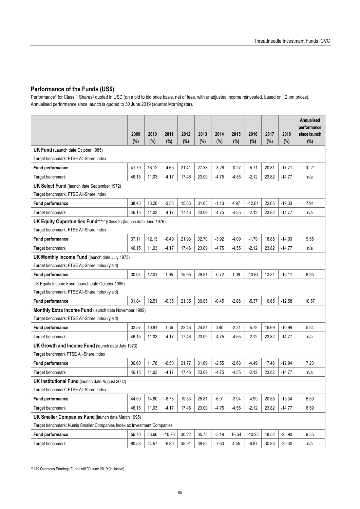#### **Performance of the Funds (US\$)**

Performance\* for Class 1 Shares§ quoted in USD (on a bid to bid price basis, net of fees, with unadjusted income reinvested, based on 12 pm prices). Annualised performance since launch is quoted to 30 June 2019 (source: Morningstar).

|                                                                         | 2009<br>(%) | 2010<br>(%) | 2011<br>(%) | 2012<br>$(\%)$ | 2013<br>(%) | 2014<br>(%) | 2015<br>$(\%)$ | 2016<br>$(\%)$ | 2017<br>(%) | 2018<br>(%) | Annualised<br>performance<br>since launch<br>(%) |
|-------------------------------------------------------------------------|-------------|-------------|-------------|----------------|-------------|-------------|----------------|----------------|-------------|-------------|--------------------------------------------------|
| <b>UK Fund (Launch date October 1985)</b>                               |             |             |             |                |             |             |                |                |             |             |                                                  |
| Target benchmark: FTSE All-Share Index                                  |             |             |             |                |             |             |                |                |             |             |                                                  |
| <b>Fund performance</b>                                                 | 41.79       | 16.12       | $-4.65$     | 21.41          | 27.38       | $-3.26$     | $-0.27$        | $-5.71$        | 20.81       | $-17.71$    | 10.21                                            |
| Target benchmark                                                        | 46.15       | 11.03       | $-4.17$     | 17.46          | 23.09       | $-4.75$     | $-4.55$        | $-2.12$        | 23.82       | $-14.77$    | n/a                                              |
| <b>UK Select Fund</b> (launch date September 1972)                      |             |             |             |                |             |             |                |                |             |             |                                                  |
| Target benchmark: FTSE All-Share Index                                  |             |             |             |                |             |             |                |                |             |             |                                                  |
| <b>Fund performance</b>                                                 | 38.43       | 13.26       | $-3.58$     | 15.63          | 31.03       | $-1.13$     | 4.97           | $-12.81$       | 22.65       | $-19.33$    | 7.91                                             |
| Target benchmark                                                        | 46.15       | 11.03       | $-4.17$     | 17.46          | 23.09       | $-4.75$     | $-4.55$        | -2.12          | 23.82       | $-14.77$    | n/a                                              |
| UK Equity Opportunities Fund***12 (Class 2) (launch date June 1976)     |             |             |             |                |             |             |                |                |             |             |                                                  |
| Target benchmark: FTSE All-Share Index                                  |             |             |             |                |             |             |                |                |             |             |                                                  |
| <b>Fund performance</b>                                                 | 37.11       | 12.13       | $-0.49$     | 21.93          | 32.70       | $-3.92$     | $-4.09$        | $-1.79$        | 18.85       | $-14.03$    | 9.55                                             |
| Target benchmark                                                        | 46.15       | 11.03       | $-4.17$     | 17.46          | 23.09       | $-4.75$     | $-4.55$        | $-2.12$        | 23.82       | $-14.77$    | n/a                                              |
| <b>UK Monthly Income Fund (launch date July 1973)</b>                   |             |             |             |                |             |             |                |                |             |             |                                                  |
| Target benchmark: FTSE All-Share Index (yield)                          |             |             |             |                |             |             |                |                |             |             |                                                  |
| <b>Fund performance</b>                                                 | 30.04       | 12.01       | 1.95        | 15.95          | 29.81       | $-0.72$     | 1.09           | $-10.64$       | 13.31       | $-16.11$    | 8.95                                             |
| UK Equity Income Fund (launch date October 1985)                        |             |             |             |                |             |             |                |                |             |             |                                                  |
| Target benchmark: FTSE All-Share Index (yield)                          |             |             |             |                |             |             |                |                |             |             |                                                  |
| <b>Fund performance</b>                                                 | 31.84       | 12.51       | $-0.35$     | 21.35          | 30.85       | $-0.45$     | $-2.06$        | $-5.37$        | 16.65       | $-12.58$    | 10.57                                            |
| Monthly Extra Income Fund (launch date November 1999)                   |             |             |             |                |             |             |                |                |             |             |                                                  |
| Target benchmark: FTSE All-Share Index (yield)                          |             |             |             |                |             |             |                |                |             |             |                                                  |
| <b>Fund performance</b>                                                 | 32.57       | 10.81       | 1.36        | 22.46          | 24.81       | 0.40        | $-2.31$        | $-5.78$        | 16.69       | $-10.99$    | 5.34                                             |
| Target benchmark                                                        | 46.15       | 11.03       | $-4.17$     | 17.46          | 23.09       | $-4.75$     | $-4.55$        | $-2.12$        | 23.82       | $-14.77$    | n/a                                              |
| UK Growth and Income Fund (launch date July 1973)                       |             |             |             |                |             |             |                |                |             |             |                                                  |
| Target benchmark FTSE All-Share Index                                   |             |             |             |                |             |             |                |                |             |             |                                                  |
| <b>Fund performance</b>                                                 | 36.60       | 11.78       | $-0.50$     | 21.77          | 31.69       | $-2.55$     | $-2.68$        | $-4.49$        | 17.46       | $-12.94$    | 7.23                                             |
| Target benchmark                                                        | 46.15       | 11.03       | $-4.17$     | 17.46          | 23.09       | $-4.75$     | $-4.55$        | -2.12          | 23.82       | -14.77      | n/a                                              |
| <b>UK Institutional Fund (launch date August 2002)</b>                  |             |             |             |                |             |             |                |                |             |             |                                                  |
| Target benchmark: FTSE All-Share Index                                  |             |             |             |                |             |             |                |                |             |             |                                                  |
| Fund performance                                                        | 44.59       | 14.80       | $-8.73$     | 19.53          | 25.81       | $-6.01$     | $-2.94$        | $-4.99$        | 20.55       | $-15.34$    | 5.59                                             |
| Target benchmark                                                        | 46.15       | 11.03       | $-4.17$     | 17.46          | 23.09       | $-4.75$     | $-4.55$        | $-2.12$        | 23.82       | $-14.77$    | 6.59                                             |
| <b>UK Smaller Companies Fund (launch date March 1995)</b>               |             |             |             |                |             |             |                |                |             |             |                                                  |
| Target benchmark: Numis Smaller Companies Index ex Investment Companies |             |             |             |                |             |             |                |                |             |             |                                                  |
| <b>Fund performance</b>                                                 | 56.70       | 33.66       | $-10.76$    | 30.22          | 35.73       | $-3.19$     | 16.54          | $-10.23$       | 48.52       | $-25.90$    | 9.35                                             |
| Target benchmark                                                        | 80.53       | 24.57       | $-9.80$     | 35.91          | 39.52       | $-7.60$     | 4.55           | $-6.87$        | 30.83       | $-20.30$    | n/a                                              |

12 UK Overseas Earnings Fund until 30 June 2019 (inclusive)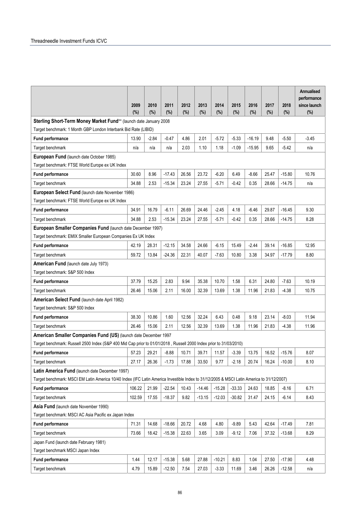|                                                                                                                                                                                             |             |         |          |             |          |          |          |             |       |          | <b>Annualised</b><br>performance |
|---------------------------------------------------------------------------------------------------------------------------------------------------------------------------------------------|-------------|---------|----------|-------------|----------|----------|----------|-------------|-------|----------|----------------------------------|
|                                                                                                                                                                                             | 2009<br>(%) | 2010    | 2011     | 2012<br>(%) | 2013     | 2014     | 2015     | 2016<br>(%) | 2017  | 2018     | since launch                     |
| Sterling Short-Term Money Market Fund** (launch date January 2008                                                                                                                           |             | (%)     | (%)      |             | (%)      | (%)      | (%)      |             | (%)   | (%)      | (%)                              |
| Target benchmark: 1 Month GBP London Interbank Bid Rate (LIBID)                                                                                                                             |             |         |          |             |          |          |          |             |       |          |                                  |
| <b>Fund performance</b>                                                                                                                                                                     | 13.90       | $-2.84$ | $-0.47$  | 4.86        | 2.01     | $-5.72$  | $-5.33$  | $-16.19$    | 9.48  | $-5.50$  | $-3.45$                          |
| Target benchmark                                                                                                                                                                            | n/a         | n/a     | n/a      | 2.03        | 1.10     | 1.18     | $-1.09$  | $-15.95$    | 9.65  | $-5.42$  | n/a                              |
| European Fund (launch date October 1985)                                                                                                                                                    |             |         |          |             |          |          |          |             |       |          |                                  |
| Target benchmark: FTSE World Europe ex UK Index                                                                                                                                             |             |         |          |             |          |          |          |             |       |          |                                  |
| <b>Fund performance</b>                                                                                                                                                                     | 30.60       | 8.96    | $-17.43$ | 26.56       | 23.72    | $-6.20$  | 6.49     | $-8.66$     | 25.47 | $-15.80$ | 10.76                            |
| Target benchmark                                                                                                                                                                            | 34.88       | 2.53    | $-15.34$ | 23.24       | 27.55    | $-5.71$  | $-0.42$  | 0.35        | 28.66 | $-14.75$ | n/a                              |
| European Select Fund (launch date November 1986)                                                                                                                                            |             |         |          |             |          |          |          |             |       |          |                                  |
| Target benchmark: FTSE World Europe ex UK Index                                                                                                                                             |             |         |          |             |          |          |          |             |       |          |                                  |
| <b>Fund performance</b>                                                                                                                                                                     | 34.91       | 16.79   | $-6.11$  | 26.69       | 24.46    | $-2.45$  | 4.18     | $-6.46$     | 29.87 | $-16.45$ | 9.30                             |
| Target benchmark                                                                                                                                                                            | 34.88       | 2.53    | $-15.34$ | 23.24       | 27.55    | $-5.71$  | -0.42    | 0.35        | 28.66 | $-14.75$ | 8.28                             |
| European Smaller Companies Fund (launch date December 1997)                                                                                                                                 |             |         |          |             |          |          |          |             |       |          |                                  |
| Target benchmark: EMIX Smaller European Companies Ex UK Index                                                                                                                               |             |         |          |             |          |          |          |             |       |          |                                  |
| <b>Fund performance</b>                                                                                                                                                                     | 42.19       | 28.31   | $-12.15$ | 34.58       | 24.66    | $-6.15$  | 15.49    | $-2.44$     | 39.14 | $-16.85$ | 12.95                            |
| Target benchmark                                                                                                                                                                            | 59.72       | 13.84   | $-24.36$ | 22.31       | 40.07    | $-7.63$  | 10.80    | 3.38        | 34.97 | $-17.79$ | 8.80                             |
| American Fund (launch date July 1973)                                                                                                                                                       |             |         |          |             |          |          |          |             |       |          |                                  |
| Target benchmark: S&P 500 Index                                                                                                                                                             |             |         |          |             |          |          |          |             |       |          |                                  |
| <b>Fund performance</b>                                                                                                                                                                     | 37.79       | 15.25   | 2.83     | 9.94        | 35.38    | 10.70    | 1.58     | 6.31        | 24.80 | $-7.63$  | 10.19                            |
| Target benchmark                                                                                                                                                                            | 26.46       | 15.06   | 2.11     | 16.00       | 32.39    | 13.69    | 1.38     | 11.96       | 21.83 | $-4.38$  | 10.75                            |
| American Select Fund (launch date April 1982)                                                                                                                                               |             |         |          |             |          |          |          |             |       |          |                                  |
| Target benchmark: S&P 500 Index                                                                                                                                                             |             |         |          |             |          |          |          |             |       |          |                                  |
| <b>Fund performance</b>                                                                                                                                                                     | 38.30       | 10.86   | 1.60     | 12.56       | 32.24    | 6.43     | 0.48     | 9.18        | 23.14 | $-8.03$  | 11.94                            |
| Target benchmark                                                                                                                                                                            | 26.46       | 15.06   | 2.11     | 12.56       | 32.39    | 13.69    | 1.38     | 11.96       | 21.83 | -4.38    | 11.96                            |
| American Smaller Companies Fund (US) (launch date December 1997                                                                                                                             |             |         |          |             |          |          |          |             |       |          |                                  |
| Target benchmark: Russell 2500 Index (S&P 400 Mid Cap prior to 01/01/2018, Russell 2000 Index prior to 31/03/2010)                                                                          |             |         |          |             |          |          |          |             |       |          |                                  |
| <b>Fund performance</b>                                                                                                                                                                     | 57.23       | 29.21   | $-8.88$  | 10.71       | 39.71    | 11.57    | $-3.39$  | 13.75       | 16.52 | $-15.76$ | 8.07                             |
| Target benchmark                                                                                                                                                                            | 27.17       | 26.36   | $-1.73$  | 17.88       | 33.50    | 9.77     | $-2.18$  | 20.74       | 16.24 | $-10.00$ | 8.10                             |
| Latin America Fund (launch date December 1997)<br>Target benchmark: MSCI EM Latin America 10/40 Index (IFC Latin America Investible Index to 31/12/2005 & MSCI Latin America to 31/12/2007) |             |         |          |             |          |          |          |             |       |          |                                  |
| <b>Fund performance</b>                                                                                                                                                                     | 106.22      | 21.99   | $-22.54$ | 10.43       | $-14.46$ | $-15.28$ | $-33.33$ | 24.63       | 18.85 | -8.16    | 6.71                             |
| Target benchmark                                                                                                                                                                            | 102.59      | 17.55   | $-18.37$ | 9.82        | $-13.15$ | $-12.03$ | $-30.82$ | 31.47       | 24.15 | $-6.14$  | 8.43                             |
| Asia Fund (launch date November 1990)                                                                                                                                                       |             |         |          |             |          |          |          |             |       |          |                                  |
| Target benchmark: MSCI AC Asia Pacific ex Japan Index                                                                                                                                       |             |         |          |             |          |          |          |             |       |          |                                  |
| <b>Fund performance</b>                                                                                                                                                                     | 71.31       | 14.68   | $-18.66$ | 20.72       | 4.68     | 4.80     | $-9.89$  | 5.43        | 42.64 | $-17.49$ | 7.81                             |
| Target benchmark                                                                                                                                                                            | 73.66       | 18.42   | $-15.38$ | 22.63       | 3.65     | 3.09     | $-9.12$  | 7.06        | 37.32 | $-13.68$ | 8.29                             |
| Japan Fund (launch date February 1981)                                                                                                                                                      |             |         |          |             |          |          |          |             |       |          |                                  |
| Target benchmark MSCI Japan Index                                                                                                                                                           |             |         |          |             |          |          |          |             |       |          |                                  |
| Fund performance                                                                                                                                                                            | 1.44        | 12.17   | $-15.38$ | 5.68        | 27.88    | $-10.21$ | 8.83     | 1.04        | 27.50 | $-17.90$ | 4.48                             |
| Target benchmark                                                                                                                                                                            | 4.79        | 15.89   | $-12.50$ | 7.54        | 27.03    | $-3.33$  | 11.69    | 3.46        | 26.26 | $-12.58$ | n/a                              |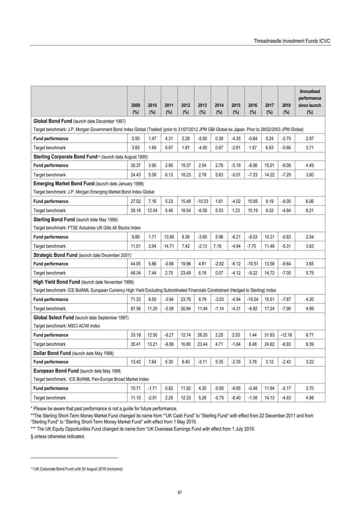|                                                                                                                                                   |             |             |             |             |                |                |                |                |             |             | Annualised<br>performance |
|---------------------------------------------------------------------------------------------------------------------------------------------------|-------------|-------------|-------------|-------------|----------------|----------------|----------------|----------------|-------------|-------------|---------------------------|
|                                                                                                                                                   | 2009<br>(%) | 2010<br>(%) | 2011<br>(%) | 2012<br>(%) | 2013<br>$(\%)$ | 2014<br>$(\%)$ | 2015<br>$(\%)$ | 2016<br>$(\%)$ | 2017<br>(%) | 2018<br>(%) | since launch<br>$(\%)$    |
| Global Bond Fund (launch date December 1997)                                                                                                      |             |             |             |             |                |                |                |                |             |             |                           |
| Target benchmark: J.P. Morgan Government Bond Index Global (Traded) (prior to 31/07/2012 JPM GBI Global ex Japan. Prior to 28/02/2003 JPM Global) |             |             |             |             |                |                |                |                |             |             |                           |
| <b>Fund performance</b>                                                                                                                           | 0.50        | 1.47        | 4.31        | 2.28        | $-5.90$        | 0.38           | $-4.35$        | $-0.64$        | 5.24        | $-2.75$     | 2.97                      |
| Target benchmark                                                                                                                                  | 3.83        | 1.69        | 6.97        | 1.87        | $-4.50$        | 0.67           | $-2.61$        | 1.57           | 6.83        | $-0.66$     | 3.71                      |
| Sterling Corporate Bond Fund <sup>13</sup> (launch date August 1995)                                                                              |             |             |             |             |                |                |                |                |             |             |                           |
| <b>Fund performance</b>                                                                                                                           | 30.37       | 3.90        | 2.95        | 19.37       | 2.54           | 2.76           | $-5.19$        | $-8.06$        | 15.01       | $-8.08$     | 4.49                      |
| Target benchmark                                                                                                                                  | 24.43       | 5.08        | 6.13        | 18.23       | 2.78           | 5.63           | $-5.01$        | $-7.23$        | 14.22       | $-7.29$     | 3.80                      |
| <b>Emerging Market Bond Fund (launch date January 1998)</b>                                                                                       |             |             |             |             |                |                |                |                |             |             |                           |
| Target benchmark: J.P. Morgan Emerging Market Bond Index Global                                                                                   |             |             |             |             |                |                |                |                |             |             |                           |
| Fund performance                                                                                                                                  | 27.02       | 7.16        | 5.23        | 15.48       | $-10.33$       | 1.61           | $-4.02$        | 10.85          | 9.19        | $-8.00$     | 6.06                      |
| Target benchmark                                                                                                                                  | 28.18       | 12.04       | 8.46        | 18.54       | $-6.58$        | 5.53           | 1.23           | 10.19          | 9.32        | $-4.64$     | 8.21                      |
| <b>Sterling Bond Fund (launch date May 1998)</b>                                                                                                  |             |             |             |             |                |                |                |                |             |             |                           |
| Target benchmark: FTSE Actuaries UK Gilts All Stocks Index                                                                                        |             |             |             |             |                |                |                |                |             |             |                           |
| <b>Fund performance</b>                                                                                                                           | 8.88        | 1.71        | 13.88       | 6.36        | $-3.65$        | 5.96           | $-6.21$        | $-8.53$        | 10.31       | $-5.83$     | 2.54                      |
| Target benchmark                                                                                                                                  | 11.01       | 3.94        | 14.71       | 7.42        | $-2.13$        | 7.19           | $-4.94$        | $-7.70$        | 11.48       | $-5.31$     | 3.63                      |
| Strategic Bond Fund (launch date December 2001)                                                                                                   |             |             |             |             |                |                |                |                |             |             |                           |
| <b>Fund performance</b>                                                                                                                           | 44.05       | 5.66        | $-0.88$     | 19.96       | 4.81           | $-2.92$        | $-6.12$        | $-10.51$       | 13.58       | $-8.64$     | 3.65                      |
| Target benchmark                                                                                                                                  | 48.34       | 7.44        | 2.70        | 23.49       | 6.18           | 0.07           | $-4.12$        | $-9.22$        | 14.72       | $-7.00$     | 5.75                      |
| High Yield Bond Fund (launch date November 1999)                                                                                                  |             |             |             |             |                |                |                |                |             |             |                           |
| Target benchmark: ICE BofAML European Currency High Yield Excluding Subordinated Financials Constrained (Hedged to Sterling) Index                |             |             |             |             |                |                |                |                |             |             |                           |
| <b>Fund performance</b>                                                                                                                           | 71.33       | 8.55        | $-3.94$     | 23.79       | 8.79           | $-3.03$        | $-4.94$        | $-10.04$       | 15.51       | $-7.87$     | 4.20                      |
| Target benchmark                                                                                                                                  | 87.56       | 11.20       | $-2.08$     | 30.84       | 11.44          | $-1.14$        | $-4.31$        | $-6.82$        | 17.24       | $-7.96$     | 4.99                      |
| Global Select Fund (launch date September 1997)                                                                                                   |             |             |             |             |                |                |                |                |             |             |                           |
| Target benchmark: MSCI ACWI Index                                                                                                                 |             |             |             |             |                |                |                |                |             |             |                           |
| <b>Fund performance</b>                                                                                                                           | 33.18       | 12.50       | $-9.27$     | 12.74       | 28.20          | 2.25           | 2.53           | 1.44           | 31.83       | $-12.16$    | 6.77                      |
| Target benchmark                                                                                                                                  | 35.41       | 13.21       | $-6.86$     | 16.80       | 23.44          | 4.71           | $-1.84$        | 8.48           | 24.62       | $-8.93$     | 6.39                      |
| Dollar Bond Fund (launch date May 1998)                                                                                                           |             |             |             |             |                |                |                |                |             |             |                           |
| <b>Fund performance</b>                                                                                                                           | 13.42       | 7.64        | 5.30        | 6.40        | $-3.11$        | 5.35           | $-2.35$        | 3.76           | 3.12        | $-2.43$     | 3.22                      |
| European Bond Fund (launch date May 1998                                                                                                          |             |             |             |             |                |                |                |                |             |             |                           |
| Target benchmark: ICE BofAML Pan-Europe Broad Market Index                                                                                        |             |             |             |             |                |                |                |                |             |             |                           |
| Fund performance                                                                                                                                  | 10.71       | $-1.71$     | 0.82        | 11.92       | 4.35           | $-0.85$        | $-9.95$        | $-0.48$        | 11.94       | $-5.17$     | 3.70                      |
| Target benchmark                                                                                                                                  | 11.10       | $-2.91$     | 2.29        | 12.33       | 5.26           | $-0.75$        | $-8.40$        | $-1.08$        | 14.13       | $-4.63$     | 4.88                      |

\* Please be aware that past performance is not a guide for future performance.

\*\*The Sterling Short-Term Money Market Fund changed its name from ""UK Cash Fund" to "Sterling Fund" with effect from 22 December 2011 and from "Sterling Fund" to "Sterling Short-Term Money Market Fund" with effect from 1 May 2019.

\*\*\* The UK Equity Opportunities Fund changed its name from "UK Overseas Earnings Fund with effect from 1 July 2019.

§ unless otherwise indicated.

<sup>13</sup> UK Corporate Bond Fund until 30 August 2019 (inclusive)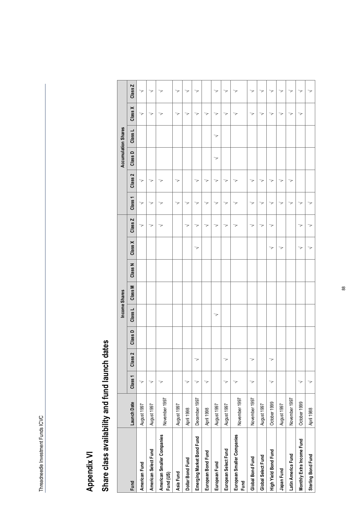# Appendix VI **Appendix VI**

# Share class availability and fund launch dates **Share class availability and fund launch dates**

|                                         |               |                    |         |         |                          | Income Shares |         |         |         |                    |         |         | <b>Accumulation Shares</b> |         |         |
|-----------------------------------------|---------------|--------------------|---------|---------|--------------------------|---------------|---------|---------|---------|--------------------|---------|---------|----------------------------|---------|---------|
| Fund                                    | Launch Date   | Class <sub>1</sub> | Class 2 | Class D | Class L                  | Class M       | Class N | Class X | Class Z | Class <sub>1</sub> | Class 2 | Class D | Class L                    | Class X | Class Z |
| American Fund                           | August 1997   | >                  |         |         |                          |               |         |         | >       | >                  | >       |         |                            | >       | >       |
| American Select Fund                    | August 1997   | >                  |         |         |                          |               |         |         | >       | >                  | >       |         |                            | >       | >       |
| American Smaller Companies<br>Fund (US) | November 1997 | 7                  |         |         |                          |               |         |         | 7       | 7                  | ॽ       |         |                            |         | >       |
| Asia Fund                               | August 1997   |                    |         |         |                          |               |         |         |         | ᅐ                  | 7       |         |                            | 7       | >       |
| Dollar Bond Fund                        | April 1998    | >                  |         |         |                          |               |         |         | >       | 7                  |         |         |                            | >       | >       |
| Emerging Market Bond Fund               | December 1997 | ॽ                  | >       |         |                          |               |         | ॽ       | >       | ॽ                  | >       |         |                            | ॽ       | >       |
| European Bond Fund                      | April 1998    | 7                  |         |         |                          |               |         |         | >       | マ                  | >       |         |                            | >       |         |
| European Fund                           | August 1997   |                    |         |         | $\overline{\phantom{0}}$ |               |         |         | >       | マ                  | >       | >       | >                          | >       | >       |
| European Select Fund                    | August 1997   | >                  | >       |         |                          |               |         |         | ॽ       | ॽ                  | マ       |         |                            | ॽ       | >       |
| European Smaller Companies<br>Fund      | November 1997 | 7                  |         |         |                          |               |         |         | >       | 7                  | 7       |         |                            |         | >       |
| Global Bond Fund                        | November 1997 | マ                  | >       |         |                          |               |         |         | マ       | マ                  | マ       |         |                            | >       | >       |
| Global Select Fund                      | August 1997   |                    |         |         |                          |               |         |         | ⋗       | >                  | >       |         |                            | >       | >       |
| High Yield Bond Fund                    | October 1999  | 7                  | >       |         |                          |               |         | >       | >       | 7                  | >       |         |                            | >       | >       |
| Japan Fund                              | August 1997   |                    |         |         |                          |               |         | ॽ       |         | 7                  | マ       |         |                            | >       | >       |
| Latin America Fund                      | November 1997 |                    |         |         |                          |               |         |         |         | マ                  | >       |         |                            | マ       | >       |
| Monthly Extra Income Fund               | October 1999  | >                  |         |         |                          |               |         | >       | >       | 7                  |         |         |                            | >       | >       |
| Sterling Bond Fund                      | April 1988    | >                  |         |         |                          |               |         | ॽ       | 7       | マ                  |         |         |                            |         | >       |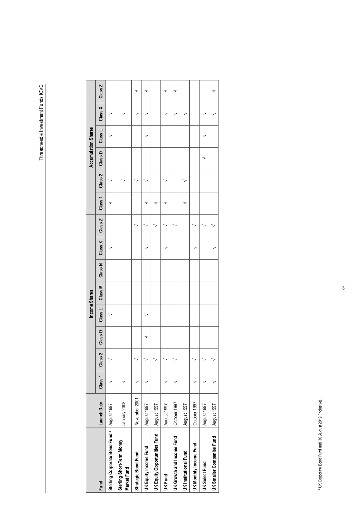|                                            |               |         |                    |         | Income Shares |         |         |         |         |         |                    | <b>Accumulation Shares</b> |         |         |         |
|--------------------------------------------|---------------|---------|--------------------|---------|---------------|---------|---------|---------|---------|---------|--------------------|----------------------------|---------|---------|---------|
| Fund                                       | Launch Date   | Class 1 | Class <sub>2</sub> | Class D | Class L       | Class M | Class N | Class X | Class Z | Class 1 | Class <sub>2</sub> | Class D                    | Class L | Class X | Class Z |
| Sterling Corporate Bond Fund <sup>14</sup> | August 1997   |         |                    |         | 7             |         |         | 7       |         |         |                    |                            |         |         |         |
| Sterling Short-Term Money<br>Market Fund   | January 2008  |         |                    |         |               |         |         |         |         |         |                    |                            |         |         |         |
| Strategic Bond Fund                        | November 2001 |         |                    |         |               |         |         |         |         |         |                    |                            |         |         |         |
| UK Equity Income Fund                      | August 1997   |         | 7                  |         | 7             |         |         |         |         |         |                    |                            |         |         |         |
| UK Equity Opportunities Fund               | August 1997   |         |                    |         |               |         |         |         |         |         |                    |                            |         |         |         |
| UK Fund                                    | August 1997   |         |                    |         |               |         |         | ł       |         |         |                    |                            |         |         |         |
| UK Growth and Income Fund                  | October 1997  |         |                    |         |               |         |         |         |         |         |                    |                            |         |         |         |
| <b>UK Institutional Fund</b>               | August 1997   |         |                    |         |               |         |         |         |         |         |                    |                            |         |         |         |
| UK Monthly Income Fund                     | October 1997  |         |                    |         |               |         |         |         |         |         |                    |                            |         |         |         |
| UK Select Fund                             | August 1997   |         | 7                  |         |               |         |         |         |         |         |                    |                            |         |         |         |
| UK Smaller Companies Fund                  | August 1997   |         |                    |         |               |         |         | ć       |         |         |                    |                            |         |         |         |

<sup>&</sup>lt;sup>14</sup> UK Corporate Bond Fund until 30 August 2019 (inclusive). 14 UK Corporate Bond Fund until 30 August 2019 (inclusive).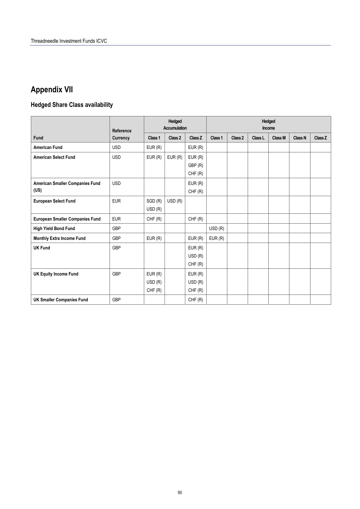# **Appendix VII**

# **Hedged Share Class availability**

|                                        | Reference  | <b>Hedged</b><br><b>Accumulation</b> |         |         | <b>Hedged</b><br>Income |         |         |         |                |         |
|----------------------------------------|------------|--------------------------------------|---------|---------|-------------------------|---------|---------|---------|----------------|---------|
| Fund                                   | Currency   | Class 1                              | Class 2 | Class Z | Class 1                 | Class 2 | Class L | Class M | <b>Class N</b> | Class Z |
| <b>American Fund</b>                   | <b>USD</b> | EUR(R)                               |         | EUR(R)  |                         |         |         |         |                |         |
| <b>American Select Fund</b>            | <b>USD</b> | EUR(R)                               | EUR(R)  | EUR(R)  |                         |         |         |         |                |         |
|                                        |            |                                      |         | GBP (R) |                         |         |         |         |                |         |
|                                        |            |                                      |         | CHF(R)  |                         |         |         |         |                |         |
| <b>American Smaller Companies Fund</b> | <b>USD</b> |                                      |         | EUR(R)  |                         |         |         |         |                |         |
| (US)                                   |            |                                      |         | CHF(R)  |                         |         |         |         |                |         |
| <b>European Select Fund</b>            | <b>EUR</b> | SGD (R)                              | USD(R)  |         |                         |         |         |         |                |         |
|                                        |            | USD (R)                              |         |         |                         |         |         |         |                |         |
| <b>European Smaller Companies Fund</b> | <b>EUR</b> | CHF(R)                               |         | CHF(R)  |                         |         |         |         |                |         |
| High Yield Bond Fund                   | GBP        |                                      |         |         | USD(R)                  |         |         |         |                |         |
| Monthly Extra Income Fund              | GBP        | EUR(R)                               |         | EUR(R)  | EUR(R)                  |         |         |         |                |         |
| <b>UK Fund</b>                         | GBP        |                                      |         | EUR(R)  |                         |         |         |         |                |         |
|                                        |            |                                      |         | USD(R)  |                         |         |         |         |                |         |
|                                        |            |                                      |         | CHF(R)  |                         |         |         |         |                |         |
| <b>UK Equity Income Fund</b>           | GBP        | EUR(R)                               |         | EUR(R)  |                         |         |         |         |                |         |
|                                        |            | USD(R)                               |         | USD(R)  |                         |         |         |         |                |         |
|                                        |            | CHF(R)                               |         | CHF(R)  |                         |         |         |         |                |         |
| <b>UK Smaller Companies Fund</b>       | GBP        |                                      |         | CHF(R)  |                         |         |         |         |                |         |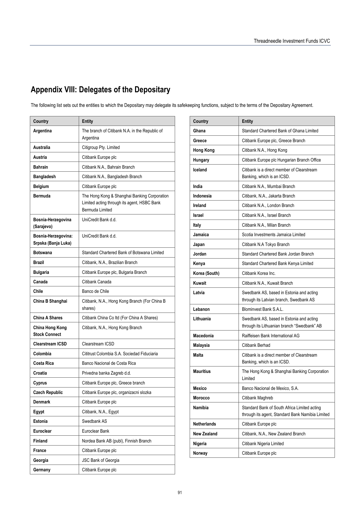# **Appendix VIII: Delegates of the Depositary**

The following list sets out the entities to which the Depositary may delegate its safekeeping functions, subject to the terms of the Depositary Agreement.

| Country                                    | <b>Entity</b>                                                                                                  |  |
|--------------------------------------------|----------------------------------------------------------------------------------------------------------------|--|
| Argentina                                  | The branch of Citibank N.A. in the Republic of<br>Argentina                                                    |  |
| Australia                                  | Citigroup Pty. Limited                                                                                         |  |
| Austria                                    | Citibank Europe plc                                                                                            |  |
| <b>Bahrain</b>                             | Citibank N.A., Bahrain Branch                                                                                  |  |
| <b>Bangladesh</b>                          | Citibank N.A., Bangladesh Branch                                                                               |  |
| <b>Belgium</b>                             | Citibank Europe plc                                                                                            |  |
| Bermuda                                    | The Hong Kong & Shanghai Banking Corporation<br>Limited acting through its agent, HSBC Bank<br>Bermuda Limited |  |
| Bosnia-Herzegovina<br>(Sarajevo)           | UniCredit Bank d.d.                                                                                            |  |
| Bosnia-Herzegovina:<br>Srpska (Banja Luka) | UniCredit Bank d.d.                                                                                            |  |
| <b>Botswana</b>                            | Standard Chartered Bank of Botswana Limited                                                                    |  |
| <b>Brazil</b>                              | Citibank, N.A., Brazilian Branch                                                                               |  |
| <b>Bulgaria</b>                            | Citibank Europe plc, Bulgaria Branch                                                                           |  |
| Canada                                     | Citibank Canada                                                                                                |  |
| Chile                                      | Banco de Chile                                                                                                 |  |
| China B Shanghai                           | Citibank, N.A., Hong Kong Branch (For China B<br>shares)                                                       |  |
| <b>China A Shares</b>                      | Citibank China Co Itd (For China A Shares)                                                                     |  |
| China Hong Kong<br><b>Stock Connect</b>    | Citibank, N.A., Hong Kong Branch                                                                               |  |
| <b>Clearstream ICSD</b>                    | Clearstream ICSD                                                                                               |  |
| Colombia                                   | Cititrust Colombia S.A. Sociedad Fiduciaria                                                                    |  |
| Costa Rica                                 | Banco Nacional de Costa Rica                                                                                   |  |
| Croatia                                    | Privedna banka Zagreb d.d.                                                                                     |  |
| Cyprus                                     | Citibank Europe plc, Greece branch                                                                             |  |
| <b>Czech Republic</b>                      | Citibank Europe plc, organizacni slozka                                                                        |  |
| <b>Denmark</b>                             | Citibank Europe plc                                                                                            |  |
| Egypt                                      | Citibank, N.A., Egypt                                                                                          |  |
| Estonia                                    | Swedbank AS                                                                                                    |  |
| Euroclear                                  | Euroclear Bank                                                                                                 |  |
| Finland                                    | Nordea Bank AB (publ), Finnish Branch                                                                          |  |
| France                                     | Citibank Europe plc                                                                                            |  |
| Georgia                                    | JSC Bank of Georgia                                                                                            |  |
| Germany                                    | Citibank Europe plc                                                                                            |  |

| Country            | Entity                                                                                           |  |  |
|--------------------|--------------------------------------------------------------------------------------------------|--|--|
| Ghana              | Standard Chartered Bank of Ghana Limited                                                         |  |  |
| Greece             | Citibank Europe plc, Greece Branch                                                               |  |  |
| <b>Hong Kong</b>   | Citibank N.A., Hong Kong                                                                         |  |  |
| Hungary            | Citibank Europe plc Hungarian Branch Office                                                      |  |  |
| Iceland            | Citibank is a direct member of Clearstream<br>Banking, which is an ICSD.                         |  |  |
| India              | Citibank N.A., Mumbai Branch                                                                     |  |  |
| Indonesia          | Citibank, N.A., Jakarta Branch                                                                   |  |  |
| Ireland            | Citibank N.A., London Branch                                                                     |  |  |
| <b>Israel</b>      | Citibank N.A., Israel Branch                                                                     |  |  |
| Italy              | Citibank N.A., Milan Branch                                                                      |  |  |
| Jamaica            | Scotia Investments Jamaica Limited                                                               |  |  |
| Japan              | Citibank N.A Tokyo Branch                                                                        |  |  |
| Jordan             | Standard Chartered Bank Jordan Branch                                                            |  |  |
| Kenya              | Standard Chartered Bank Kenya Limited                                                            |  |  |
| Korea (South)      | Citibank Korea Inc.                                                                              |  |  |
| Kuwait             | Citibank N.A., Kuwait Branch                                                                     |  |  |
| Latvia             | Swedbank AS, based in Estonia and acting<br>through its Latvian branch, Swedbank AS              |  |  |
| Lebanon            | Blominvest Bank S.A.L.                                                                           |  |  |
| Lithuania          | Swedbank AS, based in Estonia and acting<br>through its Lithuanian branch "Swedbank" AB          |  |  |
| Macedonia          | Raiffeisen Bank International AG                                                                 |  |  |
| Malaysia           | Citibank Berhad                                                                                  |  |  |
| Malta              | Citibank is a direct member of Clearstream<br>Banking, which is an ICSD.                         |  |  |
| <b>Mauritius</b>   | The Hong Kong & Shanghai Banking Corporation<br>Limited                                          |  |  |
| Mexico             | Banco Nacional de Mexico, S.A.                                                                   |  |  |
| <b>Morocco</b>     | Citibank Maghreb                                                                                 |  |  |
| Namibia            | Standard Bank of South Africa Limited acting<br>through its agent, Standard Bank Namibia Limited |  |  |
| <b>Netherlands</b> | Citibank Europe plc                                                                              |  |  |
| New Zealand        | Citibank, N.A., New Zealand Branch                                                               |  |  |
| Nigeria            | Citibank Nigeria Limited                                                                         |  |  |
| Norway             | Citibank Europe plc                                                                              |  |  |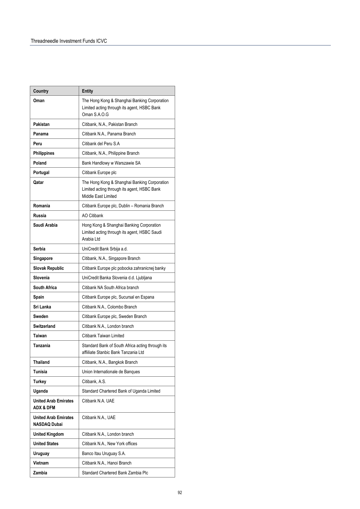| Country                                             | <b>Entity</b>                                                                                                      |
|-----------------------------------------------------|--------------------------------------------------------------------------------------------------------------------|
| Oman                                                | The Hong Kong & Shanghai Banking Corporation<br>Limited acting through its agent, HSBC Bank<br>Oman S.A.O.G        |
| Pakistan                                            | Citibank, N.A., Pakistan Branch                                                                                    |
| Panama                                              | Citibank N.A., Panama Branch                                                                                       |
| Peru                                                | Citibank del Peru S.A                                                                                              |
| <b>Philippines</b>                                  | Citibank, N.A., Philippine Branch                                                                                  |
| Poland                                              | Bank Handlowy w Warszawie SA                                                                                       |
| Portugal                                            | Citibank Europe plc                                                                                                |
| Qatar                                               | The Hong Kong & Shanghai Banking Corporation<br>Limited acting through its agent, HSBC Bank<br>Middle East Limited |
| Romania                                             | Citibank Europe plc, Dublin - Romania Branch                                                                       |
| Russia                                              | <b>AO Citibank</b>                                                                                                 |
| Saudi Arabia                                        | Hong Kong & Shanghai Banking Corporation<br>Limited acting through its agent, HSBC Saudi<br>Arabia Ltd             |
| Serbia                                              | UniCredit Bank Srbija a.d.                                                                                         |
| Singapore                                           | Citibank, N.A., Singapore Branch                                                                                   |
| Slovak Republic                                     | Citibank Europe plc pobocka zahranicnej banky                                                                      |
| Slovenia                                            | UniCredit Banka Slovenia d.d. Ljubljana                                                                            |
| South Africa                                        | Citibank NA South Africa branch                                                                                    |
| Spain                                               | Citibank Europe plc, Sucursal en Espana                                                                            |
| Sri Lanka                                           | Citibank N.A., Colombo Branch                                                                                      |
| Sweden                                              | Citibank Europe plc, Sweden Branch                                                                                 |
| <b>Switzerland</b>                                  | Citibank N.A., London branch                                                                                       |
| <b>Taiwan</b>                                       | Citibank Taiwan Limited                                                                                            |
| Tanzania                                            | Standard Bank of South Africa acting through its<br>affiiliate Stanbic Bank Tanzania Ltd                           |
| <b>Thailand</b>                                     | Citibank, N.A., Bangkok Branch                                                                                     |
| <b>Tunisia</b>                                      | Union Internationale de Banques                                                                                    |
| <b>Turkey</b>                                       | Citibank, A.S.                                                                                                     |
| Uganda                                              | Standard Chartered Bank of Uganda Limited                                                                          |
| <b>United Arab Emirates</b><br><b>ADX &amp; DFM</b> | Citibank N.A. UAE                                                                                                  |
| <b>United Arab Emirates</b><br><b>NASDAQ Dubai</b>  | Citibank N.A., UAE                                                                                                 |
| <b>United Kingdom</b>                               | Citibank N.A., London branch                                                                                       |
| <b>United States</b>                                | Citibank N.A., New York offices                                                                                    |
| <b>Uruguay</b>                                      | Banco Itau Uruguay S.A.                                                                                            |
| Vietnam                                             | Citibank N.A., Hanoi Branch                                                                                        |
| Zambia                                              | Standard Chartered Bank Zambia Plc                                                                                 |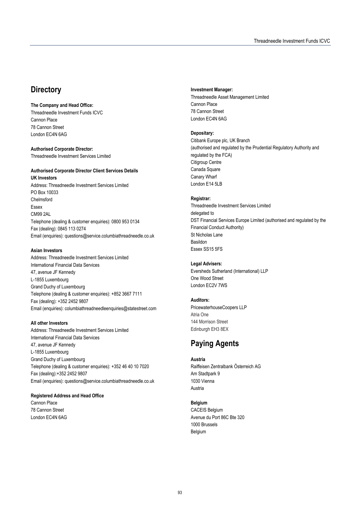# **Directory**

#### **The Company and Head Office:**

Threadneedle Investment Funds ICVC Cannon Place 78 Cannon Street London EC4N 6AG

**Authorised Corporate Director:**  Threadneedle Investment Services Limited

#### **Authorised Corporate Director Client Services Details UK Investors**

Address: Threadneedle Investment Services Limited PO Box 10033 Chelmsford Essex CM99 2AL Telephone (dealing & customer enquiries): 0800 953 0134 Fax (dealing): 0845 113 0274 Email (enquiries): questions@service.columbiathreadneedle.co.uk

#### **Asian Investors**

Address: Threadneedle Investment Services Limited International Financial Data Services 47, avenue JF Kennedy L-1855 Luxembourg Grand Duchy of Luxembourg Telephone (dealing & customer enquiries): +852 3667 7111 Fax (dealing): +352 2452 9807 Email (enquiries): columbiathreadneedleenquiries@statestreet.com

#### **All other Investors**

Address: Threadneedle Investment Services Limited International Financial Data Services 47, avenue JF Kennedy L-1855 Luxembourg Grand Duchy of Luxembourg Telephone (dealing & customer enquiries): +352 46 40 10 7020 Fax (dealing):+352 2452 9807 Email (enquiries): questions@service.columbiathreadneedle.co.uk

#### **Registered Address and Head Office**

Cannon Place 78 Cannon Street London EC4N 6AG

#### **Investment Manager:**

Threadneedle Asset Management Limited Cannon Place 78 Cannon Street London EC4N 6AG

#### **Depositary:**

Citibank Europe plc, UK Branch (authorised and regulated by the Prudential Regulatory Authority and regulated by the FCA) Citigroup Centre Canada Square Canary Wharf London E14 5LB

#### **Registrar:**

Threadneedle Investment Services Limited delegated to DST Financial Services Europe Limited (authorised and regulated by the Financial Conduct Authority) St Nicholas Lane Basildon Essex SS15 5FS

#### **Legal Advisers:**

Eversheds Sutherland (International) LLP One Wood Street London EC2V 7WS

#### **Auditors:**

PricewaterhouseCoopers LLP Atria One 144 Morrison Street Edinburgh EH3 8EX

# **Paying Agents**

**Austria**  Raiffeisen Zentralbank Österreich AG Am Stadtpark 9 1030 Vienna Austria

#### **Belgium**

CACEIS Belgium Avenue du Port 86C Bte 320 1000 Brussels Belgium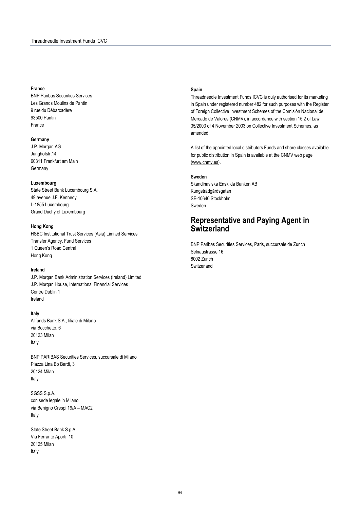#### **France**

BNP Paribas Securities Services Les Grands Moulins de Pantin 9 rue du Débarcadère 93500 Pantin France

#### **Germany**

J.P. Morgan AG Junghofstr.14 60311 Frankfurt am Main **Germany** 

#### **Luxembourg**

State Street Bank Luxembourg S.A. 49 avenue J.F. Kennedy L-1855 Luxembourg Grand Duchy of Luxembourg

#### **Hong Kong**

HSBC Institutional Trust Services (Asia) Limited Services Transfer Agency, Fund Services 1 Queen's Road Central Hong Kong

#### **Ireland**

J.P. Morgan Bank Administration Services (Ireland) Limited J.P. Morgan House, International Financial Services Centre Dublin 1 Ireland

#### **Italy**

Allfunds Bank S.A., filiale di Milano via Bocchetto, 6 20123 Milan Italy

BNP PARIBAS Securities Services, succursale di Milano Piazza Lina Bo Bardi, 3 20124 Milan Italy

SGSS S.p.A. con sede legale in Milano via Benigno Crespi 19/A – MAC2 Italy

State Street Bank S.p.A. Via Ferrante Aporti, 10 20125 Milan Italy

#### **Spain**

Threadneedle Investment Funds ICVC is duly authorised for its marketing in Spain under registered number 482 for such purposes with the Register of Foreign Collective Investment Schemes of the Comisión Nacional del Mercado de Valores (CNMV), in accordance with section 15.2 of Law 35/2003 of 4 November 2003 on Collective Investment Schemes, as amended.

A list of the appointed local distributors Funds and share classes available for public distribution in Spain is available at the CNMV web page (www.cnmv.es).

#### **Sweden**

Skandinaviska Enskilda Banken AB Kungsträdgårdsgatan SE-10640 Stockholm Sweden

## **Representative and Paying Agent in Switzerland**

BNP Paribas Securities Services, Paris, succursale de Zurich Selnaustrasse 16 8002 Zurich **Switzerland**